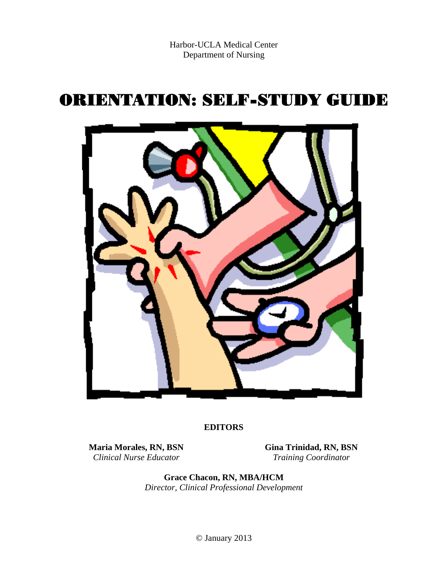# ORIENTATION: SELF-STUDY GUIDE



# **EDITORS**

**Maria Morales, RN, BSN Gina Trinidad, RN, BSN Clinical Nurse Educator Training Coordinator** 

*Clinical Nurse Educator Training Coordinator* 

**Grace Chacon, RN, MBA/HCM**  *Director, Clinical Professional Development*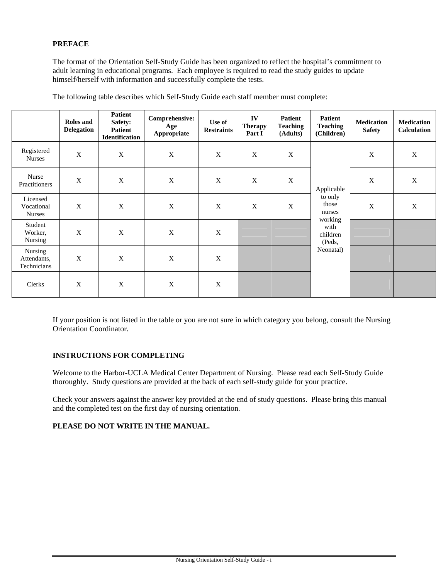## **PREFACE**

The format of the Orientation Self-Study Guide has been organized to reflect the hospital's commitment to adult learning in educational programs. Each employee is required to read the study guides to update himself/herself with information and successfully complete the tests.

|                                         | Roles and<br><b>Delegation</b> | <b>Patient</b><br>Safety:<br><b>Patient</b><br>Identification | Comprehensive:<br>Age<br>Appropriate | Use of<br><b>Restraints</b> | IV<br><b>Therapy</b><br>Part I | <b>Patient</b><br><b>Teaching</b><br>(Adults) | <b>Patient</b><br><b>Teaching</b><br>(Children) | <b>Medication</b><br><b>Safety</b> | <b>Medication</b><br><b>Calculation</b> |   |
|-----------------------------------------|--------------------------------|---------------------------------------------------------------|--------------------------------------|-----------------------------|--------------------------------|-----------------------------------------------|-------------------------------------------------|------------------------------------|-----------------------------------------|---|
| Registered<br><b>Nurses</b>             | X                              | X                                                             | X                                    | X                           | X                              | X                                             | Applicable<br>to only<br>those<br>nurses        |                                    | X                                       | X |
| Nurse<br>Practitioners                  | $\mathbf X$                    | X                                                             | $\mathbf X$                          | X                           | X                              | $\mathbf X$                                   |                                                 | $\mathbf X$                        | X                                       |   |
| Licensed<br>Vocational<br><b>Nurses</b> | X                              | X                                                             | X                                    | X                           | X                              | $\mathbf X$                                   |                                                 | X                                  | X                                       |   |
| Student<br>Worker,<br>Nursing           | X                              | $\boldsymbol{\mathrm{X}}$                                     | $\mathbf X$                          | X                           |                                |                                               | working<br>with<br>children<br>(Peds,           |                                    |                                         |   |
| Nursing<br>Attendants,<br>Technicians   | $\mathbf X$                    | X                                                             | $\mathbf X$                          | $\mathbf X$                 |                                |                                               | Neonatal)                                       |                                    |                                         |   |
| Clerks                                  | X                              | $\mathbf X$                                                   | X                                    | X                           |                                |                                               |                                                 |                                    |                                         |   |

The following table describes which Self-Study Guide each staff member must complete:

If your position is not listed in the table or you are not sure in which category you belong, consult the Nursing Orientation Coordinator.

#### **INSTRUCTIONS FOR COMPLETING**

Welcome to the Harbor-UCLA Medical Center Department of Nursing. Please read each Self-Study Guide thoroughly. Study questions are provided at the back of each self-study guide for your practice.

Check your answers against the answer key provided at the end of study questions. Please bring this manual and the completed test on the first day of nursing orientation.

## **PLEASE DO NOT WRITE IN THE MANUAL.**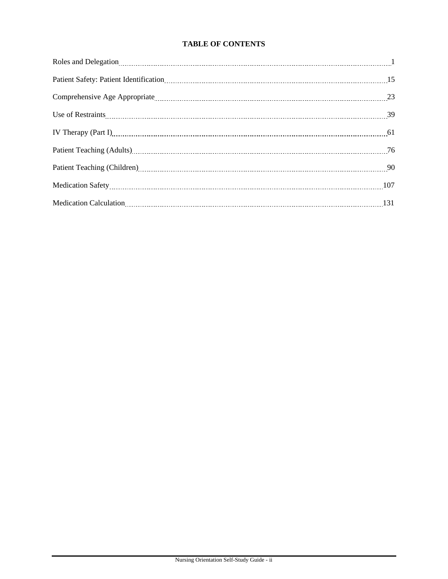# **TABLE OF CONTENTS**

| Patient Safety: Patient Identification [15] Patient Safety: Patient Identification [15] Patient Safety: Patient Identification [15] Patient Identification [15] Patient Identification [15] Patient Identification [15] Patien |  |
|--------------------------------------------------------------------------------------------------------------------------------------------------------------------------------------------------------------------------------|--|
| Comprehensive Age Appropriate 23                                                                                                                                                                                               |  |
|                                                                                                                                                                                                                                |  |
| IV Therapy (Part I) [61]                                                                                                                                                                                                       |  |
| Patient Teaching (Adults) 26                                                                                                                                                                                                   |  |
| Patient Teaching (Children) 20 minutes and the control of the control of the control of the control of the control of the control of the control of the control of the control of the control of the control of the control of |  |
|                                                                                                                                                                                                                                |  |
| Medication Calculation 2012 and 2013 and 2014 and 2014 and 2014 and 2014 and 2014 and 2014 and 2015 and 2015 and 2014 and 2015 and 2014 and 2015 and 2016 and 2016 and 2016 and 2016 and 2016 and 2016 and 2016 and 2016 and 2 |  |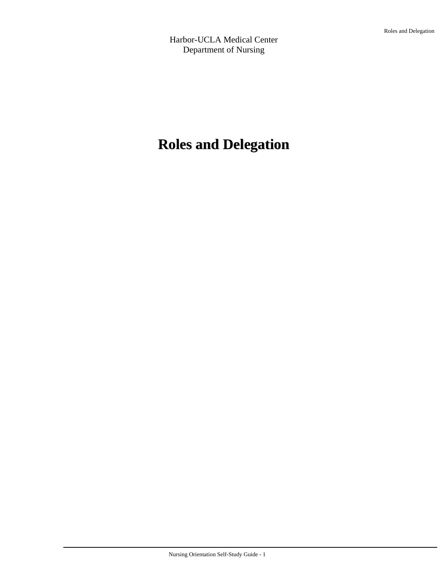Harbor-UCLA Medical Center Department of Nursing

# **Roles and Delegation**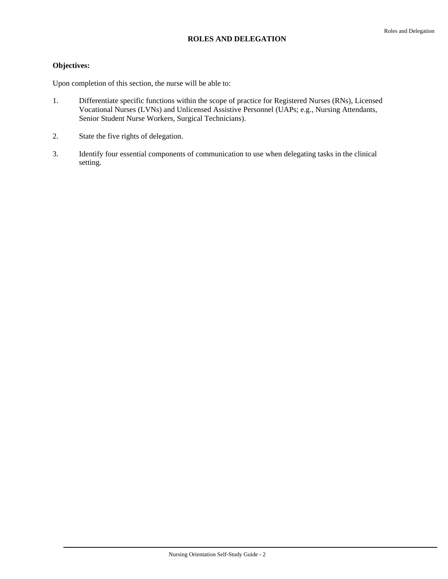#### **ROLES AND DELEGATION**

## **Objectives:**

Upon completion of this section, the nurse will be able to:

- 1. Differentiate specific functions within the scope of practice for Registered Nurses (RNs), Licensed Vocational Nurses (LVNs) and Unlicensed Assistive Personnel (UAPs; e.g., Nursing Attendants, Senior Student Nurse Workers, Surgical Technicians).
- 2. State the five rights of delegation.
- 3. Identify four essential components of communication to use when delegating tasks in the clinical setting.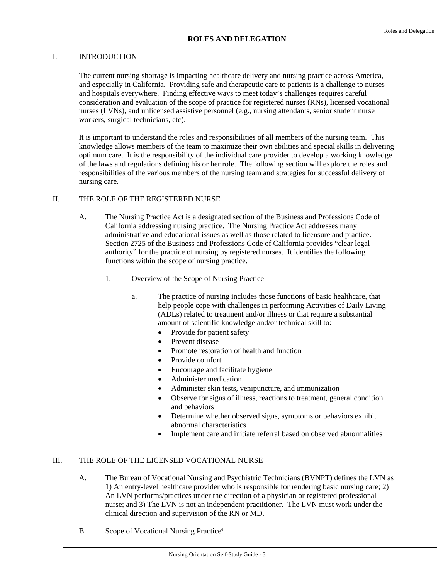## I. INTRODUCTION

The current nursing shortage is impacting healthcare delivery and nursing practice across America, and especially in California. Providing safe and therapeutic care to patients is a challenge to nurses and hospitals everywhere. Finding effective ways to meet today's challenges requires careful consideration and evaluation of the scope of practice for registered nurses (RNs), licensed vocational nurses (LVNs), and unlicensed assistive personnel (e.g., nursing attendants, senior student nurse workers, surgical technicians, etc).

It is important to understand the roles and responsibilities of all members of the nursing team. This knowledge allows members of the team to maximize their own abilities and special skills in delivering optimum care. It is the responsibility of the individual care provider to develop a working knowledge of the laws and regulations defining his or her role. The following section will explore the roles and responsibilities of the various members of the nursing team and strategies for successful delivery of nursing care.

#### II. THE ROLE OF THE REGISTERED NURSE

- A. The Nursing Practice Act is a designated section of the Business and Professions Code of California addressing nursing practice. The Nursing Practice Act addresses many administrative and educational issues as well as those related to licensure and practice. Section 2725 of the Business and Professions Code of California provides "clear legal authority" for the practice of nursing by registered nurses. It identifies the following functions within the scope of nursing practice.
	- 1. Overview of the Scope of Nursing Practice<sup>1</sup>
		- a. The practice of nursing includes those functions of basic healthcare, that help people cope with challenges in performing Activities of Daily Living (ADLs) related to treatment and/or illness or that require a substantial amount of scientific knowledge and/or technical skill to:
			- Provide for patient safety
			- Prevent disease
			- Promote restoration of health and function
			- Provide comfort
			- Encourage and facilitate hygiene
			- Administer medication
			- Administer skin tests, venipuncture, and immunization
			- Observe for signs of illness, reactions to treatment, general condition and behaviors
			- Determine whether observed signs, symptoms or behaviors exhibit abnormal characteristics
			- Implement care and initiate referral based on observed abnormalities

## III. THE ROLE OF THE LICENSED VOCATIONAL NURSE

- A. The Bureau of Vocational Nursing and Psychiatric Technicians (BVNPT) defines the LVN as 1) An entry-level healthcare provider who is responsible for rendering basic nursing care; 2) An LVN performs/practices under the direction of a physician or registered professional nurse; and 3) The LVN is not an independent practitioner. The LVN must work under the clinical direction and supervision of the RN or MD.
- B. Scope of Vocational Nursing Practice<sup>6</sup>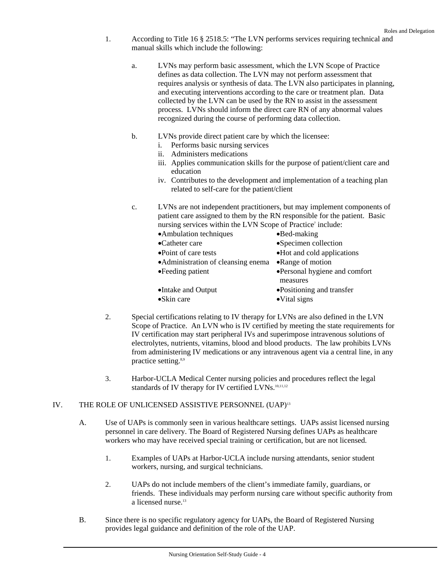- 1. According to Title 16 § 2518.5: "The LVN performs services requiring technical and manual skills which include the following:
	- a. LVNs may perform basic assessment, which the LVN Scope of Practice defines as data collection. The LVN may not perform assessment that requires analysis or synthesis of data. The LVN also participates in planning, and executing interventions according to the care or treatment plan. Data collected by the LVN can be used by the RN to assist in the assessment process. LVNs should inform the direct care RN of any abnormal values recognized during the course of performing data collection.
	- b. LVNs provide direct patient care by which the licensee:
		- i. Performs basic nursing services
		- ii. Administers medications
		- iii. Applies communication skills for the purpose of patient/client care and education
		- iv. Contributes to the development and implementation of a teaching plan related to self-care for the patient/client
	- c. LVNs are not independent practitioners, but may implement components of patient care assigned to them by the RN responsible for the patient. Basic nursing services within the LVN Scope of Practice<sup>7</sup> include:

| $\bullet$ Bed-making          |
|-------------------------------|
| •Specimen collection          |
| • Hot and cold applications   |
| •Range of motion              |
| •Personal hygiene and comfort |
| measures                      |
| •Positioning and transfer     |
| •Vital signs                  |
|                               |

- 2. Special certifications relating to IV therapy for LVNs are also defined in the LVN Scope of Practice. An LVN who is IV certified by meeting the state requirements for IV certification may start peripheral IVs and superimpose intravenous solutions of electrolytes, nutrients, vitamins, blood and blood products. The law prohibits LVNs from administering IV medications or any intravenous agent via a central line, in any practice setting.<sup>8,9</sup>
- 3. Harbor-UCLA Medical Center nursing policies and procedures reflect the legal standards of IV therapy for IV certified LVNs.<sup>10,11,12</sup>

### IV. THE ROLE OF UNLICENSED ASSISTIVE PERSONNEL (UAP)<sup>13</sup>

- A. Use of UAPs is commonly seen in various healthcare settings. UAPs assist licensed nursing personnel in care delivery. The Board of Registered Nursing defines UAPs as healthcare workers who may have received special training or certification, but are not licensed.
	- 1. Examples of UAPs at Harbor-UCLA include nursing attendants, senior student workers, nursing, and surgical technicians.
	- 2. UAPs do not include members of the client's immediate family, guardians, or friends. These individuals may perform nursing care without specific authority from a licensed nurse.<sup>13</sup>
- B. Since there is no specific regulatory agency for UAPs, the Board of Registered Nursing provides legal guidance and definition of the role of the UAP.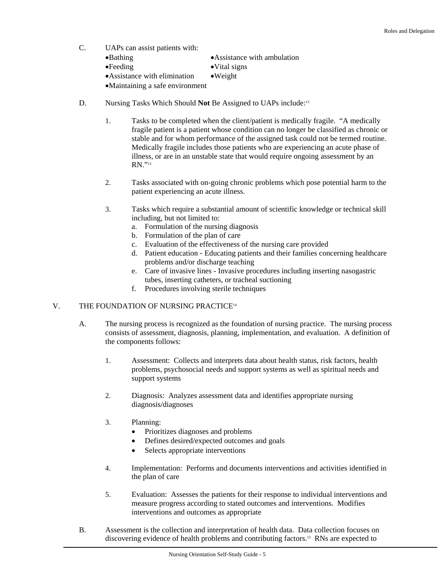| C. | UAPs can assist patients with:   |                              |  |  |  |  |  |
|----|----------------------------------|------------------------------|--|--|--|--|--|
|    | $\bullet$ Bathing                | • Assistance with ambulation |  |  |  |  |  |
|    | $\bullet$ Feeding                | $\bullet$ Vital signs        |  |  |  |  |  |
|    | • Assistance with elimination    | $\bullet$ Weight             |  |  |  |  |  |
|    | • Maintaining a safe environment |                              |  |  |  |  |  |
|    |                                  |                              |  |  |  |  |  |

- D. Nursing Tasks Which Should **Not** Be Assigned to UAPs include:13
	- 1. Tasks to be completed when the client/patient is medically fragile. "A medically fragile patient is a patient whose condition can no longer be classified as chronic or stable and for whom performance of the assigned task could not be termed routine. Medically fragile includes those patients who are experiencing an acute phase of illness, or are in an unstable state that would require ongoing assessment by an RN<sup>"13</sup>
	- 2. Tasks associated with on-going chronic problems which pose potential harm to the patient experiencing an acute illness.
	- 3. Tasks which require a substantial amount of scientific knowledge or technical skill including, but not limited to:
		- a. Formulation of the nursing diagnosis
		- b. Formulation of the plan of care
		- c. Evaluation of the effectiveness of the nursing care provided
		- d. Patient education Educating patients and their families concerning healthcare problems and/or discharge teaching
		- e. Care of invasive lines Invasive procedures including inserting nasogastric tubes, inserting catheters, or tracheal suctioning
		- f. Procedures involving sterile techniques

#### V. THE FOUNDATION OF NURSING PRACTICE<sup>14</sup>

- A. The nursing process is recognized as the foundation of nursing practice. The nursing process consists of assessment, diagnosis, planning, implementation, and evaluation. A definition of the components follows:
	- 1. Assessment: Collects and interprets data about health status, risk factors, health problems, psychosocial needs and support systems as well as spiritual needs and support systems
	- 2. Diagnosis: Analyzes assessment data and identifies appropriate nursing diagnosis/diagnoses
	- 3. Planning:
		- Prioritizes diagnoses and problems
		- Defines desired/expected outcomes and goals
		- Selects appropriate interventions
	- 4. Implementation: Performs and documents interventions and activities identified in the plan of care
	- 5. Evaluation: Assesses the patients for their response to individual interventions and measure progress according to stated outcomes and interventions. Modifies interventions and outcomes as appropriate
- B. Assessment is the collection and interpretation of health data. Data collection focuses on discovering evidence of health problems and contributing factors.<sup>15</sup> RNs are expected to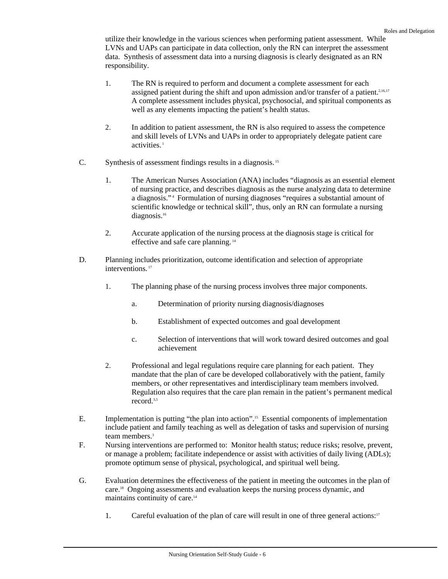utilize their knowledge in the various sciences when performing patient assessment. While LVNs and UAPs can participate in data collection, only the RN can interpret the assessment data. Synthesis of assessment data into a nursing diagnosis is clearly designated as an RN responsibility.

- 1. The RN is required to perform and document a complete assessment for each assigned patient during the shift and upon admission and/or transfer of a patient.<sup>2,16,17</sup> A complete assessment includes physical, psychosocial, and spiritual components as well as any elements impacting the patient's health status.
- 2. In addition to patient assessment, the RN is also required to assess the competence and skill levels of LVNs and UAPs in order to appropriately delegate patient care activities.<sup>1</sup>
- C. Synthesis of assessment findings results in a diagnosis. 15
	- 1. The American Nurses Association (ANA) includes "diagnosis as an essential element of nursing practice, and describes diagnosis as the nurse analyzing data to determine a diagnosis."<sup>4</sup> Formulation of nursing diagnoses "requires a substantial amount of scientific knowledge or technical skill", thus, only an RN can formulate a nursing diagnosis.<sup>16</sup>
	- 2. Accurate application of the nursing process at the diagnosis stage is critical for effective and safe care planning. 14
- D. Planning includes prioritization, outcome identification and selection of appropriate interventions.<sup>17</sup>
	- 1. The planning phase of the nursing process involves three major components.
		- a. Determination of priority nursing diagnosis/diagnoses
		- b. Establishment of expected outcomes and goal development
		- c. Selection of interventions that will work toward desired outcomes and goal achievement
	- 2. Professional and legal regulations require care planning for each patient. They mandate that the plan of care be developed collaboratively with the patient, family members, or other representatives and interdisciplinary team members involved. Regulation also requires that the care plan remain in the patient's permanent medical record.<sup>3,5</sup>
- E. Implementation is putting "the plan into action".<sup>15</sup> Essential components of implementation include patient and family teaching as well as delegation of tasks and supervision of nursing team members.<sup>3</sup>
- F. Nursing interventions are performed to: Monitor health status; reduce risks; resolve, prevent, or manage a problem; facilitate independence or assist with activities of daily living (ADLs); promote optimum sense of physical, psychological, and spiritual well being.
- G. Evaluation determines the effectiveness of the patient in meeting the outcomes in the plan of care.18 Ongoing assessments and evaluation keeps the nursing process dynamic, and maintains continuity of care.14
	- 1. Careful evaluation of the plan of care will result in one of three general actions:17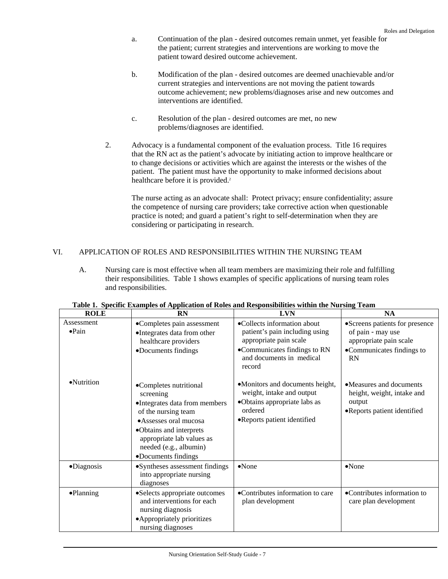- a. Continuation of the plan desired outcomes remain unmet, yet feasible for the patient; current strategies and interventions are working to move the patient toward desired outcome achievement.
- b. Modification of the plan desired outcomes are deemed unachievable and/or current strategies and interventions are not moving the patient towards outcome achievement; new problems/diagnoses arise and new outcomes and interventions are identified.
- c. Resolution of the plan desired outcomes are met, no new problems/diagnoses are identified.
- 2. Advocacy is a fundamental component of the evaluation process. Title 16 requires that the RN act as the patient's advocate by initiating action to improve healthcare or to change decisions or activities which are against the interests or the wishes of the patient. The patient must have the opportunity to make informed decisions about healthcare before it is provided.<sup>2</sup>

The nurse acting as an advocate shall: Protect privacy; ensure confidentiality; assure the competence of nursing care providers; take corrective action when questionable practice is noted; and guard a patient's right to self-determination when they are considering or participating in research.

## VI. APPLICATION OF ROLES AND RESPONSIBILITIES WITHIN THE NURSING TEAM

A. Nursing care is most effective when all team members are maximizing their role and fulfilling their responsibilities. Table 1 shows examples of specific applications of nursing team roles and responsibilities.

| <b>ROLE</b>                  | <b>RN</b>                                                                                                                                                                                                                     | <b>LVN</b>                                                                                                                                                    | <b>NA</b>                                                                                                               |
|------------------------------|-------------------------------------------------------------------------------------------------------------------------------------------------------------------------------------------------------------------------------|---------------------------------------------------------------------------------------------------------------------------------------------------------------|-------------------------------------------------------------------------------------------------------------------------|
| Assessment<br>$\bullet$ Pain | •Completes pain assessment<br>•Integrates data from other<br>healthcare providers<br>•Documents findings                                                                                                                      | •Collects information about<br>patient's pain including using<br>appropriate pain scale<br>•Communicates findings to RN<br>and documents in medical<br>record | •Screens patients for presence<br>of pain - may use<br>appropriate pain scale<br>•Communicates findings to<br><b>RN</b> |
| ·Nutrition                   | •Completes nutritional<br>screening<br>•Integrates data from members<br>of the nursing team<br>•Assesses oral mucosa<br>•Obtains and interprets<br>appropriate lab values as<br>needed (e.g., albumin)<br>·Documents findings | •Monitors and documents height,<br>weight, intake and output<br>•Obtains appropriate labs as<br>ordered<br>•Reports patient identified                        | • Measures and documents<br>height, weight, intake and<br>output<br>•Reports patient identified                         |
| ·Diagnosis                   | •Syntheses assessment findings<br>into appropriate nursing<br>diagnoses                                                                                                                                                       | $\bullet$ None                                                                                                                                                | $\bullet$ None                                                                                                          |
| •Planning                    | •Selects appropriate outcomes<br>and interventions for each<br>nursing diagnosis<br>• Appropriately prioritizes<br>nursing diagnoses                                                                                          | •Contributes information to care<br>plan development                                                                                                          | •Contributes information to<br>care plan development                                                                    |

|  |  | Table 1. Specific Examples of Application of Roles and Responsibilities within the Nursing Team |  |  |
|--|--|-------------------------------------------------------------------------------------------------|--|--|
|  |  |                                                                                                 |  |  |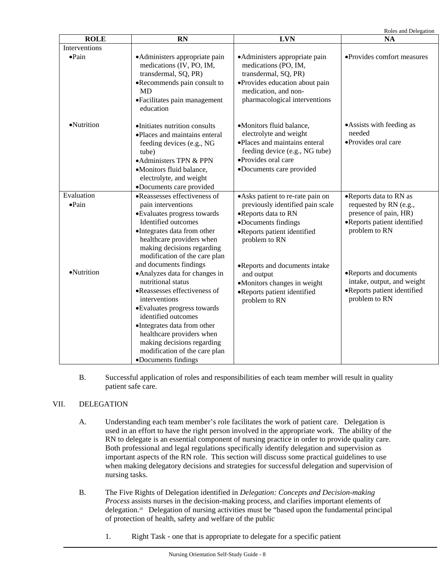| <b>ROLE</b>                  | <b>RN</b>                                                                                                                                                                                                                                                                                                      | <b>LVN</b>                                                                                                                                                                | Roles and Delegation<br><b>NA</b>                                                                                         |
|------------------------------|----------------------------------------------------------------------------------------------------------------------------------------------------------------------------------------------------------------------------------------------------------------------------------------------------------------|---------------------------------------------------------------------------------------------------------------------------------------------------------------------------|---------------------------------------------------------------------------------------------------------------------------|
| <b>Interventions</b>         |                                                                                                                                                                                                                                                                                                                |                                                                                                                                                                           |                                                                                                                           |
| $\bullet$ Pain               | • Administers appropriate pain<br>medications (IV, PO, IM,<br>transdermal, SQ, PR)<br>•Recommends pain consult to<br>MD<br>•Facilitates pain management<br>education                                                                                                                                           | • Administers appropriate pain<br>medications (PO, IM,<br>transdermal, SQ, PR)<br>·Provides education about pain<br>medication, and non-<br>pharmacological interventions | •Provides comfort measures                                                                                                |
| ·Nutrition                   | •Initiates nutrition consults<br>•Places and maintains enteral<br>feeding devices (e.g., NG<br>tube)<br>• Administers TPN & PPN<br>·Monitors fluid balance,<br>electrolyte, and weight<br>•Documents care provided                                                                                             | ·Monitors fluid balance,<br>electrolyte and weight<br>·Places and maintains enteral<br>feeding device (e.g., NG tube)<br>·Provides oral care<br>•Documents care provided  | • Assists with feeding as<br>needed<br>·Provides oral care                                                                |
| Evaluation<br>$\bullet$ Pain | •Reassesses effectiveness of<br>pain interventions<br>•Evaluates progress towards<br>Identified outcomes<br>•Integrates data from other<br>healthcare providers when<br>making decisions regarding<br>modification of the care plan<br>and documents findings                                                  | • Asks patient to re-rate pain on<br>previously identified pain scale<br>•Reports data to RN<br>•Documents findings<br>•Reports patient identified<br>problem to RN       | •Reports data to RN as<br>requested by RN (e.g.,<br>presence of pain, HR)<br>·Reports patient identified<br>problem to RN |
| ·Nutrition                   | • Analyzes data for changes in<br>nutritional status<br>•Reassesses effectiveness of<br>interventions<br>• Evaluates progress towards<br>identified outcomes<br>•Integrates data from other<br>healthcare providers when<br>making decisions regarding<br>modification of the care plan<br>•Documents findings | •Reports and documents intake<br>and output<br>•Monitors changes in weight<br>·Reports patient identified<br>problem to RN                                                | •Reports and documents<br>intake, output, and weight<br>•Reports patient identified<br>problem to RN                      |

B. Successful application of roles and responsibilities of each team member will result in quality patient safe care.

## VII. DELEGATION

- A. Understanding each team member's role facilitates the work of patient care. Delegation is used in an effort to have the right person involved in the appropriate work. The ability of the RN to delegate is an essential component of nursing practice in order to provide quality care. Both professional and legal regulations specifically identify delegation and supervision as important aspects of the RN role. This section will discuss some practical guidelines to use when making delegatory decisions and strategies for successful delegation and supervision of nursing tasks.
- B. The Five Rights of Delegation identified in *Delegation: Concepts and Decision-making Process* assists nurses in the decision-making process, and clarifies important elements of delegation.20 Delegation of nursing activities must be "based upon the fundamental principal of protection of health, safety and welfare of the public
	- 1. Right Task one that is appropriate to delegate for a specific patient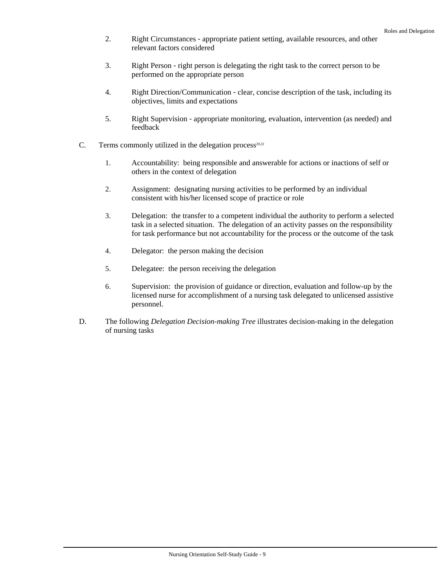- 2. Right Circumstances appropriate patient setting, available resources, and other relevant factors considered
- 3. Right Person right person is delegating the right task to the correct person to be performed on the appropriate person
- 4. Right Direction/Communication clear, concise description of the task, including its objectives, limits and expectations
- 5. Right Supervision appropriate monitoring, evaluation, intervention (as needed) and feedback
- C. Terms commonly utilized in the delegation process<sup>20,22</sup>
	- 1. Accountability: being responsible and answerable for actions or inactions of self or others in the context of delegation
	- 2. Assignment: designating nursing activities to be performed by an individual consistent with his/her licensed scope of practice or role
	- 3. Delegation: the transfer to a competent individual the authority to perform a selected task in a selected situation. The delegation of an activity passes on the responsibility for task performance but not accountability for the process or the outcome of the task
	- 4. Delegator: the person making the decision
	- 5. Delegatee: the person receiving the delegation
	- 6. Supervision: the provision of guidance or direction, evaluation and follow-up by the licensed nurse for accomplishment of a nursing task delegated to unlicensed assistive personnel.
- D. The following *Delegation Decision-making Tree* illustrates decision-making in the delegation of nursing tasks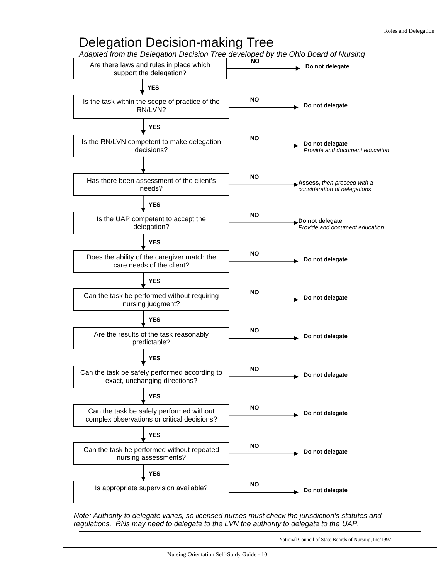# Delegation Decision-making Tree





*Note: Authority to delegate varies, so licensed nurses must check the jurisdiction's statutes and regulations. RNs may need to delegate to the LVN the authority to delegate to the UAP.*

National Council of State Boards of Nursing, Inc/1997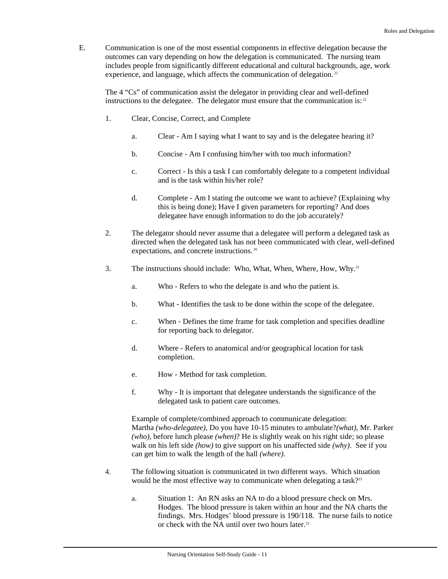E. Communication is one of the most essential components in effective delegation because the outcomes can vary depending on how the delegation is communicated. The nursing team includes people from significantly different educational and cultural backgrounds, age, work experience, and language, which affects the communication of delegation.<sup>22</sup>

The 4 "Cs" of communication assist the delegator in providing clear and well-defined instructions to the delegate. The delegator must ensure that the communication is:  $22$ 

- 1. Clear, Concise, Correct, and Complete
	- a. Clear Am I saying what I want to say and is the delegatee hearing it?
	- b. Concise Am I confusing him/her with too much information?
	- c. Correct Is this a task I can comfortably delegate to a competent individual and is the task within his/her role?
	- d. Complete Am I stating the outcome we want to achieve? (Explaining why this is being done); Have I given parameters for reporting? And does delegatee have enough information to do the job accurately?
- 2. The delegator should never assume that a delegatee will perform a delegated task as directed when the delegated task has not been communicated with clear, well-defined expectations, and concrete instructions.<sup>20</sup>
- 3. The instructions should include: Who, What, When, Where, How, Why.22
	- a. Who Refers to who the delegate is and who the patient is.
	- b. What Identifies the task to be done within the scope of the delegatee.
	- c. When Defines the time frame for task completion and specifies deadline for reporting back to delegator.
	- d. Where Refers to anatomical and/or geographical location for task completion.
	- e. How Method for task completion.
	- f. Why It is important that delegatee understands the significance of the delegated task to patient care outcomes.

Example of complete/combined approach to communicate delegation: Martha *(who-delegatee),* Do you have 10-15 minutes to ambulate?*(what),* Mr. Parker *(who),* before lunch please *(when)*? He is slightly weak on his right side; so please walk on his left side *(how)* to give support on his unaffected side *(why)*. See if you can get him to walk the length of the hall *(where)*.

- 4. The following situation is communicated in two different ways. Which situation would be the most effective way to communicate when delegating a task?<sup>23</sup>
	- a. Situation 1: An RN asks an NA to do a blood pressure check on Mrs. Hodges. The blood pressure is taken within an hour and the NA charts the findings. Mrs. Hodges' blood pressure is 190/118. The nurse fails to notice or check with the NA until over two hours later.<sup>23</sup>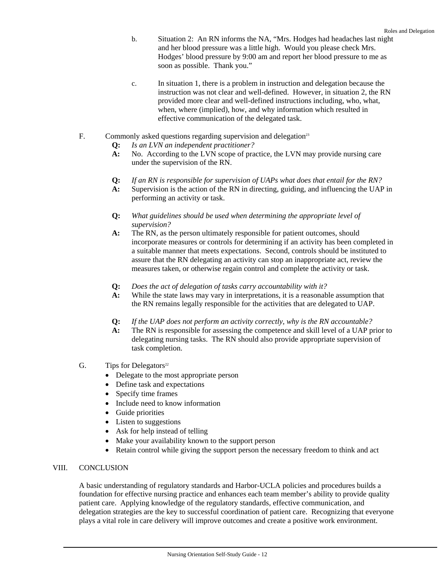- b. Situation 2: An RN informs the NA, "Mrs. Hodges had headaches last night and her blood pressure was a little high. Would you please check Mrs. Hodges' blood pressure by 9:00 am and report her blood pressure to me as soon as possible. Thank you."
- c. In situation 1, there is a problem in instruction and delegation because the instruction was not clear and well-defined. However, in situation 2, the RN provided more clear and well-defined instructions including, who, what, when, where (implied), how, and why information which resulted in effective communication of the delegated task.
- F. Commonly asked questions regarding supervision and delegation<sup>23</sup>
	- **Q:** *Is an LVN an independent practitioner?*
	- **A:** No. According to the LVN scope of practice, the LVN may provide nursing care under the supervision of the RN.
	- **Q:** *If an RN is responsible for supervision of UAPs what does that entail for the RN?*
	- **A:** Supervision is the action of the RN in directing, guiding, and influencing the UAP in performing an activity or task.
	- **Q:** *What guidelines should be used when determining the appropriate level of supervision?*
	- **A:** The RN, as the person ultimately responsible for patient outcomes, should incorporate measures or controls for determining if an activity has been completed in a suitable manner that meets expectations. Second, controls should be instituted to assure that the RN delegating an activity can stop an inappropriate act, review the measures taken, or otherwise regain control and complete the activity or task.
	- **Q:** *Does the act of delegation of tasks carry accountability with it?*
	- **A:** While the state laws may vary in interpretations, it is a reasonable assumption that the RN remains legally responsible for the activities that are delegated to UAP.
	- **Q:** *If the UAP does not perform an activity correctly, why is the RN accountable?*
	- **A:** The RN is responsible for assessing the competence and skill level of a UAP prior to delegating nursing tasks. The RN should also provide appropriate supervision of task completion.
- G. Tips for Delegators<sup>22</sup>
	- Delegate to the most appropriate person
	- Define task and expectations
	- Specify time frames
	- Include need to know information
	- Guide priorities
	- Listen to suggestions
	- Ask for help instead of telling
	- Make your availability known to the support person
	- Retain control while giving the support person the necessary freedom to think and act

### VIII. CONCLUSION

A basic understanding of regulatory standards and Harbor-UCLA policies and procedures builds a foundation for effective nursing practice and enhances each team member's ability to provide quality patient care. Applying knowledge of the regulatory standards, effective communication, and delegation strategies are the key to successful coordination of patient care. Recognizing that everyone plays a vital role in care delivery will improve outcomes and create a positive work environment.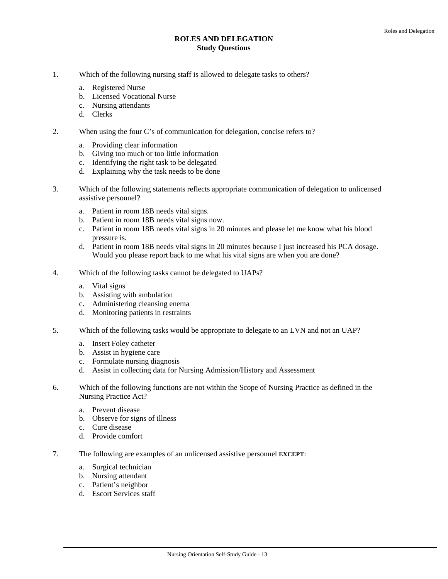#### **ROLES AND DELEGATION Study Questions**

- 1. Which of the following nursing staff is allowed to delegate tasks to others?
	- a. Registered Nurse
	- b. Licensed Vocational Nurse
	- c. Nursing attendants
	- d. Clerks
- 2. When using the four C's of communication for delegation, concise refers to?
	- a. Providing clear information
	- b. Giving too much or too little information
	- c. Identifying the right task to be delegated
	- d. Explaining why the task needs to be done
- 3. Which of the following statements reflects appropriate communication of delegation to unlicensed assistive personnel?
	- a. Patient in room 18B needs vital signs.
	- b. Patient in room 18B needs vital signs now.
	- c. Patient in room 18B needs vital signs in 20 minutes and please let me know what his blood pressure is.
	- d. Patient in room 18B needs vital signs in 20 minutes because I just increased his PCA dosage. Would you please report back to me what his vital signs are when you are done?
- 4. Which of the following tasks cannot be delegated to UAPs?
	- a. Vital signs
	- b. Assisting with ambulation
	- c. Administering cleansing enema
	- d. Monitoring patients in restraints
- 5. Which of the following tasks would be appropriate to delegate to an LVN and not an UAP?
	- a. Insert Foley catheter
	- b. Assist in hygiene care
	- c. Formulate nursing diagnosis
	- d. Assist in collecting data for Nursing Admission/History and Assessment
- 6. Which of the following functions are not within the Scope of Nursing Practice as defined in the Nursing Practice Act?
	- a. Prevent disease
	- b. Observe for signs of illness
	- c. Cure disease
	- d. Provide comfort
- 7. The following are examples of an unlicensed assistive personnel **EXCEPT**:
	- a. Surgical technician
	- b. Nursing attendant
	- c. Patient's neighbor
	- d. Escort Services staff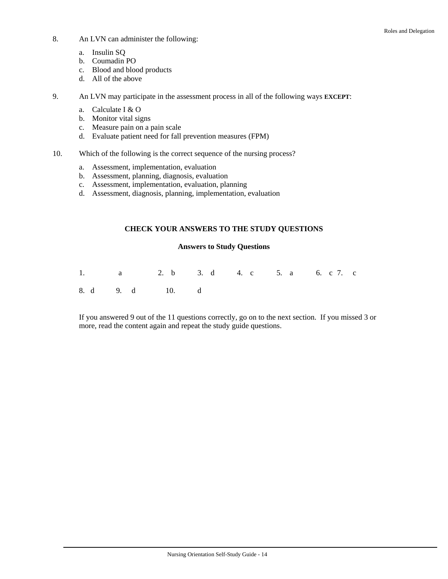- 8. An LVN can administer the following:
	- a. Insulin SQ
	- b. Coumadin PO
	- c. Blood and blood products
	- d. All of the above

9. An LVN may participate in the assessment process in all of the following ways **EXCEPT**:

- a. Calculate I & O
- b. Monitor vital signs
- c. Measure pain on a pain scale
- d. Evaluate patient need for fall prevention measures (FPM)
- 10. Which of the following is the correct sequence of the nursing process?
	- a. Assessment, implementation, evaluation
	- b. Assessment, planning, diagnosis, evaluation
	- c. Assessment, implementation, evaluation, planning
	- d. Assessment, diagnosis, planning, implementation, evaluation

## **CHECK YOUR ANSWERS TO THE STUDY QUESTIONS**

#### **Answers to Study Questions**

|                 |  |  | 1. a 2. b 3. d 4. c 5. a 6. c 7. c |
|-----------------|--|--|------------------------------------|
| 8. d 9. d 10. d |  |  |                                    |

If you answered 9 out of the 11 questions correctly, go on to the next section. If you missed 3 or more, read the content again and repeat the study guide questions.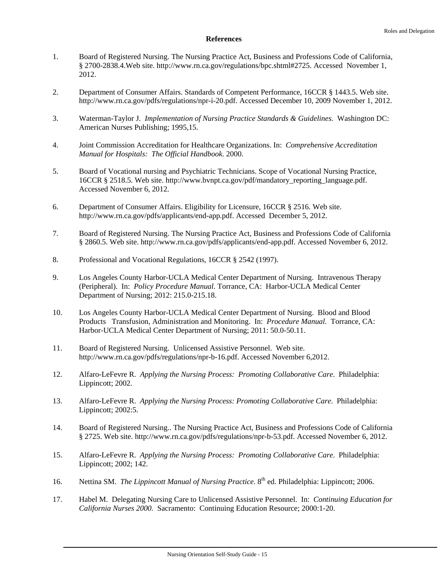- 1. Board of Registered Nursing. The Nursing Practice Act, Business and Professions Code of California, § 2700-2838.4.Web site. http://www.rn.ca.gov/regulations/bpc.shtml#2725. Accessed November 1, 2012.
- 2. Department of Consumer Affairs. Standards of Competent Performance, 16CCR § 1443.5. Web site. http://www.rn.ca.gov/pdfs/regulations/npr-i-20.pdf. Accessed December 10, 2009 November 1, 2012.
- 3. Waterman-Taylor J. *Implementation of Nursing Practice Standards & Guidelines.* Washington DC: American Nurses Publishing; 1995,15.
- 4. Joint Commission Accreditation for Healthcare Organizations. In: *Comprehensive Accreditation Manual for Hospitals: The Official Handbook.* 2000.
- 5. Board of Vocational nursing and Psychiatric Technicians. Scope of Vocational Nursing Practice, 16CCR § 2518.5. Web site. http://www.bvnpt.ca.gov/pdf/mandatory\_reporting\_language.pdf. Accessed November 6, 2012.
- 6. Department of Consumer Affairs. Eligibility for Licensure, 16CCR § 2516. Web site. http://www.rn.ca.gov/pdfs/applicants/end-app.pdf. Accessed December 5, 2012.
- 7. Board of Registered Nursing. The Nursing Practice Act, Business and Professions Code of California § 2860.5. Web site. http://www.rn.ca.gov/pdfs/applicants/end-app.pdf. Accessed November 6, 2012.
- 8. Professional and Vocational Regulations, 16CCR § 2542 (1997).
- 9. Los Angeles County Harbor-UCLA Medical Center Department of Nursing. Intravenous Therapy (Peripheral). In: *Policy Procedure Manual.* Torrance, CA: Harbor-UCLA Medical Center Department of Nursing; 2012: 215.0-215.18.
- 10. Los Angeles County Harbor-UCLA Medical Center Department of Nursing. Blood and Blood Products Transfusion, Administration and Monitoring. In: *Procedure Manual.* Torrance, CA: Harbor-UCLA Medical Center Department of Nursing; 2011: 50.0-50.11.
- 11. Board of Registered Nursing. Unlicensed Assistive Personnel. Web site. http://www.rn.ca.gov/pdfs/regulations/npr-b-16.pdf. Accessed November 6,2012.
- 12. Alfaro-LeFevre R. *Applying the Nursing Process: Promoting Collaborative Care*. Philadelphia: Lippincott; 2002.
- 13. Alfaro-LeFevre R. *Applying the Nursing Process: Promoting Collaborative Care*. Philadelphia: Lippincott; 2002:5.
- 14. Board of Registered Nursing.. The Nursing Practice Act, Business and Professions Code of California § 2725. Web site. http://www.rn.ca.gov/pdfs/regulations/npr-b-53.pdf. Accessed November 6, 2012.
- 15. Alfaro-LeFevre R. *Applying the Nursing Process: Promoting Collaborative Care*. Philadelphia: Lippincott; 2002; 142.
- 16. Nettina SM. *The Lippincott Manual of Nursing Practice*. 8<sup>th</sup> ed. Philadelphia: Lippincott; 2006.
- 17. Habel M. Delegating Nursing Care to Unlicensed Assistive Personnel. In: *Continuing Education for California Nurses 2000.* Sacramento: Continuing Education Resource; 2000:1-20.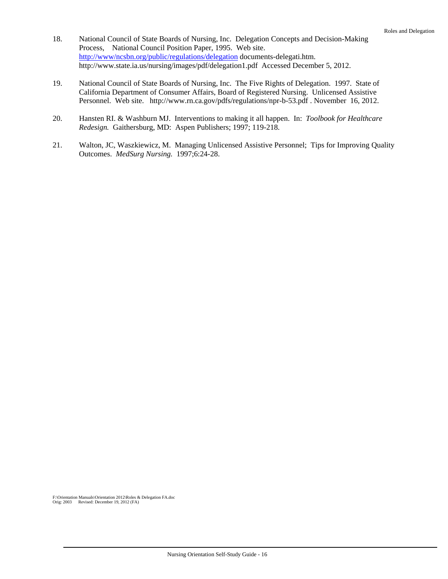- 18. National Council of State Boards of Nursing, Inc. Delegation Concepts and Decision-Making Process, National Council Position Paper, 1995. Web site. <http://www/ncsbn.org/public/regulations/delegation> documents-delegati.htm. http://www.state.ia.us/nursing/images/pdf/delegation1.pdf Accessed December 5, 2012.
- 19. National Council of State Boards of Nursing, Inc. The Five Rights of Delegation. 1997. State of California Department of Consumer Affairs, Board of Registered Nursing. Unlicensed Assistive Personnel. Web site. http://www.rn.ca.gov/pdfs/regulations/npr-b-53.pdf . November 16, 2012.
- 20. Hansten RI. & Washburn MJ. Interventions to making it all happen. In: *Toolbook for Healthcare Redesign.* Gaithersburg, MD: Aspen Publishers; 1997; 119-218.
- 21. Walton, JC, Waszkiewicz, M. Managing Unlicensed Assistive Personnel; Tips for Improving Quality Outcomes. *MedSurg Nursing.* 1997;6:24-28.

F:\Orientation Manuals\Orientation 2012\Roles & Delegation FA.doc Orig: 2003 Revised: December 19, 2012 (FA)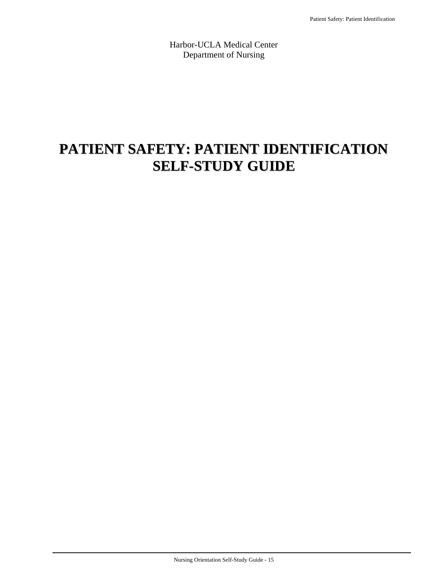Harbor-UCLA Medical Center Department of Nursing

# **PATIENT SAFETY: PATIENT IDENTIFICATION SELF-STUDY GUIDE**

j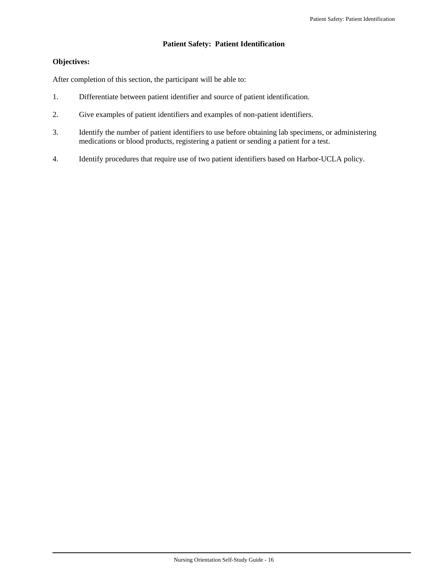## **Patient Safety: Patient Identification**

### **Objectives:**

j

After completion of this section, the participant will be able to:

- 1. Differentiate between patient identifier and source of patient identification.
- 2. Give examples of patient identifiers and examples of non-patient identifiers.
- 3. Identify the number of patient identifiers to use before obtaining lab specimens, or administering medications or blood products, registering a patient or sending a patient for a test.
- 4. Identify procedures that require use of two patient identifiers based on Harbor-UCLA policy.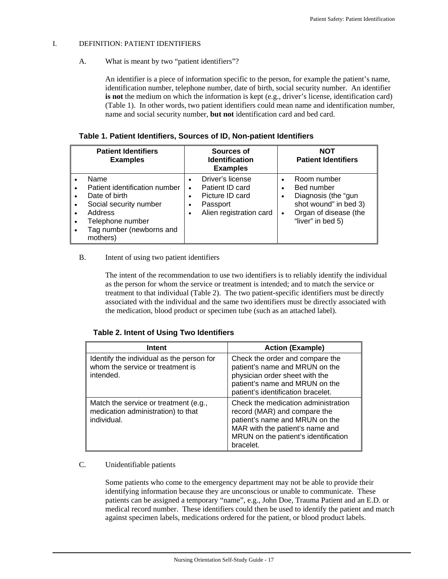### I. DEFINITION: PATIENT IDENTIFIERS

## A. What is meant by two "patient identifiers"?

An identifier is a piece of information specific to the person, for example the patient's name, identification number, telephone number, date of birth, social security number. An identifier **is not** the medium on which the information is kept (e.g., driver's license, identification card) (Table 1). In other words, two patient identifiers could mean name and identification number, name and social security number, **but not** identification card and bed card.

| Table 1. Patient Identifiers, Sources of ID, Non-patient Identifiers |  |  |
|----------------------------------------------------------------------|--|--|
|                                                                      |  |  |

| <b>Patient Identifiers</b><br><b>Examples</b>                                                                                                           | Sources of<br><b>Identification</b><br><b>Examples</b>                                        |                                          | NOT<br><b>Patient Identifiers</b>                                                                                       |
|---------------------------------------------------------------------------------------------------------------------------------------------------------|-----------------------------------------------------------------------------------------------|------------------------------------------|-------------------------------------------------------------------------------------------------------------------------|
| Name<br>Patient identification number<br>Date of birth<br>Social security number<br>Address<br>Telephone number<br>Tag number (newborns and<br>mothers) | Driver's license<br>Patient ID card<br>Picture ID card<br>Passport<br>Alien registration card | $\bullet$<br>$\bullet$<br>٠<br>$\bullet$ | Room number<br>Bed number<br>Diagnosis (the "gun<br>shot wound" in bed 3)<br>Organ of disease (the<br>"liver" in bed 5) |

## B. Intent of using two patient identifiers

The intent of the recommendation to use two identifiers is to reliably identify the individual as the person for whom the service or treatment is intended; and to match the service or treatment to that individual (Table 2). The two patient-specific identifiers must be directly associated with the individual and the same two identifiers must be directly associated with the medication, blood product or specimen tube (such as an attached label).

## **Table 2. Intent of Using Two Identifiers**

| Intent                                                                                     | <b>Action (Example)</b>                                                                                                                                                                       |
|--------------------------------------------------------------------------------------------|-----------------------------------------------------------------------------------------------------------------------------------------------------------------------------------------------|
| Identify the individual as the person for<br>whom the service or treatment is<br>intended. | Check the order and compare the<br>patient's name and MRUN on the<br>physician order sheet with the<br>patient's name and MRUN on the<br>patient's identification bracelet.                   |
| Match the service or treatment (e.g.,<br>medication administration) to that<br>individual. | Check the medication administration<br>record (MAR) and compare the<br>patient's name and MRUN on the<br>MAR with the patient's name and<br>MRUN on the patient's identification<br>bracelet. |

## C. Unidentifiable patients

j

Some patients who come to the emergency department may not be able to provide their identifying information because they are unconscious or unable to communicate. These patients can be assigned a temporary "name", e.g., John Doe, Trauma Patient and an E.D. or medical record number. These identifiers could then be used to identify the patient and match against specimen labels, medications ordered for the patient, or blood product labels.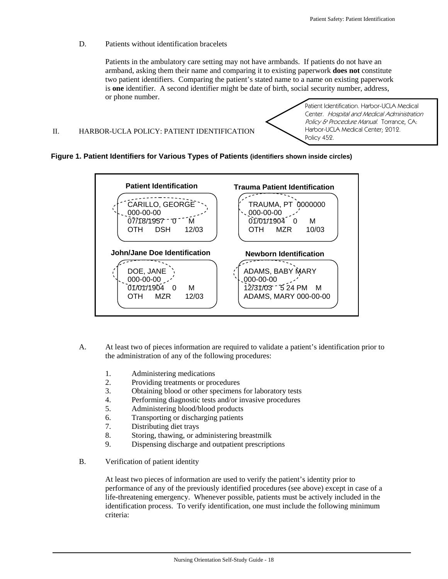#### D. Patients without identification bracelets

Patients in the ambulatory care setting may not have armbands. If patients do not have an armband, asking them their name and comparing it to existing paperwork **does not** constitute two patient identifiers. Comparing the patient's stated name to a name on existing paperwork is **one** identifier. A second identifier might be date of birth, social security number, address, or phone number.

#### II. HARBOR-UCLA POLICY: PATIENT IDENTIFICATION

Patient Identification. Harbor-UCLA Medical Center. Hospital and Medical Administration Policy & Procedure Manual. Torrance, CA: Harbor-UCLA Medical Center; 2012. Policy 452.

#### **Figure 1. Patient Identifiers for Various Types of Patients (identifiers shown inside circles)**



- A. At least two of pieces information are required to validate a patient's identification prior to the administration of any of the following procedures:
	- 1. Administering medications
	- 2. Providing treatments or procedures
	- 3. Obtaining blood or other specimens for laboratory tests
	- 4. Performing diagnostic tests and/or invasive procedures
	- 5. Administering blood/blood products
	- 6. Transporting or discharging patients
	- 7. Distributing diet trays
	- 8. Storing, thawing, or administering breastmilk
	- 9. Dispensing discharge and outpatient prescriptions
- B. Verification of patient identity

j

At least two pieces of information are used to verify the patient's identity prior to performance of any of the previously identified procedures (see above) except in case of a life-threatening emergency. Whenever possible, patients must be actively included in the identification process. To verify identification, one must include the following minimum criteria: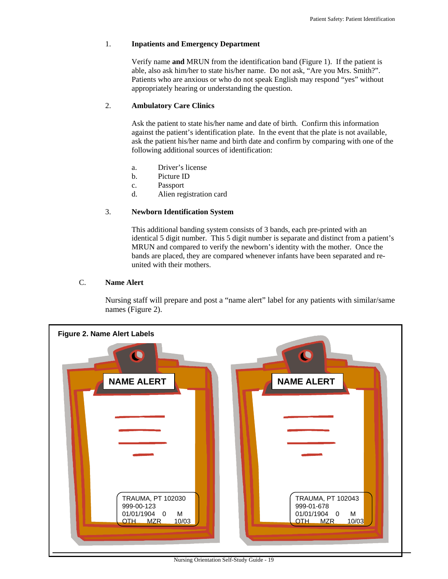## 1. **Inpatients and Emergency Department**

Verify name **and** MRUN from the identification band (Figure 1). If the patient is able, also ask him/her to state his/her name. Do not ask, "Are you Mrs. Smith?". Patients who are anxious or who do not speak English may respond "yes" without appropriately hearing or understanding the question.

#### 2. **Ambulatory Care Clinics**

Ask the patient to state his/her name and date of birth. Confirm this information against the patient's identification plate. In the event that the plate is not available, ask the patient his/her name and birth date and confirm by comparing with one of the following additional sources of identification:

- a. Driver's license
- b. Picture ID
- c. Passport
- d. Alien registration card

#### 3. **Newborn Identification System**

This additional banding system consists of 3 bands, each pre-printed with an identical 5 digit number. This 5 digit number is separate and distinct from a patient's MRUN and compared to verify the newborn's identity with the mother. Once the bands are placed, they are compared whenever infants have been separated and reunited with their mothers.

### C. **Name Alert**

Nursing staff will prepare and post a "name alert" label for any patients with similar/same names (Figure 2).

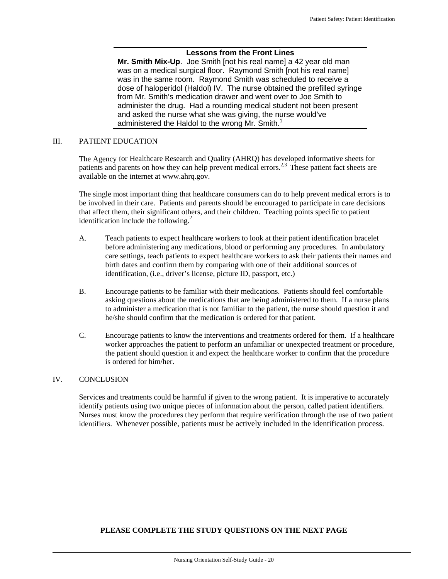## **Lessons from the Front Lines**

**Mr. Smith Mix-Up**. Joe Smith [not his real name] a 42 year old man was on a medical surgical floor. Raymond Smith [not his real name] was in the same room. Raymond Smith was scheduled to receive a dose of haloperidol (Haldol) IV. The nurse obtained the prefilled syringe from Mr. Smith's medication drawer and went over to Joe Smith to administer the drug. Had a rounding medical student not been present and asked the nurse what she was giving, the nurse would've administered the Haldol to the wrong Mr. Smith.<sup>1</sup>

#### III. PATIENT EDUCATION

The Agency for Healthcare Research and Quality (AHRQ) has developed informative sheets for patients and parents on how they can help prevent medical errors.<sup>2,3</sup> These patient fact sheets are available on the internet at [www.ahrq.gov](http://www.ahrw.gov/).

The single most important thing that healthcare consumers can do to help prevent medical errors is to be involved in their care. Patients and parents should be encouraged to participate in care decisions that affect them, their significant others, and their children. Teaching points specific to patient identification include the following. $<sup>2</sup>$ </sup>

- A. Teach patients to expect healthcare workers to look at their patient identification bracelet before administering any medications, blood or performing any procedures. In ambulatory care settings, teach patients to expect healthcare workers to ask their patients their names and birth dates and confirm them by comparing with one of their additional sources of identification, (i.e., driver's license, picture ID, passport, etc.)
- B. Encourage patients to be familiar with their medications. Patients should feel comfortable asking questions about the medications that are being administered to them. If a nurse plans to administer a medication that is not familiar to the patient, the nurse should question it and he/she should confirm that the medication is ordered for that patient.
- C. Encourage patients to know the interventions and treatments ordered for them. If a healthcare worker approaches the patient to perform an unfamiliar or unexpected treatment or procedure, the patient should question it and expect the healthcare worker to confirm that the procedure is ordered for him/her.

## IV. CONCLUSION

j

Services and treatments could be harmful if given to the wrong patient. It is imperative to accurately identify patients using two unique pieces of information about the person, called patient identifiers. Nurses must know the procedures they perform that require verification through the use of two patient identifiers. Whenever possible, patients must be actively included in the identification process.

## **PLEASE COMPLETE THE STUDY QUESTIONS ON THE NEXT PAGE**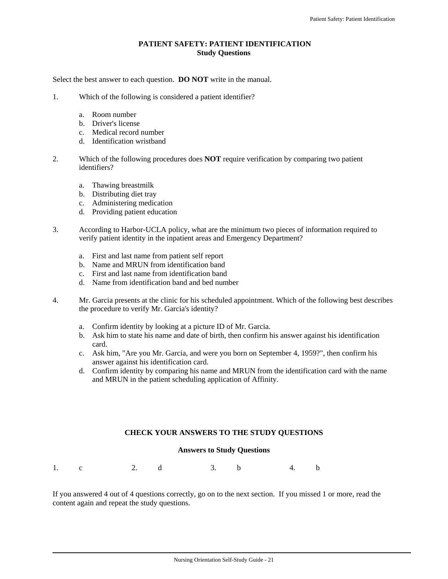#### **PATIENT SAFETY: PATIENT IDENTIFICATION Study Questions**

Select the best answer to each question. **DO NOT** write in the manual.

- 1. Which of the following is considered a patient identifier?
	- a. Room number
	- b. Driver's license
	- c. Medical record number
	- d. Identification wristband
- 2. Which of the following procedures does **NOT** require verification by comparing two patient identifiers?
	- a. Thawing breastmilk
	- b. Distributing diet tray

j

- c. Administering medication
- d. Providing patient education
- 3. According to Harbor-UCLA policy, what are the minimum two pieces of information required to verify patient identity in the inpatient areas and Emergency Department?
	- a. First and last name from patient self report
	- b. Name and MRUN from identification band
	- c. First and last name from identification band
	- d. Name from identification band and bed number
- 4. Mr. Garcia presents at the clinic for his scheduled appointment. Which of the following best describes the procedure to verify Mr. Garcia's identity?
	- a. Confirm identity by looking at a picture ID of Mr. Garcia.
	- b. Ask him to state his name and date of birth, then confirm his answer against his identification card.
	- c. Ask him, "Are you Mr. Garcia, and were you born on September 4, 1959?", then confirm his answer against his identification card.
	- d. Confirm identity by comparing his name and MRUN from the identification card with the name and MRUN in the patient scheduling application of Affinity.

#### **CHECK YOUR ANSWERS TO THE STUDY QUESTIONS**

#### **Answers to Study Questions**

1. c 2. d 3. b 4. b

If you answered 4 out of 4 questions correctly, go on to the next section. If you missed 1 or more, read the content again and repeat the study questions.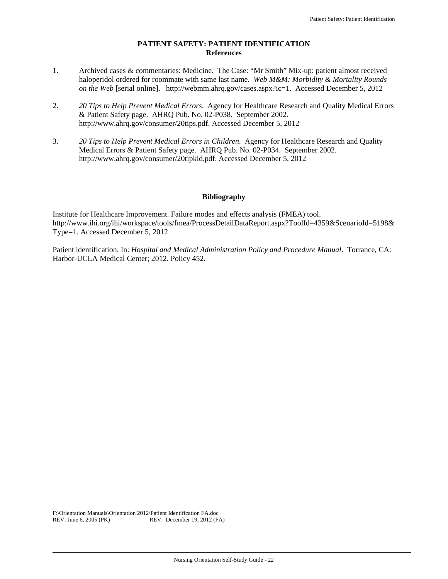#### **PATIENT SAFETY: PATIENT IDENTIFICATION References**

- 1. Archived cases & commentaries: Medicine. The Case: "Mr Smith" Mix-up: patient almost received haloperidol ordered for roommate with same last name*. Web M&M: Morbidity & Mortality Rounds on the Web* [serial online]. [http://webmm.ahrq.gov/cases.aspx?ic=1](http://webmm.ahrq.gov/cases.aspx?ic=36). Accessed December 5, 2012
- 2. *20 Tips to Help Prevent Medical Errors*. Agency for Healthcare Research and Quality Medical Errors & Patient Safety page. AHRQ Pub. No. 02-P038. September 2002. <http://www.ahrq.gov/consumer/20tips.pdf>. Accessed December 5, 2012
- 3. *20 Tips to Help Prevent Medical Errors in Children*. Agency for Healthcare Research and Quality Medical Errors & Patient Safety page. AHRQ Pub. No. 02-P034. September 2002. http://www.ahrq.gov/consumer/20tipkid.pdf. Accessed December 5, 2012

#### **Bibliography**

Institute for Healthcare Improvement. Failure modes and effects analysis (FMEA) tool. http://www.ihi.org/ihi/workspace/tools/fmea/ProcessDetailDataReport.aspx?ToolId=4359&ScenarioId=5198& Type=1. Accessed December 5, 2012

Patient identification. In: *Hospital and Medical Administration Policy and Procedure Manual*. Torrance, CA: Harbor-UCLA Medical Center; 2012. Policy 452.

-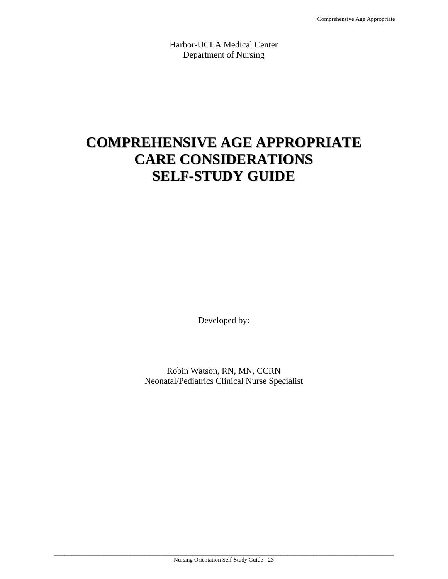Harbor-UCLA Medical Center Department of Nursing

# **COMPREHENSIVE AGE APPROPRIATE CARE CONSIDERATIONS SELF-STUDY GUIDE**

Developed by:

Robin Watson, RN, MN, CCRN Neonatal/Pediatrics Clinical Nurse Specialist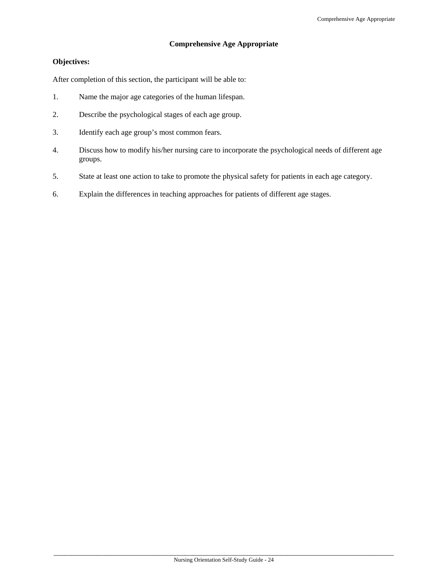## **Comprehensive Age Appropriate**

## **Objectives:**

After completion of this section, the participant will be able to:

- 1. Name the major age categories of the human lifespan.
- 2. Describe the psychological stages of each age group.
- 3. Identify each age group's most common fears.
- 4. Discuss how to modify his/her nursing care to incorporate the psychological needs of different age groups.
- 5. State at least one action to take to promote the physical safety for patients in each age category.
- 6. Explain the differences in teaching approaches for patients of different age stages.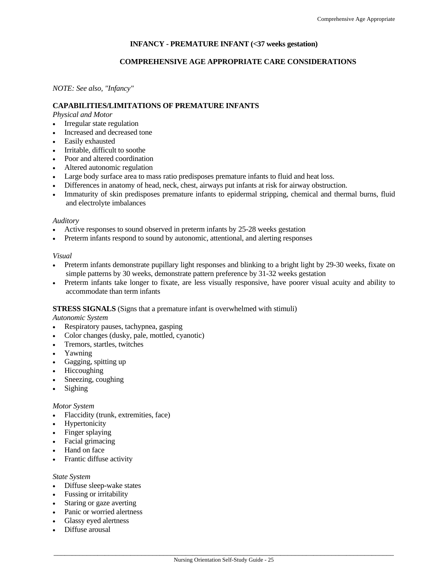## **INFANCY - PREMATURE INFANT (<37 weeks gestation)**

#### **COMPREHENSIVE AGE APPROPRIATE CARE CONSIDERATIONS**

#### *NOTE: See also, "Infancy"*

#### **CAPABILITIES/LIMITATIONS OF PREMATURE INFANTS**

*Physical and Motor* 

- Irregular state regulation
- Increased and decreased tone
- Easily exhausted
- Irritable, difficult to soothe
- Poor and altered coordination
- Altered autonomic regulation
- Large body surface area to mass ratio predisposes premature infants to fluid and heat loss.
- Differences in anatomy of head, neck, chest, airways put infants at risk for airway obstruction.
- Immaturity of skin predisposes premature infants to epidermal stripping, chemical and thermal burns, fluid and electrolyte imbalances

#### *Auditory*

- Active responses to sound observed in preterm infants by 25-28 weeks gestation
- Preterm infants respond to sound by autonomic, attentional, and alerting responses

#### *Visual*

- Preterm infants demonstrate pupillary light responses and blinking to a bright light by 29-30 weeks, fixate on simple patterns by 30 weeks, demonstrate pattern preference by 31-32 weeks gestation
- Preterm infants take longer to fixate, are less visually responsive, have poorer visual acuity and ability to accommodate than term infants

#### **STRESS SIGNALS** (Signs that a premature infant is overwhelmed with stimuli)

*Autonomic System* 

- Respiratory pauses, tachypnea, gasping
- Color changes (dusky, pale, mottled, cyanotic)
- Tremors, startles, twitches
- Yawning
- Gagging, spitting up
- Hiccoughing
- Sneezing, coughing
- Sighing

#### *Motor System*

- Flaccidity (trunk, extremities, face)
- Hypertonicity
- Finger splaying
- Facial grimacing
- Hand on face
- Frantic diffuse activity

#### *State System*

- Diffuse sleep-wake states
- Fussing or irritability
- Staring or gaze averting
- Panic or worried alertness
- Glassy eyed alertness
- Diffuse arousal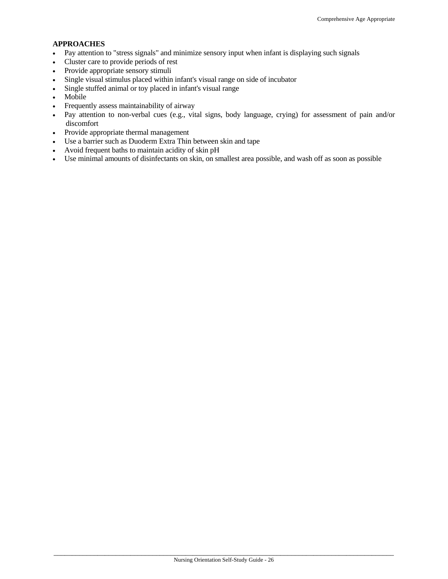#### **APPROACHES**

- Pay attention to "stress signals" and minimize sensory input when infant is displaying such signals
- Cluster care to provide periods of rest
- Provide appropriate sensory stimuli
- Single visual stimulus placed within infant's visual range on side of incubator
- Single stuffed animal or toy placed in infant's visual range
- Mobile
- Frequently assess maintainability of airway
- Pay attention to non-verbal cues (e.g., vital signs, body language, crying) for assessment of pain and/or discomfort
- Provide appropriate thermal management
- Use a barrier such as Duoderm Extra Thin between skin and tape
- Avoid frequent baths to maintain acidity of skin pH
- Use minimal amounts of disinfectants on skin, on smallest area possible, and wash off as soon as possible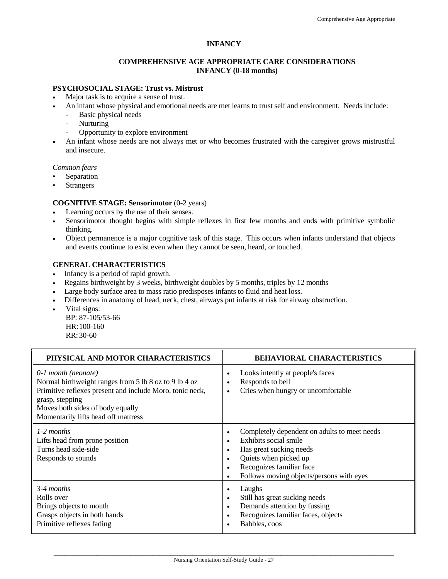## **INFANCY**

## **COMPREHENSIVE AGE APPROPRIATE CARE CONSIDERATIONS INFANCY (0-18 months)**

## **PSYCHOSOCIAL STAGE: Trust vs. Mistrust**

- Major task is to acquire a sense of trust.
	- An infant whose physical and emotional needs are met learns to trust self and environment. Needs include:
- Basic physical needs
	- Nurturing
	- Opportunity to explore environment
- An infant whose needs are not always met or who becomes frustrated with the caregiver grows mistrustful and insecure.

#### *Common fears*

- **Separation**
- **Strangers**

#### **COGNITIVE STAGE: Sensorimotor** (0-2 years)

- Learning occurs by the use of their senses.
- Sensorimotor thought begins with simple reflexes in first few months and ends with primitive symbolic thinking.
- Object permanence is a major cognitive task of this stage. This occurs when infants understand that objects and events continue to exist even when they cannot be seen, heard, or touched.

## **GENERAL CHARACTERISTICS**

- Infancy is a period of rapid growth.
- Regains birthweight by 3 weeks, birthweight doubles by 5 months, triples by 12 months
- Large body surface area to mass ratio predisposes infants to fluid and heat loss.
- Differences in anatomy of head, neck, chest, airways put infants at risk for airway obstruction.

 Vital signs: BP: 87-105/53-66 HR: 100-160 RR: 30-60

| PHYSICAL AND MOTOR CHARACTERISTICS                                                                                                                                                                                                     | <b>BEHAVIORAL CHARACTERISTICS</b>                                                                                                                                                                                                                                       |
|----------------------------------------------------------------------------------------------------------------------------------------------------------------------------------------------------------------------------------------|-------------------------------------------------------------------------------------------------------------------------------------------------------------------------------------------------------------------------------------------------------------------------|
| 0-1 month (neonate)<br>Normal birthweight ranges from 5 lb 8 oz to 9 lb 4 oz<br>Primitive reflexes present and include Moro, tonic neck,<br>grasp, stepping<br>Moves both sides of body equally<br>Momentarily lifts head off mattress | Looks intently at people's faces<br>٠<br>Responds to bell<br>٠<br>Cries when hungry or uncomfortable<br>٠                                                                                                                                                               |
| $1-2$ months<br>Lifts head from prone position<br>Turns head side-side<br>Responds to sounds                                                                                                                                           | Completely dependent on adults to meet needs<br>٠<br>Exhibits social smile<br>$\bullet$<br>Has great sucking needs<br>$\bullet$<br>Quiets when picked up<br>$\bullet$<br>Recognizes familiar face<br>$\bullet$<br>Follows moving objects/persons with eyes<br>$\bullet$ |
| 3-4 months<br>Rolls over<br>Brings objects to mouth<br>Grasps objects in both hands<br>Primitive reflexes fading                                                                                                                       | Laughs<br>٠<br>Still has great sucking needs<br>$\bullet$<br>Demands attention by fussing<br>$\bullet$<br>Recognizes familiar faces, objects<br>$\bullet$<br>Babbles, coos                                                                                              |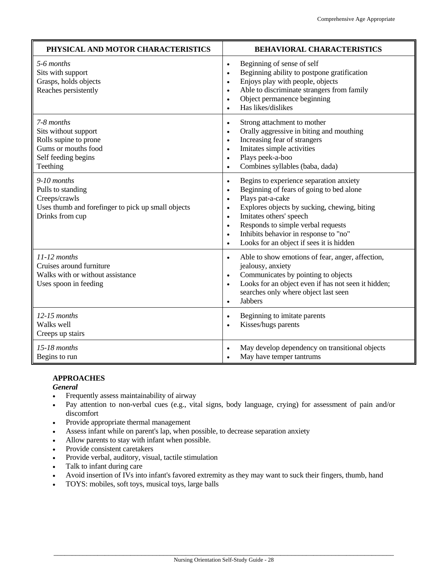| PHYSICAL AND MOTOR CHARACTERISTICS                                                                                           | <b>BEHAVIORAL CHARACTERISTICS</b>                                                                                                                                                                                                                                                                                                                                                                                     |
|------------------------------------------------------------------------------------------------------------------------------|-----------------------------------------------------------------------------------------------------------------------------------------------------------------------------------------------------------------------------------------------------------------------------------------------------------------------------------------------------------------------------------------------------------------------|
| 5-6 months<br>Sits with support<br>Grasps, holds objects<br>Reaches persistently                                             | Beginning of sense of self<br>$\bullet$<br>Beginning ability to postpone gratification<br>$\bullet$<br>Enjoys play with people, objects<br>$\bullet$<br>Able to discriminate strangers from family<br>$\bullet$<br>Object permanence beginning<br>$\bullet$<br>Has likes/dislikes<br>$\bullet$                                                                                                                        |
| 7-8 months<br>Sits without support<br>Rolls supine to prone<br>Gums or mouths food<br>Self feeding begins<br>Teething        | Strong attachment to mother<br>$\bullet$<br>Orally aggressive in biting and mouthing<br>Increasing fear of strangers<br>$\bullet$<br>Imitates simple activities<br>$\bullet$<br>Plays peek-a-boo<br>$\bullet$<br>Combines syllables (baba, dada)<br>$\bullet$                                                                                                                                                         |
| $9-10$ months<br>Pulls to standing<br>Creeps/crawls<br>Uses thumb and forefinger to pick up small objects<br>Drinks from cup | Begins to experience separation anxiety<br>$\bullet$<br>Beginning of fears of going to bed alone<br>$\bullet$<br>Plays pat-a-cake<br>$\bullet$<br>Explores objects by sucking, chewing, biting<br>$\bullet$<br>Imitates others' speech<br>$\bullet$<br>Responds to simple verbal requests<br>$\bullet$<br>Inhibits behavior in response to "no"<br>$\bullet$<br>Looks for an object if sees it is hidden<br>$\bullet$ |
| $11-12$ months<br>Cruises around furniture<br>Walks with or without assistance<br>Uses spoon in feeding                      | Able to show emotions of fear, anger, affection,<br>$\bullet$<br>jealousy, anxiety<br>Communicates by pointing to objects<br>$\bullet$<br>Looks for an object even if has not seen it hidden;<br>$\bullet$<br>searches only where object last seen<br><b>Jabbers</b><br>$\bullet$                                                                                                                                     |
| $12-15$ months<br>Walks well<br>Creeps up stairs                                                                             | Beginning to imitate parents<br>$\bullet$<br>Kisses/hugs parents<br>$\bullet$                                                                                                                                                                                                                                                                                                                                         |
| $15-18$ months<br>Begins to run                                                                                              | May develop dependency on transitional objects<br>May have temper tantrums                                                                                                                                                                                                                                                                                                                                            |

## **APPROACHES**

## *General*

- Frequently assess maintainability of airway
- Pay attention to non-verbal cues (e.g., vital signs, body language, crying) for assessment of pain and/or discomfort
- Provide appropriate thermal management
- Assess infant while on parent's lap, when possible, to decrease separation anxiety
- Allow parents to stay with infant when possible.
- Provide consistent caretakers
- Provide verbal, auditory, visual, tactile stimulation
- Talk to infant during care
- Avoid insertion of IVs into infant's favored extremity as they may want to suck their fingers, thumb, hand
- TOYS: mobiles, soft toys, musical toys, large balls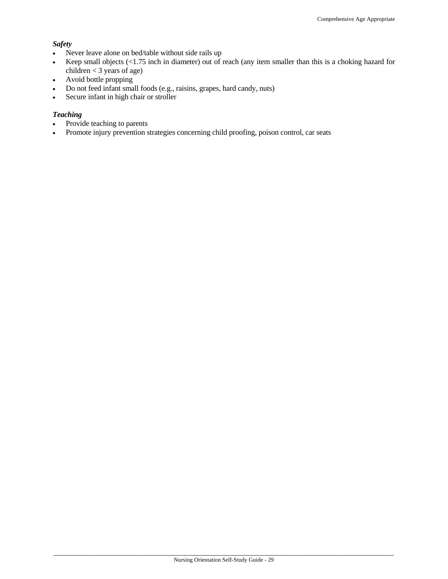## *Safety*

- Never leave alone on bed/table without side rails up
- Keep small objects (<1.75 inch in diameter) out of reach (any item smaller than this is a choking hazard for children  $<$  3 years of age)
- Avoid bottle propping
- Do not feed infant small foods (e.g., raisins, grapes, hard candy, nuts)
- Secure infant in high chair or stroller

## *Teaching*

- Provide teaching to parents
- Promote injury prevention strategies concerning child proofing, poison control, car seats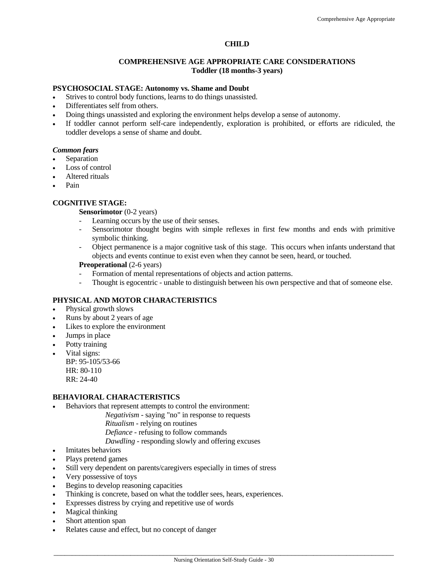## **CHILD**

#### **COMPREHENSIVE AGE APPROPRIATE CARE CONSIDERATIONS Toddler (18 months-3 years)**

## **PSYCHOSOCIAL STAGE: Autonomy vs. Shame and Doubt**

- Strives to control body functions, learns to do things unassisted.
- Differentiates self from others.
- Doing things unassisted and exploring the environment helps develop a sense of autonomy.
- If toddler cannot perform self-care independently, exploration is prohibited, or efforts are ridiculed, the toddler develops a sense of shame and doubt.

#### *Common fears*

- Separation
- Loss of control
- Altered rituals
- Pain

#### **COGNITIVE STAGE:**

**Sensorimotor** (0-2 years)

- Learning occurs by the use of their senses.
- Sensorimotor thought begins with simple reflexes in first few months and ends with primitive symbolic thinking.
- Object permanence is a major cognitive task of this stage. This occurs when infants understand that objects and events continue to exist even when they cannot be seen, heard, or touched.

#### **Preoperational** (2-6 years)

- Formation of mental representations of objects and action patterns.
- Thought is egocentric unable to distinguish between his own perspective and that of someone else.

## **PHYSICAL AND MOTOR CHARACTERISTICS**

- Physical growth slows
- Runs by about 2 years of age
- Likes to explore the environment
- Jumps in place
- Potty training
- Vital signs:

BP: 95-105/53-66 HR: 80-110 RR: 24-40

#### **BEHAVIORAL CHARACTERISTICS**

- Behaviors that represent attempts to control the environment:
	- *Negativism* saying "no" in response to requests
		- *Ritualism* relying on routines
		- *Defiance* refusing to follow commands
		- *Dawdling* responding slowly and offering excuses
- Imitates behaviors
- Plays pretend games
- Still very dependent on parents/caregivers especially in times of stress
- Very possessive of toys
- Begins to develop reasoning capacities
- Thinking is concrete, based on what the toddler sees, hears, experiences.
- Expresses distress by crying and repetitive use of words
- Magical thinking
- Short attention span
- Relates cause and effect, but no concept of danger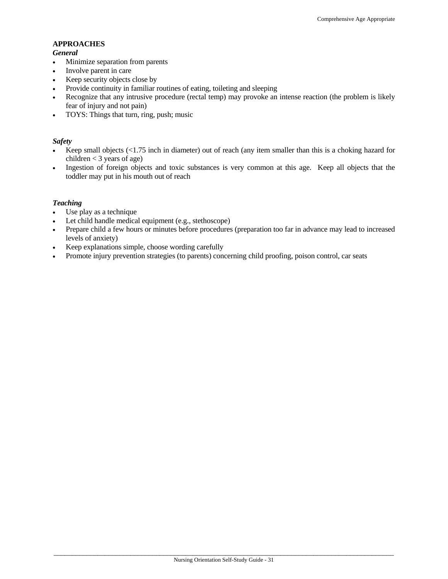## **APPROACHES**

## *General*

- Minimize separation from parents
- Involve parent in care
- Keep security objects close by
- Provide continuity in familiar routines of eating, toileting and sleeping
- Recognize that any intrusive procedure (rectal temp) may provoke an intense reaction (the problem is likely fear of injury and not pain)
- TOYS: Things that turn, ring, push; music

## *Safety*

- Keep small objects (<1.75 inch in diameter) out of reach (any item smaller than this is a choking hazard for children  $<$  3 years of age)
- Ingestion of foreign objects and toxic substances is very common at this age. Keep all objects that the toddler may put in his mouth out of reach

#### *Teaching*

- Use play as a technique
- Let child handle medical equipment (e.g., stethoscope)
- Prepare child a few hours or minutes before procedures (preparation too far in advance may lead to increased levels of anxiety)
- Keep explanations simple, choose wording carefully
- Promote injury prevention strategies (to parents) concerning child proofing, poison control, car seats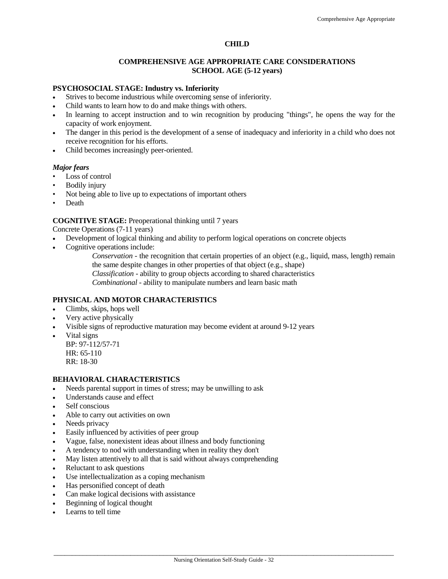## **CHILD**

## **COMPREHENSIVE AGE APPROPRIATE CARE CONSIDERATIONS SCHOOL AGE (5-12 years)**

## **PSYCHOSOCIAL STAGE: Industry vs. Inferiority**

- Strives to become industrious while overcoming sense of inferiority.
- Child wants to learn how to do and make things with others.
- In learning to accept instruction and to win recognition by producing "things", he opens the way for the capacity of work enjoyment.
- The danger in this period is the development of a sense of inadequacy and inferiority in a child who does not receive recognition for his efforts.
- Child becomes increasingly peer-oriented.

#### *Major fears*

- Loss of control
- Bodily injury
- Not being able to live up to expectations of important others
- Death

#### **COGNITIVE STAGE:** Preoperational thinking until 7 years

Concrete Operations (7-11 years)

- Development of logical thinking and ability to perform logical operations on concrete objects
- Cognitive operations include:

*Conservation* - the recognition that certain properties of an object (e.g., liquid, mass, length) remain the same despite changes in other properties of that object (e.g., shape) *Classification* - ability to group objects according to shared characteristics *Combinational* - ability to manipulate numbers and learn basic math

# **PHYSICAL AND MOTOR CHARACTERISTICS**

- Climbs, skips, hops well
- Very active physically
- Visible signs of reproductive maturation may become evident at around 9-12 years
- Vital signs

BP: 97-112/57-71 HR: 65-110  $RR: 18-30$ 

## **BEHAVIORAL CHARACTERISTICS**

- Needs parental support in times of stress; may be unwilling to ask
- Understands cause and effect
- Self conscious
- Able to carry out activities on own
- Needs privacy
- Easily influenced by activities of peer group
- Vague, false, nonexistent ideas about illness and body functioning
- A tendency to nod with understanding when in reality they don't
- May listen attentively to all that is said without always comprehending
- Reluctant to ask questions
- Use intellectualization as a coping mechanism
- Has personified concept of death
- Can make logical decisions with assistance
- Beginning of logical thought
- Learns to tell time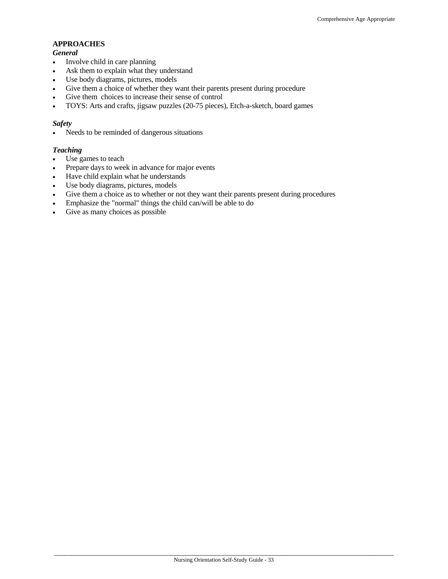## **APPROACHES**

## *General*

- Involve child in care planning
- Ask them to explain what they understand
- Use body diagrams, pictures, models
- Give them a choice of whether they want their parents present during procedure
- Give them choices to increase their sense of control
- TOYS: Arts and crafts, jigsaw puzzles (20-75 pieces), Etch-a-sketch, board games

#### *Safety*

• Needs to be reminded of dangerous situations

## *Teaching*

- Use games to teach
- Prepare days to week in advance for major events
- Have child explain what he understands
- Use body diagrams, pictures, models
- Give them a choice as to whether or not they want their parents present during procedures
- Emphasize the "normal" things the child can/will be able to do
- Give as many choices as possible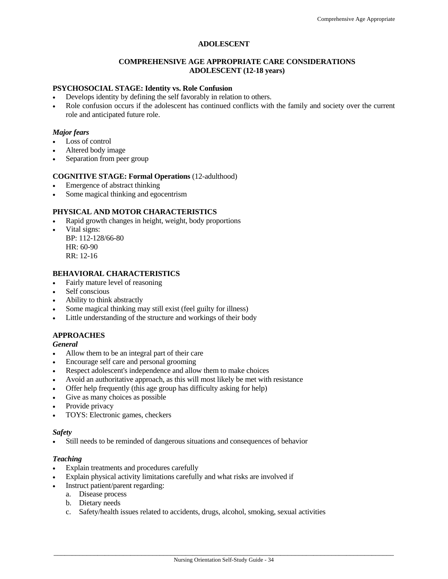## **ADOLESCENT**

## **COMPREHENSIVE AGE APPROPRIATE CARE CONSIDERATIONS ADOLESCENT (12-18 years)**

## **PSYCHOSOCIAL STAGE: Identity vs. Role Confusion**

- Develops identity by defining the self favorably in relation to others.
- Role confusion occurs if the adolescent has continued conflicts with the family and society over the current role and anticipated future role.

#### *Major fears*

- Loss of control
- Altered body image
- Separation from peer group

#### **COGNITIVE STAGE: Formal Operations** (12-adulthood)

- Emergence of abstract thinking
- Some magical thinking and egocentrism

## **PHYSICAL AND MOTOR CHARACTERISTICS**

- Rapid growth changes in height, weight, body proportions
	- Vital signs: BP: 112-128/66-80 HR: 60-90 RR: 12-16

## **BEHAVIORAL CHARACTERISTICS**

- Fairly mature level of reasoning
- Self conscious
- Ability to think abstractly
- Some magical thinking may still exist (feel guilty for illness)
- Little understanding of the structure and workings of their body

## **APPROACHES**

*General*

- Allow them to be an integral part of their care
- Encourage self care and personal grooming
- Respect adolescent's independence and allow them to make choices
- Avoid an authoritative approach, as this will most likely be met with resistance
- Offer help frequently (this age group has difficulty asking for help)
- Give as many choices as possible
- Provide privacy
- TOYS: Electronic games, checkers

#### *Safety*

Still needs to be reminded of dangerous situations and consequences of behavior

#### *Teaching*

- Explain treatments and procedures carefully
- Explain physical activity limitations carefully and what risks are involved if
- Instruct patient/parent regarding:
	- a. Disease process
	- b. Dietary needs
	- c. Safety/health issues related to accidents, drugs, alcohol, smoking, sexual activities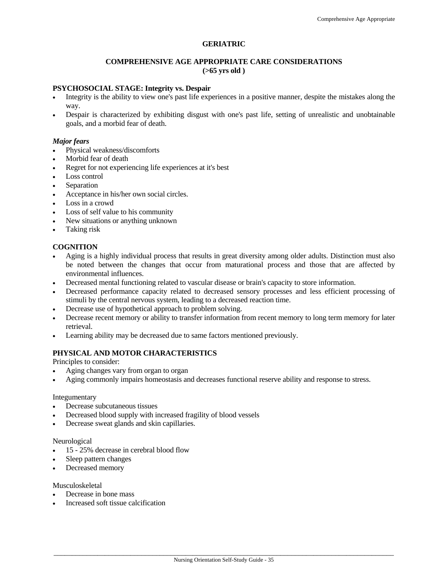## **GERIATRIC**

## **COMPREHENSIVE AGE APPROPRIATE CARE CONSIDERATIONS (>65 yrs old )**

## **PSYCHOSOCIAL STAGE: Integrity vs. Despair**

- Integrity is the ability to view one's past life experiences in a positive manner, despite the mistakes along the way.
- Despair is characterized by exhibiting disgust with one's past life, setting of unrealistic and unobtainable goals, and a morbid fear of death.

#### *Major fears*

- Physical weakness/discomforts
- Morbid fear of death
- Regret for not experiencing life experiences at it's best
- Loss control
- Separation
- Acceptance in his/her own social circles.
- Loss in a crowd
- Loss of self value to his community
- New situations or anything unknown
- Taking risk

#### **COGNITION**

- Aging is a highly individual process that results in great diversity among older adults. Distinction must also be noted between the changes that occur from maturational process and those that are affected by environmental influences.
- Decreased mental functioning related to vascular disease or brain's capacity to store information.
- Decreased performance capacity related to decreased sensory processes and less efficient processing of stimuli by the central nervous system, leading to a decreased reaction time.
- Decrease use of hypothetical approach to problem solving.
- Decrease recent memory or ability to transfer information from recent memory to long term memory for later retrieval.
- Learning ability may be decreased due to same factors mentioned previously.

## **PHYSICAL AND MOTOR CHARACTERISTICS**

Principles to consider:

- Aging changes vary from organ to organ
- Aging commonly impairs homeostasis and decreases functional reserve ability and response to stress.

#### Integumentary

- Decrease subcutaneous tissues
- Decreased blood supply with increased fragility of blood vessels
- Decrease sweat glands and skin capillaries.

#### Neurological

- 15 25% decrease in cerebral blood flow
- Sleep pattern changes
- Decreased memory

#### Musculoskeletal

- Decrease in bone mass
- Increased soft tissue calcification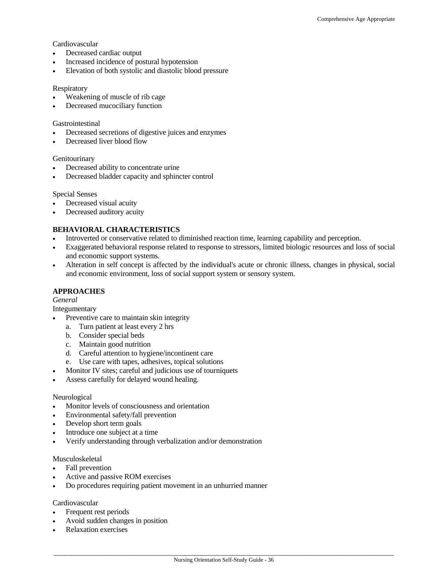## Cardiovascular

- Decreased cardiac output
- Increased incidence of postural hypotension
- Elevation of both systolic and diastolic blood pressure

#### Respiratory

- Weakening of muscle of rib cage
- Decreased mucociliary function

#### Gastrointestinal

- Decreased secretions of digestive juices and enzymes
- Decreased liver blood flow

#### **Genitourinary**

- Decreased ability to concentrate urine
- Decreased bladder capacity and sphincter control

#### Special Senses

- Decreased visual acuity
- Decreased auditory acuity

## **BEHAVIORAL CHARACTERISTICS**

- Introverted or conservative related to diminished reaction time, learning capability and perception.
- Exaggerated behavioral response related to response to stressors, limited biologic resources and loss of social and economic support systems.
- Alteration in self concept is affected by the individual's acute or chronic illness, changes in physical, social and economic environment, loss of social support system or sensory system.

## **APPROACHES**

*General* 

Integumentary

- Preventive care to maintain skin integrity
	- a. Turn patient at least every 2 hrs
	- b. Consider special beds
	- c. Maintain good nutrition
	- d. Careful attention to hygiene/incontinent care
	- e. Use care with tapes, adhesives, topical solutions
	- Monitor IV sites; careful and judicious use of tourniquets
- Assess carefully for delayed wound healing.

#### Neurological

- Monitor levels of consciousness and orientation
- Environmental safety/fall prevention
- Develop short term goals
- Introduce one subject at a time
- Verify understanding through verbalization and/or demonstration

#### Musculoskeletal

- Fall prevention
- Active and passive ROM exercises
- Do procedures requiring patient movement in an unhurried manner

#### Cardiovascular

- Frequent rest periods
- Avoid sudden changes in position
- Relaxation exercises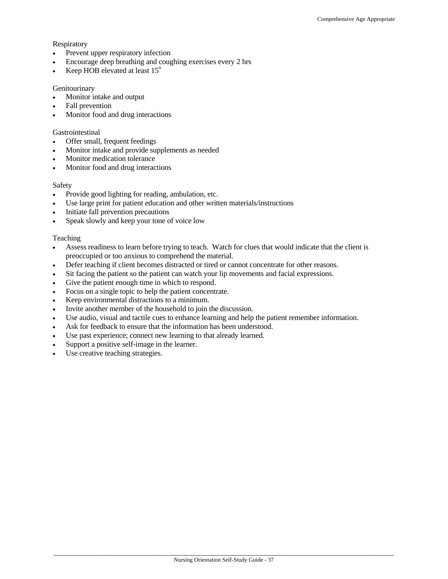#### **Respiratory**

- Prevent upper respiratory infection
- Encourage deep breathing and coughing exercises every 2 hrs
- Keep HOB elevated at least  $15^{\circ}$

#### **Genitourinary**

- Monitor intake and output
- Fall prevention
- Monitor food and drug interactions

## Gastrointestinal

- Offer small, frequent feedings
- Monitor intake and provide supplements as needed
- Monitor medication tolerance
- Monitor food and drug interactions

#### Safety

- Provide good lighting for reading, ambulation, etc.
- Use large print for patient education and other written materials/instructions
- Initiate fall prevention precautions
- Speak slowly and keep your tone of voice low

#### Teaching

- Assess readiness to learn before trying to teach. Watch for clues that would indicate that the client is preoccupied or too anxious to comprehend the material.
- Defer teaching if client becomes distracted or tired or cannot concentrate for other reasons.
- Sit facing the patient so the patient can watch your lip movements and facial expressions.
- Give the patient enough time in which to respond.
- Focus on a single topic to help the patient concentrate.
- Keep environmental distractions to a minimum.
- Invite another member of the household to join the discussion.
- Use audio, visual and tactile cues to enhance learning and help the patient remember information.
- Ask for feedback to ensure that the information has been understood.
- Use past experience; connect new learning to that already learned.
- Support a positive self-image in the learner.
- Use creative teaching strategies.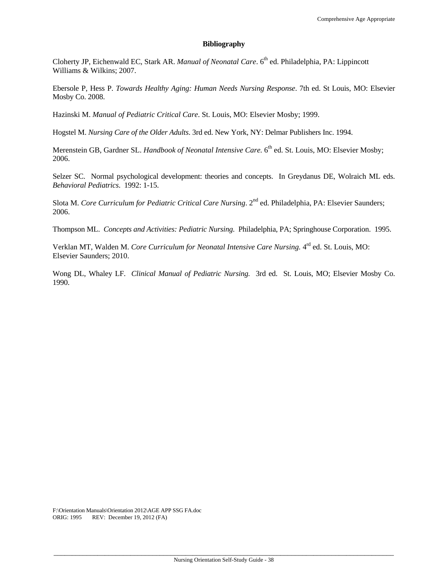#### **Bibliography**

Cloherty JP, Eichenwald EC, Stark AR. *Manual of Neonatal Care*. 6<sup>th</sup> ed. Philadelphia, PA: Lippincott Williams & Wilkins; 2007.

Ebersole P, Hess P. *Towards Healthy Aging: Human Needs Nursing Response*. 7th ed. St Louis, MO: Elsevier Mosby Co. 2008.

Hazinski M. *Manual of Pediatric Critical Care*. St. Louis, MO: Elsevier Mosby; 1999.

Hogstel M. *Nursing Care of the Older Adults*. 3rd ed. New York, NY: Delmar Publishers Inc. 1994.

Merenstein GB, Gardner SL. *Handbook of Neonatal Intensive Care*. 6<sup>th</sup> ed. St. Louis, MO: Elsevier Mosby; 2006.

Selzer SC. Normal psychological development: theories and concepts. In Greydanus DE, Wolraich ML eds. *Behavioral Pediatrics*. 1992: 1-15.

Slota M. *Core Curriculum for Pediatric Critical Care Nursing*. 2<sup>nd</sup> ed. Philadelphia, PA: Elsevier Saunders; 2006.

Thompson ML. *Concepts and Activities: Pediatric Nursing*. Philadelphia, PA; Springhouse Corporation. 1995.

Verklan MT, Walden M. *Core Curriculum for Neonatal Intensive Care Nursing.* 4rd ed. St. Louis, MO: Elsevier Saunders; 2010.

Wong DL, Whaley LF. *Clinical Manual of Pediatric Nursing.* 3rd ed. St. Louis, MO; Elsevier Mosby Co. 1990.

F:\Orientation Manuals\Orientation 2012\AGE APP SSG FA.doc ORIG: 1995 REV: December 19, 2012 (FA)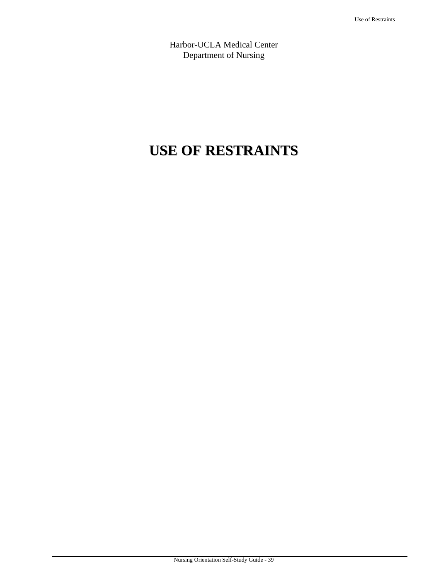Harbor-UCLA Medical Center Department of Nursing

# **USE OF RESTRAINTS**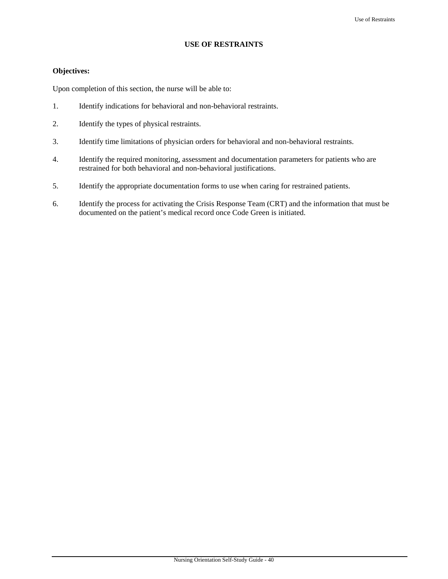## **USE OF RESTRAINTS**

## **Objectives:**

Upon completion of this section, the nurse will be able to:

- 1. Identify indications for behavioral and non-behavioral restraints.
- 2. Identify the types of physical restraints.
- 3. Identify time limitations of physician orders for behavioral and non-behavioral restraints.
- 4. Identify the required monitoring, assessment and documentation parameters for patients who are restrained for both behavioral and non-behavioral justifications.
- 5. Identify the appropriate documentation forms to use when caring for restrained patients.
- 6. Identify the process for activating the Crisis Response Team (CRT) and the information that must be documented on the patient's medical record once Code Green is initiated.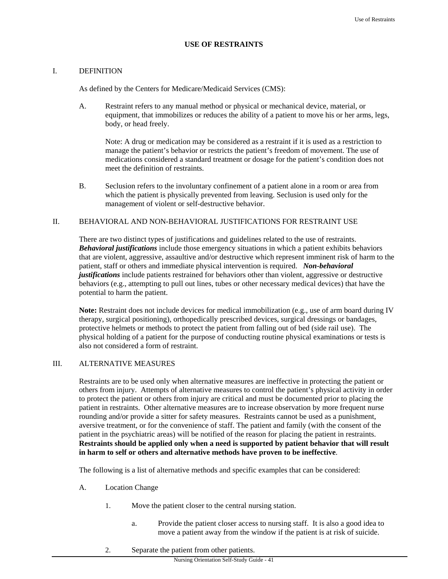## **USE OF RESTRAINTS**

#### I. DEFINITION

As defined by the Centers for Medicare/Medicaid Services (CMS):

A. Restraint refers to any manual method or physical or mechanical device, material, or equipment, that immobilizes or reduces the ability of a patient to move his or her arms, legs, body, or head freely.

 Note: A drug or medication may be considered as a restraint if it is used as a restriction to manage the patient's behavior or restricts the patient's freedom of movement. The use of medications considered a standard treatment or dosage for the patient's condition does not meet the definition of restraints.

B. Seclusion refers to the involuntary confinement of a patient alone in a room or area from which the patient is physically prevented from leaving. Seclusion is used only for the management of violent or self-destructive behavior.

## II. BEHAVIORAL AND NON-BEHAVIORAL JUSTIFICATIONS FOR RESTRAINT USE

There are two distinct types of justifications and guidelines related to the use of restraints. *Behavioral justifications* include those emergency situations in which a patient exhibits behaviors that are violent, aggressive, assaultive and/or destructive which represent imminent risk of harm to the patient, staff or others and immediate physical intervention is required. *Non-behavioral justifications* include patients restrained for behaviors other than violent, aggressive or destructive behaviors (e.g., attempting to pull out lines, tubes or other necessary medical devices) that have the potential to harm the patient.

**Note:** Restraint does not include devices for medical immobilization (e.g., use of arm board during IV therapy, surgical positioning), orthopedically prescribed devices, surgical dressings or bandages, protective helmets or methods to protect the patient from falling out of bed (side rail use). The physical holding of a patient for the purpose of conducting routine physical examinations or tests is also not considered a form of restraint.

#### III. ALTERNATIVE MEASURES

Restraints are to be used only when alternative measures are ineffective in protecting the patient or others from injury. Attempts of alternative measures to control the patient's physical activity in order to protect the patient or others from injury are critical and must be documented prior to placing the patient in restraints. Other alternative measures are to increase observation by more frequent nurse rounding and/or provide a sitter for safety measures. Restraints cannot be used as a punishment, aversive treatment, or for the convenience of staff. The patient and family (with the consent of the patient in the psychiatric areas) will be notified of the reason for placing the patient in restraints. **Restraints should be applied only when a need is supported by patient behavior that will result in harm to self or others and alternative methods have proven to be ineffective**.

The following is a list of alternative methods and specific examples that can be considered:

- A. Location Change
	- 1. Move the patient closer to the central nursing station.
		- a. Provide the patient closer access to nursing staff. It is also a good idea to move a patient away from the window if the patient is at risk of suicide.
	- 2. Separate the patient from other patients.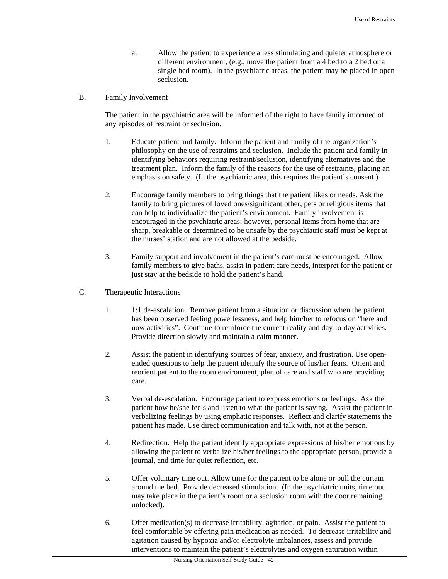- a. Allow the patient to experience a less stimulating and quieter atmosphere or different environment, (e.g., move the patient from a 4 bed to a 2 bed or a single bed room). In the psychiatric areas, the patient may be placed in open seclusion.
- B. Family Involvement

The patient in the psychiatric area will be informed of the right to have family informed of any episodes of restraint or seclusion.

- 1. Educate patient and family. Inform the patient and family of the organization's philosophy on the use of restraints and seclusion. Include the patient and family in identifying behaviors requiring restraint/seclusion, identifying alternatives and the treatment plan. Inform the family of the reasons for the use of restraints, placing an emphasis on safety. (In the psychiatric area, this requires the patient's consent.)
- 2. Encourage family members to bring things that the patient likes or needs. Ask the family to bring pictures of loved ones/significant other, pets or religious items that can help to individualize the patient's environment. Family involvement is encouraged in the psychiatric areas; however, personal items from home that are sharp, breakable or determined to be unsafe by the psychiatric staff must be kept at the nurses' station and are not allowed at the bedside.
- 3. Family support and involvement in the patient's care must be encouraged. Allow family members to give baths, assist in patient care needs, interpret for the patient or just stay at the bedside to hold the patient's hand.
- C. Therapeutic Interactions
	- 1. 1:1 de-escalation.Remove patient from a situation or discussion when the patient has been observed feeling powerlessness, and help him/her to refocus on "here and now activities". Continue to reinforce the current reality and day-to-day activities. Provide direction slowly and maintain a calm manner.
	- 2. Assist the patient in identifying sources of fear, anxiety, and frustration. Use openended questions to help the patient identify the source of his/her fears. Orient and reorient patient to the room environment, plan of care and staff who are providing care.
	- 3. Verbal de-escalation. Encourage patient to express emotions or feelings. Ask the patient how he/she feels and listen to what the patient is saying. Assist the patient in verbalizing feelings by using emphatic responses. Reflect and clarify statements the patient has made. Use direct communication and talk with, not at the person.
	- 4. Redirection. Help the patient identify appropriate expressions of his/her emotions by allowing the patient to verbalize his/her feelings to the appropriate person, provide a journal, and time for quiet reflection, etc.
	- 5. Offer voluntary time out. Allow time for the patient to be alone or pull the curtain around the bed. Provide decreased stimulation.(In the psychiatric units, time out may take place in the patient's room or a seclusion room with the door remaining unlocked).
	- 6. Offer medication(s) to decrease irritability, agitation, or pain. Assist the patient to feel comfortable by offering pain medication as needed. To decrease irritability and agitation caused by hypoxia and/or electrolyte imbalances, assess and provide interventions to maintain the patient's electrolytes and oxygen saturation within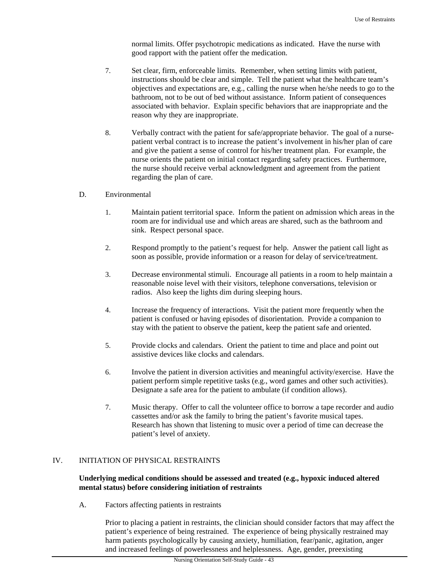normal limits. Offer psychotropic medications as indicated. Have the nurse with good rapport with the patient offer the medication.

- 7. Set clear, firm, enforceable limits. Remember, when setting limits with patient, instructions should be clear and simple. Tell the patient what the healthcare team's objectives and expectations are, e.g., calling the nurse when he/she needs to go to the bathroom, not to be out of bed without assistance. Inform patient of consequences associated with behavior. Explain specific behaviors that are inappropriate and the reason why they are inappropriate.
- 8. Verbally contract with the patient for safe/appropriate behavior. The goal of a nursepatient verbal contract is to increase the patient's involvement in his/her plan of care and give the patient a sense of control for his/her treatment plan. For example, the nurse orients the patient on initial contact regarding safety practices. Furthermore, the nurse should receive verbal acknowledgment and agreement from the patient regarding the plan of care.
- D. Environmental
	- 1. Maintain patient territorial space. Inform the patient on admission which areas in the room are for individual use and which areas are shared, such as the bathroom and sink. Respect personal space.
	- 2. Respond promptly to the patient's request for help.Answer the patient call light as soon as possible, provide information or a reason for delay of service/treatment.
	- 3. Decrease environmental stimuli. Encourage all patients in a room to help maintain a reasonable noise level with their visitors, telephone conversations, television or radios. Also keep the lights dim during sleeping hours.
	- 4. Increase the frequency of interactions. Visit the patient more frequently when the patient is confused or having episodes of disorientation. Provide a companion to stay with the patient to observe the patient, keep the patient safe and oriented.
	- 5. Provide clocks and calendars. Orient the patient to time and place and point out assistive devices like clocks and calendars.
	- 6. Involve the patient in diversion activities and meaningful activity/exercise. Have the patient perform simple repetitive tasks (e.g., word games and other such activities). Designate a safe area for the patient to ambulate (if condition allows).
	- 7. Music therapy. Offer to call the volunteer office to borrow a tape recorder and audio cassettes and/or ask the family to bring the patient's favorite musical tapes. Research has shown that listening to music over a period of time can decrease the patient's level of anxiety.

## IV. INITIATION OF PHYSICAL RESTRAINTS

## **Underlying medical conditions should be assessed and treated (e.g., hypoxic induced altered mental status) before considering initiation of restraints**

A. Factors affecting patients in restraints

Prior to placing a patient in restraints, the clinician should consider factors that may affect the patient's experience of being restrained. The experience of being physically restrained may harm patients psychologically by causing anxiety, humiliation, fear/panic, agitation, anger and increased feelings of powerlessness and helplessness. Age, gender, preexisting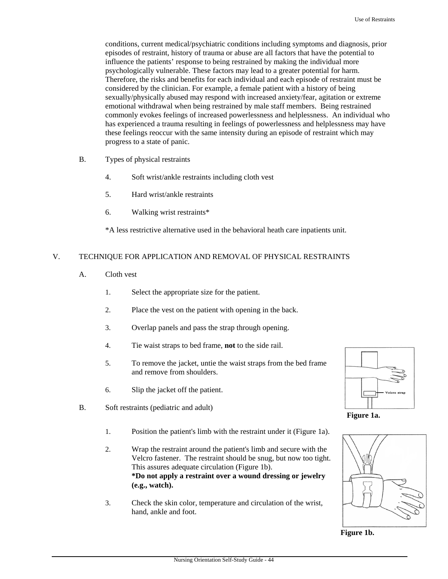conditions, current medical/psychiatric conditions including symptoms and diagnosis, prior episodes of restraint, history of trauma or abuse are all factors that have the potential to influence the patients' response to being restrained by making the individual more psychologically vulnerable. These factors may lead to a greater potential for harm. Therefore, the risks and benefits for each individual and each episode of restraint must be considered by the clinician. For example, a female patient with a history of being sexually/physically abused may respond with increased anxiety/fear, agitation or extreme emotional withdrawal when being restrained by male staff members. Being restrained commonly evokes feelings of increased powerlessness and helplessness. An individual who has experienced a trauma resulting in feelings of powerlessness and helplessness may have these feelings reoccur with the same intensity during an episode of restraint which may progress to a state of panic.

- B. Types of physical restraints
	- 4. Soft wrist/ankle restraints including cloth vest
	- 5. Hard wrist/ankle restraints
	- 6. Walking wrist restraints\*

\*A less restrictive alternative used in the behavioral heath care inpatients unit.

## V. TECHNIQUE FOR APPLICATION AND REMOVAL OF PHYSICAL RESTRAINTS

- A. Cloth vest
	- 1. Select the appropriate size for the patient.
	- 2. Place the vest on the patient with opening in the back.
	- 3. Overlap panels and pass the strap through opening.
	- 4. Tie waist straps to bed frame, **not** to the side rail.
	- 5. To remove the jacket, untie the waist straps from the bed frame and remove from shoulders.
	- 6. Slip the jacket off the patient.
- B. Soft restraints (pediatric and adult)
	- 1. Position the patient's limb with the restraint under it (Figure 1a).
	- 2. Wrap the restraint around the patient's limb and secure with the Velcro fastener. The restraint should be snug, but now too tight. This assures adequate circulation (Figure 1b). **\*Do not apply a restraint over a wound dressing or jewelry (e.g., watch).**
	- 3. Check the skin color, temperature and circulation of the wrist, hand, ankle and foot.



 **Figure 1a.** 



**Figure 1b.**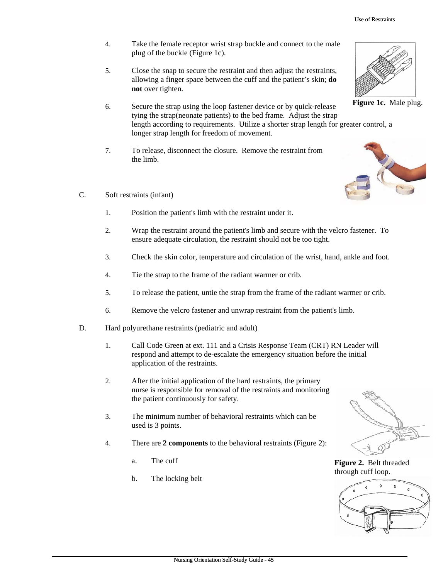- 4. Take the female receptor wrist strap buckle and connect to the male plug of the buckle (Figure 1c).
- 5. Close the snap to secure the restraint and then adjust the restraints, allowing a finger space between the cuff and the patient's skin; **do not** over tighten.
- 6. Secure the strap using the loop fastener device or by quick-release tying the strap(neonate patients) to the bed frame. Adjust the strap length according to requirements. Utilize a shorter strap length for greater control, a longer strap length for freedom of movement.
- 7. To release, disconnect the closure. Remove the restraint from the limb.
- C. Soft restraints (infant)
	- 1. Position the patient's limb with the restraint under it.
	- 2. Wrap the restraint around the patient's limb and secure with the velcro fastener. To ensure adequate circulation, the restraint should not be too tight.
	- 3. Check the skin color, temperature and circulation of the wrist, hand, ankle and foot.
	- 4. Tie the strap to the frame of the radiant warmer or crib.
	- 5. To release the patient, untie the strap from the frame of the radiant warmer or crib.
	- 6. Remove the velcro fastener and unwrap restraint from the patient's limb.
- D. Hard polyurethane restraints (pediatric and adult)
	- 1. Call Code Green at ext. 111 and a Crisis Response Team (CRT) RN Leader will respond and attempt to de-escalate the emergency situation before the initial application of the restraints.
	- 2. After the initial application of the hard restraints, the primary nurse is responsible for removal of the restraints and monitoring the patient continuously for safety.
	- 3. The minimum number of behavioral restraints which can be used is 3 points.
	- 4. There are **2 components** to the behavioral restraints (Figure 2):
		-
		- b. The locking belt



**Figure 1c.** Male plug.



a. The cuff **Figure 2.** Belt threaded through cuff loop.



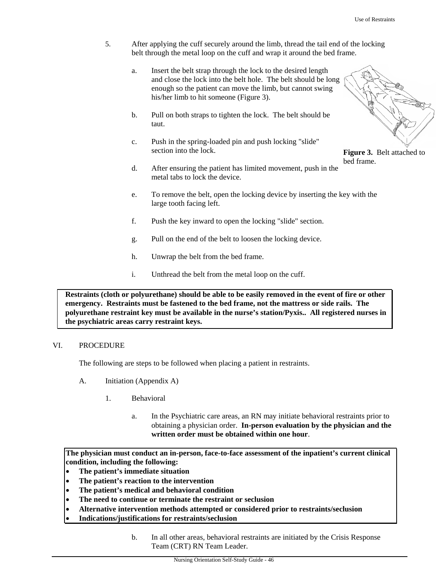**Figure 3.** Belt attached to

bed frame.

- 5. After applying the cuff securely around the limb, thread the tail end of the locking belt through the metal loop on the cuff and wrap it around the bed frame.
	- a. Insert the belt strap through the lock to the desired length and close the lock into the belt hole. The belt should be long enough so the patient can move the limb, but cannot swing his/her limb to hit someone (Figure 3).
	- b. Pull on both straps to tighten the lock. The belt should be taut.
	- c. Push in the spring-loaded pin and push locking "slide" section into the lock.
	- d. After ensuring the patient has limited movement, push in the metal tabs to lock the device.
	- e. To remove the belt, open the locking device by inserting the key with the large tooth facing left.
	- f. Push the key inward to open the locking "slide" section.
	- g. Pull on the end of the belt to loosen the locking device.
	- h. Unwrap the belt from the bed frame.
	- i. Unthread the belt from the metal loop on the cuff.

 **Restraints (cloth or polyurethane) should be able to be easily removed in the event of fire or other emergency. Restraints must be fastened to the bed frame, not the mattress or side rails. The polyurethane restraint key must be available in the nurse's station/Pyxis.. All registered nurses in the psychiatric areas carry restraint keys.** 

#### VI. PROCEDURE

The following are steps to be followed when placing a patient in restraints.

- A. Initiation (Appendix A)
	- 1. Behavioral
		- a. In the Psychiatric care areas, an RN may initiate behavioral restraints prior to obtaining a physician order. **In-person evaluation by the physician and the written order must be obtained within one hour**.

**The physician must conduct an in-person, face-to-face assessment of the inpatient's current clinical condition, including the following:** 

- **The patient's immediate situation**
- **The patient's reaction to the intervention**
- **The patient's medical and behavioral condition**
- **The need to continue or terminate the restraint or seclusion**
- **Alternative intervention methods attempted or considered prior to restraints/seclusion**
- **Indications/justifications for restraints/seclusion** 
	- b. In all other areas, behavioral restraints are initiated by the Crisis Response Team (CRT) RN Team Leader.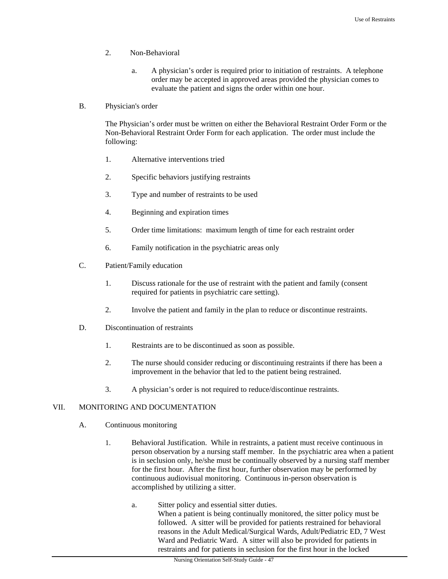- 2. Non-Behavioral
	- a. A physician's order is required prior to initiation of restraints. A telephone order may be accepted in approved areas provided the physician comes to evaluate the patient and signs the order within one hour.
- B. Physician's order

The Physician's order must be written on either the Behavioral Restraint Order Form or the Non-Behavioral Restraint Order Form for each application. The order must include the following:

- 1. Alternative interventions tried
- 2. Specific behaviors justifying restraints
- 3. Type and number of restraints to be used
- 4. Beginning and expiration times
- 5. Order time limitations: maximum length of time for each restraint order
- 6. Family notification in the psychiatric areas only
- C. Patient/Family education
	- 1. Discuss rationale for the use of restraint with the patient and family (consent required for patients in psychiatric care setting).
	- 2. Involve the patient and family in the plan to reduce or discontinue restraints.
- D. Discontinuation of restraints
	- 1. Restraints are to be discontinued as soon as possible.
	- 2. The nurse should consider reducing or discontinuing restraints if there has been a improvement in the behavior that led to the patient being restrained.
	- 3. A physician's order is not required to reduce/discontinue restraints.

## VII. MONITORING AND DOCUMENTATION

- A. Continuous monitoring
	- 1. Behavioral Justification. While in restraints, a patient must receive continuous in person observation by a nursing staff member. In the psychiatric area when a patient is in seclusion only, he/she must be continually observed by a nursing staff member for the first hour. After the first hour, further observation may be performed by continuous audiovisual monitoring. Continuous in-person observation is accomplished by utilizing a sitter.
		- a. Sitter policy and essential sitter duties. When a patient is being continually monitored, the sitter policy must be followed. A sitter will be provided for patients restrained for behavioral reasons in the Adult Medical/Surgical Wards, Adult/Pediatric ED, 7 West Ward and Pediatric Ward. A sitter will also be provided for patients in restraints and for patients in seclusion for the first hour in the locked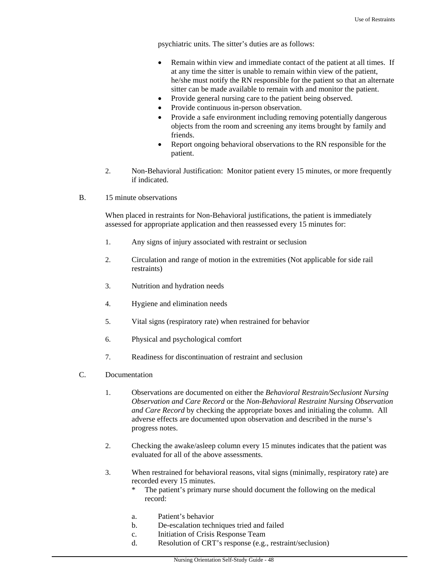psychiatric units. The sitter's duties are as follows:

- Remain within view and immediate contact of the patient at all times. If at any time the sitter is unable to remain within view of the patient, he/she must notify the RN responsible for the patient so that an alternate sitter can be made available to remain with and monitor the patient.
- Provide general nursing care to the patient being observed.
- Provide continuous in-person observation.
- Provide a safe environment including removing potentially dangerous objects from the room and screening any items brought by family and friends.
- Report ongoing behavioral observations to the RN responsible for the patient.
- 2. Non-Behavioral Justification: Monitor patient every 15 minutes, or more frequently if indicated.
- B. 15 minute observations

When placed in restraints for Non-Behavioral justifications, the patient is immediately assessed for appropriate application and then reassessed every 15 minutes for:

- 1. Any signs of injury associated with restraint or seclusion
- 2. Circulation and range of motion in the extremities (Not applicable for side rail restraints)
- 3. Nutrition and hydration needs
- 4. Hygiene and elimination needs
- 5. Vital signs (respiratory rate) when restrained for behavior
- 6. Physical and psychological comfort
- 7. Readiness for discontinuation of restraint and seclusion
- C. Documentation
	- 1. Observations are documented on either the *Behavioral Restrain/Seclusiont Nursing Observation and Care Record* or the *Non-Behavioral Restraint Nursing Observation and Care Record* by checking the appropriate boxes and initialing the column. All adverse effects are documented upon observation and described in the nurse's progress notes.
	- 2. Checking the awake/asleep column every 15 minutes indicates that the patient was evaluated for all of the above assessments.
	- 3. When restrained for behavioral reasons, vital signs (minimally, respiratory rate) are recorded every 15 minutes.
		- The patient's primary nurse should document the following on the medical record:
		- a. Patient's behavior
		- b. De-escalation techniques tried and failed
		- c. Initiation of Crisis Response Team
		- d. Resolution of CRT's response (e.g., restraint/seclusion)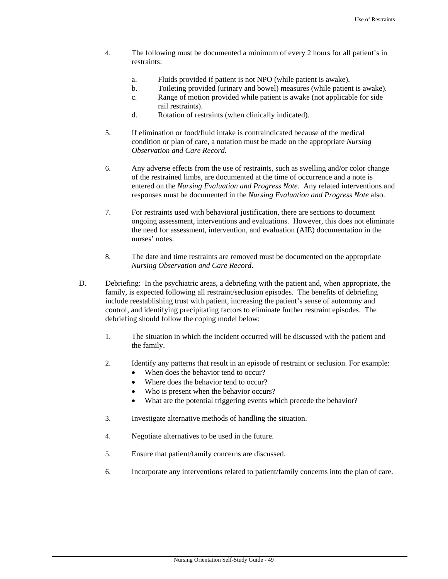- 4. The following must be documented a minimum of every 2 hours for all patient's in restraints:
	- a. Fluids provided if patient is not NPO (while patient is awake).
	- b. Toileting provided (urinary and bowel) measures (while patient is awake).
	- c. Range of motion provided while patient is awake (not applicable for side rail restraints).
	- d. Rotation of restraints (when clinically indicated).
- 5. If elimination or food/fluid intake is contraindicated because of the medical condition or plan of care, a notation must be made on the appropriate *Nursing Observation and Care Record.*
- 6. Any adverse effects from the use of restraints, such as swelling and/or color change of the restrained limbs, are documented at the time of occurrence and a note is entered on the *Nursing Evaluation and Progress Note*. Any related interventions and responses must be documented in the *Nursing Evaluation and Progress Note* also.
- 7. For restraints used with behavioral justification, there are sections to document ongoing assessment, interventions and evaluations. However, this does not eliminate the need for assessment, intervention, and evaluation (AIE) documentation in the nurses' notes.
- 8. The date and time restraints are removed must be documented on the appropriate *Nursing Observation and Care Record*.
- D. Debriefing: In the psychiatric areas, a debriefing with the patient and, when appropriate, the family, is expected following all restraint/seclusion episodes. The benefits of debriefing include reestablishing trust with patient, increasing the patient's sense of autonomy and control, and identifying precipitating factors to eliminate further restraint episodes. The debriefing should follow the coping model below:
	- 1. The situation in which the incident occurred will be discussed with the patient and the family.
	- 2. Identify any patterns that result in an episode of restraint or seclusion. For example:
		- When does the behavior tend to occur?
		- Where does the behavior tend to occur?
		- Who is present when the behavior occurs?
		- What are the potential triggering events which precede the behavior?
	- 3. Investigate alternative methods of handling the situation.
	- 4. Negotiate alternatives to be used in the future.
	- 5. Ensure that patient/family concerns are discussed.
	- 6. Incorporate any interventions related to patient/family concerns into the plan of care.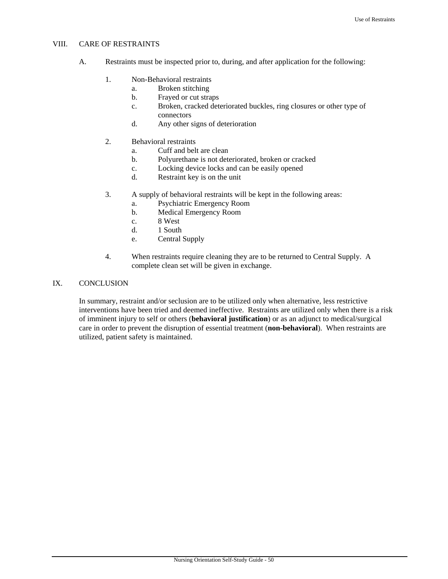## VIII. CARE OF RESTRAINTS

- A. Restraints must be inspected prior to, during, and after application for the following:
	- 1. Non-Behavioral restraints
		- a. Broken stitching
		- b. Frayed or cut straps
		- c. Broken, cracked deteriorated buckles, ring closures or other type of connectors
		- d. Any other signs of deterioration
	- 2. Behavioral restraints
		- a. Cuff and belt are clean
		- b. Polyurethane is not deteriorated, broken or cracked
		- c. Locking device locks and can be easily opened
		- d. Restraint key is on the unit
	- 3. A supply of behavioral restraints will be kept in the following areas:
		- a. Psychiatric Emergency Room
		- b. Medical Emergency Room
		- c. 8 West
		- d. 1 South
		- e. Central Supply
	- 4. When restraints require cleaning they are to be returned to Central Supply. A complete clean set will be given in exchange.

## IX. CONCLUSION

In summary, restraint and/or seclusion are to be utilized only when alternative, less restrictive interventions have been tried and deemed ineffective. Restraints are utilized only when there is a risk of imminent injury to self or others (**behavioral justification**) or as an adjunct to medical/surgical care in order to prevent the disruption of essential treatment (**non-behavioral**). When restraints are utilized, patient safety is maintained.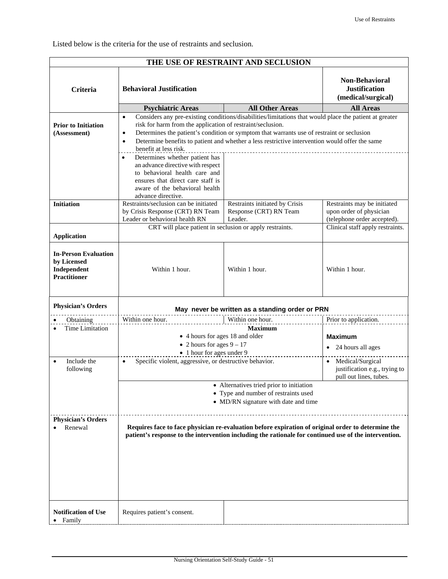Listed below is the criteria for the use of restraints and seclusion.

| THE USE OF RESTRAINT AND SECLUSION                                               |                                                                                                                                                                                                                                                                                                                                                                                                                                                                                                                                                                                                                                                       |                                                                               |                                                                                       |  |  |  |  |  |
|----------------------------------------------------------------------------------|-------------------------------------------------------------------------------------------------------------------------------------------------------------------------------------------------------------------------------------------------------------------------------------------------------------------------------------------------------------------------------------------------------------------------------------------------------------------------------------------------------------------------------------------------------------------------------------------------------------------------------------------------------|-------------------------------------------------------------------------------|---------------------------------------------------------------------------------------|--|--|--|--|--|
| <b>Criteria</b>                                                                  | <b>Behavioral Justification</b>                                                                                                                                                                                                                                                                                                                                                                                                                                                                                                                                                                                                                       | <b>Non-Behavioral</b><br><b>Justification</b><br>(medical/surgical)           |                                                                                       |  |  |  |  |  |
|                                                                                  | <b>Psychiatric Areas</b>                                                                                                                                                                                                                                                                                                                                                                                                                                                                                                                                                                                                                              | <b>All Other Areas</b>                                                        | <b>All Areas</b>                                                                      |  |  |  |  |  |
| <b>Prior to Initiation</b><br>(Assessment)                                       | Considers any pre-existing conditions/disabilities/limitations that would place the patient at greater<br>$\bullet$<br>risk for harm from the application of restraint/seclusion.<br>Determines the patient's condition or symptom that warrants use of restraint or seclusion<br>$\bullet$<br>Determine benefits to patient and whether a less restrictive intervention would offer the same<br>$\bullet$<br>benefit at less risk.<br>Determines whether patient has<br>$\bullet$<br>an advance directive with respect<br>to behavioral health care and<br>ensures that direct care staff is<br>aware of the behavioral health<br>advance directive. |                                                                               |                                                                                       |  |  |  |  |  |
| <b>Initiation</b>                                                                | Restraints/seclusion can be initiated<br>by Crisis Response (CRT) RN Team<br>Leader or behavioral health RN                                                                                                                                                                                                                                                                                                                                                                                                                                                                                                                                           | Restraints initiated by Crisis<br>Response (CRT) RN Team<br>Leader.           | Restraints may be initiated<br>upon order of physician<br>(telephone order accepted). |  |  |  |  |  |
| <b>Application</b>                                                               | CRT will place patient in seclusion or apply restraints.                                                                                                                                                                                                                                                                                                                                                                                                                                                                                                                                                                                              | Clinical staff apply restraints.                                              |                                                                                       |  |  |  |  |  |
| <b>In-Person Evaluation</b><br>by Licensed<br>Independent<br><b>Practitioner</b> | Within 1 hour.                                                                                                                                                                                                                                                                                                                                                                                                                                                                                                                                                                                                                                        | Within 1 hour.                                                                | Within 1 hour.                                                                        |  |  |  |  |  |
| <b>Physician's Orders</b>                                                        |                                                                                                                                                                                                                                                                                                                                                                                                                                                                                                                                                                                                                                                       | May never be written as a standing order or PRN                               |                                                                                       |  |  |  |  |  |
| Obtaining                                                                        | Within one hour.                                                                                                                                                                                                                                                                                                                                                                                                                                                                                                                                                                                                                                      | Within one hour.                                                              | Prior to application.                                                                 |  |  |  |  |  |
| Time Limitation                                                                  | • 4 hours for ages 18 and older<br>• 2 hours for ages $9 - 17$<br>• 1 hour for ages under 9                                                                                                                                                                                                                                                                                                                                                                                                                                                                                                                                                           | <b>Maximum</b><br>24 hours all ages                                           |                                                                                       |  |  |  |  |  |
| Include the<br>$\bullet$<br>following                                            | Specific violent, aggressive, or destructive behavior.<br>$\bullet$                                                                                                                                                                                                                                                                                                                                                                                                                                                                                                                                                                                   | • Medical/Surgical<br>justification e.g., trying to<br>pull out lines, tubes. |                                                                                       |  |  |  |  |  |
|                                                                                  | Alternatives tried prior to initiation<br>• Type and number of restraints used<br>• MD/RN signature with date and time                                                                                                                                                                                                                                                                                                                                                                                                                                                                                                                                |                                                                               |                                                                                       |  |  |  |  |  |
| <b>Physician's Orders</b><br>Renewal                                             | Requires face to face physician re-evaluation before expiration of original order to determine the<br>patient's response to the intervention including the rationale for continued use of the intervention.                                                                                                                                                                                                                                                                                                                                                                                                                                           |                                                                               |                                                                                       |  |  |  |  |  |
| <b>Notification of Use</b><br>Family                                             | Requires patient's consent.                                                                                                                                                                                                                                                                                                                                                                                                                                                                                                                                                                                                                           |                                                                               |                                                                                       |  |  |  |  |  |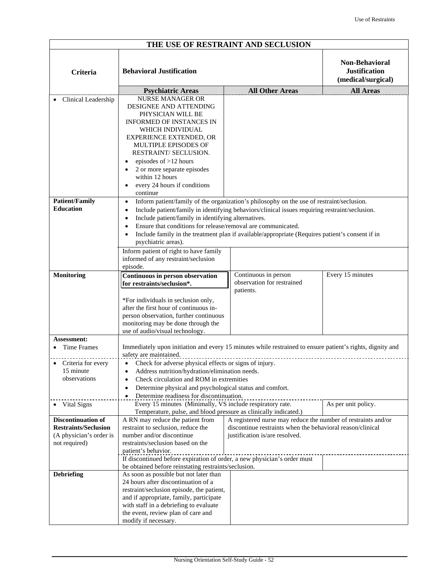| THE USE OF RESTRAINT AND SECLUSION                                                                   |                                                                                                                                                                                                                                                                                                                                                                                                                                                         |  |                                                                                                                                                               |                                                                     |  |  |  |
|------------------------------------------------------------------------------------------------------|---------------------------------------------------------------------------------------------------------------------------------------------------------------------------------------------------------------------------------------------------------------------------------------------------------------------------------------------------------------------------------------------------------------------------------------------------------|--|---------------------------------------------------------------------------------------------------------------------------------------------------------------|---------------------------------------------------------------------|--|--|--|
| <b>Criteria</b>                                                                                      | <b>Behavioral Justification</b>                                                                                                                                                                                                                                                                                                                                                                                                                         |  |                                                                                                                                                               | <b>Non-Behavioral</b><br><b>Justification</b><br>(medical/surgical) |  |  |  |
|                                                                                                      | <b>Psychiatric Areas</b>                                                                                                                                                                                                                                                                                                                                                                                                                                |  | <b>All Other Areas</b>                                                                                                                                        | <b>All Areas</b>                                                    |  |  |  |
| Clinical Leadership                                                                                  | <b>NURSE MANAGER OR</b><br>DESIGNEE AND ATTENDING<br>PHYSICIAN WILL BE<br><b>INFORMED OF INSTANCES IN</b><br>WHICH INDIVIDUAL<br><b>EXPERIENCE EXTENDED, OR</b><br>MULTIPLE EPISODES OF<br>RESTRAINT/ SECLUSION.<br>episodes of >12 hours<br>2 or more separate episodes<br>within 12 hours<br>every 24 hours if conditions<br>$\bullet$<br>continue                                                                                                    |  |                                                                                                                                                               |                                                                     |  |  |  |
| <b>Patient/Family</b>                                                                                | $\bullet$                                                                                                                                                                                                                                                                                                                                                                                                                                               |  | Inform patient/family of the organization's philosophy on the use of restraint/seclusion.                                                                     |                                                                     |  |  |  |
| <b>Education</b>                                                                                     | Include patient/family in identifying behaviors/clinical issues requiring restraint/seclusion.<br>Include patient/family in identifying alternatives.<br>Ensure that conditions for release/removal are communicated.<br>Include family in the treatment plan if available/appropriate (Requires patient's consent if in<br>psychiatric areas).<br>Inform patient of right to have family<br>informed of any restraint/seclusion                        |  |                                                                                                                                                               |                                                                     |  |  |  |
| <b>Monitoring</b>                                                                                    | episode.<br>Continuous in person observation                                                                                                                                                                                                                                                                                                                                                                                                            |  | Continuous in person                                                                                                                                          | Every 15 minutes                                                    |  |  |  |
|                                                                                                      | for restraints/seclusion*.<br>*For individuals in seclusion only,<br>after the first hour of continuous in-<br>person observation, further continuous<br>monitoring may be done through the<br>use of audio/visual technology.                                                                                                                                                                                                                          |  | observation for restrained<br>patients.                                                                                                                       |                                                                     |  |  |  |
| Assessment:                                                                                          |                                                                                                                                                                                                                                                                                                                                                                                                                                                         |  |                                                                                                                                                               |                                                                     |  |  |  |
| <b>Time Frames</b><br>Criteria for every<br>$\bullet$<br>15 minute<br>observations                   | Immediately upon initiation and every 15 minutes while restrained to ensure patient's rights, dignity and<br>safety are maintained.<br>Check for adverse physical effects or signs of injury.<br>$\bullet$<br>Address nutrition/hydration/elimination needs.<br>Check circulation and ROM in extremities<br>$\bullet$<br>Determine physical and psychological status and comfort.<br>$\bullet$<br>Determine readiness for discontinuation.<br>$\bullet$ |  |                                                                                                                                                               |                                                                     |  |  |  |
| Vital Signs                                                                                          | Every 15 minutes (Minimally, VS include respiratory rate.<br>Temperature, pulse, and blood pressure as clinically indicated.)                                                                                                                                                                                                                                                                                                                           |  |                                                                                                                                                               | As per unit policy.                                                 |  |  |  |
| <b>Discontinuation of</b><br><b>Restraints/Seclusion</b><br>(A physician's order is<br>not required) | A RN may reduce the patient from<br>restraint to seclusion, reduce the<br>number and/or discontinue<br>restraints/seclusion based on the<br>patient's behavior.<br>If discontinued before expiration of order, a new physician's order must                                                                                                                                                                                                             |  | A registered nurse may reduce the number of restraints and/or<br>discontinue restraints when the behavioral reason/clinical<br>justification is/are resolved. |                                                                     |  |  |  |
| <b>Debriefing</b>                                                                                    | be obtained before reinstating restraints/seclusion.<br>As soon as possible but not later than<br>24 hours after discontinuation of a<br>restraint/seclusion episode, the patient,<br>and if appropriate, family, participate<br>with staff in a debriefing to evaluate<br>the event, review plan of care and<br>modify if necessary.                                                                                                                   |  |                                                                                                                                                               |                                                                     |  |  |  |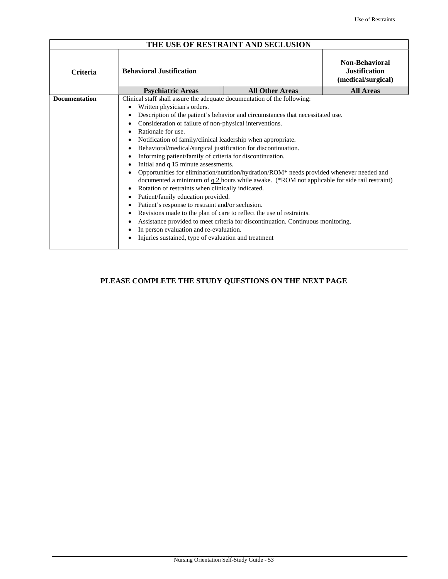| THE USE OF RESTRAINT AND SECLUSION |                                                                                                                                                                                                                                                                                                                                                                                                                                                                                                                                                                                                                                                                                                                                                                                                                                                                                                                                                                                                                                                                                                                                                                                   |                                                                     |                  |  |  |  |
|------------------------------------|-----------------------------------------------------------------------------------------------------------------------------------------------------------------------------------------------------------------------------------------------------------------------------------------------------------------------------------------------------------------------------------------------------------------------------------------------------------------------------------------------------------------------------------------------------------------------------------------------------------------------------------------------------------------------------------------------------------------------------------------------------------------------------------------------------------------------------------------------------------------------------------------------------------------------------------------------------------------------------------------------------------------------------------------------------------------------------------------------------------------------------------------------------------------------------------|---------------------------------------------------------------------|------------------|--|--|--|
| <b>Criteria</b>                    | <b>Behavioral Justification</b>                                                                                                                                                                                                                                                                                                                                                                                                                                                                                                                                                                                                                                                                                                                                                                                                                                                                                                                                                                                                                                                                                                                                                   | <b>Non-Behavioral</b><br><b>Justification</b><br>(medical/surgical) |                  |  |  |  |
|                                    | <b>Psychiatric Areas</b>                                                                                                                                                                                                                                                                                                                                                                                                                                                                                                                                                                                                                                                                                                                                                                                                                                                                                                                                                                                                                                                                                                                                                          | <b>All Other Areas</b>                                              | <b>All Areas</b> |  |  |  |
| <b>Documentation</b>               | Clinical staff shall assure the adequate documentation of the following:<br>Written physician's orders.<br>٠<br>Description of the patient's behavior and circumstances that necessitated use.<br>٠<br>Consideration or failure of non-physical interventions.<br>٠<br>Rationale for use.<br>Notification of family/clinical leadership when appropriate.<br>Behavioral/medical/surgical justification for discontinuation.<br>٠<br>Informing patient/family of criteria for discontinuation.<br>٠<br>Initial and q 15 minute assessments.<br>٠<br>Opportunities for elimination/nutrition/hydration/ROM* needs provided whenever needed and<br>٠<br>documented a minimum of $q_2$ hours while awake. (*ROM not applicable for side rail restraint)<br>Rotation of restraints when clinically indicated.<br>٠<br>Patient/family education provided.<br>٠<br>Patient's response to restraint and/or seclusion.<br>Revisions made to the plan of care to reflect the use of restraints.<br>٠<br>Assistance provided to meet criteria for discontinuation. Continuous monitoring.<br>In person evaluation and re-evaluation.<br>Injuries sustained, type of evaluation and treatment |                                                                     |                  |  |  |  |

# **PLEASE COMPLETE THE STUDY QUESTIONS ON THE NEXT PAGE**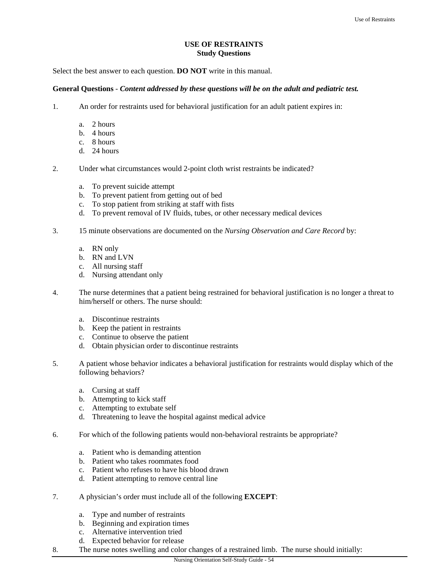## **USE OF RESTRAINTS Study Questions**

Select the best answer to each question. **DO NOT** write in this manual.

#### **General Questions** - *Content addressed by these questions will be on the adult and pediatric test.*

- 1. An order for restraints used for behavioral justification for an adult patient expires in:
	- a. 2 hours
	- b. 4 hours
	- c. 8 hours
	- d. 24 hours
- 2. Under what circumstances would 2-point cloth wrist restraints be indicated?
	- a. To prevent suicide attempt
	- b. To prevent patient from getting out of bed
	- c. To stop patient from striking at staff with fists
	- d. To prevent removal of IV fluids, tubes, or other necessary medical devices
- 3. 15 minute observations are documented on the *Nursing Observation and Care Record* by:
	- a. RN only
	- b. RN and LVN
	- c. All nursing staff
	- d. Nursing attendant only
- 4. The nurse determines that a patient being restrained for behavioral justification is no longer a threat to him/herself or others. The nurse should:
	- a. Discontinue restraints
	- b. Keep the patient in restraints
	- c. Continue to observe the patient
	- d. Obtain physician order to discontinue restraints
- 5. A patient whose behavior indicates a behavioral justification for restraints would display which of the following behaviors?
	- a. Cursing at staff
	- b. Attempting to kick staff
	- c. Attempting to extubate self
	- d. Threatening to leave the hospital against medical advice
- 6. For which of the following patients would non-behavioral restraints be appropriate?
	- a. Patient who is demanding attention
	- b. Patient who takes roommates food
	- c. Patient who refuses to have his blood drawn
	- d. Patient attempting to remove central line
- 7. A physician's order must include all of the following **EXCEPT**:
	- a. Type and number of restraints
	- b. Beginning and expiration times
	- c. Alternative intervention tried
	- d. Expected behavior for release
- 8. The nurse notes swelling and color changes of a restrained limb. The nurse should initially: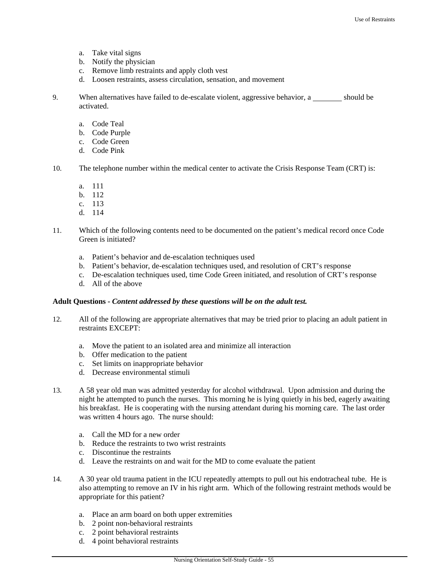- a. Take vital signs
- b. Notify the physician
- c. Remove limb restraints and apply cloth vest
- d. Loosen restraints, assess circulation, sensation, and movement
- 9. When alternatives have failed to de-escalate violent, aggressive behavior, a should be activated.
	- a. Code Teal
	- b. Code Purple
	- c. Code Green
	- d. Code Pink
- 10. The telephone number within the medical center to activate the Crisis Response Team (CRT) is:
	- a. 111
	- b. 112
	- c. 113
	- d. 114
- 11. Which of the following contents need to be documented on the patient's medical record once Code Green is initiated?
	- a. Patient's behavior and de-escalation techniques used
	- b. Patient's behavior, de-escalation techniques used, and resolution of CRT's response
	- c. De-escalation techniques used, time Code Green initiated, and resolution of CRT's response
	- d. All of the above

#### **Adult Questions -** *Content addressed by these questions will be on the adult test.*

- 12. All of the following are appropriate alternatives that may be tried prior to placing an adult patient in restraints EXCEPT:
	- a. Move the patient to an isolated area and minimize all interaction
	- b. Offer medication to the patient
	- c. Set limits on inappropriate behavior
	- d. Decrease environmental stimuli
- 13. A 58 year old man was admitted yesterday for alcohol withdrawal. Upon admission and during the night he attempted to punch the nurses. This morning he is lying quietly in his bed, eagerly awaiting his breakfast. He is cooperating with the nursing attendant during his morning care. The last order was written 4 hours ago. The nurse should:
	- a. Call the MD for a new order
	- b. Reduce the restraints to two wrist restraints
	- c. Discontinue the restraints
	- d. Leave the restraints on and wait for the MD to come evaluate the patient
- 14. A 30 year old trauma patient in the ICU repeatedly attempts to pull out his endotracheal tube. He is also attempting to remove an IV in his right arm. Which of the following restraint methods would be appropriate for this patient?
	- a. Place an arm board on both upper extremities
	- b. 2 point non-behavioral restraints
	- c. 2 point behavioral restraints
	- d. 4 point behavioral restraints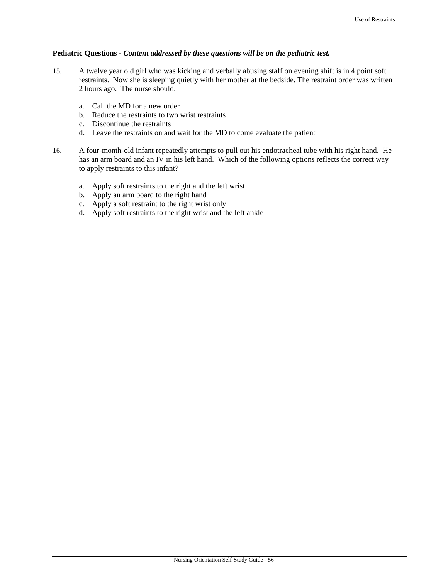## **Pediatric Questions -** *Content addressed by these questions will be on the pediatric test.*

- 15. A twelve year old girl who was kicking and verbally abusing staff on evening shift is in 4 point soft restraints. Now she is sleeping quietly with her mother at the bedside. The restraint order was written 2 hours ago. The nurse should.
	- a. Call the MD for a new order
	- b. Reduce the restraints to two wrist restraints
	- c. Discontinue the restraints
	- d. Leave the restraints on and wait for the MD to come evaluate the patient
- 16. A four-month-old infant repeatedly attempts to pull out his endotracheal tube with his right hand. He has an arm board and an IV in his left hand. Which of the following options reflects the correct way to apply restraints to this infant?
	- a. Apply soft restraints to the right and the left wrist
	- b. Apply an arm board to the right hand
	- c. Apply a soft restraint to the right wrist only
	- d. Apply soft restraints to the right wrist and the left ankle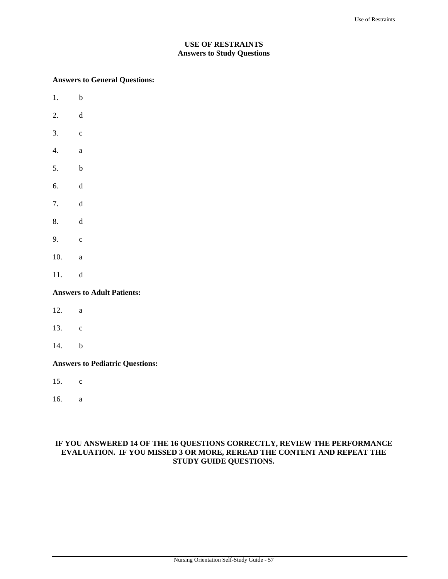## **USE OF RESTRAINTS Answers to Study Questions**

#### **Answers to General Questions:**

- 1. b 2. d 3. c 4. a 5. b 6. d
- 7. d
- 8. d
- 9. c
- 10. a
- 11. d

# **Answers to Adult Patients:**

- 12. a
- 13. c
- 14. b

## **Answers to Pediatric Questions:**

- 15. c
- 16. a

## **IF YOU ANSWERED 14 OF THE 16 QUESTIONS CORRECTLY, REVIEW THE PERFORMANCE EVALUATION. IF YOU MISSED 3 OR MORE, REREAD THE CONTENT AND REPEAT THE STUDY GUIDE QUESTIONS.**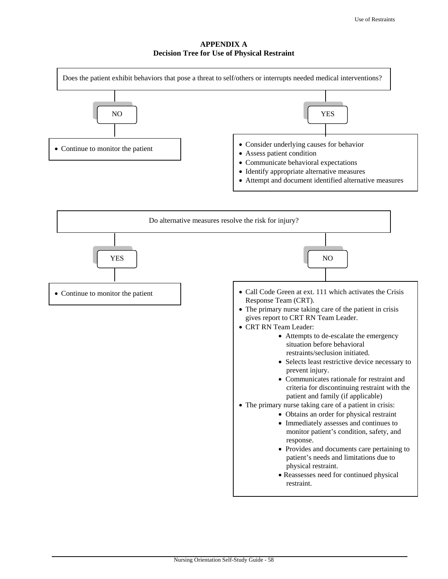**APPENDIX A Decision Tree for Use of Physical Restraint** 

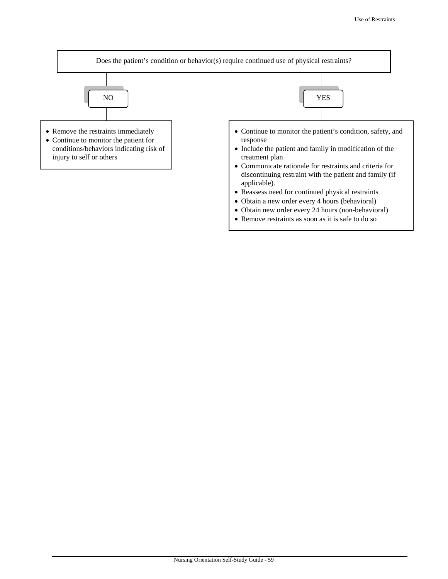

Remove restraints as soon as it is safe to do so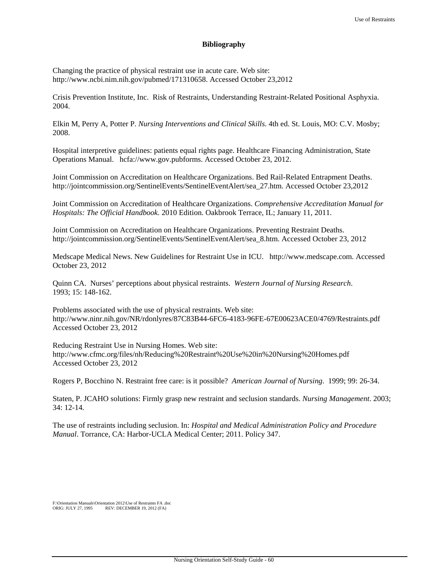#### **Bibliography**

Changing the practice of physical restraint use in acute care. Web site: http://www.ncbi.nim.nih.gov/pubmed/171310658. Accessed October 23,2012

Crisis Prevention Institute, Inc. Risk of Restraints, Understanding Restraint-Related Positional Asphyxia. 2004.

Elkin M, Perry A, Potter P. *Nursing Interventions and Clinical Skills*. 4th ed. St. Louis, MO: C.V. Mosby; 2008.

Hospital interpretive guidelines: patients equal rights page. Healthcare Financing Administration, State Operations Manual. hcfa://www.gov.pubforms. Accessed October 23, 2012.

Joint Commission on Accreditation on Healthcare Organizations. Bed Rail-Related Entrapment Deaths. http://jointcommission.org/SentinelEvents/SentinelEventAlert/sea\_27.htm. Accessed October 23,2012

Joint Commission on Accreditation of Healthcare Organizations. *Comprehensive Accreditation Manual for Hospitals: The Official Handbook.* 2010 Edition. Oakbrook Terrace, IL; January 11, 2011.

Joint Commission on Accreditation on Healthcare Organizations. Preventing Restraint Deaths. http://jointcommission.org/SentinelEvents/SentinelEventAlert/sea\_8.htm. Accessed October 23, 2012

Medscape Medical News. New Guidelines for Restraint Use in ICU. http://www.medscape.com. Accessed October 23, 2012

Quinn CA. Nurses' perceptions about physical restraints. *Western Journal of Nursing Research*. 1993; 15: 148-162.

Problems associated with the use of physical restraints. Web site: http://www.ninr.nih.gov/NR/rdonlyres/87C83B44-6FC6-4183-96FE-67E00623ACE0/4769/Restraints.pdf Accessed October 23, 2012

Reducing Restraint Use in Nursing Homes. Web site: http://www.cfmc.org/files/nh/Reducing%20Restraint%20Use%20in%20Nursing%20Homes.pdf Accessed October 23, 2012

Rogers P, Bocchino N. Restraint free care: is it possible? *American Journal of Nursing*. 1999; 99: 26-34.

Staten, P. JCAHO solutions: Firmly grasp new restraint and seclusion standards. *Nursing Management*. 2003; 34: 12-14.

The use of restraints including seclusion. In: *Hospital and Medical Administration Policy and Procedure Manual*. Torrance, CA: Harbor-UCLA Medical Center; 2011. Policy 347.

F:\Orientation Manuals\Orientation 2012\Use of Restraints FA .doc REV: DECEMBER 19, 2012 (FA)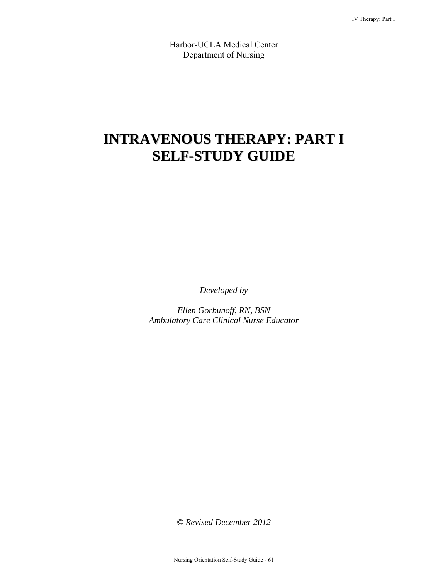Harbor-UCLA Medical Center Department of Nursing

# **INTRAVENOUS THERAPY: PART I SELF-STUDY GUIDE**

*Developed by* 

*Ellen Gorbunoff, RN, BSN Ambulatory Care Clinical Nurse Educator* 

*© Revised December 2012*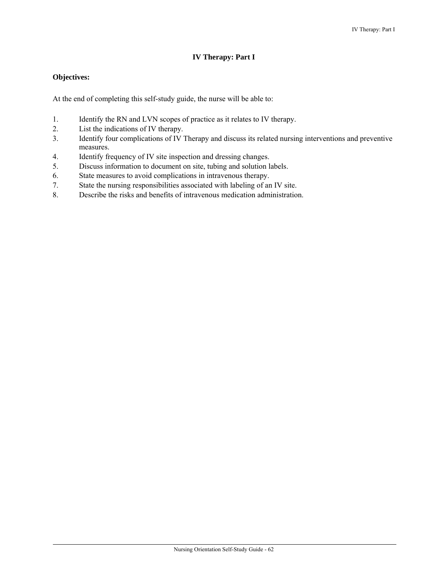# **IV Therapy: Part I**

# **Objectives:**

At the end of completing this self-study guide, the nurse will be able to:

- 1. Identify the RN and LVN scopes of practice as it relates to IV therapy.
- 2. List the indications of IV therapy.
- 3. Identify four complications of IV Therapy and discuss its related nursing interventions and preventive measures.
- 4. Identify frequency of IV site inspection and dressing changes.
- 5. Discuss information to document on site, tubing and solution labels.
- 6. State measures to avoid complications in intravenous therapy.
- 7. State the nursing responsibilities associated with labeling of an IV site.
- 8. Describe the risks and benefits of intravenous medication administration.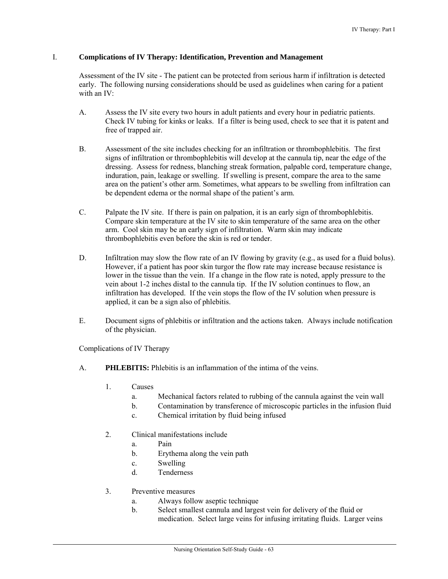## I. **Complications of IV Therapy: Identification, Prevention and Management**

 Assessment of the IV site - The patient can be protected from serious harm if infiltration is detected early. The following nursing considerations should be used as guidelines when caring for a patient with an IV:

- A. Assess the IV site every two hours in adult patients and every hour in pediatric patients. Check IV tubing for kinks or leaks. If a filter is being used, check to see that it is patent and free of trapped air.
- B. Assessment of the site includes checking for an infiltration or thrombophlebitis. The first signs of infiltration or thrombophlebitis will develop at the cannula tip, near the edge of the dressing. Assess for redness, blanching streak formation, palpable cord, temperature change, induration, pain, leakage or swelling. If swelling is present, compare the area to the same area on the patient's other arm. Sometimes, what appears to be swelling from infiltration can be dependent edema or the normal shape of the patient's arm.
- C. Palpate the IV site. If there is pain on palpation, it is an early sign of thrombophlebitis. Compare skin temperature at the IV site to skin temperature of the same area on the other arm. Cool skin may be an early sign of infiltration. Warm skin may indicate thrombophlebitis even before the skin is red or tender.
- D. Infiltration may slow the flow rate of an IV flowing by gravity (e.g., as used for a fluid bolus). However, if a patient has poor skin turgor the flow rate may increase because resistance is lower in the tissue than the vein. If a change in the flow rate is noted, apply pressure to the vein about 1-2 inches distal to the cannula tip. If the IV solution continues to flow, an infiltration has developed. If the vein stops the flow of the IV solution when pressure is applied, it can be a sign also of phlebitis.
- E. Document signs of phlebitis or infiltration and the actions taken. Always include notification of the physician.

Complications of IV Therapy

- A. **PHLEBITIS:** Phlebitis is an inflammation of the intima of the veins.
	- 1. Causes
		- a. Mechanical factors related to rubbing of the cannula against the vein wall
		- b. Contamination by transference of microscopic particles in the infusion fluid
		- c. Chemical irritation by fluid being infused
	- 2. Clinical manifestations include
		- a. Pain
		- b. Erythema along the vein path
		- c. Swelling
		- d. Tenderness
	- 3. Preventive measures
		- a. Always follow aseptic technique
		- b. Select smallest cannula and largest vein for delivery of the fluid or medication. Select large veins for infusing irritating fluids. Larger veins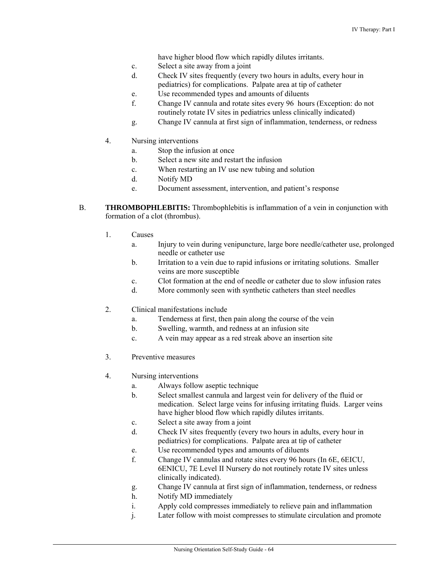have higher blood flow which rapidly dilutes irritants.

- c. Select a site away from a joint
- d. Check IV sites frequently (every two hours in adults, every hour in pediatrics) for complications. Palpate area at tip of catheter
- e. Use recommended types and amounts of diluents
- f. Change IV cannula and rotate sites every 96 hours (Exception: do not routinely rotate IV sites in pediatrics unless clinically indicated)
- g. Change IV cannula at first sign of inflammation, tenderness, or redness
- 4. Nursing interventions
	- a. Stop the infusion at once
	- b. Select a new site and restart the infusion
	- c. When restarting an IV use new tubing and solution
	- d. Notify MD
	- e. Document assessment, intervention, and patient's response
- B. **THROMBOPHLEBITIS:** Thrombophlebitis is inflammation of a vein in conjunction with formation of a clot (thrombus).
	- 1. Causes
		- a. Injury to vein during venipuncture, large bore needle/catheter use, prolonged needle or catheter use
		- b. Irritation to a vein due to rapid infusions or irritating solutions. Smaller veins are more susceptible
		- c. Clot formation at the end of needle or catheter due to slow infusion rates
		- d. More commonly seen with synthetic catheters than steel needles
	- 2. Clinical manifestations include
		- a. Tenderness at first, then pain along the course of the vein
		- b. Swelling, warmth, and redness at an infusion site
		- c. A vein may appear as a red streak above an insertion site
	- 3. Preventive measures
	- 4. Nursing interventions
		- a. Always follow aseptic technique
		- b. Select smallest cannula and largest vein for delivery of the fluid or medication. Select large veins for infusing irritating fluids. Larger veins have higher blood flow which rapidly dilutes irritants.
		- c. Select a site away from a joint
		- d. Check IV sites frequently (every two hours in adults, every hour in pediatrics) for complications. Palpate area at tip of catheter
		- e. Use recommended types and amounts of diluents
		- f. Change IV cannulas and rotate sites every 96 hours (In 6E, 6EICU, 6ENICU, 7E Level II Nursery do not routinely rotate IV sites unless clinically indicated).
		- g. Change IV cannula at first sign of inflammation, tenderness, or redness
		- h. Notify MD immediately
		- i. Apply cold compresses immediately to relieve pain and inflammation
		- j. Later follow with moist compresses to stimulate circulation and promote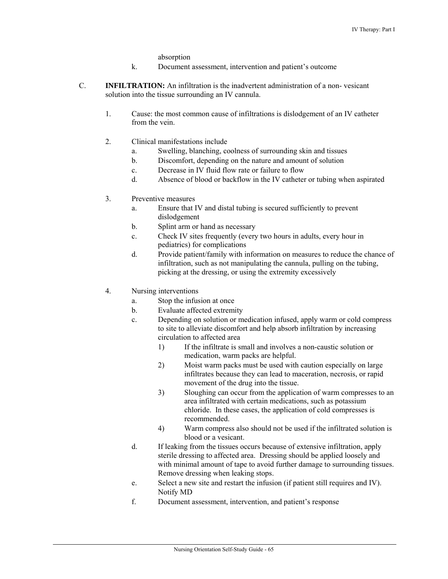absorption

- k. Document assessment, intervention and patient's outcome
- C. **INFILTRATION:** An infiltration is the inadvertent administration of a non- vesicant solution into the tissue surrounding an IV cannula.
	- 1. Cause: the most common cause of infiltrations is dislodgement of an IV catheter from the vein.
	- 2. Clinical manifestations include
		- a. Swelling, blanching, coolness of surrounding skin and tissues
		- b. Discomfort, depending on the nature and amount of solution
		- c. Decrease in IV fluid flow rate or failure to flow
		- d. Absence of blood or backflow in the IV catheter or tubing when aspirated
	- 3. Preventive measures
		- a. Ensure that IV and distal tubing is secured sufficiently to prevent dislodgement
		- b. Splint arm or hand as necessary
		- c. Check IV sites frequently (every two hours in adults, every hour in pediatrics) for complications
		- d. Provide patient/family with information on measures to reduce the chance of infiltration, such as not manipulating the cannula, pulling on the tubing, picking at the dressing, or using the extremity excessively
	- 4. Nursing interventions
		- a. Stop the infusion at once
		- b. Evaluate affected extremity
		- c. Depending on solution or medication infused, apply warm or cold compress to site to alleviate discomfort and help absorb infiltration by increasing circulation to affected area
			- 1) If the infiltrate is small and involves a non-caustic solution or medication, warm packs are helpful.
			- 2) Moist warm packs must be used with caution especially on large infiltrates because they can lead to maceration, necrosis, or rapid movement of the drug into the tissue.
			- 3) Sloughing can occur from the application of warm compresses to an area infiltrated with certain medications, such as potassium chloride. In these cases, the application of cold compresses is recommended.
			- 4) Warm compress also should not be used if the infiltrated solution is blood or a vesicant.
		- d. If leaking from the tissues occurs because of extensive infiltration, apply sterile dressing to affected area. Dressing should be applied loosely and with minimal amount of tape to avoid further damage to surrounding tissues. Remove dressing when leaking stops.
		- e. Select a new site and restart the infusion (if patient still requires and IV). Notify MD
		- f. Document assessment, intervention, and patient's response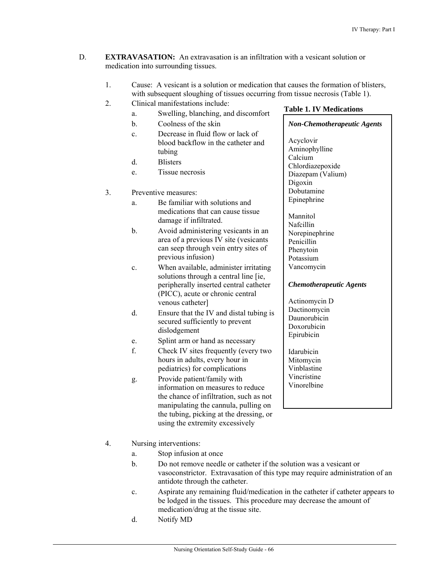- D. **EXTRAVASATION:** An extravasation is an infiltration with a vesicant solution or medication into surrounding tissues.
	- 1. Cause: A vesicant is a solution or medication that causes the formation of blisters, with subsequent sloughing of tissues occurring from tissue necrosis (Table 1).
	- 2. Clinical manifestations include:
		- a. Swelling, blanching, and discomfort
		- b. Coolness of the skin
		- c. Decrease in fluid flow or lack of blood backflow in the catheter and tubing
		- d. Blisters
		- e. Tissue necrosis
	- 3. Preventive measures:
		- a. Be familiar with solutions and medications that can cause tissue damage if infiltrated.
		- b. Avoid administering vesicants in an area of a previous IV site (vesicants can seep through vein entry sites of previous infusion)
		- c. When available, administer irritating solutions through a central line [ie, peripherally inserted central catheter (PICC), acute or chronic central venous catheter]
		- d. Ensure that the IV and distal tubing is secured sufficiently to prevent dislodgement
		- e. Splint arm or hand as necessary
		- f. Check IV sites frequently (every two hours in adults, every hour in pediatrics) for complications
		- g. Provide patient/family with information on measures to reduce the chance of infiltration, such as not manipulating the cannula, pulling on the tubing, picking at the dressing, or using the extremity excessively

# **Table 1. IV Medications**

*Associated With Tissue Non-Chemotherapeutic Agents* Acyclovir Aminophylline Calcium Chlordiazepoxide Diazepam (Valium) Digoxin Dobutamine Epinephrine Mannitol Nafcillin Norepinephrine Penicillin Phenytoin Potassium Vancomycin *Chemotherapeutic Agents* Actinomycin D Dactinomycin Daunorubicin Doxorubicin Epirubicin Idarubicin Mitomycin Vinblastine Vincristine Vinorelbine

- 4. Nursing interventions:
	- a. Stop infusion at once
	- b. Do not remove needle or catheter if the solution was a vesicant or vasoconstrictor. Extravasation of this type may require administration of an antidote through the catheter.
	- c. Aspirate any remaining fluid/medication in the catheter if catheter appears to be lodged in the tissues. This procedure may decrease the amount of medication/drug at the tissue site.
	- d. Notify MD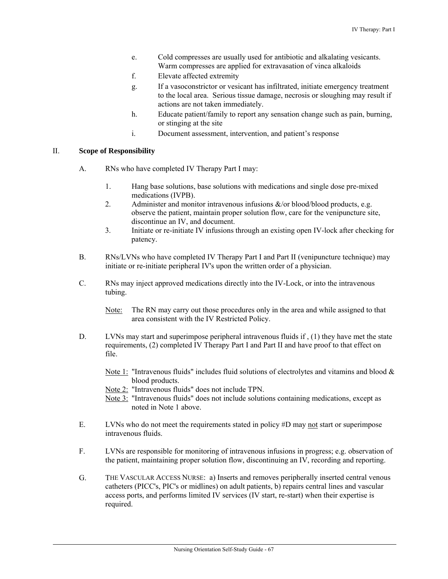- e. Cold compresses are usually used for antibiotic and alkalating vesicants. Warm compresses are applied for extravasation of vinca alkaloids
- f. Elevate affected extremity
- g. If a vasoconstrictor or vesicant has infiltrated, initiate emergency treatment to the local area. Serious tissue damage, necrosis or sloughing may result if actions are not taken immediately.
- h. Educate patient/family to report any sensation change such as pain, burning, or stinging at the site
- i. Document assessment, intervention, and patient's response

#### II. **Scope of Responsibility**

- A. RNs who have completed IV Therapy Part I may:
	- 1. Hang base solutions, base solutions with medications and single dose pre-mixed medications (IVPB).
	- 2. Administer and monitor intravenous infusions  $\&$ /or blood/blood products, e.g. observe the patient, maintain proper solution flow, care for the venipuncture site, discontinue an IV, and document.
	- 3. Initiate or re-initiate IV infusions through an existing open IV-lock after checking for patency.
- B. RNs/LVNs who have completed IV Therapy Part I and Part II (venipuncture technique) may initiate or re-initiate peripheral IV's upon the written order of a physician.
- C. RNs may inject approved medications directly into the IV-Lock, or into the intravenous tubing.
	- Note: The RN may carry out those procedures only in the area and while assigned to that area consistent with the IV Restricted Policy.
- D. LVNs may start and superimpose peripheral intravenous fluids if , (1) they have met the state requirements, (2) completed IV Therapy Part I and Part II and have proof to that effect on file.
	- Note 1: "Intravenous fluids" includes fluid solutions of electrolytes and vitamins and blood  $\&$ blood products.
	- Note 2: "Intravenous fluids" does not include TPN.
	- Note 3: "Intravenous fluids" does not include solutions containing medications, except as noted in Note 1 above.
- E. LVNs who do not meet the requirements stated in policy #D may not start or superimpose intravenous fluids.
- F. LVNs are responsible for monitoring of intravenous infusions in progress; e.g. observation of the patient, maintaining proper solution flow, discontinuing an IV, recording and reporting.
- G. THE VASCULAR ACCESS NURSE: a) Inserts and removes peripherally inserted central venous catheters (PICC's, PIC's or midlines) on adult patients, b) repairs central lines and vascular access ports, and performs limited IV services (IV start, re-start) when their expertise is required.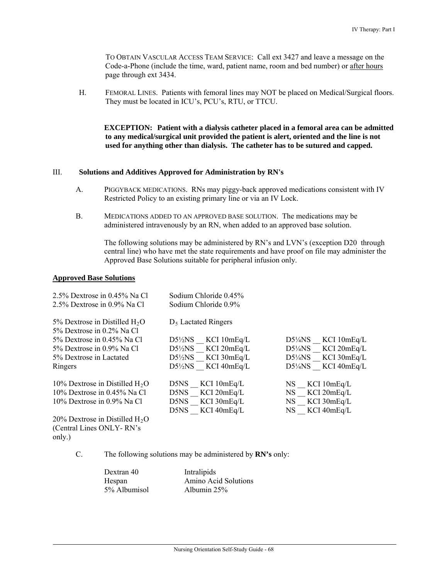TO OBTAIN VASCULAR ACCESS TEAM SERVICE: Call ext 3427 and leave a message on the Code-a-Phone (include the time, ward, patient name, room and bed number) or after hours page through ext 3434.

H. FEMORAL LINES. Patients with femoral lines may NOT be placed on Medical/Surgical floors. They must be located in ICU's, PCU's, RTU, or TTCU.

 **EXCEPTION: Patient with a dialysis catheter placed in a femoral area can be admitted to any medical/surgical unit provided the patient is alert, oriented and the line is not used for anything other than dialysis. The catheter has to be sutured and capped.** 

#### III. **Solutions and Additives Approved for Administration by RN's**

- A. PIGGYBACK MEDICATIONS. RNs may piggy-back approved medications consistent with IV Restricted Policy to an existing primary line or via an IV Lock.
- B. MEDICATIONS ADDED TO AN APPROVED BASE SOLUTION. The medications may be administered intravenously by an RN, when added to an approved base solution.

The following solutions may be administered by RN's and LVN's (exception D20 through central line) who have met the state requirements and have proof on file may administer the Approved Base Solutions suitable for peripheral infusion only.

#### **Approved Base Solutions**

only.)

| $2.5\%$ Dextrose in 0.45% Na Cl<br>2.5% Dextrose in 0.9% Na Cl | Sodium Chloride 0.45%<br>Sodium Chloride 0.9% |                                 |
|----------------------------------------------------------------|-----------------------------------------------|---------------------------------|
| 5% Dextrose in Distilled $H_2O$<br>5% Dextrose in 0.2% Na Cl   | $D_5$ Lactated Ringers                        |                                 |
| 5% Dextrose in 0.45% Na Cl                                     | KCI $10mEq/L$<br>$D5\frac{1}{2}NS$            | $D5\frac{1}{4}NS$ KCI $10mEq/L$ |
| 5% Dextrose in 0.9% Na Cl                                      | KCI $20mEq/L$<br>$D5\frac{1}{2}NS$            | $D5\frac{1}{4}NS$ KCI $20mEq/L$ |
| 5% Dextrose in Lactated                                        | $KCI$ 30mEq/L<br>$D5\frac{1}{2}NS$            | $D5\frac{1}{4}NS$ KCI 30mEq/L   |
| Ringers                                                        | $D5\frac{1}{2}NS$ KCI 40mEq/L                 | $D5\frac{1}{4}NS$ KCI 40mEq/L   |
| 10% Dextrose in Distilled $H_2O$                               | D5NS<br>KCI 10mEq/L                           | KCI $10mEq/L$<br>NS.            |
| $10\%$ Dextrose in 0.45% Na Cl                                 | KCI $20mEq/L$<br>D5NS                         | KCI $20mEq/L$<br>NS -           |
| 10% Dextrose in 0.9% Na Cl                                     | KCI $30mEq/L$<br>D5NS                         | KCI 30mEq/L<br>NS               |
|                                                                | D5NS KCI 40mEq/L                              | NS KCI 40mEq/L                  |
| 20% Dextrose in Distilled $H_2O$                               |                                               |                                 |
| (Central Lines ONLY-RN's                                       |                                               |                                 |

C. The following solutions may be administered by **RN's** only:

| Dextran 40   | Intralipids          |
|--------------|----------------------|
| Hespan       | Amino Acid Solutions |
| 5% Albumisol | Albumin 25%          |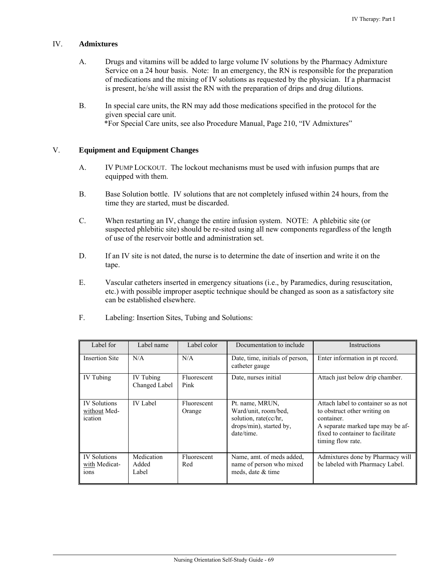#### IV. **Admixtures**

- A. Drugs and vitamins will be added to large volume IV solutions by the Pharmacy Admixture Service on a 24 hour basis. Note: In an emergency, the RN is responsible for the preparation of medications and the mixing of IV solutions as requested by the physician. If a pharmacist is present, he/she will assist the RN with the preparation of drips and drug dilutions.
- B. In special care units, the RN may add those medications specified in the protocol for the given special care unit. \*For Special Care units, see also Procedure Manual, Page 210, "IV Admixtures"

## V. **Equipment and Equipment Changes**

- A. IV PUMP LOCKOUT. The lockout mechanisms must be used with infusion pumps that are equipped with them.
- B. Base Solution bottle. IV solutions that are not completely infused within 24 hours, from the time they are started, must be discarded.
- C. When restarting an IV, change the entire infusion system. NOTE: A phlebitic site (or suspected phlebitic site) should be re-sited using all new components regardless of the length of use of the reservoir bottle and administration set.
- D. If an IV site is not dated, the nurse is to determine the date of insertion and write it on the tape.
- E. Vascular catheters inserted in emergency situations (i.e., by Paramedics, during resuscitation, etc.) with possible improper aseptic technique should be changed as soon as a satisfactory site can be established elsewhere.
- F. Labeling: Insertion Sites, Tubing and Solutions:

| Label for                                                | Label name                        | Label color           | Documentation to include                                                                                   | <b>Instructions</b>                                                                                                                                                             |
|----------------------------------------------------------|-----------------------------------|-----------------------|------------------------------------------------------------------------------------------------------------|---------------------------------------------------------------------------------------------------------------------------------------------------------------------------------|
| <b>Insertion Site</b>                                    | N/A                               | N/A                   | Date, time, initials of person,<br>catheter gauge                                                          | Enter information in pt record.                                                                                                                                                 |
| <b>IV</b> Tubing                                         | <b>IV</b> Tubing<br>Changed Label | Fluorescent<br>Pink   | Date, nurses initial                                                                                       | Attach just below drip chamber.                                                                                                                                                 |
| <b>IV</b> Solutions<br>without Med-<br>ication           | <b>IV</b> Label                   | Fluorescent<br>Orange | Pt. name, MRUN,<br>Ward/unit, room/bed,<br>solution, rate (cc/hr,<br>drops/min), started by,<br>date/time. | Attach label to container so as not<br>to obstruct other writing on<br>container.<br>A separate marked tape may be af-<br>fixed to container to facilitate<br>timing flow rate. |
| <b>IV</b> Solutions<br>with Medicat-<br>10 <sub>ns</sub> | Medication<br>Added<br>Label      | Fluorescent<br>Red    | Name, amt. of meds added,<br>name of person who mixed<br>meds, date & time                                 | Admixtures done by Pharmacy will<br>be labeled with Pharmacy Label.                                                                                                             |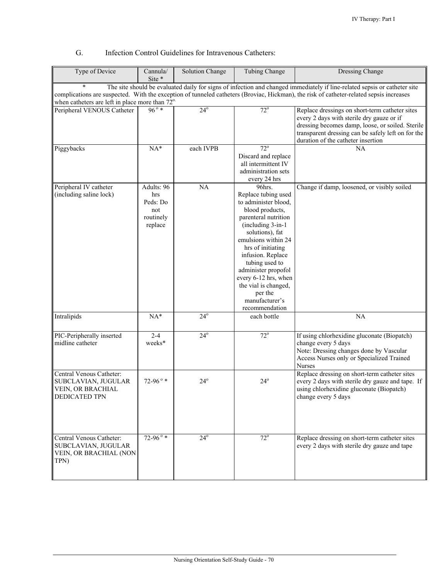# G. Infection Control Guidelines for Intravenous Catheters:

| Type of Device                                                                               | Cannula/<br>Site *                                           | Solution Change | Tubing Change                                                                                                                                                                                                                                                                                                                                     | Dressing Change                                                                                                                                                                                                                                                      |
|----------------------------------------------------------------------------------------------|--------------------------------------------------------------|-----------------|---------------------------------------------------------------------------------------------------------------------------------------------------------------------------------------------------------------------------------------------------------------------------------------------------------------------------------------------------|----------------------------------------------------------------------------------------------------------------------------------------------------------------------------------------------------------------------------------------------------------------------|
| *                                                                                            |                                                              |                 |                                                                                                                                                                                                                                                                                                                                                   | The site should be evaluated daily for signs of infection and changed immediately if line-related sepsis or catheter site<br>complications are suspected. With the exception of tunneled catheters (Broviac, Hickman), the risk of catheter-related sepsis increases |
| when catheters are left in place more than 72 <sup>o</sup> .                                 |                                                              |                 |                                                                                                                                                                                                                                                                                                                                                   |                                                                                                                                                                                                                                                                      |
| Peripheral VENOUS Catheter                                                                   | $96°*$                                                       | $24^\circ$      | $72^{\circ}$                                                                                                                                                                                                                                                                                                                                      | Replace dressings on short-term catheter sites<br>every 2 days with sterile dry gauze or if<br>dressing becomes damp, loose, or soiled. Sterile<br>transparent dressing can be safely left on for the<br>duration of the catheter insertion                          |
| Piggybacks                                                                                   | $NA*$                                                        | each IVPB       | $72^{\circ}$                                                                                                                                                                                                                                                                                                                                      | NA                                                                                                                                                                                                                                                                   |
|                                                                                              |                                                              |                 | Discard and replace<br>all intermittent IV<br>administration sets<br>every 24 hrs                                                                                                                                                                                                                                                                 |                                                                                                                                                                                                                                                                      |
| Peripheral IV catheter<br>(including saline lock)                                            | Adults: 96<br>hrs<br>Peds: Do<br>not<br>routinely<br>replace | NA              | 96hrs.<br>Replace tubing used<br>to administer blood,<br>blood products,<br>parenteral nutrition<br>(including 3-in-1<br>solutions), fat<br>emulsions within 24<br>hrs of initiating<br>infusion. Replace<br>tubing used to<br>administer propofol<br>every 6-12 hrs, when<br>the vial is changed,<br>per the<br>manufacturer's<br>recommendation | Change if damp, loosened, or visibly soiled                                                                                                                                                                                                                          |
| Intralipids                                                                                  | $NA*$                                                        | $24^{\circ}$    | each bottle                                                                                                                                                                                                                                                                                                                                       | NA                                                                                                                                                                                                                                                                   |
| PIC-Peripherally inserted<br>midline catheter                                                | $2 - 4$<br>weeks*                                            | $24^\circ$      | $72^\circ$                                                                                                                                                                                                                                                                                                                                        | If using chlorhexidine gluconate (Biopatch)<br>change every 5 days<br>Note: Dressing changes done by Vascular<br>Access Nurses only or Specialized Trained<br><b>Nurses</b>                                                                                          |
| Central Venous Catheter:<br>SUBCLAVIAN, JUGULAR<br>VEIN, OR BRACHIAL<br><b>DEDICATED TPN</b> | 72-96 $^{\circ}$ *                                           | $24^\circ$      | $24^\circ$                                                                                                                                                                                                                                                                                                                                        | Replace dressing on short-term catheter sites<br>every 2 days with sterile dry gauze and tape. If<br>using chlorhexidine gluconate (Biopatch)<br>change every 5 days                                                                                                 |
| Central Venous Catheter:<br>SUBCLAVIAN, JUGULAR<br>VEIN, OR BRACHIAL (NON<br>TPN)            | $72-96$ °*                                                   | $24^\circ$      | $72^{\circ}$                                                                                                                                                                                                                                                                                                                                      | Replace dressing on short-term catheter sites<br>every 2 days with sterile dry gauze and tape                                                                                                                                                                        |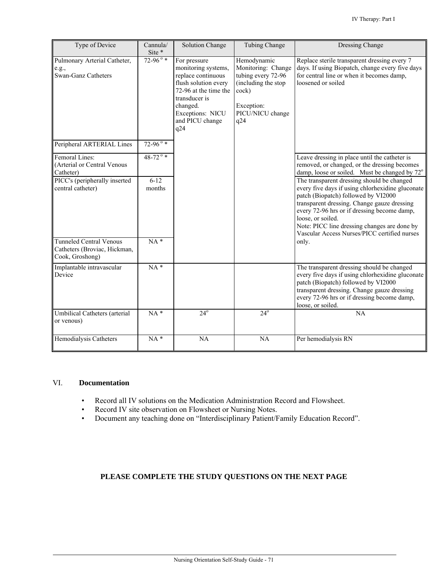| Type of Device                                                                    | Cannula/<br>Site $*$     | Solution Change                                                                                                                                                                       | Tubing Change                                                                                                                    | Dressing Change                                                                                                                                                                                                                                                                                                                                          |
|-----------------------------------------------------------------------------------|--------------------------|---------------------------------------------------------------------------------------------------------------------------------------------------------------------------------------|----------------------------------------------------------------------------------------------------------------------------------|----------------------------------------------------------------------------------------------------------------------------------------------------------------------------------------------------------------------------------------------------------------------------------------------------------------------------------------------------------|
| Pulmonary Arterial Catheter,<br>e.g.,<br>Swan-Ganz Catheters                      | $72 - 96$ °*             | For pressure<br>monitoring systems,<br>replace continuous<br>flush solution every<br>72-96 at the time the<br>transducer is<br>changed.<br>Exceptions: NICU<br>and PICU change<br>q24 | Hemodynamic<br>Monitoring: Change<br>tubing every 72-96<br>(including the stop<br>cock)<br>Exception:<br>PICU/NICU change<br>q24 | Replace sterile transparent dressing every 7<br>days. If using Biopatch, change every five days<br>for central line or when it becomes damp,<br>loosened or soiled                                                                                                                                                                                       |
| Peripheral ARTERIAL Lines                                                         | $72 - 96$ °*             |                                                                                                                                                                                       |                                                                                                                                  |                                                                                                                                                                                                                                                                                                                                                          |
| Femoral Lines:<br>(Arterial or Central Venous<br>Catheter)                        | $48 - 72$ <sup>o</sup> * |                                                                                                                                                                                       |                                                                                                                                  | Leave dressing in place until the catheter is<br>removed, or changed, or the dressing becomes<br>damp, loose or soiled. Must be changed by 72°                                                                                                                                                                                                           |
| PICC's (peripherally inserted<br>central catheter)                                | $6 - 12$<br>months       |                                                                                                                                                                                       |                                                                                                                                  | The transparent dressing should be changed<br>every five days if using chlorhexidine gluconate<br>patch (Biopatch) followed by VI2000<br>transparent dressing. Change gauze dressing<br>every 72-96 hrs or if dressing become damp,<br>loose, or soiled.<br>Note: PICC line dressing changes are done by<br>Vascular Access Nurses/PICC certified nurses |
| <b>Tunneled Central Venous</b><br>Catheters (Broviac, Hickman,<br>Cook, Groshong) | $NA*$                    |                                                                                                                                                                                       |                                                                                                                                  | only.                                                                                                                                                                                                                                                                                                                                                    |
| Implantable intravascular<br>Device                                               | $NA*$                    |                                                                                                                                                                                       |                                                                                                                                  | The transparent dressing should be changed<br>every five days if using chlorhexidine gluconate<br>patch (Biopatch) followed by VI2000<br>transparent dressing. Change gauze dressing<br>every 72-96 hrs or if dressing become damp,<br>loose, or soiled.                                                                                                 |
| Umbilical Catheters (arterial<br>or venous)                                       | $NA*$                    | $24^\circ$                                                                                                                                                                            | $24^\circ$                                                                                                                       | NA                                                                                                                                                                                                                                                                                                                                                       |
| Hemodialysis Catheters                                                            | $NA*$                    | NA                                                                                                                                                                                    | NA                                                                                                                               | Per hemodialysis RN                                                                                                                                                                                                                                                                                                                                      |

## VI. **Documentation**

- Record all IV solutions on the Medication Administration Record and Flowsheet.
- Record IV site observation on Flowsheet or Nursing Notes.<br>• Document any teaching done on "Interdisciplinary Patient/F
- Document any teaching done on "Interdisciplinary Patient/Family Education Record".

# **PLEASE COMPLETE THE STUDY QUESTIONS ON THE NEXT PAGE**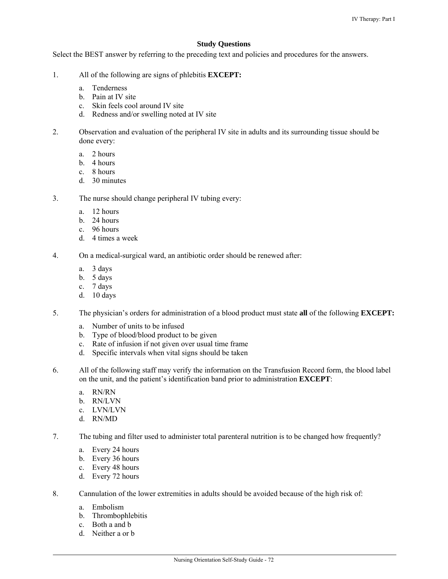## **Study Questions**

Select the BEST answer by referring to the preceding text and policies and procedures for the answers.

- 1. All of the following are signs of phlebitis **EXCEPT:**
	- a. Tenderness
	- b. Pain at IV site
	- c. Skin feels cool around IV site
	- d. Redness and/or swelling noted at IV site
- 2. Observation and evaluation of the peripheral IV site in adults and its surrounding tissue should be done every:
	- a. 2 hours
	- b. 4 hours
	- c. 8 hours
	- d. 30 minutes
- 3. The nurse should change peripheral IV tubing every:
	- a. 12 hours
	- b. 24 hours
	- c. 96 hours
	- d. 4 times a week
- 4. On a medical-surgical ward, an antibiotic order should be renewed after:
	- a. 3 days
	- b.  $5 \text{ days}$
	- c. 7 days
	- d. 10 days
- 5. The physician's orders for administration of a blood product must state **all** of the following **EXCEPT:**
	- a. Number of units to be infused
	- b. Type of blood/blood product to be given
	- c. Rate of infusion if not given over usual time frame
	- d. Specific intervals when vital signs should be taken
- 6. All of the following staff may verify the information on the Transfusion Record form, the blood label on the unit, and the patient's identification band prior to administration **EXCEPT**:
	- a. RN/RN
	- b. RN/LVN
	- c. LVN/LVN
	- d. RN/MD
- 7. The tubing and filter used to administer total parenteral nutrition is to be changed how frequently?
	- a. Every 24 hours
	- b. Every 36 hours
	- c. Every 48 hours
	- d. Every 72 hours
- 8. Cannulation of the lower extremities in adults should be avoided because of the high risk of:
	- a. Embolism
	- b. Thrombophlebitis
	- c. Both a and b
	- d. Neither a or b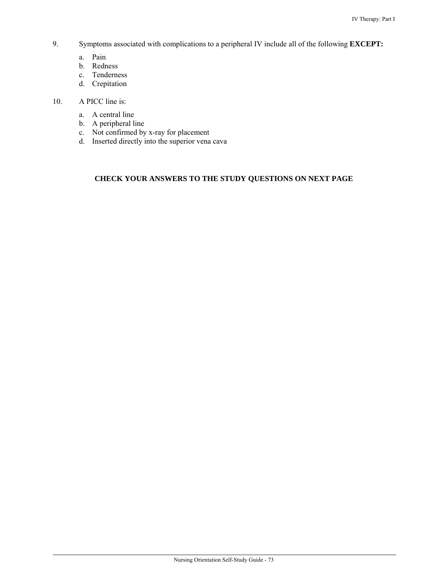- 9. Symptoms associated with complications to a peripheral IV include all of the following **EXCEPT:**
	- a. Pain
	- b. Redness
	- c. Tenderness
	- d. Crepitation

# 10. A PICC line is:

- a. A central line
- b. A peripheral line
- c. Not confirmed by x-ray for placement
- d. Inserted directly into the superior vena cava

# **CHECK YOUR ANSWERS TO THE STUDY QUESTIONS ON NEXT PAGE**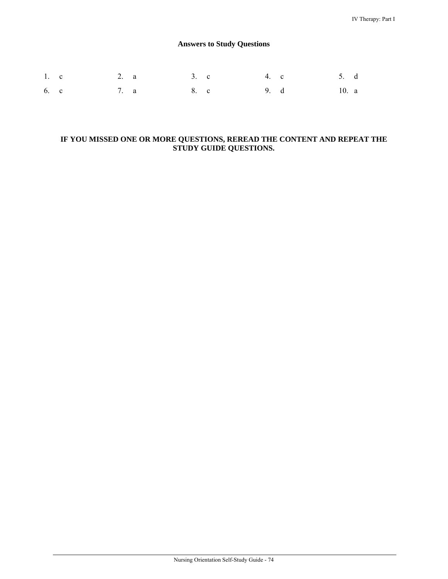# **Answers to Study Questions**

| 1. $\mathbf{c}$ | 2. a 3. c 4. c 5. d |  |       |  |
|-----------------|---------------------|--|-------|--|
| 6. c            | 7. a 8. c 9. d      |  | 10. a |  |

# **IF YOU MISSED ONE OR MORE QUESTIONS, REREAD THE CONTENT AND REPEAT THE STUDY GUIDE QUESTIONS.**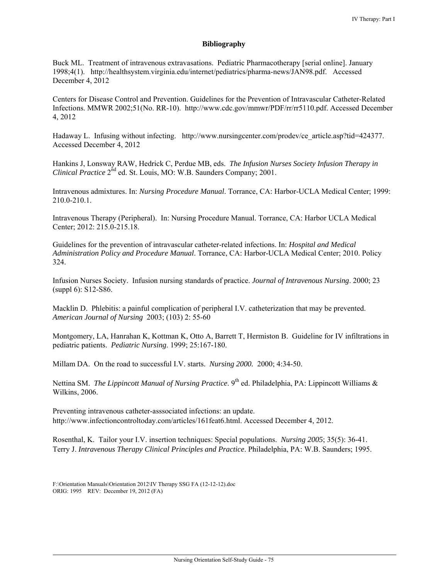#### **Bibliography**

Buck ML. Treatment of intravenous extravasations. Pediatric Pharmacotherapy [serial online]. January 1998;4(1). http://healthsystem.virginia.edu/internet/pediatrics/pharma-news/JAN98.pdf. Accessed December 4, 2012

Centers for Disease Control and Prevention. Guidelines for the Prevention of Intravascular Catheter-Related Infections. MMWR 2002;51(No. RR-10). http://www.cdc.gov/mmwr/PDF/rr/rr5110.pdf. Accessed December 4, 2012

Hadaway L. Infusing without infecting. http://www.nursingcenter.com/prodev/ce\_article.asp?tid=424377. Accessed December 4, 2012

Hankins J, Lonsway RAW, Hedrick C, Perdue MB, eds. *The Infusion Nurses Society Infusion Therapy in Clinical Practice* 2<sup>nd</sup> ed. St. Louis, MO: W.B. Saunders Company; 2001.

Intravenous admixtures. In: *Nursing Procedure Manual*. Torrance, CA: Harbor-UCLA Medical Center; 1999: 210.0-210.1.

Intravenous Therapy (Peripheral). In: Nursing Procedure Manual. Torrance, CA: Harbor UCLA Medical Center; 2012: 215.0-215.18.

Guidelines for the prevention of intravascular catheter-related infections. In: *Hospital and Medical Administration Policy and Procedure Manual*. Torrance, CA: Harbor-UCLA Medical Center; 2010. Policy 324.

Infusion Nurses Society. Infusion nursing standards of practice. *Journal of Intravenous Nursing*. 2000; 23 (suppl 6): S12-S86.

Macklin D. Phlebitis: a painful complication of peripheral I.V. catheterization that may be prevented. *American Journal of Nursing* 2003; (103) 2: 55-60

Montgomery, LA, Hanrahan K, Kottman K, Otto A, Barrett T, Hermiston B. Guideline for IV infiltrations in pediatric patients. *Pediatric Nursing*. 1999; 25:167-180.

Millam DA. On the road to successful I.V. starts. *Nursing 2000.* 2000; 4:34-50.

Nettina SM. *The Lippincott Manual of Nursing Practice*. 9<sup>th</sup> ed. Philadelphia, PA: Lippincott Williams & Wilkins, 2006.

Preventing intravenous catheter-asssociated infections: an update. http://www.infectioncontroltoday.com/articles/161feat6.html. Accessed December 4, 2012.

Rosenthal, K. Tailor your I.V. insertion techniques: Special populations. *Nursing 2005*; 35(5): 36-41. Terry J. *Intravenous Therapy Clinical Principles and Practice*. Philadelphia, PA: W.B. Saunders; 1995.

F:\Orientation Manuals\Orientation 2012\IV Therapy SSG FA (12-12-12).doc ORIG: 1995 REV: December 19, 2012 (FA)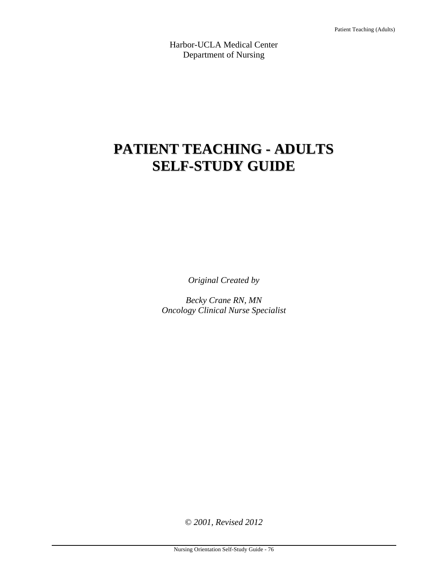Harbor-UCLA Medical Center Department of Nursing

# **PATIENT TEACHING - ADULTS SELF-STUDY GUIDE**

*Original Created by* 

*Becky Crane RN, MN Oncology Clinical Nurse Specialist* 

*© 2001, Revised 2012*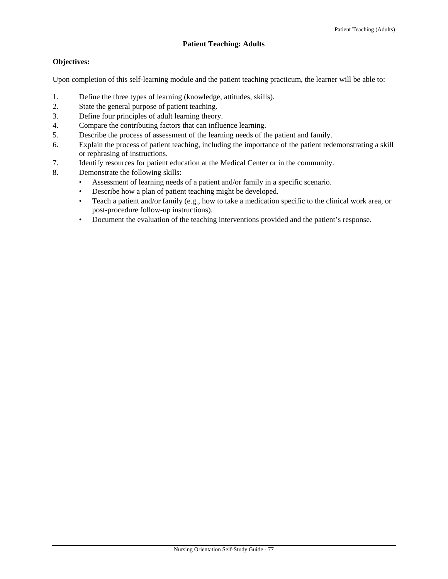# **Patient Teaching: Adults**

# **Objectives:**

Upon completion of this self-learning module and the patient teaching practicum, the learner will be able to:

- 1. Define the three types of learning (knowledge, attitudes, skills).
- 2. State the general purpose of patient teaching.
- 3. Define four principles of adult learning theory.
- 4. Compare the contributing factors that can influence learning.
- 5. Describe the process of assessment of the learning needs of the patient and family.
- 6. Explain the process of patient teaching, including the importance of the patient redemonstrating a skill or rephrasing of instructions.
- 7. Identify resources for patient education at the Medical Center or in the community.
- 8. Demonstrate the following skills:
	- Assessment of learning needs of a patient and/or family in a specific scenario.
	- Describe how a plan of patient teaching might be developed.
	- Teach a patient and/or family (e.g., how to take a medication specific to the clinical work area, or post-procedure follow-up instructions).
	- Document the evaluation of the teaching interventions provided and the patient's response.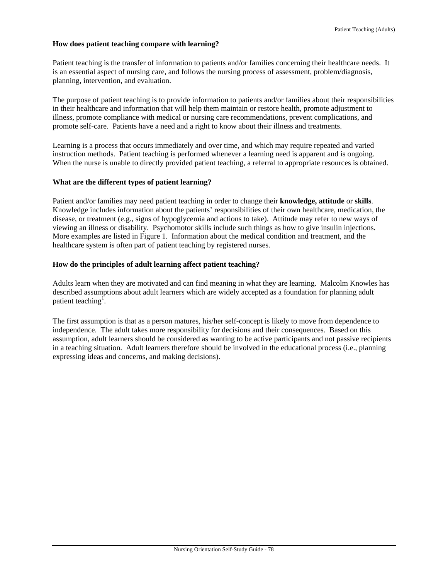## **How does patient teaching compare with learning?**

Patient teaching is the transfer of information to patients and/or families concerning their healthcare needs. It is an essential aspect of nursing care, and follows the nursing process of assessment, problem/diagnosis, planning, intervention, and evaluation.

The purpose of patient teaching is to provide information to patients and/or families about their responsibilities in their healthcare and information that will help them maintain or restore health, promote adjustment to illness, promote compliance with medical or nursing care recommendations, prevent complications, and promote self-care. Patients have a need and a right to know about their illness and treatments.

Learning is a process that occurs immediately and over time, and which may require repeated and varied instruction methods. Patient teaching is performed whenever a learning need is apparent and is ongoing. When the nurse is unable to directly provided patient teaching, a referral to appropriate resources is obtained.

## **What are the different types of patient learning?**

Patient and/or families may need patient teaching in order to change their **knowledge, attitude** or **skills**. Knowledge includes information about the patients' responsibilities of their own healthcare, medication, the disease, or treatment (e.g., signs of hypoglycemia and actions to take). Attitude may refer to new ways of viewing an illness or disability. Psychomotor skills include such things as how to give insulin injections. More examples are listed in Figure 1. Information about the medical condition and treatment, and the healthcare system is often part of patient teaching by registered nurses.

## **How do the principles of adult learning affect patient teaching?**

Adults learn when they are motivated and can find meaning in what they are learning. Malcolm Knowles has described assumptions about adult learners which are widely accepted as a foundation for planning adult patient teaching<sup>1</sup>.

The first assumption is that as a person matures, his/her self-concept is likely to move from dependence to independence. The adult takes more responsibility for decisions and their consequences. Based on this assumption, adult learners should be considered as wanting to be active participants and not passive recipients in a teaching situation. Adult learners therefore should be involved in the educational process (i.e., planning expressing ideas and concerns, and making decisions).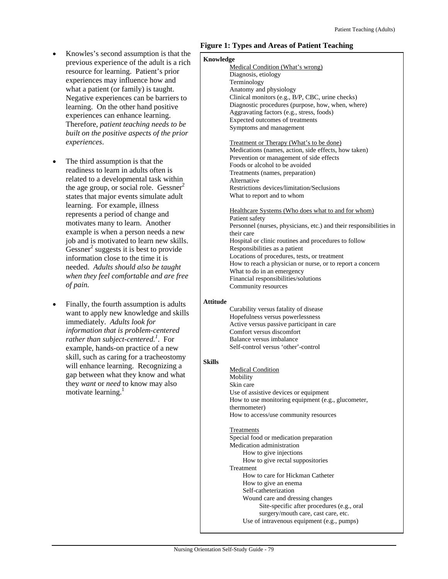- Knowles's second assumption is that the previous experience of the adult is a rich resource for learning. Patient's prior experiences may influence how and what a patient (or family) is taught. Negative experiences can be barriers to learning. On the other hand positive experiences can enhance learning. Therefore, *patient teaching needs to be built on the positive aspects of the prior experiences*.
- The third assumption is that the readiness to learn in adults often is related to a developmental task within the age group, or social role. Gessner<sup>2</sup> states that major events simulate adult learning. For example, illness represents a period of change and motivates many to learn. Another example is when a person needs a new job and is motivated to learn new skills.  $G \in \text{Gessner}^2$  suggests it is best to provide information close to the time it is needed. *Adults should also be taught when they feel comfortable and are free of pain.*
- Finally, the fourth assumption is adults want to apply new knowledge and skills immediately. *Adults look for information that is problem-centered rather than subject-centered.1* . For example, hands-on practice of a new skill, such as caring for a tracheostomy will enhance learning. Recognizing a gap between what they know and what they *want* or *need* to know may also motivate learning.<sup>1</sup>

#### **Figure 1: Types and Areas of Patient Teaching**

| Knowledge       |                                                                                   |
|-----------------|-----------------------------------------------------------------------------------|
|                 | Medical Condition (What's wrong)                                                  |
|                 | Diagnosis, etiology                                                               |
|                 | Terminology                                                                       |
|                 | Anatomy and physiology                                                            |
|                 | Clinical monitors (e.g., B/P, CBC, urine checks)                                  |
|                 | Diagnostic procedures (purpose, how, when, where)                                 |
|                 | Aggravating factors (e.g., stress, foods)                                         |
|                 | Expected outcomes of treatments                                                   |
|                 | Symptoms and management                                                           |
|                 |                                                                                   |
|                 | <b>Treatment or Therapy (What's to be done)</b>                                   |
|                 | Medications (names, action, side effects, how taken)                              |
|                 | Prevention or management of side effects                                          |
|                 | Foods or alcohol to be avoided                                                    |
|                 | Treatments (names, preparation)                                                   |
|                 | Alternative                                                                       |
|                 | Restrictions devices/limitation/Seclusions                                        |
|                 | What to report and to whom                                                        |
|                 |                                                                                   |
|                 | Healthcare Systems (Who does what to and for whom)                                |
|                 | Patient safety                                                                    |
|                 | Personnel (nurses, physicians, etc.) and their responsibilities in                |
|                 | their care                                                                        |
|                 | Hospital or clinic routines and procedures to follow                              |
|                 | Responsibilities as a patient                                                     |
|                 | Locations of procedures, tests, or treatment                                      |
|                 | How to reach a physician or nurse, or to report a concern                         |
|                 | What to do in an emergency                                                        |
|                 | Financial responsibilities/solutions                                              |
|                 | Community resources                                                               |
|                 |                                                                                   |
| <b>Attitude</b> |                                                                                   |
|                 | Curability versus fatality of disease                                             |
|                 | Hopefulness versus powerlessness                                                  |
|                 | Active versus passive participant in care                                         |
|                 | Comfort versus discomfort                                                         |
|                 | Balance versus imbalance                                                          |
|                 | Self-control versus 'other'-control                                               |
|                 |                                                                                   |
| Skills          |                                                                                   |
|                 | <b>Medical Condition</b>                                                          |
|                 | Mobility                                                                          |
|                 | Skin care                                                                         |
|                 | Use of assistive devices or equipment                                             |
|                 | How to use monitoring equipment (e.g., glucometer,                                |
|                 | thermometer)                                                                      |
|                 | How to access/use community resources                                             |
|                 |                                                                                   |
|                 | <b>Treatments</b>                                                                 |
|                 | Special food or medication preparation<br>Medication administration               |
|                 | How to give injections                                                            |
|                 | How to give rectal suppositories                                                  |
|                 |                                                                                   |
|                 | Treatment                                                                         |
|                 | How to care for Hickman Catheter                                                  |
|                 | How to give an enema                                                              |
|                 | Self-catheterization                                                              |
|                 | Wound care and dressing changes                                                   |
|                 | Site-specific after procedures (e.g., oral                                        |
|                 | surgery/mouth care, cast care, etc.<br>Use of intravenous equipment (e.g., pumps) |
|                 |                                                                                   |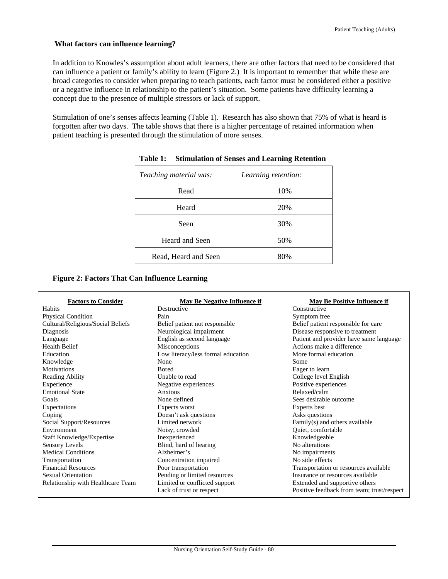## **What factors can influence learning?**

In addition to Knowles's assumption about adult learners, there are other factors that need to be considered that can influence a patient or family's ability to learn (Figure 2.) It is important to remember that while these are broad categories to consider when preparing to teach patients, each factor must be considered either a positive or a negative influence in relationship to the patient's situation. Some patients have difficulty learning a concept due to the presence of multiple stressors or lack of support.

Stimulation of one's senses affects learning (Table 1). Research has also shown that 75% of what is heard is forgotten after two days. The table shows that there is a higher percentage of retained information when patient teaching is presented through the stimulation of more senses.

| Teaching material was: | Learning retention: |
|------------------------|---------------------|
| Read                   | 10%                 |
| Heard                  | 20%                 |
| Seen                   | 30%                 |
| Heard and Seen         | 50%                 |
| Read, Heard and Seen   | 80%                 |

|  |  |  | Table 1: Stimulation of Senses and Learning Retention |
|--|--|--|-------------------------------------------------------|
|--|--|--|-------------------------------------------------------|

# **Figure 2: Factors That Can Influence Learning**

| <b>Factors to Consider</b>        | May Be Negative Influence if       | May Be Positive Influence if               |
|-----------------------------------|------------------------------------|--------------------------------------------|
| <b>Habits</b>                     | Destructive                        | Constructive                               |
| <b>Physical Condition</b>         | Pain                               | Symptom free                               |
| Cultural/Religious/Social Beliefs | Belief patient not responsible     | Belief patient responsible for care        |
| Diagnosis                         | Neurological impairment            | Disease responsive to treatment            |
| Language                          | English as second language         | Patient and provider have same language    |
| <b>Health Belief</b>              | Misconceptions                     | Actions make a difference                  |
| Education                         | Low literacy/less formal education | More formal education                      |
| Knowledge                         | None                               | Some                                       |
| <b>Motivations</b>                | <b>Bored</b>                       | Eager to learn                             |
| Reading Ability                   | Unable to read                     | College level English                      |
| Experience                        | Negative experiences               | Positive experiences                       |
| <b>Emotional State</b>            | Anxious                            | Relaxed/calm                               |
| Goals                             | None defined                       | Sees desirable outcome                     |
| Expectations                      | Expects worst                      | Experts best                               |
| Coping                            | Doesn't ask questions              | Asks questions                             |
| Social Support/Resources          | Limited network                    | Family(s) and others available             |
| Environment                       | Noisy, crowded                     | Quiet, comfortable                         |
| Staff Knowledge/Expertise         | Inexperienced                      | Knowledgeable                              |
| Sensory Levels                    | Blind, hard of hearing             | No alterations                             |
| <b>Medical Conditions</b>         | Alzheimer's                        | No impairments                             |
| Transportation                    | Concentration impaired             | No side effects                            |
| <b>Financial Resources</b>        | Poor transportation                | Transportation or resources available      |
| <b>Sexual Orientation</b>         | Pending or limited resources       | Insurance or resources available           |
| Relationship with Healthcare Team | Limited or conflicted support      | Extended and supportive others             |
|                                   | Lack of trust or respect           | Positive feedback from team; trust/respect |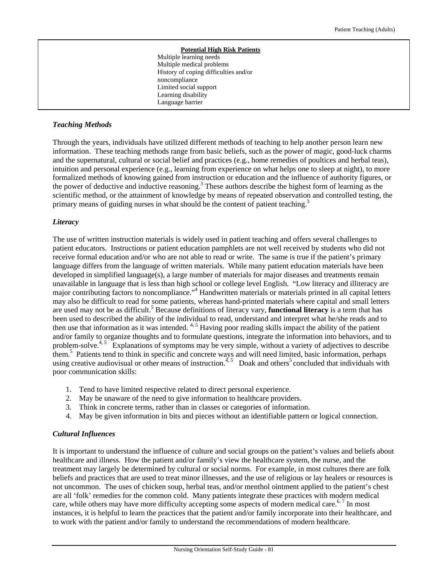| <b>Potential High Risk Patients</b>   |  |
|---------------------------------------|--|
| Multiple learning needs               |  |
| Multiple medical problems             |  |
| History of coping difficulties and/or |  |
| noncompliance                         |  |
| Limited social support                |  |
| Learning disability                   |  |
| Language barrier                      |  |

#### *Teaching Methods*

Through the years, individuals have utilized different methods of teaching to help another person learn new information. These teaching methods range from basic beliefs, such as the power of magic, good-luck charms and the supernatural, cultural or social belief and practices (e.g., home remedies of poultices and herbal teas), intuition and personal experience (e.g., learning from experience on what helps one to sleep at night), to more formalized methods of knowing gained from instruction or education and the influence of authority figures, or the power of deductive and inductive reasoning.<sup>3</sup> These authors describe the highest form of learning as the scientific method, or the attainment of knowledge by means of repeated observation and controlled testing, the primary means of guiding nurses in what should be the content of patient teaching.3

#### *Literacy*

The use of written instruction materials is widely used in patient teaching and offers several challenges to patient educators. Instructions or patient education pamphlets are not well received by students who did not receive formal education and/or who are not able to read or write. The same is true if the patient's primary language differs from the language of written materials. While many patient education materials have been developed in simplified language(s), a large number of materials for major diseases and treatments remain unavailable in language that is less than high school or college level English. "Low literacy and illiteracy are major contributing factors to noncompliance."<sup>4</sup> Handwritten materials or materials printed in all capital letters may also be difficult to read for some patients, whereas hand-printed materials where capital and small letters are used may not be as difficult.<sup>5</sup> Because definitions of literacy vary, **functional literacy** is a term that has been used to described the ability of the individual to read, understand and interpret what he/she reads and to then use that information as it was intended.  $4.5$  Having poor reading skills impact the ability of the patient and/or family to organize thoughts and to formulate questions, integrate the information into behaviors, and to problem-solve.<sup>4, 5</sup> Explanations of symptoms may be very simple, without a variety of adjectives to describe them.<sup>5</sup> Patients tend to think in specific and concrete ways and will need limited, basic information, perhaps using creative audiovisual or other means of instruction.<sup>4, 5</sup> Doak and others<sup>5</sup> concluded that individuals with poor communication skills:

- 1. Tend to have limited respective related to direct personal experience.
- 2. May be unaware of the need to give information to healthcare providers.
- 3. Think in concrete terms, rather than in classes or categories of information.
- 4. May be given information in bits and pieces without an identifiable pattern or logical connection.

#### *Cultural Influences*

It is important to understand the influence of culture and social groups on the patient's values and beliefs about healthcare and illness. How the patient and/or family's view the healthcare system, the nurse, and the treatment may largely be determined by cultural or social norms. For example, in most cultures there are folk beliefs and practices that are used to treat minor illnesses, and the use of religious or lay healers or resources is not uncommon. The uses of chicken soup, herbal teas, and/or menthol ointment applied to the patient's chest are all 'folk' remedies for the common cold. Many patients integrate these practices with modern medical care, while others may have more difficulty accepting some aspects of modern medical care.<sup>6.7</sup> In most instances, it is helpful to learn the practices that the patient and/or family incorporate into their healthcare, and to work with the patient and/or family to understand the recommendations of modern healthcare.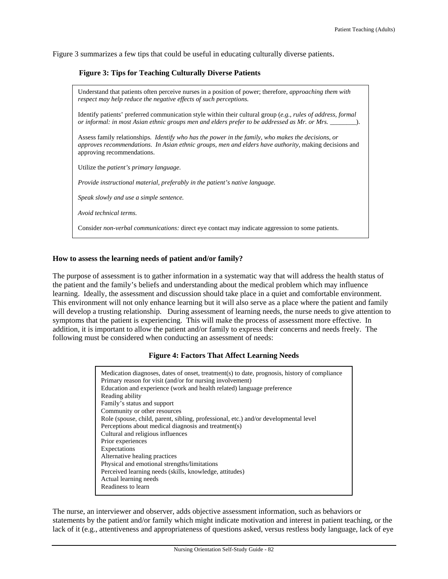Figure 3 summarizes a few tips that could be useful in educating culturally diverse patients.

#### **Figure 3: Tips for Teaching Culturally Diverse Patients**

Understand that patients often perceive nurses in a position of power; therefore, *approaching them with respect may help reduce the negative effects of such perceptions.*

Identify patients' preferred communication style within their cultural group (*e.g., rules of address, formal or informal: in most Asian ethnic groups men and elders prefer to be addressed as Mr. or Mrs. \_\_\_\_\_\_\_\_*).

Assess family relationships. *Identify who has the power in the family, who makes the decisions, or approves recommendations*. *In Asian ethnic groups, men and elders have authority*, making decisions and approving recommendations.

Utilize the *patient's primary language*.

*Provide instructional material, preferably in the patient's native language*.

*Speak slowly and use a simple sentence.* 

*Avoid technical terms.* 

Consider *non-verbal communications:* direct eye contact may indicate aggression to some patients.

#### **How to assess the learning needs of patient and/or family?**

The purpose of assessment is to gather information in a systematic way that will address the health status of the patient and the family's beliefs and understanding about the medical problem which may influence learning. Ideally, the assessment and discussion should take place in a quiet and comfortable environment. This environment will not only enhance learning but it will also serve as a place where the patient and family will develop a trusting relationship. During assessment of learning needs, the nurse needs to give attention to symptoms that the patient is experiencing. This will make the process of assessment more effective. In addition, it is important to allow the patient and/or family to express their concerns and needs freely. The following must be considered when conducting an assessment of needs:

#### **Figure 4: Factors That Affect Learning Needs**

| Medication diagnoses, dates of onset, treatment(s) to date, prognosis, history of compliance |
|----------------------------------------------------------------------------------------------|
| Primary reason for visit (and/or for nursing involvement)                                    |
| Education and experience (work and health related) language preference                       |
| Reading ability                                                                              |
| Family's status and support                                                                  |
| Community or other resources                                                                 |
| Role (spouse, child, parent, sibling, professional, etc.) and/or developmental level         |
| Perceptions about medical diagnosis and treatment(s)                                         |
| Cultural and religious influences                                                            |
| Prior experiences                                                                            |
| Expectations                                                                                 |
| Alternative healing practices                                                                |
| Physical and emotional strengths/limitations                                                 |
| Perceived learning needs (skills, knowledge, attitudes)                                      |
| Actual learning needs                                                                        |
| Readiness to learn                                                                           |
|                                                                                              |

The nurse, an interviewer and observer, adds objective assessment information, such as behaviors or statements by the patient and/or family which might indicate motivation and interest in patient teaching, or the lack of it (e.g., attentiveness and appropriateness of questions asked, versus restless body language, lack of eye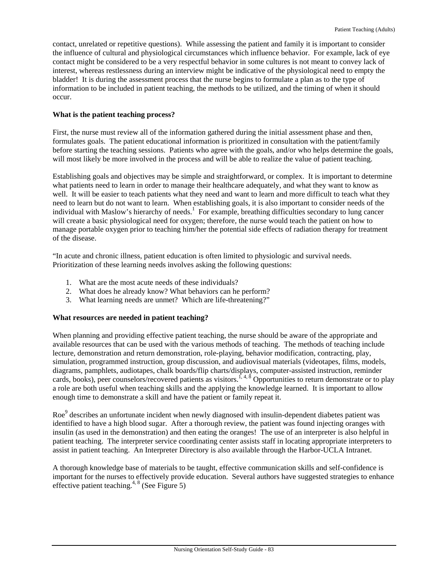contact, unrelated or repetitive questions). While assessing the patient and family it is important to consider the influence of cultural and physiological circumstances which influence behavior. For example, lack of eye contact might be considered to be a very respectful behavior in some cultures is not meant to convey lack of interest, whereas restlessness during an interview might be indicative of the physiological need to empty the bladder! It is during the assessment process that the nurse begins to formulate a plan as to the type of information to be included in patient teaching, the methods to be utilized, and the timing of when it should occur.

#### **What is the patient teaching process?**

First, the nurse must review all of the information gathered during the initial assessment phase and then, formulates goals. The patient educational information is prioritized in consultation with the patient/family before starting the teaching sessions. Patients who agree with the goals, and/or who helps determine the goals, will most likely be more involved in the process and will be able to realize the value of patient teaching.

Establishing goals and objectives may be simple and straightforward, or complex. It is important to determine what patients need to learn in order to manage their healthcare adequately, and what they want to know as well. It will be easier to teach patients what they need and want to learn and more difficult to teach what they need to learn but do not want to learn. When establishing goals, it is also important to consider needs of the individual with Maslow's hierarchy of needs.<sup>1</sup> For example, breathing difficulties secondary to lung cancer will create a basic physiological need for oxygen; therefore, the nurse would teach the patient on how to manage portable oxygen prior to teaching him/her the potential side effects of radiation therapy for treatment of the disease.

"In acute and chronic illness, patient education is often limited to physiologic and survival needs. Prioritization of these learning needs involves asking the following questions:

- 1. What are the most acute needs of these individuals?
- 2. What does he already know? What behaviors can he perform?
- 3. What learning needs are unmet? Which are life-threatening?"

#### **What resources are needed in patient teaching?**

When planning and providing effective patient teaching, the nurse should be aware of the appropriate and available resources that can be used with the various methods of teaching. The methods of teaching include lecture, demonstration and return demonstration, role-playing, behavior modification, contracting, play, simulation, programmed instruction, group discussion, and audiovisual materials (videotapes, films, models, diagrams, pamphlets, audiotapes, chalk boards/flip charts/displays, computer-assisted instruction, reminder cards, books), peer counselors/recovered patients as visitors.<sup>1, 4, 8</sup> Opportunities to return demonstrate or to play a role are both useful when teaching skills and the applying the knowledge learned. It is important to allow enough time to demonstrate a skill and have the patient or family repeat it.

Roe<sup>9</sup> describes an unfortunate incident when newly diagnosed with insulin-dependent diabetes patient was identified to have a high blood sugar. After a thorough review, the patient was found injecting oranges with insulin (as used in the demonstration) and then eating the oranges! The use of an interpreter is also helpful in patient teaching. The interpreter service coordinating center assists staff in locating appropriate interpreters to assist in patient teaching. An Interpreter Directory is also available through the Harbor-UCLA Intranet.

A thorough knowledge base of materials to be taught, effective communication skills and self-confidence is important for the nurses to effectively provide education. Several authors have suggested strategies to enhance effective patient teaching.<sup>4, 8</sup> (See Figure 5)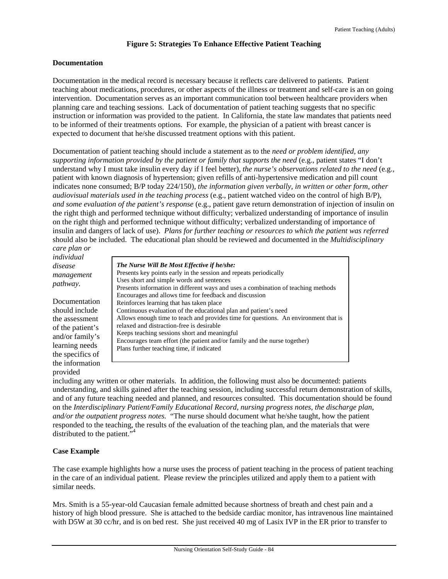## **Figure 5: Strategies To Enhance Effective Patient Teaching**

#### **Documentation**

Documentation in the medical record is necessary because it reflects care delivered to patients. Patient teaching about medications, procedures, or other aspects of the illness or treatment and self-care is an on going intervention. Documentation serves as an important communication tool between healthcare providers when planning care and teaching sessions. Lack of documentation of patient teaching suggests that no specific instruction or information was provided to the patient. In California, the state law mandates that patients need to be informed of their treatments options. For example, the physician of a patient with breast cancer is expected to document that he/she discussed treatment options with this patient.

Documentation of patient teaching should include a statement as to the *need or problem identified, any supporting information provided by the patient or family that supports the need* (e.g., patient states "I don't understand why I must take insulin every day if I feel better), *the nurse's observations related to the need* (e.g., patient with known diagnosis of hypertension; given refills of anti-hypertensive medication and pill count indicates none consumed; B/P today 224/150), *the information given verbally, in written or other form, other audiovisual materials used in the teaching process* (e.g., patient watched video on the control of high B/P), *and some evaluation of the patient's response* (e.g., patient gave return demonstration of injection of insulin on the right thigh and performed technique without difficulty; verbalized understanding of importance of insulin on the right thigh and performed technique without difficulty; verbalized understanding of importance of insulin and dangers of lack of use). *Plans for further teaching or resources to which the patient was referred*  should also be included. The educational plan should be reviewed and documented in the *Multidisciplinary* 

*care plan or individual disease management pathway.*

Documentation should include the assessment of the patient's and/or family's learning needs the specifics of the information provided

| The Nurse Will Be Most Effective if he/she:                                         |
|-------------------------------------------------------------------------------------|
| Presents key points early in the session and repeats periodically                   |
| Uses short and simple words and sentences                                           |
| Presents information in different ways and uses a combination of teaching methods   |
| Encourages and allows time for feedback and discussion                              |
| Reinforces learning that has taken place                                            |
| Continuous evaluation of the educational plan and patient's need                    |
| Allows enough time to teach and provides time for questions. An environment that is |
| relaxed and distraction-free is desirable                                           |
| Keeps teaching sessions short and meaningful                                        |
| Encourages team effort (the patient and/or family and the nurse together)           |
| Plans further teaching time, if indicated                                           |
|                                                                                     |

including any written or other materials. In addition, the following must also be documented: patients understanding, and skills gained after the teaching session, including successful return demonstration of skills, and of any future teaching needed and planned, and resources consulted. This documentation should be found on the *Interdisciplinary Patient/Family Educational Record, nursing progress notes, the discharge plan, and/or the outpatient progress notes.* "The nurse should document what he/she taught, how the patient responded to the teaching, the results of the evaluation of the teaching plan, and the materials that were distributed to the patient."<sup>4</sup>

#### **Case Example**

The case example highlights how a nurse uses the process of patient teaching in the process of patient teaching in the care of an individual patient. Please review the principles utilized and apply them to a patient with similar needs.

Mrs. Smith is a 55-year-old Caucasian female admitted because shortness of breath and chest pain and a history of high blood pressure. She is attached to the bedside cardiac monitor, has intravenous line maintained with D5W at 30 cc/hr, and is on bed rest. She just received 40 mg of Lasix IVP in the ER prior to transfer to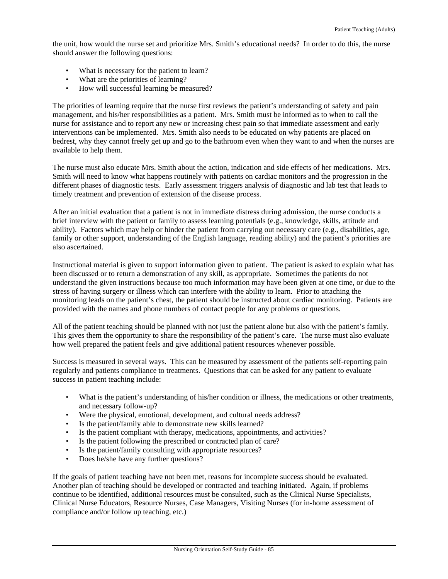the unit, how would the nurse set and prioritize Mrs. Smith's educational needs? In order to do this, the nurse should answer the following questions:

- What is necessary for the patient to learn?
- What are the priorities of learning?
- How will successful learning be measured?

The priorities of learning require that the nurse first reviews the patient's understanding of safety and pain management, and his/her responsibilities as a patient. Mrs. Smith must be informed as to when to call the nurse for assistance and to report any new or increasing chest pain so that immediate assessment and early interventions can be implemented. Mrs. Smith also needs to be educated on why patients are placed on bedrest, why they cannot freely get up and go to the bathroom even when they want to and when the nurses are available to help them.

The nurse must also educate Mrs. Smith about the action, indication and side effects of her medications. Mrs. Smith will need to know what happens routinely with patients on cardiac monitors and the progression in the different phases of diagnostic tests. Early assessment triggers analysis of diagnostic and lab test that leads to timely treatment and prevention of extension of the disease process.

After an initial evaluation that a patient is not in immediate distress during admission, the nurse conducts a brief interview with the patient or family to assess learning potentials (e.g., knowledge, skills, attitude and ability). Factors which may help or hinder the patient from carrying out necessary care (e.g., disabilities, age, family or other support, understanding of the English language, reading ability) and the patient's priorities are also ascertained.

Instructional material is given to support information given to patient. The patient is asked to explain what has been discussed or to return a demonstration of any skill, as appropriate. Sometimes the patients do not understand the given instructions because too much information may have been given at one time, or due to the stress of having surgery or illness which can interfere with the ability to learn. Prior to attaching the monitoring leads on the patient's chest, the patient should be instructed about cardiac monitoring. Patients are provided with the names and phone numbers of contact people for any problems or questions.

All of the patient teaching should be planned with not just the patient alone but also with the patient's family. This gives them the opportunity to share the responsibility of the patient's care. The nurse must also evaluate how well prepared the patient feels and give additional patient resources whenever possible.

Success is measured in several ways. This can be measured by assessment of the patients self-reporting pain regularly and patients compliance to treatments. Questions that can be asked for any patient to evaluate success in patient teaching include:

- What is the patient's understanding of his/her condition or illness, the medications or other treatments, and necessary follow-up?
- Were the physical, emotional, development, and cultural needs address?
- Is the patient/family able to demonstrate new skills learned?
- Is the patient compliant with therapy, medications, appointments, and activities?
- Is the patient following the prescribed or contracted plan of care?
- Is the patient/family consulting with appropriate resources?
- Does he/she have any further questions?

If the goals of patient teaching have not been met, reasons for incomplete success should be evaluated. Another plan of teaching should be developed or contracted and teaching initiated. Again, if problems continue to be identified, additional resources must be consulted, such as the Clinical Nurse Specialists, Clinical Nurse Educators, Resource Nurses, Case Managers, Visiting Nurses (for in-home assessment of compliance and/or follow up teaching, etc.)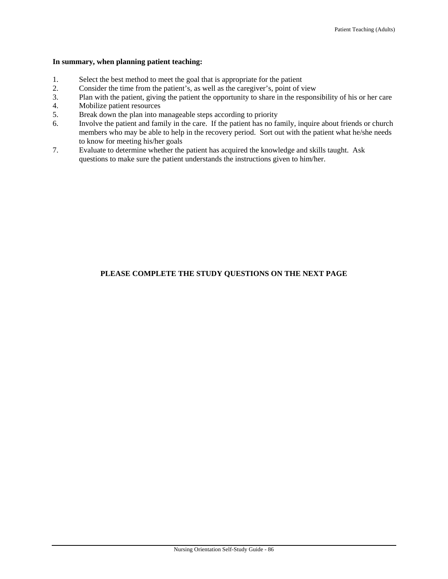#### **In summary, when planning patient teaching:**

- 1. Select the best method to meet the goal that is appropriate for the patient
- 2. Consider the time from the patient's, as well as the caregiver's, point of view
- 3. Plan with the patient, giving the patient the opportunity to share in the responsibility of his or her care
- 4. Mobilize patient resources
- 5. Break down the plan into manageable steps according to priority
- 6. Involve the patient and family in the care. If the patient has no family, inquire about friends or church members who may be able to help in the recovery period. Sort out with the patient what he/she needs to know for meeting his/her goals
- 7. Evaluate to determine whether the patient has acquired the knowledge and skills taught. Ask questions to make sure the patient understands the instructions given to him/her.

# **PLEASE COMPLETE THE STUDY QUESTIONS ON THE NEXT PAGE**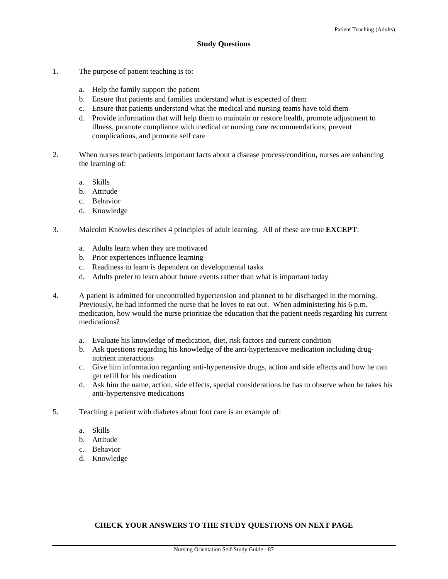- 1. The purpose of patient teaching is to:
	- a. Help the family support the patient
	- b. Ensure that patients and families understand what is expected of them
	- c. Ensure that patients understand what the medical and nursing teams have told them
	- d. Provide information that will help them to maintain or restore health, promote adjustment to illness, promote compliance with medical or nursing care recommendations, prevent complications, and promote self care
- 2. When nurses teach patients important facts about a disease process/condition, nurses are enhancing the learning of:
	- a. Skills
	- b. Attitude
	- c. Behavior
	- d. Knowledge
- 3. Malcolm Knowles describes 4 principles of adult learning. All of these are true **EXCEPT**:
	- a. Adults learn when they are motivated
	- b. Prior experiences influence learning
	- c. Readiness to learn is dependent on developmental tasks
	- d. Adults prefer to learn about future events rather than what is important today
- 4. A patient is admitted for uncontrolled hypertension and planned to be discharged in the morning. Previously, he had informed the nurse that he loves to eat out. When administering his 6 p.m. medication, how would the nurse prioritize the education that the patient needs regarding his current medications?
	- a. Evaluate his knowledge of medication, diet, risk factors and current condition
	- b. Ask questions regarding his knowledge of the anti-hypertensive medication including drugnutrient interactions
	- c. Give him information regarding anti-hypertensive drugs, action and side effects and how he can get refill for his medication
	- d. Ask him the name, action, side effects, special considerations he has to observe when he takes his anti-hypertensive medications
- 5. Teaching a patient with diabetes about foot care is an example of:
	- a. Skills
	- b. Attitude
	- c. Behavior
	- d. Knowledge

#### **CHECK YOUR ANSWERS TO THE STUDY QUESTIONS ON NEXT PAGE**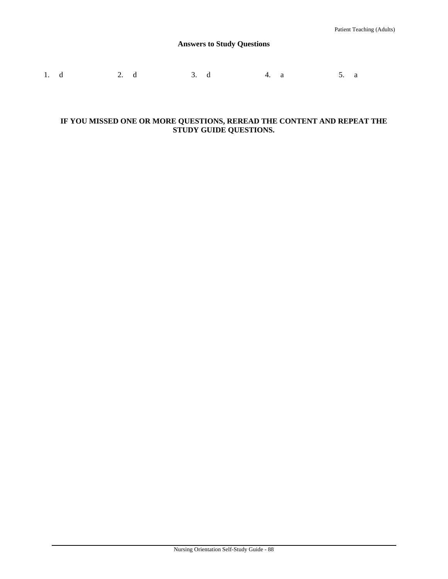# **Answers to Study Questions**

| 2. d<br>1. d |  | 3. d 4. a 5. a |  |
|--------------|--|----------------|--|
|--------------|--|----------------|--|

## **IF YOU MISSED ONE OR MORE QUESTIONS, REREAD THE CONTENT AND REPEAT THE STUDY GUIDE QUESTIONS.**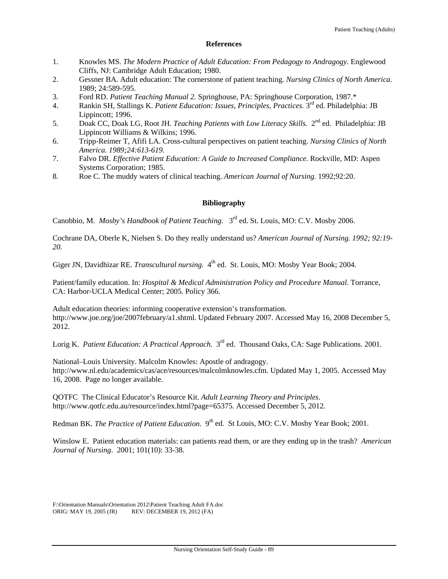#### **References**

- 1. Knowles MS. *The Modern Practice of Adult Education: From Pedagogy to Andragogy.* Englewood Cliffs, NJ: Cambridge Adult Education; 1980.
- 2. Gessner BA. Adult education: The cornerstone of patient teaching. *Nursing Clinics of North America.* 1989; 24:589-595.
- 3. Ford RD. *Patient Teaching Manual 2.* Springhouse, PA: Springhouse Corporation, 1987.\*
- 4. Rankin SH, Stallings K. *Patient Education: Issues, Principles, Practices.* 3rd ed. Philadelphia: JB Lippincott; 1996.
- 5. Doak CC, Doak LG, Root JH. *Teaching Patients with Low Literacy Skills.* 2nd ed. Philadelphia: JB Lippincott Williams & Wilkins; 1996.
- 6. Tripp-Reimer T, Afifi LA. Cross-cultural perspectives on patient teaching. *Nursing Clinics of North America. 1989;24:613-619.*
- 7. Falvo DR. *Effective Patient Education: A Guide to Increased Compliance.* Rockville, MD: Aspen Systems Corporation; 1985.
- 8. Roe C. The muddy waters of clinical teaching. *American Journal of Nursing.* 1992;92:20.

#### **Bibliography**

Canobbio, M. *Mosby's Handbook of Patient Teaching.* 3<sup>rd</sup> ed. St. Louis, MO: C.V. Mosby 2006.

Cochrane DA, Oberle K, Nielsen S. Do they really understand us? *American Journal of Nursing. 1992; 92:19- 20.* 

Giger JN, Davidhizar RE. *Transcultural nursing.* 4<sup>th</sup> ed. St. Louis, MO: Mosby Year Book; 2004.

Patient/family education. In: *Hospital & Medical Administration Policy and Procedure Manual*. Torrance, CA: Harbor-UCLA Medical Center; 2005*.* Policy 366.

Adult education theories: informing cooperative extension's transformation. http://www.joe.org/joe/2007february/a1.shtml. Updated February 2007. Accessed May 16, 2008 December 5, 2012.

Lorig K. *Patient Education: A Practical Approach.* 3<sup>rd</sup> ed. Thousand Oaks, CA: Sage Publications. 2001.

National–Louis University. Malcolm Knowles: Apostle of andragogy. http://www.nl.edu/academics/cas/ace/resources/malcolmknowles.cfm. Updated May 1, 2005. Accessed May 16, 2008. Page no longer available.

QOTFC The Clinical Educator's Resource Kit. *Adult Learning Theory and Principles*. http://www.qotfc.edu.au/resource/index.html?page=65375. Accessed December 5, 2012.

Redman BK. *The Practice of Patient Education*. <sup>9th</sup> ed. St Louis, MO: C.V. Mosby Year Book; 2001.

Winslow E. Patient education materials: can patients read them, or are they ending up in the trash? *American Journal of Nursing*. 2001; 101(10): 33-38.

F:\Orientation Manuals\Orientation 2012\Patient Teaching Adult FA.doc ORIG: MAY 19, 2005 (JR) REV: DECEMBER 19, 2012 (FA) REV: DECEMBER 19, 2012 (FA)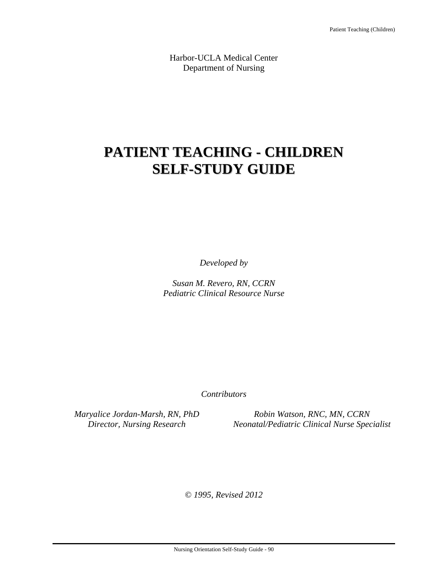Harbor-UCLA Medical Center Department of Nursing

# **PATIENT TEACHING - CHILDREN SELF-STUDY GUIDE**

*Developed by* 

*Susan M. Revero, RN, CCRN Pediatric Clinical Resource Nurse* 

*Contributors* 

*Maryalice Jordan-Marsh, RN, PhD* Robin Watson, RNC, MN, CCRN Director, Nursing Research Meonatal/Pediatric Clinical Nurse Spectrum Research *Director, Nursing Research Neonatal/Pediatric Clinical Nurse Specialist* 

*© 1995, Revised 2012*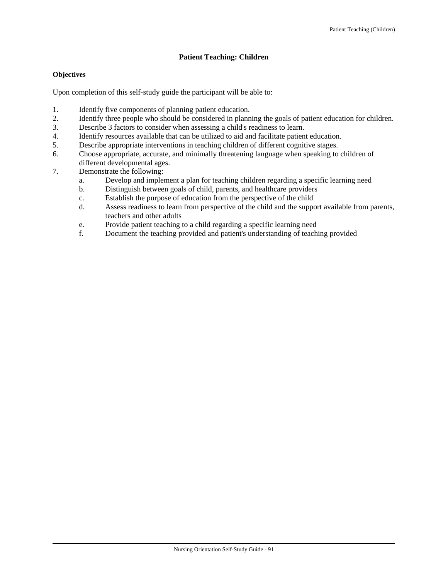## **Patient Teaching: Children**

#### **Objectives**

Upon completion of this self-study guide the participant will be able to:

- 1. Identify five components of planning patient education.
- 2. Identify three people who should be considered in planning the goals of patient education for children.
- 3. Describe 3 factors to consider when assessing a child's readiness to learn.
- 4. Identify resources available that can be utilized to aid and facilitate patient education.
- 5. Describe appropriate interventions in teaching children of different cognitive stages.
- 6. Choose appropriate, accurate, and minimally threatening language when speaking to children of different developmental ages.
- 7. Demonstrate the following:
	- a. Develop and implement a plan for teaching children regarding a specific learning need
	- b. Distinguish between goals of child, parents, and healthcare providers
	- c. Establish the purpose of education from the perspective of the child
	- d. Assess readiness to learn from perspective of the child and the support available from parents, teachers and other adults
	- e. Provide patient teaching to a child regarding a specific learning need
	- f. Document the teaching provided and patient's understanding of teaching provided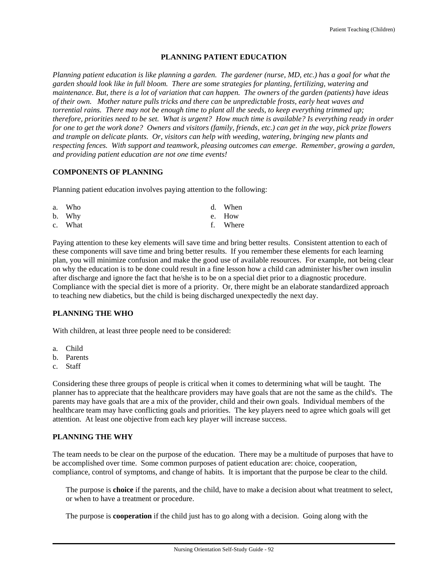## **PLANNING PATIENT EDUCATION**

*Planning patient education is like planning a garden. The gardener (nurse, MD, etc.) has a goal for what the garden should look like in full bloom. There are some strategies for planting, fertilizing, watering and maintenance. But, there is a lot of variation that can happen. The owners of the garden (patients) have ideas of their own. Mother nature pulls tricks and there can be unpredictable frosts, early heat waves and torrential rains. There may not be enough time to plant all the seeds, to keep everything trimmed up; therefore, priorities need to be set. What is urgent? How much time is available? Is everything ready in order for one to get the work done? Owners and visitors (family, friends, etc.) can get in the way, pick prize flowers and trample on delicate plants. Or, visitors can help with weeding, watering, bringing new plants and respecting fences. With support and teamwork, pleasing outcomes can emerge. Remember, growing a garden, and providing patient education are not one time events!*

#### **COMPONENTS OF PLANNING**

Planning patient education involves paying attention to the following:

| a. Who  | d. When  |
|---------|----------|
| b. Why  | e. How   |
| c. What | f. Where |

Paying attention to these key elements will save time and bring better results. Consistent attention to each of these components will save time and bring better results. If you remember these elements for each learning plan, you will minimize confusion and make the good use of available resources. For example, not being clear on why the education is to be done could result in a fine lesson how a child can administer his/her own insulin after discharge and ignore the fact that he/she is to be on a special diet prior to a diagnostic procedure. Compliance with the special diet is more of a priority. Or, there might be an elaborate standardized approach to teaching new diabetics, but the child is being discharged unexpectedly the next day.

## **PLANNING THE WHO**

With children, at least three people need to be considered:

- a. Child
- b. Parents
- c. Staff

Considering these three groups of people is critical when it comes to determining what will be taught. The planner has to appreciate that the healthcare providers may have goals that are not the same as the child's. The parents may have goals that are a mix of the provider, child and their own goals. Individual members of the healthcare team may have conflicting goals and priorities. The key players need to agree which goals will get attention. At least one objective from each key player will increase success.

#### **PLANNING THE WHY**

The team needs to be clear on the purpose of the education. There may be a multitude of purposes that have to be accomplished over time. Some common purposes of patient education are: choice, cooperation, compliance, control of symptoms, and change of habits. It is important that the purpose be clear to the child.

The purpose is **choice** if the parents, and the child, have to make a decision about what treatment to select, or when to have a treatment or procedure.

The purpose is **cooperation** if the child just has to go along with a decision. Going along with the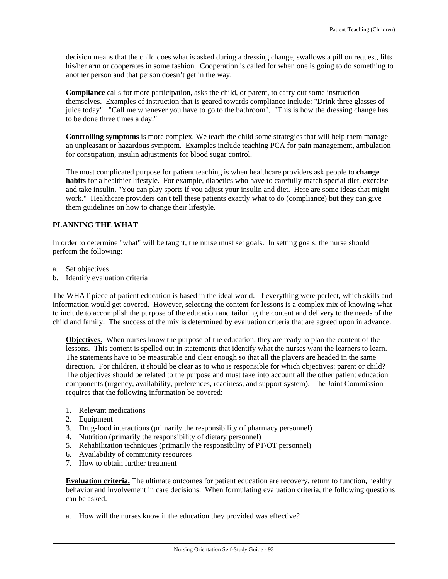decision means that the child does what is asked during a dressing change, swallows a pill on request, lifts his/her arm or cooperates in some fashion. Cooperation is called for when one is going to do something to another person and that person doesn't get in the way.

**Compliance** calls for more participation, asks the child, or parent, to carry out some instruction themselves. Examples of instruction that is geared towards compliance include: "Drink three glasses of juice today", "Call me whenever you have to go to the bathroom", "This is how the dressing change has to be done three times a day."

**Controlling symptoms** is more complex. We teach the child some strategies that will help them manage an unpleasant or hazardous symptom. Examples include teaching PCA for pain management, ambulation for constipation, insulin adjustments for blood sugar control.

The most complicated purpose for patient teaching is when healthcare providers ask people to **change habits** for a healthier lifestyle. For example, diabetics who have to carefully match special diet, exercise and take insulin. "You can play sports if you adjust your insulin and diet. Here are some ideas that might work." Healthcare providers can't tell these patients exactly what to do (compliance) but they can give them guidelines on how to change their lifestyle.

# **PLANNING THE WHAT**

In order to determine "what" will be taught, the nurse must set goals. In setting goals, the nurse should perform the following:

- a. Set objectives
- b. Identify evaluation criteria

The WHAT piece of patient education is based in the ideal world. If everything were perfect, which skills and information would get covered. However, selecting the content for lessons is a complex mix of knowing what to include to accomplish the purpose of the education and tailoring the content and delivery to the needs of the child and family. The success of the mix is determined by evaluation criteria that are agreed upon in advance.

**Objectives.** When nurses know the purpose of the education, they are ready to plan the content of the lessons. This content is spelled out in statements that identify what the nurses want the learners to learn. The statements have to be measurable and clear enough so that all the players are headed in the same direction. For children, it should be clear as to who is responsible for which objectives: parent or child? The objectives should be related to the purpose and must take into account all the other patient education components (urgency, availability, preferences, readiness, and support system). The Joint Commission requires that the following information be covered:

- 1. Relevant medications
- 2. Equipment
- 3. Drug-food interactions (primarily the responsibility of pharmacy personnel)
- 4. Nutrition (primarily the responsibility of dietary personnel)
- 5. Rehabilitation techniques (primarily the responsibility of PT/OT personnel)
- 6. Availability of community resources
- 7. How to obtain further treatment

**Evaluation criteria.** The ultimate outcomes for patient education are recovery, return to function, healthy behavior and involvement in care decisions. When formulating evaluation criteria, the following questions can be asked.

a. How will the nurses know if the education they provided was effective?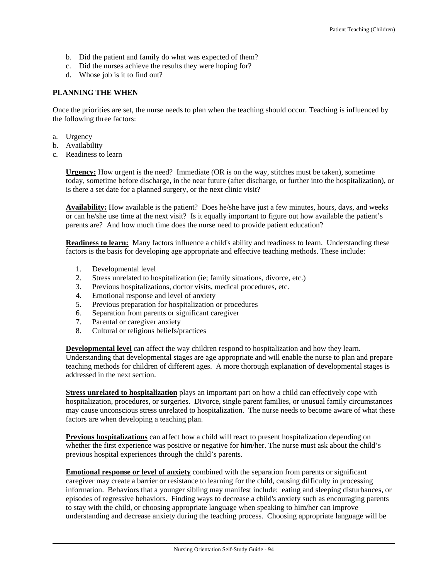- b. Did the patient and family do what was expected of them?
- c. Did the nurses achieve the results they were hoping for?
- d. Whose job is it to find out?

# **PLANNING THE WHEN**

Once the priorities are set, the nurse needs to plan when the teaching should occur. Teaching is influenced by the following three factors:

- a. Urgency
- b. Availability
- c. Readiness to learn

**Urgency:** How urgent is the need? Immediate (OR is on the way, stitches must be taken), sometime today, sometime before discharge, in the near future (after discharge, or further into the hospitalization), or is there a set date for a planned surgery, or the next clinic visit?

**Availability:** How available is the patient? Does he/she have just a few minutes, hours, days, and weeks or can he/she use time at the next visit? Is it equally important to figure out how available the patient's parents are? And how much time does the nurse need to provide patient education?

**Readiness to learn:** Many factors influence a child's ability and readiness to learn. Understanding these factors is the basis for developing age appropriate and effective teaching methods. These include:

- 1. Developmental level
- 2. Stress unrelated to hospitalization (ie; family situations, divorce, etc.)
- 3. Previous hospitalizations, doctor visits, medical procedures, etc.
- 4. Emotional response and level of anxiety
- 5. Previous preparation for hospitalization or procedures
- 6. Separation from parents or significant caregiver
- 7. Parental or caregiver anxiety
- 8. Cultural or religious beliefs/practices

**Developmental level** can affect the way children respond to hospitalization and how they learn. Understanding that developmental stages are age appropriate and will enable the nurse to plan and prepare teaching methods for children of different ages. A more thorough explanation of developmental stages is addressed in the next section.

**Stress unrelated to hospitalization** plays an important part on how a child can effectively cope with hospitalization, procedures, or surgeries. Divorce, single parent families, or unusual family circumstances may cause unconscious stress unrelated to hospitalization. The nurse needs to become aware of what these factors are when developing a teaching plan.

**Previous hospitalizations** can affect how a child will react to present hospitalization depending on whether the first experience was positive or negative for him/her. The nurse must ask about the child's previous hospital experiences through the child's parents.

**Emotional response or level of anxiety** combined with the separation from parents or significant caregiver may create a barrier or resistance to learning for the child, causing difficulty in processing information. Behaviors that a younger sibling may manifest include: eating and sleeping disturbances, or episodes of regressive behaviors. Finding ways to decrease a child's anxiety such as encouraging parents to stay with the child, or choosing appropriate language when speaking to him/her can improve understanding and decrease anxiety during the teaching process. Choosing appropriate language will be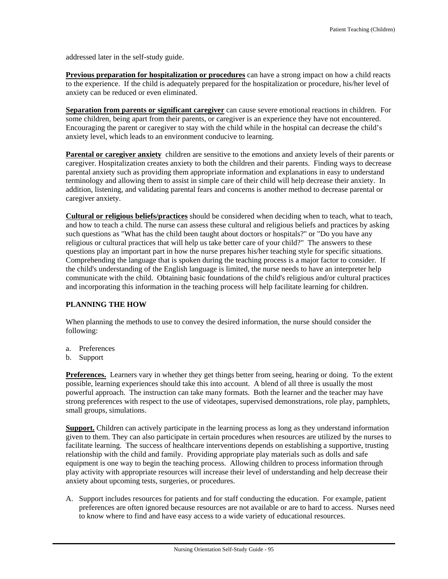addressed later in the self-study guide.

**Previous preparation for hospitalization or procedures** can have a strong impact on how a child reacts to the experience. If the child is adequately prepared for the hospitalization or procedure, his/her level of anxiety can be reduced or even eliminated.

**Separation from parents or significant caregiver** can cause severe emotional reactions in children. For some children, being apart from their parents, or caregiver is an experience they have not encountered. Encouraging the parent or caregiver to stay with the child while in the hospital can decrease the child's anxiety level, which leads to an environment conducive to learning.

**Parental or caregiver anxiety** children are sensitive to the emotions and anxiety levels of their parents or caregiver. Hospitalization creates anxiety to both the children and their parents. Finding ways to decrease parental anxiety such as providing them appropriate information and explanations in easy to understand terminology and allowing them to assist in simple care of their child will help decrease their anxiety. In addition, listening, and validating parental fears and concerns is another method to decrease parental or caregiver anxiety.

**Cultural or religious beliefs/practices** should be considered when deciding when to teach, what to teach, and how to teach a child. The nurse can assess these cultural and religious beliefs and practices by asking such questions as "What has the child been taught about doctors or hospitals?" or "Do you have any religious or cultural practices that will help us take better care of your child?" The answers to these questions play an important part in how the nurse prepares his/her teaching style for specific situations. Comprehending the language that is spoken during the teaching process is a major factor to consider. If the child's understanding of the English language is limited, the nurse needs to have an interpreter help communicate with the child. Obtaining basic foundations of the child's religious and/or cultural practices and incorporating this information in the teaching process will help facilitate learning for children.

## **PLANNING THE HOW**

When planning the methods to use to convey the desired information, the nurse should consider the following:

- a. Preferences
- b. Support

**Preferences.** Learners vary in whether they get things better from seeing, hearing or doing. To the extent possible, learning experiences should take this into account. A blend of all three is usually the most powerful approach. The instruction can take many formats. Both the learner and the teacher may have strong preferences with respect to the use of videotapes, supervised demonstrations, role play, pamphlets, small groups, simulations.

**Support.** Children can actively participate in the learning process as long as they understand information given to them. They can also participate in certain procedures when resources are utilized by the nurses to facilitate learning. The success of healthcare interventions depends on establishing a supportive, trusting relationship with the child and family. Providing appropriate play materials such as dolls and safe equipment is one way to begin the teaching process. Allowing children to process information through play activity with appropriate resources will increase their level of understanding and help decrease their anxiety about upcoming tests, surgeries, or procedures.

A. Support includes resources for patients and for staff conducting the education. For example, patient preferences are often ignored because resources are not available or are to hard to access. Nurses need to know where to find and have easy access to a wide variety of educational resources.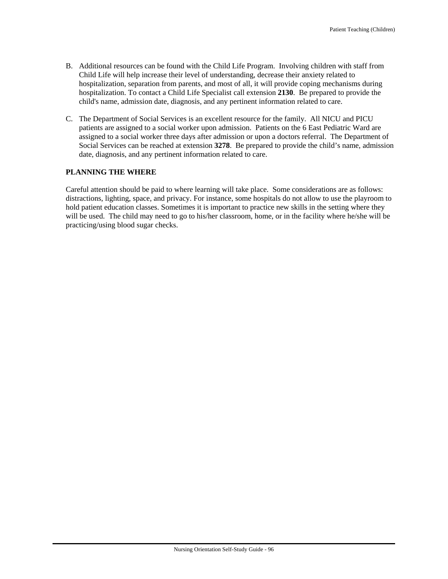- B. Additional resources can be found with the Child Life Program. Involving children with staff from Child Life will help increase their level of understanding, decrease their anxiety related to hospitalization, separation from parents, and most of all, it will provide coping mechanisms during hospitalization. To contact a Child Life Specialist call extension **2130**. Be prepared to provide the child's name, admission date, diagnosis, and any pertinent information related to care.
- C. The Department of Social Services is an excellent resource for the family. All NICU and PICU patients are assigned to a social worker upon admission. Patients on the 6 East Pediatric Ward are assigned to a social worker three days after admission or upon a doctors referral. The Department of Social Services can be reached at extension **3278**. Be prepared to provide the child's name, admission date, diagnosis, and any pertinent information related to care.

#### **PLANNING THE WHERE**

Careful attention should be paid to where learning will take place. Some considerations are as follows: distractions, lighting, space, and privacy. For instance, some hospitals do not allow to use the playroom to hold patient education classes. Sometimes it is important to practice new skills in the setting where they will be used. The child may need to go to his/her classroom, home, or in the facility where he/she will be practicing/using blood sugar checks.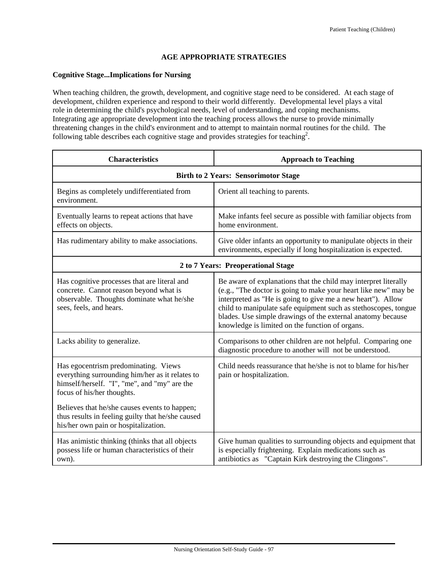# **AGE APPROPRIATE STRATEGIES**

## **Cognitive Stage...Implications for Nursing**

When teaching children, the growth, development, and cognitive stage need to be considered. At each stage of development, children experience and respond to their world differently. Developmental level plays a vital role in determining the child's psychological needs, level of understanding, and coping mechanisms. Integrating age appropriate development into the teaching process allows the nurse to provide minimally threatening changes in the child's environment and to attempt to maintain normal routines for the child. The following table describes each cognitive stage and provides strategies for teaching<sup>2</sup>.

| <b>Characteristics</b>                                                                                                                                                | <b>Approach to Teaching</b>                                                                                                                                                                                                                                                                                                                                                            |  |  |
|-----------------------------------------------------------------------------------------------------------------------------------------------------------------------|----------------------------------------------------------------------------------------------------------------------------------------------------------------------------------------------------------------------------------------------------------------------------------------------------------------------------------------------------------------------------------------|--|--|
|                                                                                                                                                                       | <b>Birth to 2 Years: Sensorimotor Stage</b>                                                                                                                                                                                                                                                                                                                                            |  |  |
| Begins as completely undifferentiated from<br>environment.                                                                                                            | Orient all teaching to parents.                                                                                                                                                                                                                                                                                                                                                        |  |  |
| Eventually learns to repeat actions that have<br>effects on objects.                                                                                                  | Make infants feel secure as possible with familiar objects from<br>home environment.                                                                                                                                                                                                                                                                                                   |  |  |
| Has rudimentary ability to make associations.                                                                                                                         | Give older infants an opportunity to manipulate objects in their<br>environments, especially if long hospitalization is expected.                                                                                                                                                                                                                                                      |  |  |
|                                                                                                                                                                       | 2 to 7 Years: Preoperational Stage                                                                                                                                                                                                                                                                                                                                                     |  |  |
| Has cognitive processes that are literal and<br>concrete. Cannot reason beyond what is<br>observable. Thoughts dominate what he/she<br>sees, feels, and hears.        | Be aware of explanations that the child may interpret literally<br>(e.g., "The doctor is going to make your heart like new" may be<br>interpreted as "He is going to give me a new heart"). Allow<br>child to manipulate safe equipment such as stethoscopes, tongue<br>blades. Use simple drawings of the external anatomy because<br>knowledge is limited on the function of organs. |  |  |
| Lacks ability to generalize.                                                                                                                                          | Comparisons to other children are not helpful. Comparing one<br>diagnostic procedure to another will not be understood.                                                                                                                                                                                                                                                                |  |  |
| Has egocentrism predominating. Views<br>everything surrounding him/her as it relates to<br>himself/herself. "I", "me", and "my" are the<br>focus of his/her thoughts. | Child needs reassurance that he/she is not to blame for his/her<br>pain or hospitalization.                                                                                                                                                                                                                                                                                            |  |  |
| Believes that he/she causes events to happen;<br>thus results in feeling guilty that he/she caused<br>his/her own pain or hospitalization.                            |                                                                                                                                                                                                                                                                                                                                                                                        |  |  |
| Has animistic thinking (thinks that all objects<br>possess life or human characteristics of their<br>own).                                                            | Give human qualities to surrounding objects and equipment that<br>is especially frightening. Explain medications such as<br>antibiotics as "Captain Kirk destroying the Clingons".                                                                                                                                                                                                     |  |  |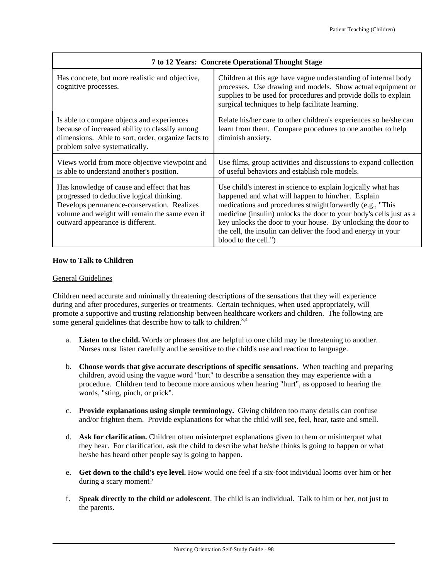| 7 to 12 Years: Concrete Operational Thought Stage                                                                                                                                                                           |                                                                                                                                                                                                                                                                                                                                                                                                                |  |
|-----------------------------------------------------------------------------------------------------------------------------------------------------------------------------------------------------------------------------|----------------------------------------------------------------------------------------------------------------------------------------------------------------------------------------------------------------------------------------------------------------------------------------------------------------------------------------------------------------------------------------------------------------|--|
| Has concrete, but more realistic and objective,<br>cognitive processes.                                                                                                                                                     | Children at this age have vague understanding of internal body<br>processes. Use drawing and models. Show actual equipment or<br>supplies to be used for procedures and provide dolls to explain<br>surgical techniques to help facilitate learning.                                                                                                                                                           |  |
| Is able to compare objects and experiences<br>because of increased ability to classify among<br>dimensions. Able to sort, order, organize facts to<br>problem solve systematically.                                         | Relate his/her care to other children's experiences so he/she can<br>learn from them. Compare procedures to one another to help<br>diminish anxiety.                                                                                                                                                                                                                                                           |  |
| Views world from more objective viewpoint and<br>is able to understand another's position.                                                                                                                                  | Use films, group activities and discussions to expand collection<br>of useful behaviors and establish role models.                                                                                                                                                                                                                                                                                             |  |
| Has knowledge of cause and effect that has<br>progressed to deductive logical thinking.<br>Develops permanence-conservation. Realizes<br>volume and weight will remain the same even if<br>outward appearance is different. | Use child's interest in science to explain logically what has<br>happened and what will happen to him/her. Explain<br>medications and procedures straightforwardly (e.g., "This<br>medicine (insulin) unlocks the door to your body's cells just as a<br>key unlocks the door to your house. By unlocking the door to<br>the cell, the insulin can deliver the food and energy in your<br>blood to the cell.") |  |

## **How to Talk to Children**

#### General Guidelines

Children need accurate and minimally threatening descriptions of the sensations that they will experience during and after procedures, surgeries or treatments. Certain techniques, when used appropriately, will promote a supportive and trusting relationship between healthcare workers and children. The following are some general guidelines that describe how to talk to children.<sup>3,4</sup>

- a. **Listen to the child.** Words or phrases that are helpful to one child may be threatening to another. Nurses must listen carefully and be sensitive to the child's use and reaction to language.
- b. **Choose words that give accurate descriptions of specific sensations.** When teaching and preparing children, avoid using the vague word "hurt" to describe a sensation they may experience with a procedure. Children tend to become more anxious when hearing "hurt", as opposed to hearing the words, "sting, pinch, or prick".
- c. **Provide explanations using simple terminology.** Giving children too many details can confuse and/or frighten them. Provide explanations for what the child will see, feel, hear, taste and smell.
- d. **Ask for clarification.** Children often misinterpret explanations given to them or misinterpret what they hear. For clarification, ask the child to describe what he/she thinks is going to happen or what he/she has heard other people say is going to happen.
- e. **Get down to the child's eye level.** How would one feel if a six-foot individual looms over him or her during a scary moment?
- f. **Speak directly to the child or adolescent**. The child is an individual. Talk to him or her, not just to the parents.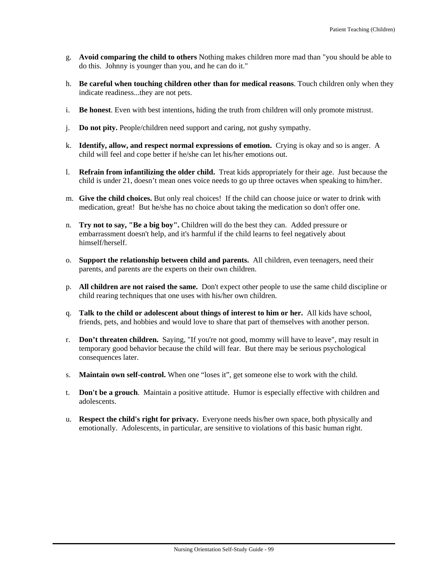- g. **Avoid comparing the child to others** Nothing makes children more mad than "you should be able to do this. Johnny is younger than you, and he can do it."
- h. **Be careful when touching children other than for medical reasons**. Touch children only when they indicate readiness...they are not pets.
- i. **Be honest**. Even with best intentions, hiding the truth from children will only promote mistrust.
- j. **Do not pity.** People/children need support and caring, not gushy sympathy.
- k. **Identify, allow, and respect normal expressions of emotion.** Crying is okay and so is anger. A child will feel and cope better if he/she can let his/her emotions out.
- l. **Refrain from infantilizing the older child.** Treat kids appropriately for their age. Just because the child is under 21, doesn't mean ones voice needs to go up three octaves when speaking to him/her.
- m. **Give the child choices.** But only real choices! If the child can choose juice or water to drink with medication, great! But he/she has no choice about taking the medication so don't offer one.
- n. **Try not to say, "Be a big boy".** Children will do the best they can. Added pressure or embarrassment doesn't help, and it's harmful if the child learns to feel negatively about himself/herself.
- o. **Support the relationship between child and parents.** All children, even teenagers, need their parents, and parents are the experts on their own children.
- p. **All children are not raised the same.** Don't expect other people to use the same child discipline or child rearing techniques that one uses with his/her own children.
- q. **Talk to the child or adolescent about things of interest to him or her.** All kids have school, friends, pets, and hobbies and would love to share that part of themselves with another person.
- r. **Don't threaten children.** Saying, "If you're not good, mommy will have to leave", may result in temporary good behavior because the child will fear. But there may be serious psychological consequences later.
- s. **Maintain own self-control.** When one "loses it", get someone else to work with the child.
- t. **Don't be a grouch**. Maintain a positive attitude. Humor is especially effective with children and adolescents.
- u. **Respect the child's right for privacy.** Everyone needs his/her own space, both physically and emotionally. Adolescents, in particular, are sensitive to violations of this basic human right.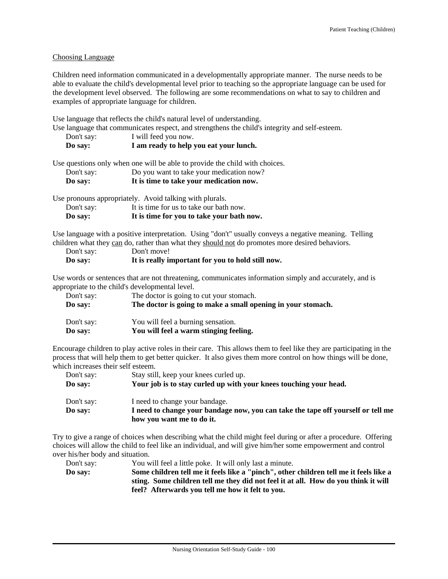#### Choosing Language

Children need information communicated in a developmentally appropriate manner. The nurse needs to be able to evaluate the child's developmental level prior to teaching so the appropriate language can be used for the development level observed. The following are some recommendations on what to say to children and examples of appropriate language for children.

Use language that reflects the child's natural level of understanding.

Use language that communicates respect, and strengthens the child's integrity and self-esteem.

| Don't say: | I will feed you now.                   |
|------------|----------------------------------------|
| Do say:    | I am ready to help you eat your lunch. |

Use questions only when one will be able to provide the child with choices.

|--|

| Do say: |  | It is time to take your medication now. |  |
|---------|--|-----------------------------------------|--|
|         |  |                                         |  |

Use pronouns appropriately. Avoid talking with plurals.

| Do say:    | It is time for you to take your bath now. |
|------------|-------------------------------------------|
| Don't say: | It is time for us to take our bath now.   |

Use language with a positive interpretation. Using "don't" usually conveys a negative meaning. Telling children what they can do, rather than what they should not do promotes more desired behaviors.

| Don't say: | Don't move!                                       |
|------------|---------------------------------------------------|
| Do say:    | It is really important for you to hold still now. |

**how you want me to do it.**

Use words or sentences that are not threatening, communicates information simply and accurately, and is appropriate to the child's developmental level.

| Don't say: | The doctor is going to cut your stomach.                     |
|------------|--------------------------------------------------------------|
| Do say:    | The doctor is going to make a small opening in your stomach. |
| Don't say: | You will feel a burning sensation.                           |
| Do say:    | You will feel a warm stinging feeling.                       |

Encourage children to play active roles in their care. This allows them to feel like they are participating in the process that will help them to get better quicker. It also gives them more control on how things will be done, which increases their self esteem.

| Don't say: | Stay still, keep your knees curled up.                                           |
|------------|----------------------------------------------------------------------------------|
| Do say:    | Your job is to stay curled up with your knees touching your head.                |
| Don't say: | I need to change your bandage.                                                   |
| Do say:    | I need to change your bandage now, you can take the tape off yourself or tell me |

Try to give a range of choices when describing what the child might feel during or after a procedure. Offering choices will allow the child to feel like an individual, and will give him/her some empowerment and control over his/her body and situation.

Don't say: You will feel a little poke. It will only last a minute. **Do say: Some children tell me it feels like a "pinch", other children tell me it feels like a sting. Some children tell me they did not feel it at all. How do you think it will feel? Afterwards you tell me how it felt to you.**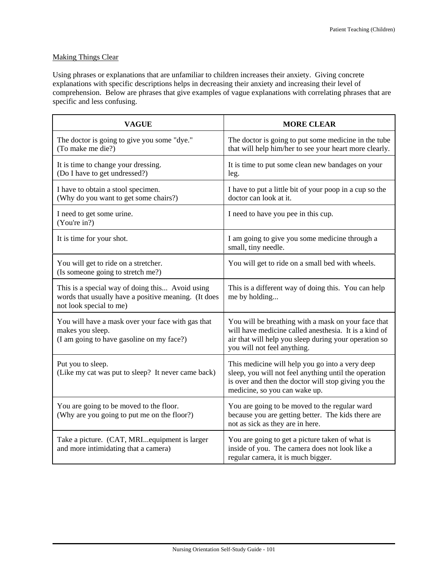# Making Things Clear

Using phrases or explanations that are unfamiliar to children increases their anxiety. Giving concrete explanations with specific descriptions helps in decreasing their anxiety and increasing their level of comprehension. Below are phrases that give examples of vague explanations with correlating phrases that are specific and less confusing.

| <b>VAGUE</b>                                                                                                                       | <b>MORE CLEAR</b>                                                                                                                                                                                    |
|------------------------------------------------------------------------------------------------------------------------------------|------------------------------------------------------------------------------------------------------------------------------------------------------------------------------------------------------|
| The doctor is going to give you some "dye."<br>(To make me die?)                                                                   | The doctor is going to put some medicine in the tube<br>that will help him/her to see your heart more clearly.                                                                                       |
| It is time to change your dressing.<br>(Do I have to get undressed?)                                                               | It is time to put some clean new bandages on your<br>leg.                                                                                                                                            |
| I have to obtain a stool specimen.<br>(Why do you want to get some chairs?)                                                        | I have to put a little bit of your poop in a cup so the<br>doctor can look at it.                                                                                                                    |
| I need to get some urine.<br>(You're in?)                                                                                          | I need to have you pee in this cup.                                                                                                                                                                  |
| It is time for your shot.                                                                                                          | I am going to give you some medicine through a<br>small, tiny needle.                                                                                                                                |
| You will get to ride on a stretcher.<br>(Is someone going to stretch me?)                                                          | You will get to ride on a small bed with wheels.                                                                                                                                                     |
| This is a special way of doing this Avoid using<br>words that usually have a positive meaning. (It does<br>not look special to me) | This is a different way of doing this. You can help<br>me by holding                                                                                                                                 |
| You will have a mask over your face with gas that<br>makes you sleep.<br>(I am going to have gasoline on my face?)                 | You will be breathing with a mask on your face that<br>will have medicine called anesthesia. It is a kind of<br>air that will help you sleep during your operation so<br>you will not feel anything. |
| Put you to sleep.<br>(Like my cat was put to sleep? It never came back)                                                            | This medicine will help you go into a very deep<br>sleep, you will not feel anything until the operation<br>is over and then the doctor will stop giving you the<br>medicine, so you can wake up.    |
| You are going to be moved to the floor.<br>(Why are you going to put me on the floor?)                                             | You are going to be moved to the regular ward<br>because you are getting better. The kids there are<br>not as sick as they are in here.                                                              |
| Take a picture. (CAT, MRI equipment is larger<br>and more intimidating that a camera)                                              | You are going to get a picture taken of what is<br>inside of you. The camera does not look like a<br>regular camera, it is much bigger.                                                              |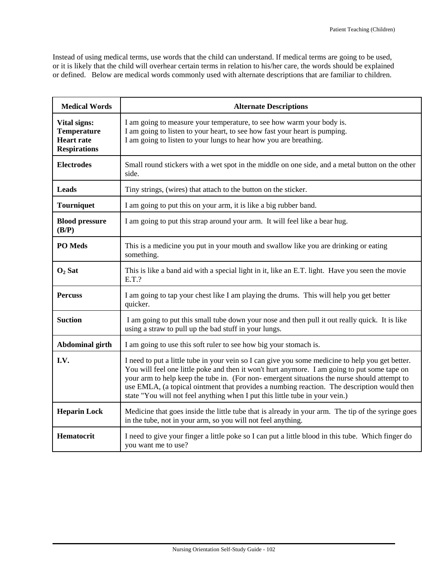Instead of using medical terms, use words that the child can understand. If medical terms are going to be used, or it is likely that the child will overhear certain terms in relation to his/her care, the words should be explained or defined. Below are medical words commonly used with alternate descriptions that are familiar to children.

| <b>Medical Words</b>                                                           | <b>Alternate Descriptions</b>                                                                                                                                                                                                                                                                                                                                                                                                                                                  |
|--------------------------------------------------------------------------------|--------------------------------------------------------------------------------------------------------------------------------------------------------------------------------------------------------------------------------------------------------------------------------------------------------------------------------------------------------------------------------------------------------------------------------------------------------------------------------|
| Vital signs:<br><b>Temperature</b><br><b>Heart rate</b><br><b>Respirations</b> | I am going to measure your temperature, to see how warm your body is.<br>I am going to listen to your heart, to see how fast your heart is pumping.<br>I am going to listen to your lungs to hear how you are breathing.                                                                                                                                                                                                                                                       |
| <b>Electrodes</b>                                                              | Small round stickers with a wet spot in the middle on one side, and a metal button on the other<br>side.                                                                                                                                                                                                                                                                                                                                                                       |
| <b>Leads</b>                                                                   | Tiny strings, (wires) that attach to the button on the sticker.                                                                                                                                                                                                                                                                                                                                                                                                                |
| <b>Tourniquet</b>                                                              | I am going to put this on your arm, it is like a big rubber band.                                                                                                                                                                                                                                                                                                                                                                                                              |
| <b>Blood pressure</b><br>(B/P)                                                 | I am going to put this strap around your arm. It will feel like a bear hug.                                                                                                                                                                                                                                                                                                                                                                                                    |
| PO Meds                                                                        | This is a medicine you put in your mouth and swallow like you are drinking or eating<br>something.                                                                                                                                                                                                                                                                                                                                                                             |
| $O2$ Sat                                                                       | This is like a band aid with a special light in it, like an E.T. light. Have you seen the movie<br>E.T.?                                                                                                                                                                                                                                                                                                                                                                       |
| <b>Percuss</b>                                                                 | I am going to tap your chest like I am playing the drums. This will help you get better<br>quicker.                                                                                                                                                                                                                                                                                                                                                                            |
| <b>Suction</b>                                                                 | I am going to put this small tube down your nose and then pull it out really quick. It is like<br>using a straw to pull up the bad stuff in your lungs.                                                                                                                                                                                                                                                                                                                        |
| Abdominal girth                                                                | I am going to use this soft ruler to see how big your stomach is.                                                                                                                                                                                                                                                                                                                                                                                                              |
| I.V.                                                                           | I need to put a little tube in your vein so I can give you some medicine to help you get better.<br>You will feel one little poke and then it won't hurt anymore. I am going to put some tape on<br>your arm to help keep the tube in. (For non- emergent situations the nurse should attempt to<br>use EMLA, (a topical ointment that provides a numbing reaction. The description would then<br>state "You will not feel anything when I put this little tube in your vein.) |
| <b>Heparin Lock</b>                                                            | Medicine that goes inside the little tube that is already in your arm. The tip of the syringe goes<br>in the tube, not in your arm, so you will not feel anything.                                                                                                                                                                                                                                                                                                             |
| Hematocrit                                                                     | I need to give your finger a little poke so I can put a little blood in this tube. Which finger do<br>you want me to use?                                                                                                                                                                                                                                                                                                                                                      |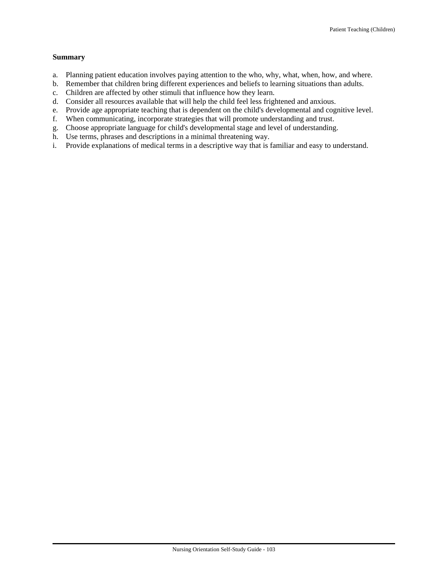#### **Summary**

- a. Planning patient education involves paying attention to the who, why, what, when, how, and where.
- b. Remember that children bring different experiences and beliefs to learning situations than adults.
- c. Children are affected by other stimuli that influence how they learn.
- d. Consider all resources available that will help the child feel less frightened and anxious.
- e. Provide age appropriate teaching that is dependent on the child's developmental and cognitive level.
- f. When communicating, incorporate strategies that will promote understanding and trust.
- g. Choose appropriate language for child's developmental stage and level of understanding.
- h. Use terms, phrases and descriptions in a minimal threatening way.
- i. Provide explanations of medical terms in a descriptive way that is familiar and easy to understand.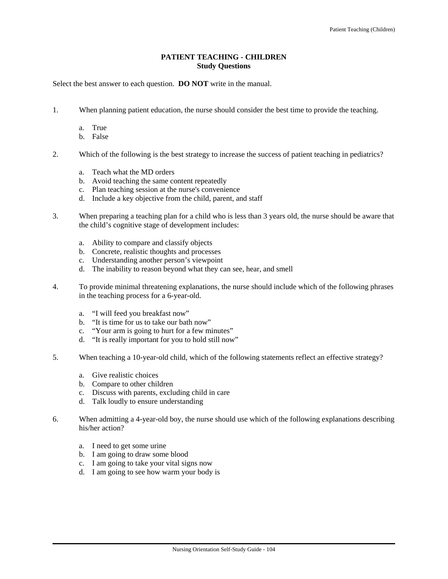# **PATIENT TEACHING - CHILDREN Study Questions**

Select the best answer to each question. **DO NOT** write in the manual.

- 1. When planning patient education, the nurse should consider the best time to provide the teaching.
	- a. True
	- b. False
- 2. Which of the following is the best strategy to increase the success of patient teaching in pediatrics?
	- a. Teach what the MD orders
	- b. Avoid teaching the same content repeatedly
	- c. Plan teaching session at the nurse's convenience
	- d. Include a key objective from the child, parent, and staff
- 3. When preparing a teaching plan for a child who is less than 3 years old, the nurse should be aware that the child's cognitive stage of development includes:
	- a. Ability to compare and classify objects
	- b. Concrete, realistic thoughts and processes
	- c. Understanding another person's viewpoint
	- d. The inability to reason beyond what they can see, hear, and smell
- 4. To provide minimal threatening explanations, the nurse should include which of the following phrases in the teaching process for a 6-year-old.
	- a. "I will feed you breakfast now"
	- b. "It is time for us to take our bath now"
	- c. "Your arm is going to hurt for a few minutes"
	- d. "It is really important for you to hold still now"
- 5. When teaching a 10-year-old child, which of the following statements reflect an effective strategy?
	- a. Give realistic choices
	- b. Compare to other children
	- c. Discuss with parents, excluding child in care
	- d. Talk loudly to ensure understanding
- 6. When admitting a 4-year-old boy, the nurse should use which of the following explanations describing his/her action?
	- a. I need to get some urine
	- b. I am going to draw some blood
	- c. I am going to take your vital signs now
	- d. I am going to see how warm your body is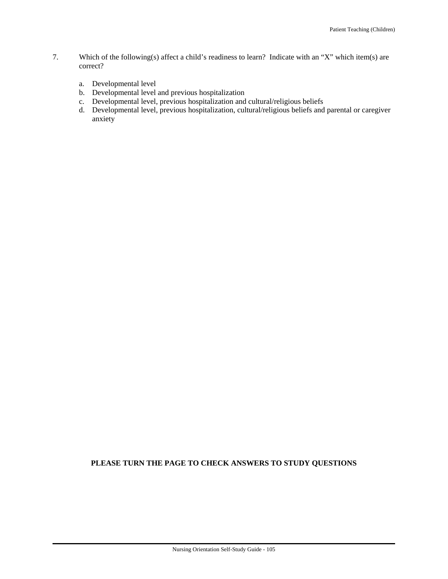- 7. Which of the following(s) affect a child's readiness to learn? Indicate with an "X" which item(s) are correct?
	- a. Developmental level
	- b. Developmental level and previous hospitalization
	- c. Developmental level, previous hospitalization and cultural/religious beliefs
	- d. Developmental level, previous hospitalization, cultural/religious beliefs and parental or caregiver anxiety

# **PLEASE TURN THE PAGE TO CHECK ANSWERS TO STUDY QUESTIONS**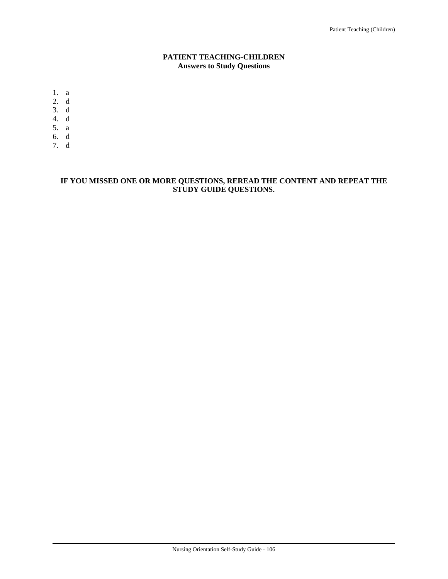# **PATIENT TEACHING-CHILDREN Answers to Study Questions**

1. a

- 2. d
- 3. d
- 4. d
- 5. a
- 6. d
- 7. d

# **IF YOU MISSED ONE OR MORE QUESTIONS, REREAD THE CONTENT AND REPEAT THE STUDY GUIDE QUESTIONS.**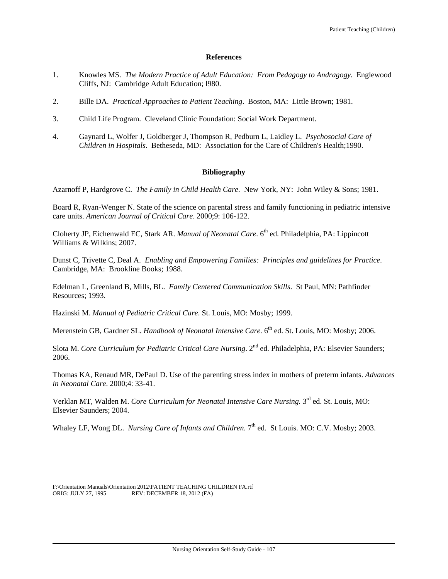#### **References**

- 1. Knowles MS. *The Modern Practice of Adult Education: From Pedagogy to Andragogy*. Englewood Cliffs, NJ: Cambridge Adult Education; l980.
- 2. Bille DA. *Practical Approaches to Patient Teaching*. Boston, MA: Little Brown; 1981.
- 3. Child Life Program. Cleveland Clinic Foundation: Social Work Department.
- 4. Gaynard L, Wolfer J, Goldberger J, Thompson R, Pedburn L, Laidley L. *Psychosocial Care of Children in Hospitals*. Betheseda, MD: Association for the Care of Children's Health;1990.

#### **Bibliography**

Azarnoff P, Hardgrove C. *The Family in Child Health Care*.New York, NY: John Wiley & Sons; 1981.

Board R, Ryan-Wenger N. State of the science on parental stress and family functioning in pediatric intensive care units. *American Journal of Critical Care*. 2000;9: 106-122.

Cloherty JP, Eichenwald EC, Stark AR. *Manual of Neonatal Care*. 6<sup>th</sup> ed. Philadelphia, PA: Lippincott Williams & Wilkins; 2007.

Dunst C, Trivette C, Deal A. *Enabling and Empowering Families: Principles and guidelines for Practice*. Cambridge, MA: Brookline Books; 1988.

Edelman L, Greenland B, Mills, BL. *Family Centered Communication Skills*. St Paul, MN: Pathfinder Resources; 1993.

Hazinski M. *Manual of Pediatric Critical Care*. St. Louis, MO: Mosby; 1999.

Merenstein GB, Gardner SL. *Handbook of Neonatal Intensive Care.* 6<sup>th</sup> ed. St. Louis, MO: Mosby: 2006.

Slota M. *Core Curriculum for Pediatric Critical Care Nursing*. 2<sup>nd</sup> ed. Philadelphia, PA: Elsevier Saunders; 2006.

Thomas KA, Renaud MR, DePaul D. Use of the parenting stress index in mothers of preterm infants. *Advances in Neonatal Care*. 2000;4: 33-41.

Verklan MT, Walden M. *Core Curriculum for Neonatal Intensive Care Nursing.* 3rd ed. St. Louis, MO: Elsevier Saunders; 2004.

Whaley LF, Wong DL. *Nursing Care of Infants and Children*. 7<sup>th</sup> ed. St Louis. MO: C.V. Mosby; 2003.

F:\Orientation Manuals\Orientation 2012\PATIENT TEACHING CHILDREN FA.rtf ORIG: JULY 27, 1995 REV: DECEMBER 18, 2012 (FA) REV: DECEMBER 18, 2012 (FA)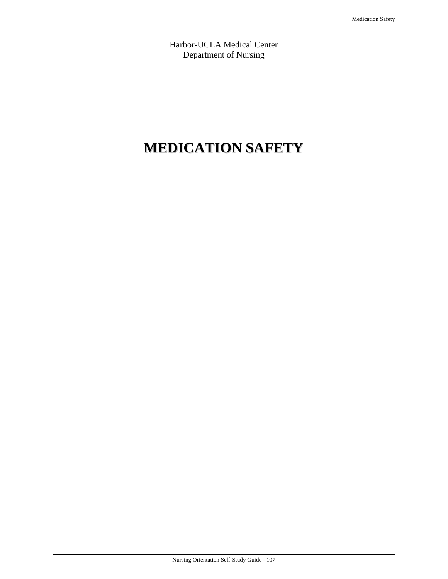Harbor-UCLA Medical Center Department of Nursing

# **MEDICATION SAFETY**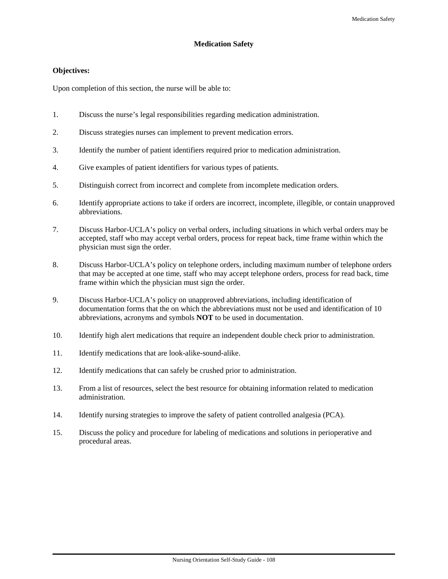#### **Medication Safety**

#### **Objectives:**

Upon completion of this section, the nurse will be able to:

- 1. Discuss the nurse's legal responsibilities regarding medication administration.
- 2. Discuss strategies nurses can implement to prevent medication errors.
- 3. Identify the number of patient identifiers required prior to medication administration.
- 4. Give examples of patient identifiers for various types of patients.
- 5. Distinguish correct from incorrect and complete from incomplete medication orders.
- 6. Identify appropriate actions to take if orders are incorrect, incomplete, illegible, or contain unapproved abbreviations.
- 7. Discuss Harbor-UCLA's policy on verbal orders, including situations in which verbal orders may be accepted, staff who may accept verbal orders, process for repeat back, time frame within which the physician must sign the order.
- 8. Discuss Harbor-UCLA's policy on telephone orders, including maximum number of telephone orders that may be accepted at one time, staff who may accept telephone orders, process for read back, time frame within which the physician must sign the order.
- 9. Discuss Harbor-UCLA's policy on unapproved abbreviations, including identification of documentation forms that the on which the abbreviations must not be used and identification of 10 abbreviations, acronyms and symbols **NOT** to be used in documentation.
- 10. Identify high alert medications that require an independent double check prior to administration.
- 11. Identify medications that are look-alike-sound-alike.
- 12. Identify medications that can safely be crushed prior to administration.
- 13. From a list of resources, select the best resource for obtaining information related to medication administration.
- 14. Identify nursing strategies to improve the safety of patient controlled analgesia (PCA).
- 15. Discuss the policy and procedure for labeling of medications and solutions in perioperative and procedural areas.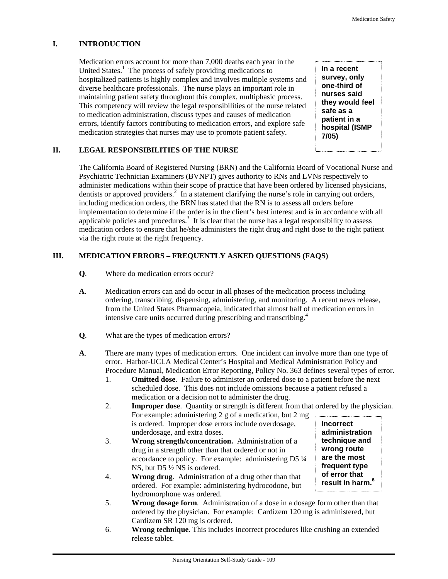# **I. INTRODUCTION**

Medication errors account for more than 7,000 deaths each year in the United States. $\frac{1}{1}$  The process of safely providing medications to hospitalized patients is highly complex and involves multiple systems and diverse healthcare professionals. The nurse plays an important role in maintaining patient safety throughout this complex, multiphasic process. This competency will review the legal responsibilities of the nurse related to medication administration, discuss types and causes of medication errors, identify factors contributing to medication errors, and explore safe medication strategies that nurses may use to promote patient safety.

**In a recent survey, only one-third of nurses said they would feel safe as a patient in a hospital (ISMP 7/05)** 

# **II. LEGAL RESPONSIBILITIES OF THE NURSE**

The California Board of Registered Nursing (BRN) and the California Board of Vocational Nurse and Psychiatric Technician Examiners (BVNPT) gives authority to RNs and LVNs respectively to administer medications within their scope of practice that have been ordered by licensed physicians, dentists or approved providers.<sup>2</sup> In a statement clarifying the nurse's role in carrying out orders, including medication orders, the BRN has stated that the RN is to assess all orders before implementation to determine if the order is in the client's best interest and is in accordance with all applicable policies and procedures.<sup>3</sup> It is clear that the nurse has a legal responsibility to assess medication orders to ensure that he/she administers the right drug and right dose to the right patient via the right route at the right frequency.

# **III. MEDICATION ERRORS – FREQUENTLY ASKED QUESTIONS (FAQS)**

- **Q**. Where do medication errors occur?
- **A**. Medication errors can and do occur in all phases of the medication process including ordering, transcribing, dispensing, administering, and monitoring. A recent news release, from the United States Pharmacopeia, indicated that almost half of medication errors in intensive care units occurred during prescribing and transcribing.4
- **Q**. What are the types of medication errors?
- **A**. There are many types of medication errors. One incident can involve more than one type of error. Harbor-UCLA Medical Center's Hospital and Medical Administration Policy and Procedure Manual, Medication Error Reporting, Policy No. 363 defines several types of error.
	- 1. **Omitted dose**. Failure to administer an ordered dose to a patient before the next scheduled dose. This does not include omissions because a patient refused a medication or a decision not to administer the drug.

2. **Improper dose**. Quantity or strength is different from that ordered by the physician. For example: administering 2 g of a medication, but 2 mg is ordered. Improper dose errors include overdosage, underdosage, and extra doses.

- 3. **Wrong strength/concentration.** Administration of a drug in a strength other than that ordered or not in accordance to policy. For example: administering D5 ¼ NS, but D5 ½ NS is ordered.
- 4. **Wrong drug**. Administration of a drug other than that ordered. For example: administering hydrocodone, but hydromorphone was ordered.
- **Incorrect administration technique and wrong route are the most frequent type of error that result in harm.<sup>6</sup>**
- 5. **Wrong dosage form**. Administration of a dose in a dosage form other than that ordered by the physician. For example: Cardizem 120 mg is administered, but Cardizem SR 120 mg is ordered.
- 6. **Wrong technique**. This includes incorrect procedures like crushing an extended release tablet.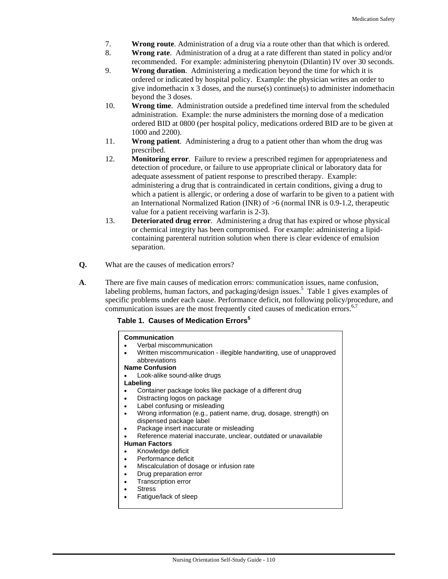- 7. **Wrong route**. Administration of a drug via a route other than that which is ordered.
- 8. **Wrong rate**. Administration of a drug at a rate different than stated in policy and/or recommended. For example: administering phenytoin (Dilantin) IV over 30 seconds.
- 9. **Wrong duration**. Administering a medication beyond the time for which it is ordered or indicated by hospital policy. Example: the physician writes an order to give indomethacin x 3 doses, and the nurse(s) continue(s) to administer indomethacin beyond the 3 doses.
- 10. **Wrong time**. Administration outside a predefined time interval from the scheduled administration. Example: the nurse administers the morning dose of a medication ordered BID at 0800 (per hospital policy, medications ordered BID are to be given at 1000 and 2200).
- 11. **Wrong patient**. Administering a drug to a patient other than whom the drug was prescribed.
- 12. **Monitoring error**. Failure to review a prescribed regimen for appropriateness and detection of procedure, or failure to use appropriate clinical or laboratory data for adequate assessment of patient response to prescribed therapy. Example: administering a drug that is contraindicated in certain conditions, giving a drug to which a patient is allergic, or ordering a dose of warfarin to be given to a patient with an International Normalized Ration (INR) of >6 (normal INR is 0.9-1.2, therapeutic value for a patient receiving warfarin is 2-3).
- 13. **Deteriorated drug error**. Administering a drug that has expired or whose physical or chemical integrity has been compromised. For example: administering a lipidcontaining parenteral nutrition solution when there is clear evidence of emulsion separation.
- **Q.** What are the causes of medication errors?
- **A**. There are five main causes of medication errors: communication issues, name confusion, labeling problems, human factors, and packaging/design issues.<sup>5</sup> Table 1 gives examples of specific problems under each cause. Performance deficit, not following policy/procedure, and communication issues are the most frequently cited causes of medication errors.<sup>6,7</sup>

**Table 1. Causes of Medication Errors<sup>5</sup>**

| Communication<br>Verbal miscommunication<br>Written miscommunication - illegible handwriting, use of unapproved<br>abbreviations                                                                                                                                     |
|----------------------------------------------------------------------------------------------------------------------------------------------------------------------------------------------------------------------------------------------------------------------|
| <b>Name Confusion</b>                                                                                                                                                                                                                                                |
| Look-alike sound-alike drugs                                                                                                                                                                                                                                         |
| Labeling                                                                                                                                                                                                                                                             |
| Container package looks like package of a different drug<br>Distracting logos on package<br>Label confusing or misleading<br>Wrong information (e.g., patient name, drug, dosage, strength) on<br>dispensed package label<br>Package insert inaccurate or misleading |
| Reference material inaccurate, unclear, outdated or unavailable                                                                                                                                                                                                      |
| <b>Human Factors</b>                                                                                                                                                                                                                                                 |
| Knowledge deficit                                                                                                                                                                                                                                                    |
| Performance deficit                                                                                                                                                                                                                                                  |
| Miscalculation of dosage or infusion rate                                                                                                                                                                                                                            |
| Drug preparation error                                                                                                                                                                                                                                               |
| <b>Transcription error</b>                                                                                                                                                                                                                                           |
| <b>Stress</b>                                                                                                                                                                                                                                                        |
| Fatigue/lack of sleep                                                                                                                                                                                                                                                |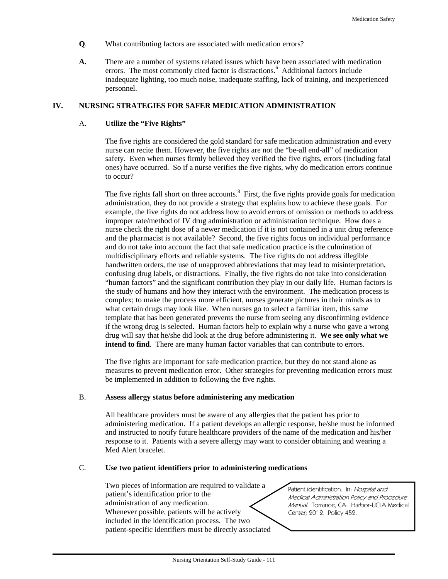- **Q**. What contributing factors are associated with medication errors?
- **A.** There are a number of systems related issues which have been associated with medication errors. The most commonly cited factor is distractions.<sup>6</sup> Additional factors include inadequate lighting, too much noise, inadequate staffing, lack of training, and inexperienced personnel.

# **IV. NURSING STRATEGIES FOR SAFER MEDICATION ADMINISTRATION**

# A. **Utilize the "Five Rights"**

The five rights are considered the gold standard for safe medication administration and every nurse can recite them. However, the five rights are not the "be-all end-all" of medication safety. Even when nurses firmly believed they verified the five rights, errors (including fatal ones) have occurred. So if a nurse verifies the five rights, why do medication errors continue to occur?

The five rights fall short on three accounts.<sup>8</sup> First, the five rights provide goals for medication administration, they do not provide a strategy that explains how to achieve these goals. For example, the five rights do not address how to avoid errors of omission or methods to address improper rate/method of IV drug administration or administration technique. How does a nurse check the right dose of a newer medication if it is not contained in a unit drug reference and the pharmacist is not available? Second, the five rights focus on individual performance and do not take into account the fact that safe medication practice is the culmination of multidisciplinary efforts and reliable systems. The five rights do not address illegible handwritten orders, the use of unapproved abbreviations that may lead to misinterpretation, confusing drug labels, or distractions. Finally, the five rights do not take into consideration "human factors" and the significant contribution they play in our daily life. Human factors is the study of humans and how they interact with the environment. The medication process is complex; to make the process more efficient, nurses generate pictures in their minds as to what certain drugs may look like. When nurses go to select a familiar item, this same template that has been generated prevents the nurse from seeing any disconfirming evidence if the wrong drug is selected. Human factors help to explain why a nurse who gave a wrong drug will say that he/she did look at the drug before administering it. **We see only what we intend to find**. There are many human factor variables that can contribute to errors.

The five rights are important for safe medication practice, but they do not stand alone as measures to prevent medication error. Other strategies for preventing medication errors must be implemented in addition to following the five rights.

## B. **Assess allergy status before administering any medication**

All healthcare providers must be aware of any allergies that the patient has prior to administering medication. If a patient develops an allergic response, he/she must be informed and instructed to notify future healthcare providers of the name of the medication and his/her response to it. Patients with a severe allergy may want to consider obtaining and wearing a Med Alert bracelet.

# C. **Use two patient identifiers prior to administering medications**

Two pieces of information are required to validate a patient's identification prior to the administration of any medication. Whenever possible, patients will be actively included in the identification process. The two patient-specific identifiers must be directly associated

Patient identification. In: Hospital and Medical Administration Policy and Procedure Manual. Torrance, CA: Harbor-UCLA Medical Center; 2012. Policy 452.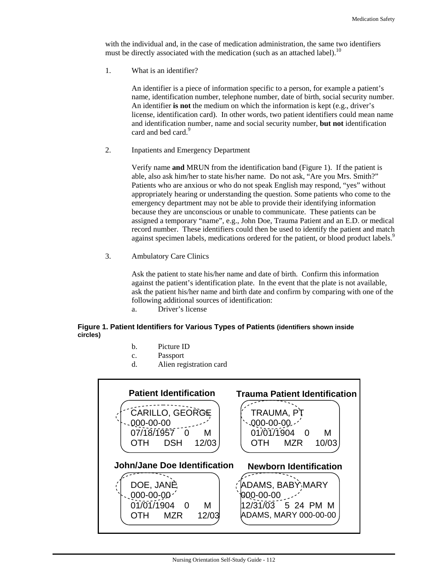with the individual and, in the case of medication administration, the same two identifiers must be directly associated with the medication (such as an attached label).<sup>10</sup>

1. What is an identifier?

An identifier is a piece of information specific to a person, for example a patient's name, identification number, telephone number, date of birth, social security number. An identifier **is not** the medium on which the information is kept (e.g., driver's license, identification card). In other words, two patient identifiers could mean name and identification number, name and social security number, **but not** identification card and bed card.<sup>9</sup>

2. Inpatients and Emergency Department

Verify name **and** MRUN from the identification band (Figure 1). If the patient is able, also ask him/her to state his/her name. Do not ask, "Are you Mrs. Smith?" Patients who are anxious or who do not speak English may respond, "yes" without appropriately hearing or understanding the question. Some patients who come to the emergency department may not be able to provide their identifying information because they are unconscious or unable to communicate. These patients can be assigned a temporary "name", e.g., John Doe, Trauma Patient and an E.D. or medical record number. These identifiers could then be used to identify the patient and match against specimen labels, medications ordered for the patient, or blood product labels.<sup>9</sup>

3. Ambulatory Care Clinics

Ask the patient to state his/her name and date of birth. Confirm this information against the patient's identification plate. In the event that the plate is not available, ask the patient his/her name and birth date and confirm by comparing with one of the following additional sources of identification:

a. Driver's license

# **Figure 1. Patient Identifiers for Various Types of Patients (identifiers shown inside circles)**

- b. Picture ID
- c. Passport
- d. Alien registration card

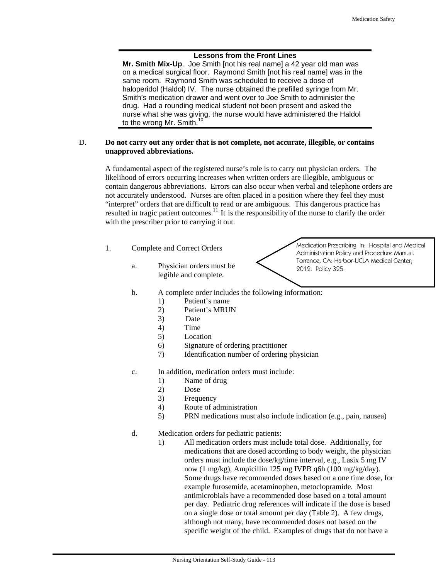#### **Lessons from the Front Lines**

**Mr. Smith Mix-Up**. Joe Smith [not his real name] a 42 year old man was on a medical surgical floor. Raymond Smith [not his real name] was in the same room. Raymond Smith was scheduled to receive a dose of haloperidol (Haldol) IV. The nurse obtained the prefilled syringe from Mr. Smith's medication drawer and went over to Joe Smith to administer the drug. Had a rounding medical student not been present and asked the nurse what she was giving, the nurse would have administered the Haldol to the wrong Mr. Smith.<sup>10</sup>

#### D. **Do not carry out any order that is not complete, not accurate, illegible, or contains unapproved abbreviations.**

A fundamental aspect of the registered nurse's role is to carry out physician orders. The likelihood of errors occurring increases when written orders are illegible, ambiguous or contain dangerous abbreviations. Errors can also occur when verbal and telephone orders are not accurately understood. Nurses are often placed in a position where they feel they must "interpret" orders that are difficult to read or are ambiguous. This dangerous practice has resulted in tragic patient outcomes.<sup>11</sup> It is the responsibility of the nurse to clarify the order with the prescriber prior to carrying it out.

- 1. Complete and Correct Orders
	- a. Physician orders must be legible and complete.

Medication Prescribing. In: Hospital and Medical Administration Policy and Procedure Manual. Torrance, CA: Harbor-UCLA Medical Center; 2012: Policy 325.

- b. A complete order includes the following information:
	- 1) Patient's name
	- 2) Patient's MRUN
	- 3) Date
	- 4) Time
	- 5) Location
	- 6) Signature of ordering practitioner
	- 7) Identification number of ordering physician
- c. In addition, medication orders must include:
	- 1) Name of drug
	- 2) Dose
	- 3) Frequency
	- 4) Route of administration
	- 5) PRN medications must also include indication (e.g., pain, nausea)
- d. Medication orders for pediatric patients:
	- 1) All medication orders must include total dose. Additionally, for medications that are dosed according to body weight, the physician orders must include the dose/kg/time interval, e.g., Lasix 5 mg IV now (1 mg/kg), Ampicillin 125 mg IVPB q6h (100 mg/kg/day). Some drugs have recommended doses based on a one time dose, for example furosemide, acetaminophen, metoclopramide. Most antimicrobials have a recommended dose based on a total amount per day. Pediatric drug references will indicate if the dose is based on a single dose or total amount per day (Table 2). A few drugs, although not many, have recommended doses not based on the specific weight of the child. Examples of drugs that do not have a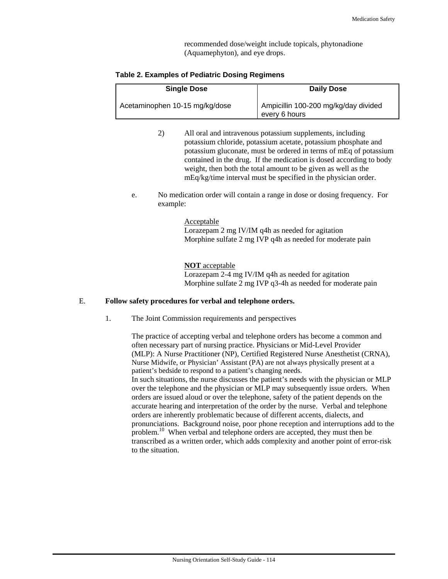recommended dose/weight include topicals, phytonadione (Aquamephyton), and eye drops.

|  | <b>Table 2. Examples of Pediatric Dosing Regimens</b> |  |
|--|-------------------------------------------------------|--|
|--|-------------------------------------------------------|--|

| <b>Single Dose</b>             | <b>Daily Dose</b>                                     |
|--------------------------------|-------------------------------------------------------|
| Acetaminophen 10-15 mg/kg/dose | Ampicillin 100-200 mg/kg/day divided<br>every 6 hours |

- 2) All oral and intravenous potassium supplements, including potassium chloride, potassium acetate, potassium phosphate and potassium gluconate, must be ordered in terms of mEq of potassium contained in the drug. If the medication is dosed according to body weight, then both the total amount to be given as well as the mEq/kg/time interval must be specified in the physician order.
- e. No medication order will contain a range in dose or dosing frequency. For example:

# Acceptable Lorazepam 2 mg IV/IM q4h as needed for agitation Morphine sulfate 2 mg IVP q4h as needed for moderate pain

## **NOT** acceptable

Lorazepam 2-4 mg IV/IM q4h as needed for agitation Morphine sulfate 2 mg IVP q3-4h as needed for moderate pain

#### E. **Follow safety procedures for verbal and telephone orders.**

1. The Joint Commission requirements and perspectives

The practice of accepting verbal and telephone orders has become a common and often necessary part of nursing practice. Physicians or Mid-Level Provider (MLP): A Nurse Practitioner (NP), Certified Registered Nurse Anesthetist (CRNA), Nurse Midwife, or Physician' Assistant (PA) are not always physically present at a patient's bedside to respond to a patient's changing needs. In such situations, the nurse discusses the patient's needs with the physician or MLP over the telephone and the physician or MLP may subsequently issue orders. When orders are issued aloud or over the telephone, safety of the patient depends on the accurate hearing and interpretation of the order by the nurse. Verbal and telephone orders are inherently problematic because of different accents, dialects, and pronunciations. Background noise, poor phone reception and interruptions add to the problem.<sup>10</sup> When verbal and telephone orders are accepted, they must then be transcribed as a written order, which adds complexity and another point of error-risk to the situation.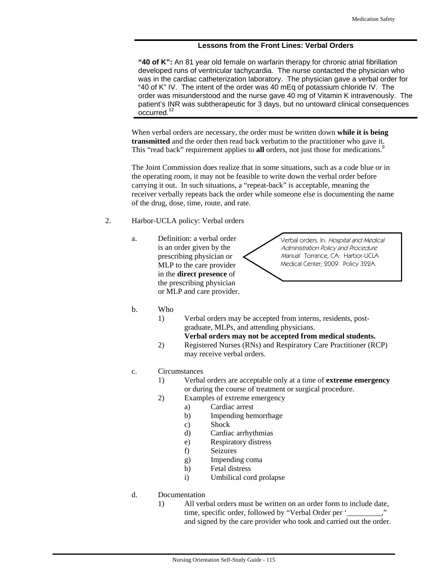# **Lessons from the Front Lines: Verbal Orders**

**"40 of K":** An 81 year old female on warfarin therapy for chronic atrial fibrillation developed runs of ventricular tachycardia. The nurse contacted the physician who was in the cardiac catheterization laboratory. The physician gave a verbal order for "40 of K" IV. The intent of the order was 40 mEq of potassium chloride IV. The order was misunderstood and the nurse gave 40 mg of Vitamin K intravenously. The patient's INR was subtherapeutic for 3 days, but no untoward clinical consequences  $\frac{1}{2}$ occurred.<sup>12</sup>

When verbal orders are necessary, the order must be written down **while it is being transmitted** and the order then read back verbatim to the practitioner who gave it. This "read back" requirement applies to **all** orders, not just those for medications.<sup>9</sup>

The Joint Commission does realize that in some situations, such as a code blue or in the operating room, it may not be feasible to write down the verbal order before carrying it out. In such situations, a "repeat-back" is acceptable, meaning the receiver verbally repeats back the order while someone else is documenting the name of the drug, dose, time, route, and rate.

- 2. Harbor-UCLA policy: Verbal orders
	- a. Definition: a verbal order is an order given by the prescribing physician or MLP to the care provider in the **direct presence** of the prescribing physician or MLP and care provider.

Verbal orders. In: Hospital and Medical Administration Policy and Procedure Manual. Torrance, CA: Harbor-UCLA Medical Center; 2009. Policy 322A.

- b. Who
	- 1) Verbal orders may be accepted from interns, residents, postgraduate, MLPs, and attending physicians.

# **Verbal orders may not be accepted from medical students.**

- 2) Registered Nurses (RNs) and Respiratory Care Practitioner (RCP) may receive verbal orders.
- c. Circumstances
	- 1) Verbal orders are acceptable only at a time of **extreme emergency** or during the course of treatment or surgical procedure.
	- 2) Examples of extreme emergency
		- a) Cardiac arrest
			- b) Impending hemorrhage
			- c) Shock
			- d) Cardiac arrhythmias
			- e) Respiratory distress
			- f) Seizures
			- g) Impending coma
			- h) Fetal distress
			- i) Umbilical cord prolapse
- d. Documentation
	- 1) All verbal orders must be written on an order form to include date, time, specific order, followed by "Verbal Order per '\_\_\_\_\_\_\_\_\_," and signed by the care provider who took and carried out the order.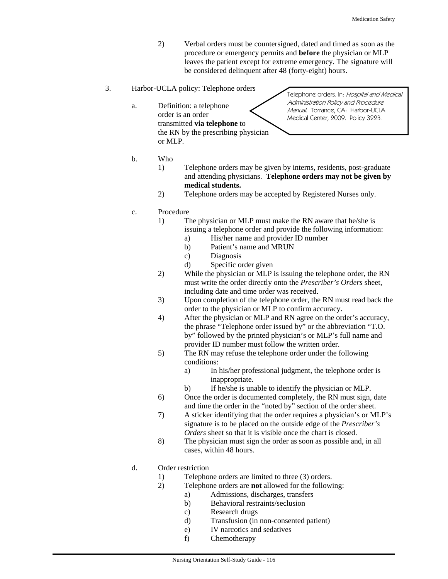- 2) Verbal orders must be countersigned, dated and timed as soon as the procedure or emergency permits and **before** the physician or MLP leaves the patient except for extreme emergency. The signature will be considered delinquent after 48 (forty-eight) hours.
- 3. Harbor-UCLA policy: Telephone orders Telephone orders. In: Hospital and Medical
	- a. Definition: a telephone order is an order transmitted **via telephone** to the RN by the prescribing physician or MLP.

#### b. Who

- 1) Telephone orders may be given by interns, residents, post-graduate and attending physicians. **Telephone orders may not be given by medical students.**
- 2) Telephone orders may be accepted by Registered Nurses only.

#### c. Procedure

- 1) The physician or MLP must make the RN aware that he/she is issuing a telephone order and provide the following information: a) His/her name and provider ID number
	-
	- b) Patient's name and MRUN
	- c) Diagnosis
	- d) Specific order given
- 2) While the physician or MLP is issuing the telephone order, the RN must write the order directly onto the *Prescriber's Orders* sheet, including date and time order was received.
- 3) Upon completion of the telephone order, the RN must read back the order to the physician or MLP to confirm accuracy.
- 4) After the physician or MLP and RN agree on the order's accuracy, the phrase "Telephone order issued by" or the abbreviation "T.O. by" followed by the printed physician's or MLP's full name and provider ID number must follow the written order.
- 5) The RN may refuse the telephone order under the following conditions:
	- a) In his/her professional judgment, the telephone order is inappropriate.
	- b) If he/she is unable to identify the physician or MLP.
- 6) Once the order is documented completely, the RN must sign, date and time the order in the "noted by" section of the order sheet.
- 7) A sticker identifying that the order requires a physician's or MLP's signature is to be placed on the outside edge of the *Prescriber's Orders* sheet so that it is visible once the chart is closed.
- 8) The physician must sign the order as soon as possible and, in all cases, within 48 hours.

# d. Order restriction

- 1) Telephone orders are limited to three (3) orders.
- 2) Telephone orders are **not** allowed for the following:
	- a) Admissions, discharges, transfers
	- b) Behavioral restraints/seclusion
	- c) Research drugs
	- d) Transfusion (in non-consented patient)
	- e) IV narcotics and sedatives
	- f) Chemotherapy

Administration Policy and Procedure Manual. Torrance, CA: Harbor-UCLA Medical Center; 2009. Policy 322B.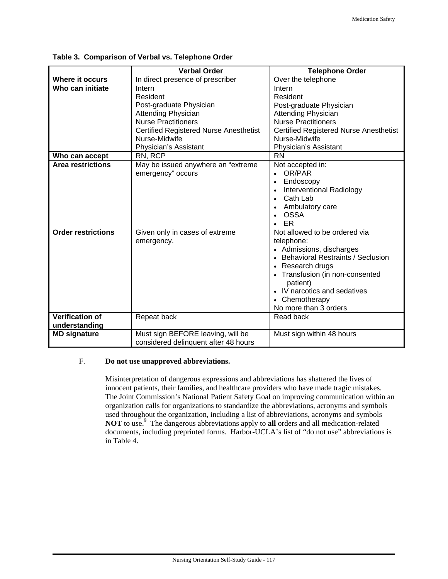|                          | <b>Verbal Order</b>                           | <b>Telephone Order</b>                        |
|--------------------------|-----------------------------------------------|-----------------------------------------------|
| <b>Where it occurs</b>   | In direct presence of prescriber              | Over the telephone                            |
| Who can initiate         | Intern                                        | Intern                                        |
|                          | Resident                                      | Resident                                      |
|                          | Post-graduate Physician                       | Post-graduate Physician                       |
|                          | <b>Attending Physician</b>                    | <b>Attending Physician</b>                    |
|                          | <b>Nurse Practitioners</b>                    | <b>Nurse Practitioners</b>                    |
|                          | <b>Certified Registered Nurse Anesthetist</b> | <b>Certified Registered Nurse Anesthetist</b> |
|                          | Nurse-Midwife                                 | Nurse-Midwife                                 |
|                          | Physician's Assistant                         | Physician's Assistant                         |
| Who can accept           | RN, RCP                                       | <b>RN</b>                                     |
| <b>Area restrictions</b> | May be issued anywhere an "extreme            | Not accepted in:                              |
|                          | emergency" occurs                             | OR/PAR<br>$\bullet$                           |
|                          |                                               | Endoscopy<br>$\bullet$                        |
|                          |                                               | Interventional Radiology                      |
|                          |                                               | Cath Lab                                      |
|                          |                                               | Ambulatory care<br>$\bullet$                  |
|                          |                                               | <b>OSSA</b>                                   |
|                          |                                               | ER                                            |
| Order restrictions       | Given only in cases of extreme                | Not allowed to be ordered via                 |
|                          | emergency.                                    | telephone:                                    |
|                          |                                               | • Admissions, discharges                      |
|                          |                                               | • Behavioral Restraints / Seclusion           |
|                          |                                               | Research drugs                                |
|                          |                                               | • Transfusion (in non-consented               |
|                          |                                               | patient)                                      |
|                          |                                               | IV narcotics and sedatives                    |
|                          |                                               | Chemotherapy                                  |
|                          |                                               | No more than 3 orders                         |
| <b>Verification of</b>   | Repeat back                                   | Read back                                     |
| understanding            |                                               |                                               |
| <b>MD signature</b>      | Must sign BEFORE leaving, will be             | Must sign within 48 hours                     |
|                          | considered delinquent after 48 hours          |                                               |

**Table 3. Comparison of Verbal vs. Telephone Order** 

# F. **Do not use unapproved abbreviations.**

Misinterpretation of dangerous expressions and abbreviations has shattered the lives of innocent patients, their families, and healthcare providers who have made tragic mistakes. The Joint Commission's National Patient Safety Goal on improving communication within an organization calls for organizations to standardize the abbreviations, acronyms and symbols used throughout the organization, including a list of abbreviations, acronyms and symbols **NOT** to use.<sup>9</sup> The dangerous abbreviations apply to all orders and all medication-related documents, including preprinted forms. Harbor-UCLA's list of "do not use" abbreviations is in Table 4.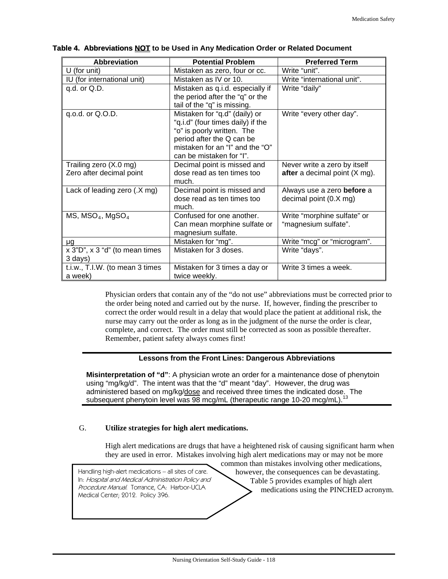| <b>Abbreviation</b>                                | <b>Potential Problem</b>                                                                                                                                                                     | <b>Preferred Term</b>                                                 |  |  |
|----------------------------------------------------|----------------------------------------------------------------------------------------------------------------------------------------------------------------------------------------------|-----------------------------------------------------------------------|--|--|
| $U$ (for unit)                                     | Mistaken as zero, four or cc.                                                                                                                                                                | Write "unit".                                                         |  |  |
| IU (for international unit)                        | Mistaken as IV or 10.                                                                                                                                                                        | Write "international unit".                                           |  |  |
| $q.d.$ or $Q.D.$                                   | Mistaken as q.i.d. especially if                                                                                                                                                             | Write "daily"                                                         |  |  |
|                                                    | the period after the "q" or the<br>tail of the "q" is missing.                                                                                                                               |                                                                       |  |  |
| q.o.d. or Q.O.D.                                   | Mistaken for "q.d" (daily) or<br>"q.i.d" (four times daily) if the<br>"o" is poorly written. The<br>period after the Q can be<br>mistaken for an "I" and the "O"<br>can be mistaken for "I". | Write "every other day".                                              |  |  |
| Trailing zero (X.0 mg)<br>Zero after decimal point | Decimal point is missed and<br>dose read as ten times too<br>much.                                                                                                                           | Never write a zero by itself<br>after a decimal point $(X \nmid y)$ . |  |  |
| Lack of leading zero (.X mg)                       | Decimal point is missed and<br>dose read as ten times too<br>much.                                                                                                                           | Always use a zero before a<br>decimal point (0.X mg)                  |  |  |
| MS, MSO <sub>4</sub> , MgSO <sub>4</sub>           | Confused for one another.<br>Can mean morphine sulfate or<br>magnesium sulfate.                                                                                                              | Write "morphine sulfate" or<br>"magnesium sulfate".                   |  |  |
| μg                                                 | Mistaken for "mg".                                                                                                                                                                           | Write "mcg" or "microgram".                                           |  |  |
| x 3"D", x 3 "d" (to mean times<br>3 days)          | Mistaken for 3 doses.                                                                                                                                                                        | Write "days".                                                         |  |  |
| t.i.w., T.I.W. (to mean 3 times<br>a week)         | Mistaken for 3 times a day or<br>twice weekly.                                                                                                                                               | Write 3 times a week.                                                 |  |  |

**Table 4. Abbreviations NOT to be Used in Any Medication Order or Related Document** 

Physician orders that contain any of the "do not use" abbreviations must be corrected prior to the order being noted and carried out by the nurse. If, however, finding the prescriber to correct the order would result in a delay that would place the patient at additional risk, the nurse may carry out the order as long as in the judgment of the nurse the order is clear, complete, and correct. The order must still be corrected as soon as possible thereafter. Remember, patient safety always comes first!

# **Lessons from the Front Lines: Dangerous Abbreviations**

**Misinterpretation of "d"**: A physician wrote an order for a maintenance dose of phenytoin using "mg/kg/d". The intent was that the "d" meant "day". However, the drug was administered based on mg/kg/dose and received three times the indicated dose. The subsequent phenytoin level was 98 mcg/mL (therapeutic range 10-20 mcg/mL).<sup>13</sup>

# G. **Utilize strategies for high alert medications.**

High alert medications are drugs that have a heightened risk of causing significant harm when they are used in error. Mistakes involving high alert medications may or may not be more

Handling high-alert medications – all sites of care. In: Hospital and Medical Administration Policy and Procedure Manual. Torrance, CA: Harbor-UCLA Medical Center; 2012. Policy 396.

common than mistakes involving other medications, however, the consequences can be devastating. Table 5 provides examples of high alert medications using the PINCHED acronym.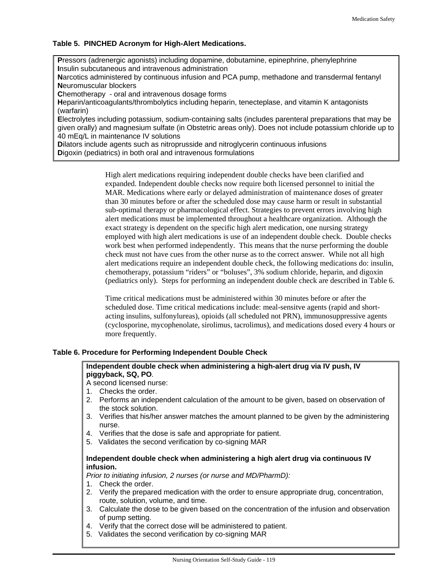# **Table 5. PINCHED Acronym for High-Alert Medications.**

**P**ressors (adrenergic agonists) including dopamine, dobutamine, epinephrine, phenylephrine **I**nsulin subcutaneous and intravenous administration **N**arcotics administered by continuous infusion and PCA pump, methadone and transdermal fentanyl **N**euromuscular blockers **C**hemotherapy - oral and intravenous dosage forms **H**eparin/anticoagulants/thrombolytics including heparin, tenecteplase, and vitamin K antagonists (warfarin) **E**lectrolytes including potassium, sodium-containing salts (includes parenteral preparations that may be given orally) and magnesium sulfate (in Obstetric areas only). Does not include potassium chloride up to 40 mEq/L in maintenance IV solutions **D**ilators include agents such as nitroprusside and nitroglycerin continuous infusions **D**igoxin (pediatrics) in both oral and intravenous formulations

> High alert medications requiring independent double checks have been clarified and expanded. Independent double checks now require both licensed personnel to initial the MAR. Medications where early or delayed administration of maintenance doses of greater than 30 minutes before or after the scheduled dose may cause harm or result in substantial sub-optimal therapy or pharmacological effect. Strategies to prevent errors involving high alert medications must be implemented throughout a healthcare organization. Although the exact strategy is dependent on the specific high alert medication, one nursing strategy employed with high alert medications is use of an independent double check. Double checks work best when performed independently. This means that the nurse performing the double check must not have cues from the other nurse as to the correct answer. While not all high alert medications require an independent double check, the following medications do: insulin, chemotherapy, potassium "riders" or "boluses", 3% sodium chloride, heparin, and digoxin (pediatrics only). Steps for performing an independent double check are described in Table 6.

> Time critical medications must be administered within 30 minutes before or after the scheduled dose. Time critical medications include: meal-sensitve agents (rapid and shortacting insulins, sulfonylureas), opioids (all scheduled not PRN), immunosuppressive agents (cyclosporine, mycophenolate, sirolimus, tacrolimus), and medications dosed every 4 hours or more frequently.

## **Table 6. Procedure for Performing Independent Double Check**

# **Independent double check when administering a high-alert drug via IV push, IV piggyback, SQ, PO**.

## A second licensed nurse:

- 1. Checks the order.
- 2. Performs an independent calculation of the amount to be given, based on observation of the stock solution.
- 3. Verifies that his/her answer matches the amount planned to be given by the administering nurse.
- 4. Verifies that the dose is safe and appropriate for patient.
- 5. Validates the second verification by co-signing MAR

## **Independent double check when administering a high alert drug via continuous IV infusion.**

*Prior to initiating infusion, 2 nurses (or nurse and MD/PharmD):* 

- 1. Check the order.
- 2. Verify the prepared medication with the order to ensure appropriate drug, concentration, route, solution, volume, and time.
- 3. Calculate the dose to be given based on the concentration of the infusion and observation of pump setting.
- 4. Verify that the correct dose will be administered to patient.
- 5. Validates the second verification by co-signing MAR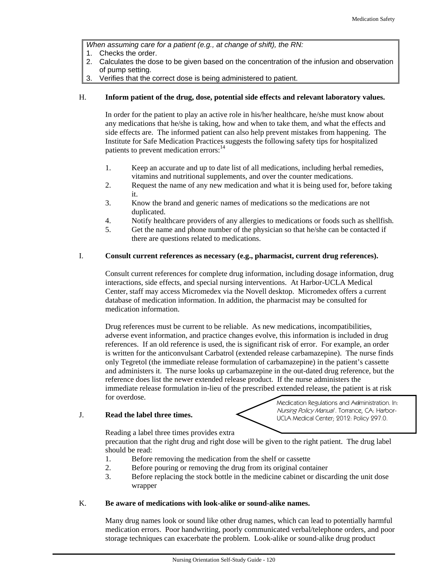*When assuming care for a patient (e.g., at change of shift), the RN:* 

- 1. Checks the order.
- 2. Calculates the dose to be given based on the concentration of the infusion and observation of pump setting.
- 3. Verifies that the correct dose is being administered to patient.

# H. **Inform patient of the drug, dose, potential side effects and relevant laboratory values.**

In order for the patient to play an active role in his/her healthcare, he/she must know about any medications that he/she is taking, how and when to take them, and what the effects and side effects are. The informed patient can also help prevent mistakes from happening. The Institute for Safe Medication Practices suggests the following safety tips for hospitalized patients to prevent medication errors:<sup>14</sup>

- 1. Keep an accurate and up to date list of all medications, including herbal remedies, vitamins and nutritional supplements, and over the counter medications.
- 2. Request the name of any new medication and what it is being used for, before taking it.
- 3. Know the brand and generic names of medications so the medications are not duplicated.
- 4. Notify healthcare providers of any allergies to medications or foods such as shellfish.
- 5. Get the name and phone number of the physician so that he/she can be contacted if there are questions related to medications.

## I. **Consult current references as necessary (e.g., pharmacist, current drug references).**

Consult current references for complete drug information, including dosage information, drug interactions, side effects, and special nursing interventions. At Harbor-UCLA Medical Center, staff may access Micromedex via the Novell desktop. Micromedex offers a current database of medication information. In addition, the pharmacist may be consulted for medication information.

Drug references must be current to be reliable. As new medications, incompatibilities, adverse event information, and practice changes evolve, this information is included in drug references. If an old reference is used, the is significant risk of error. For example, an order is written for the anticonvulsant Carbatrol (extended release carbamazepine). The nurse finds only Tegretol (the immediate release formulation of carbamazepine) in the patient's cassette and administers it. The nurse looks up carbamazepine in the out-dated drug reference, but the reference does list the newer extended release product. If the nurse administers the immediate release formulation in-lieu of the prescribed extended release, the patient is at risk for overdose.

# J. **Read the label three times.**



Medication Regulations and Administration. In: Nursing Policy Manual . Torrance, CA: Harbor-UCLA Medical Center; 2012: Policy 297.0.

Reading a label three times provides extra

precaution that the right drug and right dose will be given to the right patient. The drug label should be read:

- 1. Before removing the medication from the shelf or cassette
- 2. Before pouring or removing the drug from its original container
- 3. Before replacing the stock bottle in the medicine cabinet or discarding the unit dose wrapper

# K. **Be aware of medications with look-alike or sound-alike names.**

Many drug names look or sound like other drug names, which can lead to potentially harmful medication errors. Poor handwriting, poorly communicated verbal/telephone orders, and poor storage techniques can exacerbate the problem. Look-alike or sound-alike drug product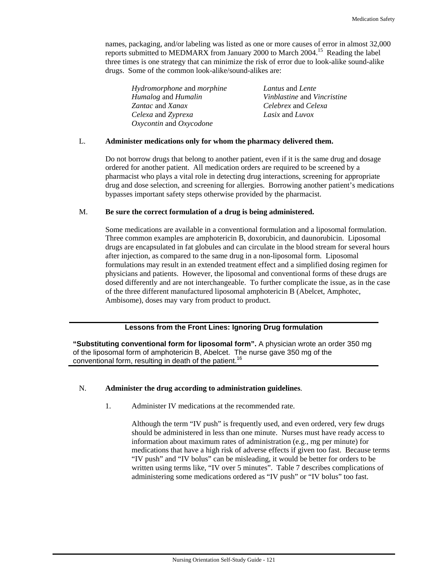names, packaging, and/or labeling was listed as one or more causes of error in almost 32,000 reports submitted to MEDMARX from January 2000 to March 2004.15 Reading the label three times is one strategy that can minimize the risk of error due to look-alike sound-alike drugs. Some of the common look-alike/sound-alikes are:

*Hydromorphone* and *morphine Lantus* and *Lente Humalog* and *Humalin Vinblastine* and *Vincristine Zantac* and *Xanax Celebrex* and *Celexa Celexa* and *Zyprexa Lasix* and *Luvox Oxycontin* and *Oxycodone*

#### L. **Administer medications only for whom the pharmacy delivered them.**

Do not borrow drugs that belong to another patient, even if it is the same drug and dosage ordered for another patient. All medication orders are required to be screened by a pharmacist who plays a vital role in detecting drug interactions, screening for appropriate drug and dose selection, and screening for allergies. Borrowing another patient's medications bypasses important safety steps otherwise provided by the pharmacist.

#### M. **Be sure the correct formulation of a drug is being administered.**

Some medications are available in a conventional formulation and a liposomal formulation. Three common examples are amphotericin B, doxorubicin, and daunorubicin. Liposomal drugs are encapsulated in fat globules and can circulate in the blood stream for several hours after injection, as compared to the same drug in a non-liposomal form. Liposomal formulations may result in an extended treatment effect and a simplified dosing regimen for physicians and patients. However, the liposomal and conventional forms of these drugs are dosed differently and are not interchangeable. To further complicate the issue, as in the case of the three different manufactured liposomal amphotericin B (Abelcet, Amphotec, Ambisome), doses may vary from product to product.

## **Lessons from the Front Lines: Ignoring Drug formulation**

**"Substituting conventional form for liposomal form".** A physician wrote an order 350 mg of the liposomal form of amphotericin B, Abelcet. The nurse gave 350 mg of the conventional form, resulting in death of the patient.<sup>16</sup>

#### N. **Administer the drug according to administration guidelines**.

1. Administer IV medications at the recommended rate.

Although the term "IV push" is frequently used, and even ordered, very few drugs should be administered in less than one minute. Nurses must have ready access to information about maximum rates of administration (e.g., mg per minute) for medications that have a high risk of adverse effects if given too fast. Because terms "IV push" and "IV bolus" can be misleading, it would be better for orders to be written using terms like, "IV over 5 minutes". Table 7 describes complications of administering some medications ordered as "IV push" or "IV bolus" too fast.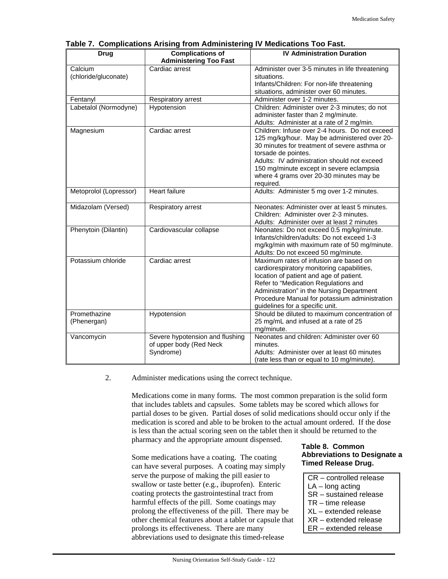| <b>Drug</b>                     | <br><b>Complications of</b>                                             | <b>IV Administration Duration</b>                                                                                                                                                                                                                                                                                        |
|---------------------------------|-------------------------------------------------------------------------|--------------------------------------------------------------------------------------------------------------------------------------------------------------------------------------------------------------------------------------------------------------------------------------------------------------------------|
|                                 | <b>Administering Too Fast</b>                                           |                                                                                                                                                                                                                                                                                                                          |
| Calcium<br>(chloride/gluconate) | Cardiac arrest                                                          | Administer over 3-5 minutes in life threatening<br>situations.<br>Infants/Children: For non-life threatening<br>situations, administer over 60 minutes.                                                                                                                                                                  |
| Fentanyl                        | Respiratory arrest                                                      | Administer over 1-2 minutes.                                                                                                                                                                                                                                                                                             |
| Labetalol (Normodyne)           | Hypotension                                                             | Children: Administer over 2-3 minutes; do not<br>administer faster than 2 mg/minute.<br>Adults: Administer at a rate of 2 mg/min.                                                                                                                                                                                        |
| Magnesium                       | Cardiac arrest                                                          | Children: Infuse over 2-4 hours. Do not exceed<br>125 mg/kg/hour. May be administered over 20-<br>30 minutes for treatment of severe asthma or<br>torsade de pointes.<br>Adults: IV administration should not exceed<br>150 mg/minute except in severe eclampsia<br>where 4 grams over 20-30 minutes may be<br>required. |
| Metoprolol (Lopressor)          | <b>Heart failure</b>                                                    | Adults: Administer 5 mg over 1-2 minutes.                                                                                                                                                                                                                                                                                |
| Midazolam (Versed)              | Respiratory arrest                                                      | Neonates: Administer over at least 5 minutes.<br>Children: Administer over 2-3 minutes.<br>Adults: Administer over at least 2 minutes                                                                                                                                                                                    |
| Phenytoin (Dilantin)            | Cardiovascular collapse                                                 | Neonates: Do not exceed 0.5 mg/kg/minute.<br>Infants/children/adults: Do not exceed 1-3<br>mg/kg/min with maximum rate of 50 mg/minute.<br>Adults: Do not exceed 50 mg/minute.                                                                                                                                           |
| Potassium chloride              | Cardiac arrest                                                          | Maximum rates of infusion are based on<br>cardiorespiratory monitoring capabilities,<br>location of patient and age of patient.<br>Refer to "Medication Regulations and<br>Administration" in the Nursing Department<br>Procedure Manual for potassium administration<br>guidelines for a specific unit.                 |
| Promethazine<br>(Phenergan)     | Hypotension                                                             | Should be diluted to maximum concentration of<br>25 mg/mL and infused at a rate of 25<br>mg/minute.                                                                                                                                                                                                                      |
| Vancomycin                      | Severe hypotension and flushing<br>of upper body (Red Neck<br>Syndrome) | Neonates and children: Administer over 60<br>minutes.<br>Adults: Administer over at least 60 minutes<br>(rate less than or equal to 10 mg/minute).                                                                                                                                                                       |

**Table 7. Complications Arising from Administering IV Medications Too Fast.**

2. Administer medications using the correct technique.

Medications come in many forms. The most common preparation is the solid form that includes tablets and capsules. Some tablets may be scored which allows for partial doses to be given. Partial doses of solid medications should occur only if the medication is scored and able to be broken to the actual amount ordered. If the dose is less than the actual scoring seen on the tablet then it should be returned to the pharmacy and the appropriate amount dispensed.

Some medications have a coating. The coating can have several purposes. A coating may simply serve the purpose of making the pill easier to swallow or taste better (e.g., ibuprofen). Enteric coating protects the gastrointestinal tract from harmful effects of the pill. Some coatings may prolong the effectiveness of the pill. There may be other chemical features about a tablet or capsule that prolongs its effectiveness. There are many abbreviations used to designate this timed-release

#### **Table 8. Common Abbreviations to Designate a Timed Release Drug.**

- CR controlled release LA – long acting SR – sustained release TR – time release XL – extended release
- XR extended release
- ER extended release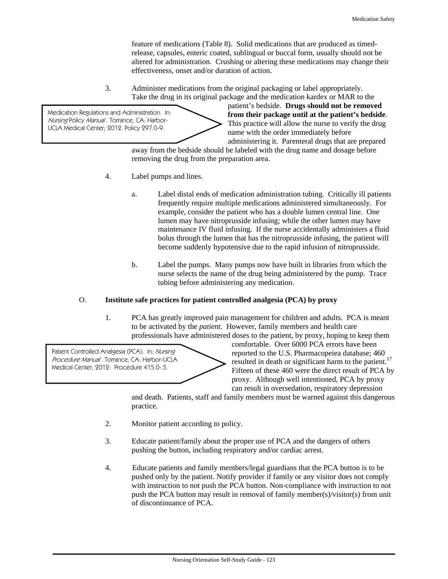feature of medications (Table 8). Solid medications that are produced as timedrelease, capsules, enteric coated, sublingual or buccal form, usually should not be altered for administration. Crushing or altering these medications may change their effectiveness, onset and/or duration of action.

3. Administer medications from the original packaging or label appropriately. Take the drug in its original package and the medication kardex or MAR to the

Medication Regulations and Administration. In: Nursing Policy Manual . Torrance, CA: Harbor-UCLA Medical Center; 2012. Policy 297.0-9.

patient's bedside. **Drugs should not be removed from their package until at the patient's bedside**. This practice will allow the nurse to verify the drug name with the order immediately before administering it. Parenteral drugs that are prepared

away from the bedside should be labeled with the drug name and dosage before removing the drug from the preparation area.

- 4. Label pumps and lines.
	- a. Label distal ends of medication administration tubing. Critically ill patients frequently require multiple medications administered simultaneously. For example, consider the patient who has a double lumen central line. One lumen may have nitroprusside infusing; while the other lumen may have maintenance IV fluid infusing. If the nurse accidentally administers a fluid bolus through the lumen that has the nitroprusside infusing, the patient will become suddenly hypotensive due to the rapid infusion of nitroprusside.
	- b. Label the pumps. Many pumps now have built in libraries from which the nurse selects the name of the drug being administered by the pump. Trace tubing before administering any medication.

# O. **Institute safe practices for patient controlled analgesia (PCA) by proxy**

1. PCA has greatly improved pain management for children and adults. PCA is meant to be activated by the *patient*. However, family members and health care professionals have administered doses to the patient, by proxy, hoping to keep them

Patient Controlled Analgesia (PCA). In: Nursing Procedure Manual . Torrance, CA: Harbor-UCLA Medical Center; 2012: Procedure 415.0-.5.

comfortable. Over 6000 PCA errors have been reported to the U.S. Pharmacopeiea database; 460 resulted in death or significant harm to the patient.<sup>17</sup> Fifteen of these 460 were the direct result of PCA by proxy. Although well intentioned, PCA by proxy can result in oversedation, respiratory depression

and death. Patients, staff and family members must be warned against this dangerous practice.

- 2. Monitor patient according to policy.
- 3. Educate patient/family about the proper use of PCA and the dangers of others pushing the button, including respiratory and/or cardiac arrest.
- 4. Educate patients and family members/legal guardians that the PCA button is to be pushed only by the patient. Notify provider if family or any visitor does not comply with instruction to not push the PCA button. Non-compliance with instruction to not push the PCA button may result in removal of family member(s)/visitor(s) from unit of discontinuance of PCA.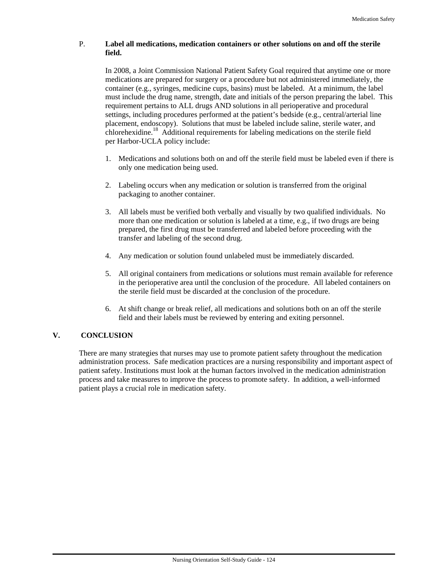# P. **Label all medications, medication containers or other solutions on and off the sterile field.**

In 2008, a Joint Commission National Patient Safety Goal required that anytime one or more medications are prepared for surgery or a procedure but not administered immediately, the container (e.g., syringes, medicine cups, basins) must be labeled. At a minimum, the label must include the drug name, strength, date and initials of the person preparing the label. This requirement pertains to ALL drugs AND solutions in all perioperative and procedural settings, including procedures performed at the patient's bedside (e.g., central/arterial line placement, endoscopy). Solutions that must be labeled include saline, sterile water, and chlorehexidine.<sup>18</sup> Additional requirements for labeling medications on the sterile field per Harbor-UCLA policy include:

- 1. Medications and solutions both on and off the sterile field must be labeled even if there is only one medication being used.
- 2. Labeling occurs when any medication or solution is transferred from the original packaging to another container.
- 3. All labels must be verified both verbally and visually by two qualified individuals. No more than one medication or solution is labeled at a time, e.g., if two drugs are being prepared, the first drug must be transferred and labeled before proceeding with the transfer and labeling of the second drug.
- 4. Any medication or solution found unlabeled must be immediately discarded.
- 5. All original containers from medications or solutions must remain available for reference in the perioperative area until the conclusion of the procedure. All labeled containers on the sterile field must be discarded at the conclusion of the procedure.
- 6. At shift change or break relief, all medications and solutions both on an off the sterile field and their labels must be reviewed by entering and exiting personnel.

# **V. CONCLUSION**

There are many strategies that nurses may use to promote patient safety throughout the medication administration process. Safe medication practices are a nursing responsibility and important aspect of patient safety. Institutions must look at the human factors involved in the medication administration process and take measures to improve the process to promote safety. In addition, a well-informed patient plays a crucial role in medication safety.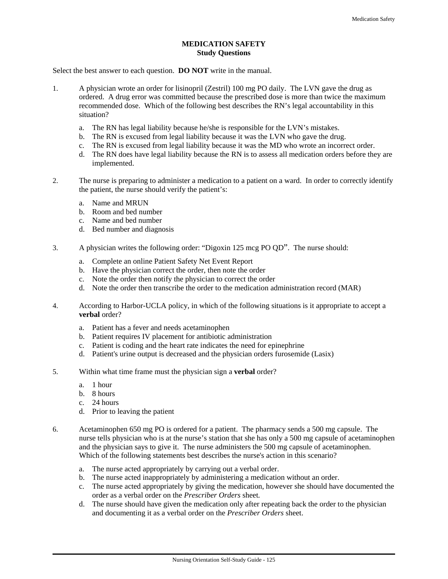#### **MEDICATION SAFETY Study Questions**

Select the best answer to each question. **DO NOT** write in the manual.

- 1. A physician wrote an order for lisinopril (Zestril) 100 mg PO daily. The LVN gave the drug as ordered. A drug error was committed because the prescribed dose is more than twice the maximum recommended dose. Which of the following best describes the RN's legal accountability in this situation?
	- a. The RN has legal liability because he/she is responsible for the LVN's mistakes.
	- b. The RN is excused from legal liability because it was the LVN who gave the drug.
	- c. The RN is excused from legal liability because it was the MD who wrote an incorrect order.
	- d. The RN does have legal liability because the RN is to assess all medication orders before they are implemented.
- 2. The nurse is preparing to administer a medication to a patient on a ward. In order to correctly identify the patient, the nurse should verify the patient's:
	- a. Name and MRUN
	- b. Room and bed number
	- c. Name and bed number
	- d. Bed number and diagnosis
- 3. A physician writes the following order: "Digoxin 125 mcg PO QD". The nurse should:
	- a. Complete an online Patient Safety Net Event Report
	- b. Have the physician correct the order, then note the order
	- c. Note the order then notify the physician to correct the order
	- d. Note the order then transcribe the order to the medication administration record (MAR)
- 4. According to Harbor-UCLA policy, in which of the following situations is it appropriate to accept a **verbal** order?
	- a. Patient has a fever and needs acetaminophen
	- b. Patient requires IV placement for antibiotic administration
	- c. Patient is coding and the heart rate indicates the need for epinephrine
	- d. Patient's urine output is decreased and the physician orders furosemide (Lasix)
- 5. Within what time frame must the physician sign a **verbal** order?
	- a. 1 hour
	- b. 8 hours
	- c. 24 hours
	- d. Prior to leaving the patient
- 6. Acetaminophen 650 mg PO is ordered for a patient. The pharmacy sends a 500 mg capsule. The nurse tells physician who is at the nurse's station that she has only a 500 mg capsule of acetaminophen and the physician says to give it. The nurse administers the 500 mg capsule of acetaminophen. Which of the following statements best describes the nurse's action in this scenario?
	- a. The nurse acted appropriately by carrying out a verbal order.
	- b. The nurse acted inappropriately by administering a medication without an order.
	- c. The nurse acted appropriately by giving the medication, however she should have documented the order as a verbal order on the *Prescriber Orders* sheet*.*
	- d. The nurse should have given the medication only after repeating back the order to the physician and documenting it as a verbal order on the *Prescriber Orders* sheet.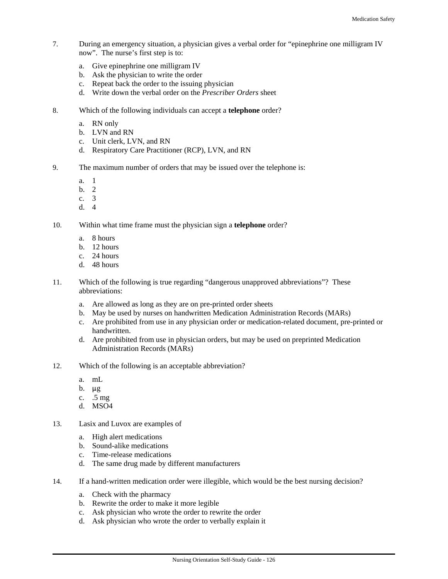- 7. During an emergency situation, a physician gives a verbal order for "epinephrine one milligram IV now". The nurse's first step is to:
	- a. Give epinephrine one milligram IV
	- b. Ask the physician to write the order
	- c. Repeat back the order to the issuing physician
	- d. Write down the verbal order on the *Prescriber Orders* sheet
- 8. Which of the following individuals can accept a **telephone** order?
	- a. RN only
	- b. LVN and RN
	- c. Unit clerk, LVN, and RN
	- d. Respiratory Care Practitioner (RCP), LVN, and RN
- 9. The maximum number of orders that may be issued over the telephone is:
	- a. 1
	- b. 2
	- c. 3
	- d. 4

10. Within what time frame must the physician sign a **telephone** order?

- a. 8 hours
- b. 12 hours
- c. 24 hours
- d. 48 hours
- 11. Which of the following is true regarding "dangerous unapproved abbreviations"? These abbreviations:
	- a. Are allowed as long as they are on pre-printed order sheets
	- b. May be used by nurses on handwritten Medication Administration Records (MARs)
	- c. Are prohibited from use in any physician order or medication-related document, pre-printed or handwritten.
	- d. Are prohibited from use in physician orders, but may be used on preprinted Medication Administration Records (MARs)
- 12. Which of the following is an acceptable abbreviation?
	- a. mL
	- $b. \quad \mu g$
	- c. .5 mg
	- d. MSO4
- 13. Lasix and Luvox are examples of
	- a. High alert medications
	- b. Sound-alike medications
	- c. Time-release medications
	- d. The same drug made by different manufacturers
- 14. If a hand-written medication order were illegible, which would be the best nursing decision?
	- a. Check with the pharmacy
	- b. Rewrite the order to make it more legible
	- c. Ask physician who wrote the order to rewrite the order
	- d. Ask physician who wrote the order to verbally explain it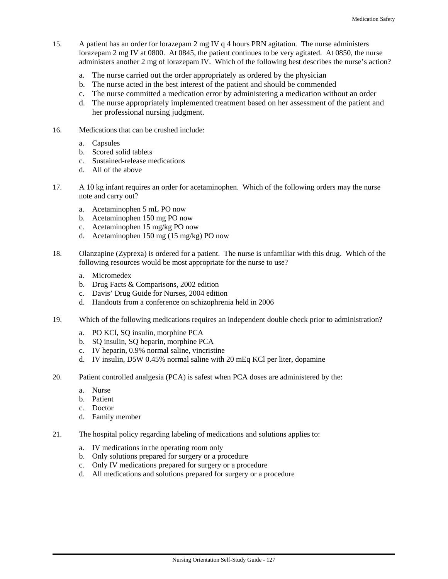- 15. A patient has an order for lorazepam 2 mg IV q 4 hours PRN agitation. The nurse administers lorazepam 2 mg IV at 0800. At 0845, the patient continues to be very agitated. At 0850, the nurse administers another 2 mg of lorazepam IV. Which of the following best describes the nurse's action?
	- a. The nurse carried out the order appropriately as ordered by the physician
	- b. The nurse acted in the best interest of the patient and should be commended
	- c. The nurse committed a medication error by administering a medication without an order
	- d. The nurse appropriately implemented treatment based on her assessment of the patient and her professional nursing judgment.
- 16. Medications that can be crushed include:
	- a. Capsules
	- b. Scored solid tablets
	- c. Sustained-release medications
	- d. All of the above
- 17. A 10 kg infant requires an order for acetaminophen. Which of the following orders may the nurse note and carry out?
	- a. Acetaminophen 5 mL PO now
	- b. Acetaminophen 150 mg PO now
	- c. Acetaminophen 15 mg/kg PO now
	- d. Acetaminophen 150 mg (15 mg/kg) PO now
- 18. Olanzapine (Zyprexa) is ordered for a patient. The nurse is unfamiliar with this drug. Which of the following resources would be most appropriate for the nurse to use?
	- a. Micromedex
	- b. Drug Facts & Comparisons, 2002 edition
	- c. Davis' Drug Guide for Nurses, 2004 edition
	- d. Handouts from a conference on schizophrenia held in 2006
- 19. Which of the following medications requires an independent double check prior to administration?
	- a. PO KCl, SQ insulin, morphine PCA
	- b. SQ insulin, SQ heparin, morphine PCA
	- c. IV heparin, 0.9% normal saline, vincristine
	- d. IV insulin, D5W 0.45% normal saline with 20 mEq KCl per liter, dopamine
- 20. Patient controlled analgesia (PCA) is safest when PCA doses are administered by the:
	- a. Nurse
	- b. Patient
	- c. Doctor
	- d. Family member
- 21. The hospital policy regarding labeling of medications and solutions applies to:
	- a. IV medications in the operating room only
	- b. Only solutions prepared for surgery or a procedure
	- c. Only IV medications prepared for surgery or a procedure
	- d. All medications and solutions prepared for surgery or a procedure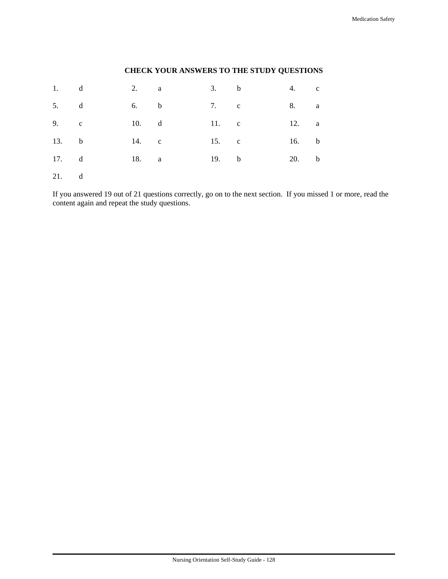# **CHECK YOUR ANSWERS TO THE STUDY QUESTIONS**

| $1.$ d | 2. a  | 3. b   | 4. c  |  |
|--------|-------|--------|-------|--|
| 5. d   | 6. b  | $7.$ c | 8. a  |  |
| 9. c   | 10. d | 11. c  | 12. a |  |
| 13. b  | 14. c | 15. c  | 16. b |  |
| 17. d  | 18. a | 19. b  | 20. b |  |
| 21. d  |       |        |       |  |

If you answered 19 out of 21 questions correctly, go on to the next section. If you missed 1 or more, read the content again and repeat the study questions.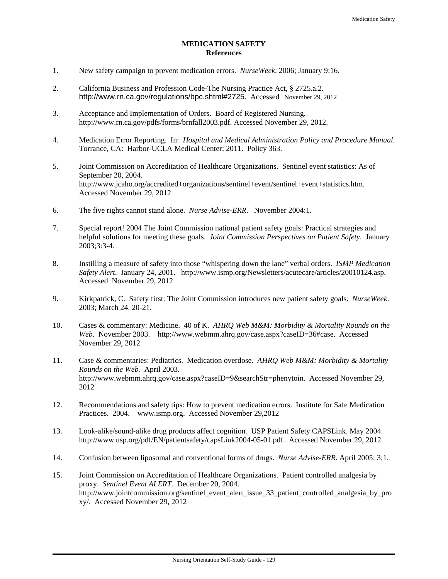# **MEDICATION SAFETY References**

- 1. New safety campaign to prevent medication errors. *NurseWeek*. 2006; January 9:16.
- 2. California Business and Profession Code-The Nursing Practice Act, § 2725.a.2. http://www.rn.ca.gov/regulations/bpc.shtml#2725. Accessed November 29, 2012
- 3. Acceptance and Implementation of Orders. Board of Registered Nursing. http://www.rn.ca.gov/pdfs/forms/brnfall2003.pdf. Accessed November 29, 2012.
- 4. Medication Error Reporting. In: *Hospital and Medical Administration Policy and Procedure Manual*. Torrance, CA: Harbor-UCLA Medical Center; 2011. Policy 363.
- 5. Joint Commission on Accreditation of Healthcare Organizations. Sentinel event statistics: As of September 20, 2004. [http://www.jcaho.org/accredited+organizations/sentinel+event/sentinel+event+statistics.htm.](http://www.jcaho.org/accredited+organizations/sentinel+event/sentinel+event+statistics.htm) Accessed November 29, 2012
- 6. The five rights cannot stand alone. *Nurse Advise-ERR*. November 2004:1.
- 7. Special report! 2004 The Joint Commission national patient safety goals: Practical strategies and helpful solutions for meeting these goals. *Joint Commission Perspectives on Patient Safety*. January 2003;3:3-4.
- 8. Instilling a measure of safety into those "whispering down the lane" verbal orders. *ISMP Medication Safety Alert*. January 24, 2001. [http://www.ismp.org/Newsletters/acutecare/articles/20010124.asp.](http://www.ismp.org/Newsletters/acutecare/articles/20010124.asp) Accessed November 29, 2012
- 9. Kirkpatrick, C. Safety first: The Joint Commission introduces new patient safety goals. *NurseWeek*. 2003; March 24. 20-21.
- 10. Cases & commentary: Medicine. 40 of K. *AHRQ Web M&M: Morbidity & Mortality Rounds on the Web*. November 2003. [http://www.webmm.ahrq.gov/case.aspx?caseID=36#case.](http://www.webmm.ahrq.gov/case.aspx?caseID=36#case) Accessed November 29, 2012
- 11. Case & commentaries: Pediatrics. Medication overdose. *AHRQ Web M&M: Morbidity & Mortality Rounds on the Web.* April 2003. [http://www.webmm.ahrq.gov/case.aspx?caseID=9&searchStr=phenytoin.](http://www.webmm.ahrq.gov/case.aspx?caseID=9&searchStr=phenytoin) Accessed November 29, 2012
- 12. Recommendations and safety tips: How to prevent medication errors. Institute for Safe Medication Practices. 2004. [www.ismp.org](http://www.ismp.org/). Accessed November 29,2012
- 13. Look-alike/sound-alike drug products affect cognition. USP Patient Safety CAPSLink. May 2004. http://www.usp.org/pdf/EN/patientsafety/capsLink2004-05-01.pdf. Accessed November 29, 2012
- 14. Confusion between liposomal and conventional forms of drugs. *Nurse Advise-ERR*. April 2005: 3;1.
- 15. Joint Commission on Accreditation of Healthcare Organizations. Patient controlled analgesia by proxy. *Sentinel Event ALERT*. December 20, 2004. http://www.jointcommission.org/sentinel\_event\_alert\_issue\_33\_patient\_controlled\_analgesia\_by\_pro xy/. Accessed November 29, 2012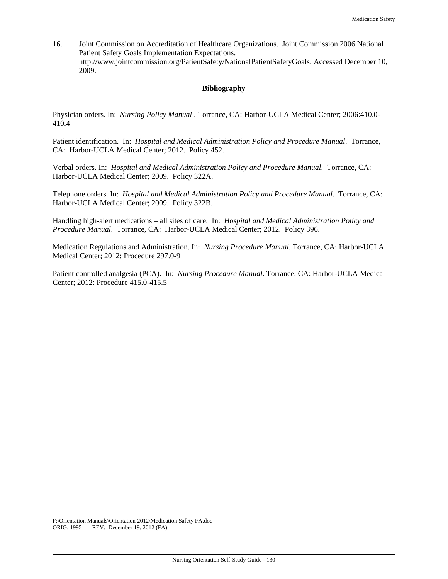16. Joint Commission on Accreditation of Healthcare Organizations. Joint Commission 2006 National Patient Safety Goals Implementation Expectations. http://www.jointcommission.org/PatientSafety/NationalPatientSafetyGoals. Accessed December 10, 2009.

# **Bibliography**

Physician orders. In: *Nursing Policy Manual* . Torrance, CA: Harbor-UCLA Medical Center; 2006:410.0- 410.4

Patient identification. In: *Hospital and Medical Administration Policy and Procedure Manual*. Torrance, CA: Harbor-UCLA Medical Center; 2012. Policy 452.

Verbal orders. In: *Hospital and Medical Administration Policy and Procedure Manual*. Torrance, CA: Harbor-UCLA Medical Center; 2009. Policy 322A.

Telephone orders. In: *Hospital and Medical Administration Policy and Procedure Manual*. Torrance, CA: Harbor-UCLA Medical Center; 2009. Policy 322B.

Handling high-alert medications – all sites of care. In: *Hospital and Medical Administration Policy and Procedure Manual*. Torrance, CA: Harbor-UCLA Medical Center; 2012. Policy 396.

Medication Regulations and Administration. In: *Nursing Procedure Manual*. Torrance, CA: Harbor-UCLA Medical Center; 2012: Procedure 297.0-9

Patient controlled analgesia (PCA). In: *Nursing Procedure Manual*. Torrance, CA: Harbor-UCLA Medical Center; 2012: Procedure 415.0-415.5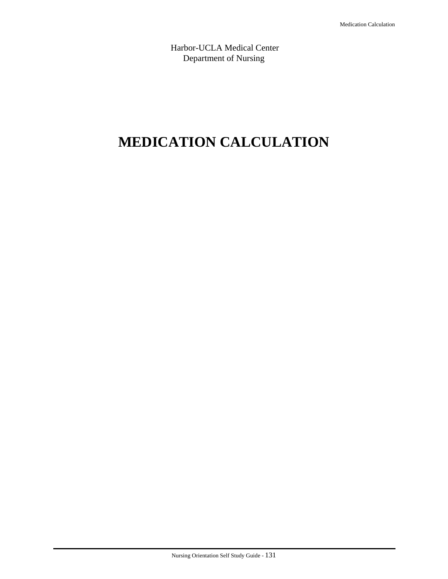Harbor-UCLA Medical Center Department of Nursing

# **MEDICATION CALCULATION**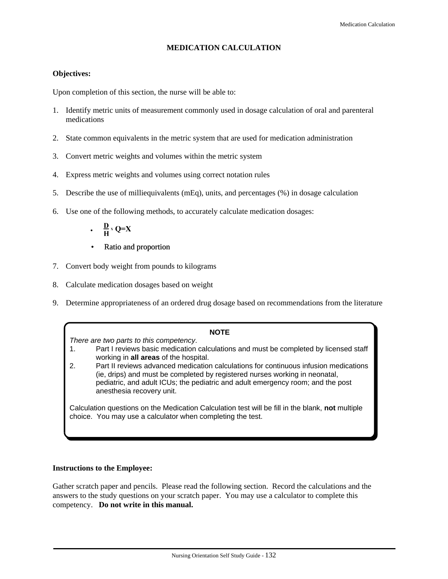# **MEDICATION CALCULATION**

# **Objectives:**

Upon completion of this section, the nurse will be able to:

- 1. Identify metric units of measurement commonly used in dosage calculation of oral and parenteral medications
- 2. State common equivalents in the metric system that are used for medication administration
- 3. Convert metric weights and volumes within the metric system
- 4. Express metric weights and volumes using correct notation rules
- 5. Describe the use of milliequivalents (mEq), units, and percentages (%) in dosage calculation
- 6. Use one of the following methods, to accurately calculate medication dosages:



- Ratio and proportion
- 7. Convert body weight from pounds to kilograms
- 8. Calculate medication dosages based on weight
- 9. Determine appropriateness of an ordered drug dosage based on recommendations from the literature

#### **NOTE**

*There are two parts to this competency*.

- 1. Part I reviews basic medication calculations and must be completed by licensed staff working in **all areas** of the hospital.
- 2. Part II reviews advanced medication calculations for continuous infusion medications (ie, drips) and must be completed by registered nurses working in neonatal, pediatric, and adult ICUs; the pediatric and adult emergency room; and the post anesthesia recovery unit.

Calculation questions on the Medication Calculation test will be fill in the blank, **not** multiple choice. You may use a calculator when completing the test.

## **Instructions to the Employee:**

Gather scratch paper and pencils. Please read the following section. Record the calculations and the answers to the study questions on your scratch paper. You may use a calculator to complete this competency. **Do not write in this manual.**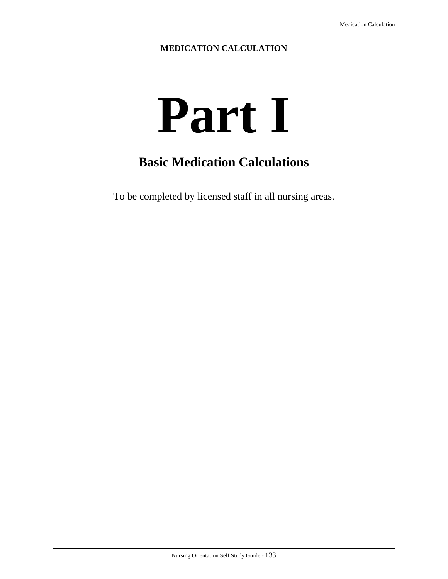# **MEDICATION CALCULATION**

# **Part I**

# **Basic Medication Calculations**

To be completed by licensed staff in all nursing areas.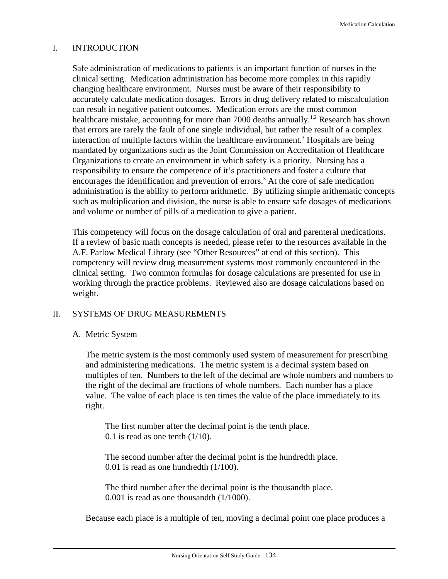# I. INTRODUCTION

Safe administration of medications to patients is an important function of nurses in the clinical setting. Medication administration has become more complex in this rapidly changing healthcare environment. Nurses must be aware of their responsibility to accurately calculate medication dosages. Errors in drug delivery related to miscalculation can result in negative patient outcomes. Medication errors are the most common healthcare mistake, accounting for more than 7000 deaths annually.<sup>1,2</sup> Research has shown that errors are rarely the fault of one single individual, but rather the result of a complex interaction of multiple factors within the healthcare environment.<sup>3</sup> Hospitals are being mandated by organizations such as the Joint Commission on Accreditation of Healthcare Organizations to create an environment in which safety is a priority. Nursing has a responsibility to ensure the competence of it's practitioners and foster a culture that encourages the identification and prevention of errors.<sup>3</sup> At the core of safe medication administration is the ability to perform arithmetic. By utilizing simple arithematic concepts such as multiplication and division, the nurse is able to ensure safe dosages of medications and volume or number of pills of a medication to give a patient.

This competency will focus on the dosage calculation of oral and parenteral medications. If a review of basic math concepts is needed, please refer to the resources available in the A.F. Parlow Medical Library (see "Other Resources" at end of this section). This competency will review drug measurement systems most commonly encountered in the clinical setting. Two common formulas for dosage calculations are presented for use in working through the practice problems. Reviewed also are dosage calculations based on weight.

# II. SYSTEMS OF DRUG MEASUREMENTS

# A. Metric System

The metric system is the most commonly used system of measurement for prescribing and administering medications. The metric system is a decimal system based on multiples of ten. Numbers to the left of the decimal are whole numbers and numbers to the right of the decimal are fractions of whole numbers. Each number has a place value. The value of each place is ten times the value of the place immediately to its right.

The first number after the decimal point is the tenth place. 0.1 is read as one tenth  $(1/10)$ .

The second number after the decimal point is the hundredth place. 0.01 is read as one hundredth (1/100).

The third number after the decimal point is the thousandth place. 0.001 is read as one thousandth (1/1000).

Because each place is a multiple of ten, moving a decimal point one place produces a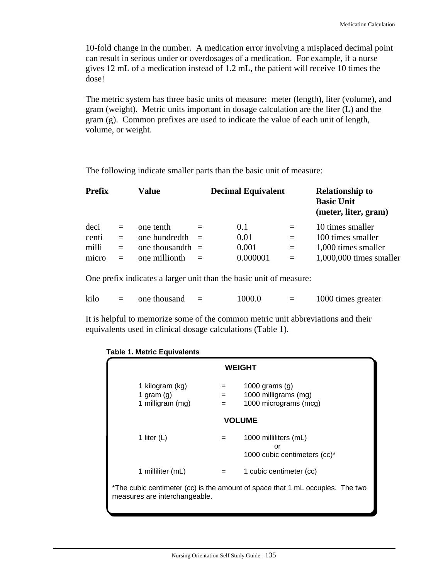10-fold change in the number. A medication error involving a misplaced decimal point can result in serious under or overdosages of a medication. For example, if a nurse gives 12 mL of a medication instead of 1.2 mL, the patient will receive 10 times the dose!

The metric system has three basic units of measure: meter (length), liter (volume), and gram (weight). Metric units important in dosage calculation are the liter (L) and the gram (g). Common prefixes are used to indicate the value of each unit of length, volume, or weight.

The following indicate smaller parts than the basic unit of measure:

| Prefix |     | Value               | <b>Decimal Equivalent</b> |     | <b>Relationship to</b><br><b>Basic Unit</b><br>(meter, liter, gram) |
|--------|-----|---------------------|---------------------------|-----|---------------------------------------------------------------------|
| deci   | $=$ | one tenth           | 0.1                       | $=$ | 10 times smaller                                                    |
| centi  | $=$ | one hundredth       | 0.01                      | $=$ | 100 times smaller                                                   |
| milli  | $=$ | one thousand th $=$ | 0.001                     | $=$ | 1,000 times smaller                                                 |
| micro  | $=$ | one millionth       | 0.000001                  | $=$ | $1,000,000$ times smaller                                           |

One prefix indicates a larger unit than the basic unit of measure:

| kilo |  | one thousand |  | 1000.0 |  | 1000 times greater |
|------|--|--------------|--|--------|--|--------------------|
|------|--|--------------|--|--------|--|--------------------|

It is helpful to memorize some of the common metric unit abbreviations and their equivalents used in clinical dosage calculations (Table 1).

**Table 1. Metric Equivalents**

| <b>WEIGHT</b>                                                                                                  |            |                                                                   |  |  |
|----------------------------------------------------------------------------------------------------------------|------------|-------------------------------------------------------------------|--|--|
| 1 kilogram (kg)<br>1 gram $(g)$<br>1 milligram (mg)                                                            | $=$<br>$=$ | 1000 grams $(g)$<br>1000 milligrams (mg)<br>1000 micrograms (mcg) |  |  |
| <b>VOLUME</b>                                                                                                  |            |                                                                   |  |  |
| 1 liter $(L)$                                                                                                  |            | 1000 milliliters (mL)<br>or<br>1000 cubic centimeters (cc)*       |  |  |
| 1 milliliter (mL)                                                                                              |            | 1 cubic centimeter (cc)                                           |  |  |
| *The cubic centimeter (cc) is the amount of space that 1 mL occupies. The two<br>measures are interchangeable. |            |                                                                   |  |  |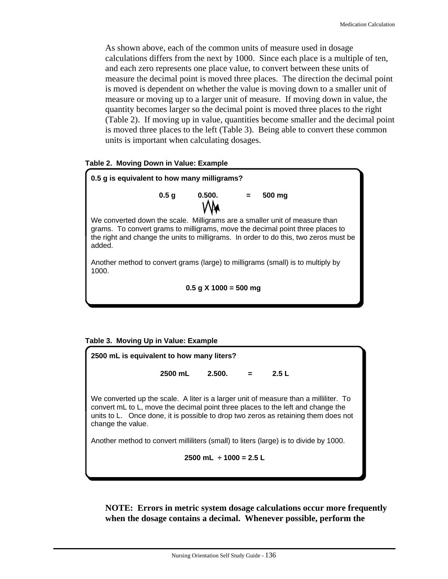As shown above, each of the common units of measure used in dosage calculations differs from the next by 1000. Since each place is a multiple of ten, and each zero represents one place value, to convert between these units of measure the decimal point is moved three places. The direction the decimal point is moved is dependent on whether the value is moving down to a smaller unit of measure or moving up to a larger unit of measure. If moving down in value, the quantity becomes larger so the decimal point is moved three places to the right (Table 2). If moving up in value, quantities become smaller and the decimal point is moved three places to the left (Table 3). Being able to convert these common units is important when calculating dosages.

## **Table 2. Moving Down in Value: Example**



## **Table 3. Moving Up in Value: Example**



**NOTE: Errors in metric system dosage calculations occur more frequently when the dosage contains a decimal. Whenever possible, perform the**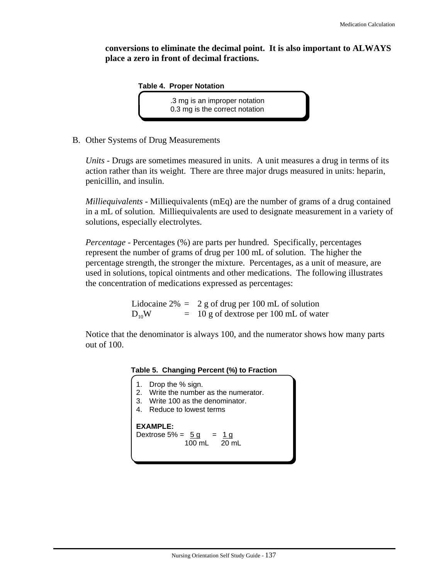# **conversions to eliminate the decimal point. It is also important to ALWAYS place a zero in front of decimal fractions.**



.3 mg is an improper notation 0.3 mg is the correct notation

B. Other Systems of Drug Measurements

*Units* - Drugs are sometimes measured in units. A unit measures a drug in terms of its action rather than its weight. There are three major drugs measured in units: heparin, penicillin, and insulin.

*Milliequivalents* - Milliequivalents (mEq) are the number of grams of a drug contained in a mL of solution. Milliequivalents are used to designate measurement in a variety of solutions, especially electrolytes.

*Percentage* - Percentages (%) are parts per hundred. Specifically, percentages represent the number of grams of drug per 100 mL of solution. The higher the percentage strength, the stronger the mixture. Percentages, as a unit of measure, are used in solutions, topical ointments and other medications. The following illustrates the concentration of medications expressed as percentages:

> Lidocaine  $2\% = 2$  g of drug per 100 mL of solution  $D_{10}W = 10 g$  of dextrose per 100 mL of water

Notice that the denominator is always 100, and the numerator shows how many parts out of 100.

# **Table 5. Changing Percent (%) to Fraction**

- 1. Drop the % sign.
- 2. Write the number as the numerator.
- 3. Write 100 as the denominator.
- 4. Reduce to lowest terms

# **EXAMPLE:**

```
Dextrose 5\% = 5g = 1g 100 mL 20 mL
```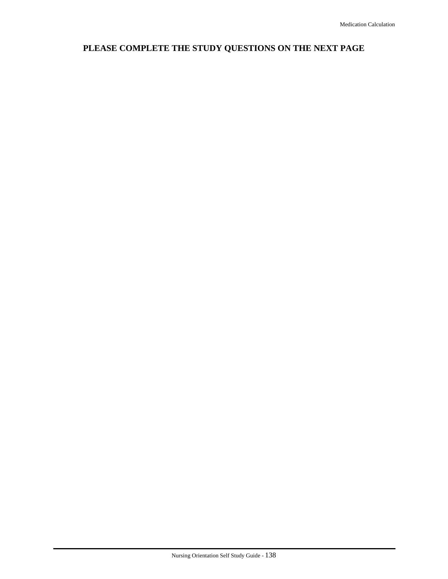# **PLEASE COMPLETE THE STUDY QUESTIONS ON THE NEXT PAGE**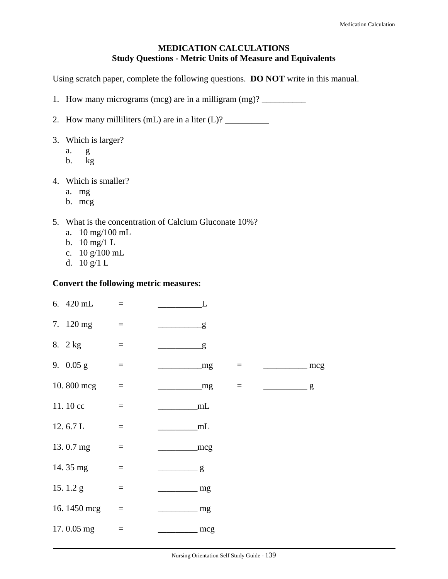# **MEDICATION CALCULATIONS Study Questions - Metric Units of Measure and Equivalents**

Using scratch paper, complete the following questions. **DO NOT** write in this manual.

1. How many micrograms (mcg) are in a milligram (mg)? \_\_\_\_\_\_\_\_\_\_\_\_\_\_\_\_\_\_\_\_\_\_\_\_\_\_

2. How many milliliters (mL) are in a liter (L)? \_\_\_\_\_\_\_\_\_\_

- 3. Which is larger?
	- a. g
	- b. kg
- 4. Which is smaller?
	- a. mg
	- b. mcg
- 5. What is the concentration of Calcium Gluconate 10%?
	- a. 10 mg/100 mL
	- b. 10 mg/1 L
	- c. 10 g/100 mL
	- d. 10 g/1 L

# **Convert the following metric measures:**

| 6. 420 mL   | $\equiv$ | L             |                         |                                |   |
|-------------|----------|---------------|-------------------------|--------------------------------|---|
| 7. 120 mg   | $\equiv$ | g             |                         |                                |   |
| 8. 2 kg     | $\equiv$ | g             |                         |                                |   |
| 9. 0.05 g   | $\equiv$ | mg            | $\qquad \qquad =\qquad$ | <sub>meg</sub> mcg             |   |
| 10.800 mcg  | $\equiv$ | mg            | $\equiv$                | <u> Liberatura de la conte</u> | g |
| 11.10 cc    | $\equiv$ | mL            |                         |                                |   |
| 12.6.7L     | $\equiv$ | mL            |                         |                                |   |
| 13.0.7 mg   | $\equiv$ | mcg           |                         |                                |   |
| 14.35 mg    | $\equiv$ | g             |                         |                                |   |
| 15.1.2 g    | $\equiv$ | mg            |                         |                                |   |
| 16.1450 mcg | $\equiv$ | $\frac{m}{g}$ |                         |                                |   |
| 17.0.05 mg  | $=$      | mcg           |                         |                                |   |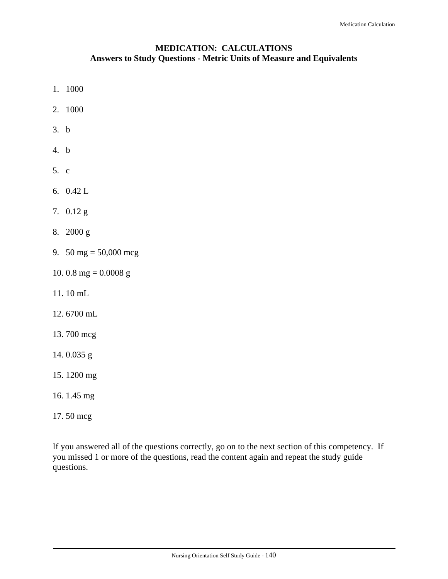# **MEDICATION: CALCULATIONS Answers to Study Questions - Metric Units of Measure and Equivalents**

- 1. 1000
- 2. 1000
- 3. b
- 4. b
- 5. c
- 6. 0.42 L
- 7. 0.12 g
- 8. 2000 g
- 9. 50 mg = 50,000 mcg
- 10. 0.8 mg =  $0.0008$  g
- 11. 10 mL
- 12. 6700 mL
- 13. 700 mcg
- 14. 0.035 g
- 15. 1200 mg
- 16. 1.45 mg
- 17. 50 mcg

If you answered all of the questions correctly, go on to the next section of this competency. If you missed 1 or more of the questions, read the content again and repeat the study guide questions.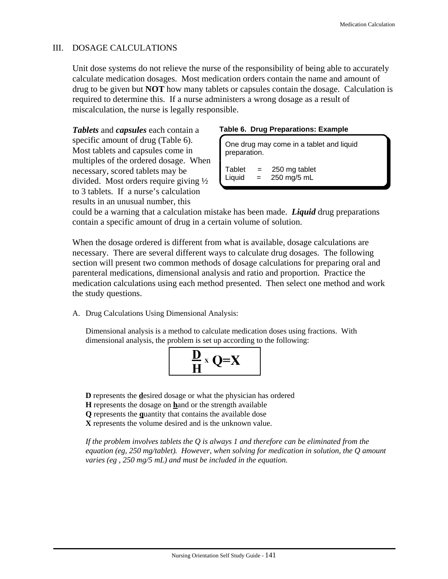# III. DOSAGE CALCULATIONS

Unit dose systems do not relieve the nurse of the responsibility of being able to accurately calculate medication dosages. Most medication orders contain the name and amount of drug to be given but **NOT** how many tablets or capsules contain the dosage. Calculation is required to determine this. If a nurse administers a wrong dosage as a result of miscalculation, the nurse is legally responsible.

*Tablets* and *capsules* each contain a specific amount of drug (Table 6). Most tablets and capsules come in multiples of the ordered dosage. When necessary, scored tablets may be divided. Most orders require giving ½ to 3 tablets. If a nurse's calculation results in an unusual number, this

#### **Table 6. Drug Preparations: Example**

One drug may come in a tablet and liquid preparation.

Tablet  $= 250$  mg tablet Liquid  $=$  250 mg/5 mL

could be a warning that a calculation mistake has been made. *Liquid* drug preparations contain a specific amount of drug in a certain volume of solution.

When the dosage ordered is different from what is available, dosage calculations are necessary. There are several different ways to calculate drug dosages. The following section will present two common methods of dosage calculations for preparing oral and parenteral medications, dimensional analysis and ratio and proportion. Practice the medication calculations using each method presented. Then select one method and work the study questions.

A. Drug Calculations Using Dimensional Analysis:

Dimensional analysis is a method to calculate medication doses using fractions. With dimensional analysis, the problem is set up according to the following:

$$
\frac{D}{H} \times Q = X
$$

**D** represents the **d**esired dosage or what the physician has ordered

**H** represents the dosage on **h**and or the strength available

**Q** represents the **q**uantity that contains the available dose

**X** represents the volume desired and is the unknown value.

*If the problem involves tablets the Q is always 1 and therefore can be eliminated from the equation (eg, 250 mg/tablet). However, when solving for medication in solution, the Q amount varies (eg , 250 mg/5 mL) and must be included in the equation.*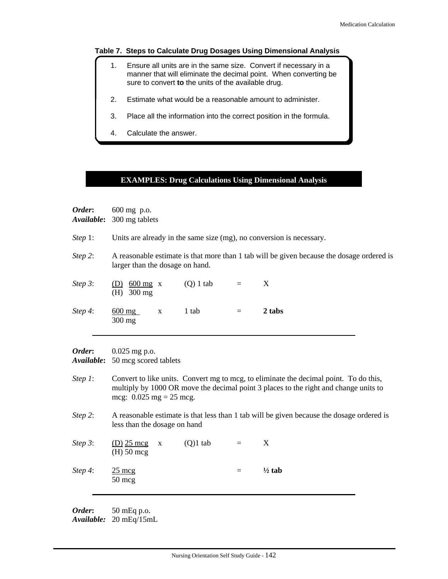#### **Table 7. Steps to Calculate Drug Dosages Using Dimensional Analysis**

- 1. Ensure all units are in the same size. Convert if necessary in a manner that will eliminate the decimal point. When converting be sure to convert **to** the units of the available drug.
- 2. Estimate what would be a reasonable amount to administer.
- 3. Place all the information into the correct position in the formula.
- 4. Calculate the answer.

#### **EXAMPLES: Drug Calculations Using Dimensional Analysis**

| Order:<br>Available: | 600 mg p.o.<br>300 mg tablets                                                                                                |             |             |     |                                                                                                                                                                               |  |  |  |  |  |
|----------------------|------------------------------------------------------------------------------------------------------------------------------|-------------|-------------|-----|-------------------------------------------------------------------------------------------------------------------------------------------------------------------------------|--|--|--|--|--|
| Step 1:              | Units are already in the same size (mg), no conversion is necessary.                                                         |             |             |     |                                                                                                                                                                               |  |  |  |  |  |
| Step 2:              | A reasonable estimate is that more than 1 tab will be given because the dosage ordered is<br>larger than the dosage on hand. |             |             |     |                                                                                                                                                                               |  |  |  |  |  |
| Step 3:              | (D) $600 \text{ mg} x$<br>$(H)$ 300 mg                                                                                       |             | $(Q)$ 1 tab | $=$ | X                                                                                                                                                                             |  |  |  |  |  |
| Step 4:              | $600$ mg<br>$300$ mg                                                                                                         | $\mathbf X$ | 1 tab       | $=$ | 2 tabs                                                                                                                                                                        |  |  |  |  |  |
| Order:<br>Available: | $0.025$ mg p.o.<br>50 mcg scored tablets                                                                                     |             |             |     |                                                                                                                                                                               |  |  |  |  |  |
| Step $l$ :           | mcg: $0.025$ mg = 25 mcg.                                                                                                    |             |             |     | Convert to like units. Convert mg to mcg, to eliminate the decimal point. To do this,<br>multiply by 1000 OR move the decimal point 3 places to the right and change units to |  |  |  |  |  |
| Step 2:              | less than the dosage on hand                                                                                                 |             |             |     | A reasonable estimate is that less than 1 tab will be given because the dosage ordered is                                                                                     |  |  |  |  |  |
| Step 3:              | $(D)$ 25 mcg<br>$(H)$ 50 mcg                                                                                                 | X           | $(Q)1$ tab  | $=$ | X                                                                                                                                                                             |  |  |  |  |  |
| Step 4:              | $25 \text{~me}$<br>$50 \text{ mcg}$                                                                                          |             |             | $=$ | $\frac{1}{2}$ tab                                                                                                                                                             |  |  |  |  |  |
|                      |                                                                                                                              |             |             |     |                                                                                                                                                                               |  |  |  |  |  |

*Order***:** 50 mEq p.o. *Available:* 20 mEq/15mL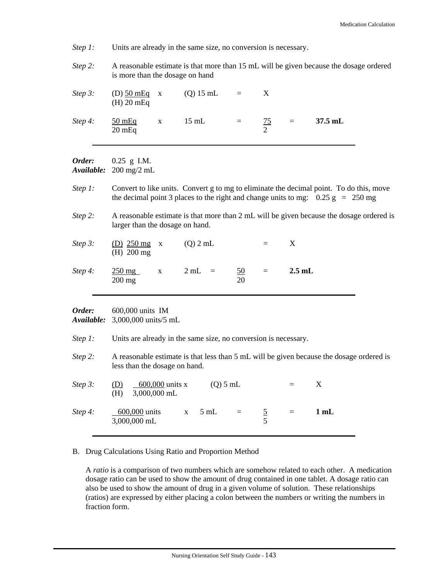| Step $1$ :           | Units are already in the same size, no conversion is necessary.                                                                                                                              |             |             |  |                 |                |          |         |  |
|----------------------|----------------------------------------------------------------------------------------------------------------------------------------------------------------------------------------------|-------------|-------------|--|-----------------|----------------|----------|---------|--|
| Step 2:              | A reasonable estimate is that more than 15 mL will be given because the dosage ordered<br>is more than the dosage on hand                                                                    |             |             |  |                 |                |          |         |  |
| Step $3$ :           | $(D)$ 50 mEq<br>$(H)$ 20 mEq                                                                                                                                                                 | $\mathbf X$ | $(Q)$ 15 mL |  | $\equiv$        | X              |          |         |  |
| Step 4:              | $50$ mEq<br>$20$ mEq                                                                                                                                                                         | $\mathbf X$ | $15$ mL     |  | $=$             | $\frac{75}{2}$ | $=$      | 37.5 mL |  |
| Order:<br>Available: | $0.25$ g I.M.<br>$200$ mg/2 mL                                                                                                                                                               |             |             |  |                 |                |          |         |  |
| Step 1:              | Convert to like units. Convert g to mg to eliminate the decimal point. To do this, move<br>the decimal point 3 places to the right and change units to mg: $0.25 \text{ g} = 250 \text{ mg}$ |             |             |  |                 |                |          |         |  |
| Step 2:              | A reasonable estimate is that more than 2 mL will be given because the dosage ordered is<br>larger than the dosage on hand.                                                                  |             |             |  |                 |                |          |         |  |
| Step $3$ :           | (D) $250 \text{ mg}$<br>$(H)$ 200 mg                                                                                                                                                         | $\mathbf X$ | $(Q)$ 2 mL  |  |                 | $=$            | X        |         |  |
| Step 4:              | $250 \text{ mg}$<br>$200$ mg                                                                                                                                                                 | $\mathbf X$ | $2 mL =$    |  | $\frac{50}{20}$ | $\equiv$       | $2.5$ mL |         |  |
| Order:<br>Available: | 600,000 units IM<br>3,000,000 units/5 mL                                                                                                                                                     |             |             |  |                 |                |          |         |  |
| Step 1:              | Units are already in the same size, no conversion is necessary.                                                                                                                              |             |             |  |                 |                |          |         |  |
| Step 2:              | A reasonable estimate is that less than 5 mL will be given because the dosage ordered is                                                                                                     |             |             |  |                 |                |          |         |  |

# B. Drug Calculations Using Ratio and Proportion Method

*Step 3:* (D) 600,000 units x (Q) 5 mL = X

3,000,000 mL 5

*Step 4:* 600,000 units  $x = 5$  mL =  $5 = 1$  mL

less than the dosage on hand.

(H) 3,000,000 mL

A *ratio* is a comparison of two numbers which are somehow related to each other. A medication dosage ratio can be used to show the amount of drug contained in one tablet. A dosage ratio can also be used to show the amount of drug in a given volume of solution. These relationships (ratios) are expressed by either placing a colon between the numbers or writing the numbers in fraction form.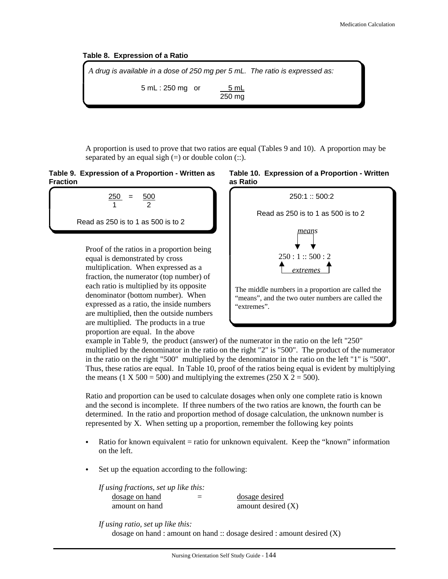**Table 8. Expression of a Ratio**

| A drug is available in a dose of 250 mg per 5 mL. The ratio is expressed as: |                |  |
|------------------------------------------------------------------------------|----------------|--|
| $5 mL: 250 mg$ or                                                            | 5 mL<br>250 ma |  |

A proportion is used to prove that two ratios are equal (Tables 9 and 10). A proportion may be separated by an equal sigh  $(=)$  or double colon  $(:).$ 



250 = 500 1 2

Read as 250 is to 1 as 500 is to 2

Proof of the ratios in a proportion being equal is demonstrated by cross multiplication. When expressed as a fraction, the numerator (top number) of each ratio is multiplied by its opposite denominator (bottom number). When expressed as a ratio, the inside numbers are multiplied, then the outside numbers are multiplied. The products in a true proportion are equal. In the above





example in Table 9, the product (answer) of the numerator in the ratio on the left "250" multiplied by the denominator in the ratio on the right "2" is "500". The product of the numerator in the ratio on the right "500" multiplied by the denominator in the ratio on the left "1" is "500". Thus, these ratios are equal. In Table 10, proof of the ratios being equal is evident by multiplying the means (1 X 500 = 500) and multiplying the extremes (250 X 2 = 500).

Ratio and proportion can be used to calculate dosages when only one complete ratio is known and the second is incomplete. If three numbers of the two ratios are known, the fourth can be determined. In the ratio and proportion method of dosage calculation, the unknown number is represented by X. When setting up a proportion, remember the following key points

- Ratio for known equivalent  $=$  ratio for unknown equivalent. Keep the "known" information on the left.
- Set up the equation according to the following:

| If using fractions, set up like this: |     |                      |
|---------------------------------------|-----|----------------------|
| dosage on hand                        | $=$ | dosage desired       |
| amount on hand                        |     | amount desired $(X)$ |

*If using ratio, set up like this:*

dosage on hand : amount on hand :: dosage desired : amount desired (X)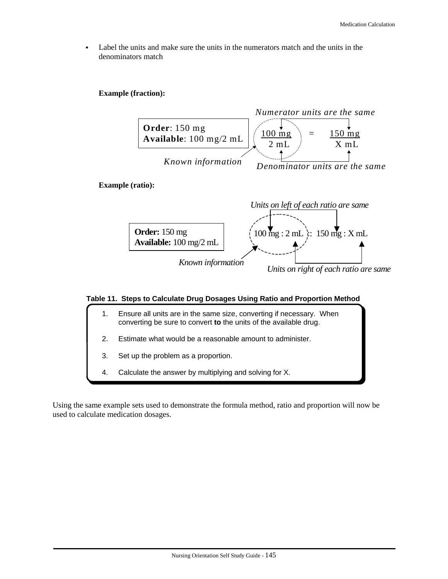Label the units and make sure the units in the numerators match and the units in the denominators match

#### **Example (fraction):**



#### **Table 11. Steps to Calculate Drug Dosages Using Ratio and Proportion Method**



Using the same example sets used to demonstrate the formula method, ratio and proportion will now be used to calculate medication dosages.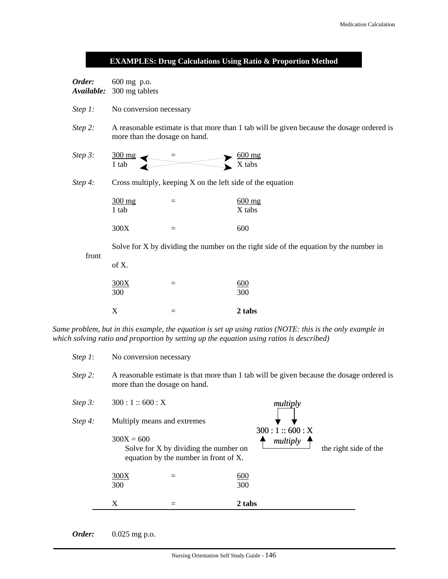# **EXAMPLES: Drug Calculations Using Ratio & Proportion Method**

| Order:<br>Available: | 600 mg p.o.<br>300 mg tablets                                                                                              |     |                    |  |  |  |  |  |
|----------------------|----------------------------------------------------------------------------------------------------------------------------|-----|--------------------|--|--|--|--|--|
| Step 1:              | No conversion necessary                                                                                                    |     |                    |  |  |  |  |  |
| Step 2:              | A reasonable estimate is that more than 1 tab will be given because the dosage ordered is<br>more than the dosage on hand. |     |                    |  |  |  |  |  |
| Step $3$ :           | $\frac{300 \text{ mg}}{200 \text{ mg}}$<br>1 tab                                                                           |     | $600$ mg<br>X tabs |  |  |  |  |  |
| Step 4:              | Cross multiply, keeping $X$ on the left side of the equation                                                               |     |                    |  |  |  |  |  |
|                      | $300$ mg<br>1 tab                                                                                                          | $=$ | $600$ mg<br>X tabs |  |  |  |  |  |
|                      | 300X                                                                                                                       | $=$ | 600                |  |  |  |  |  |
|                      | Solve for X by dividing the number on the right side of the equation by the number in                                      |     |                    |  |  |  |  |  |
| front                | of X.                                                                                                                      |     |                    |  |  |  |  |  |
|                      | 300X<br>300                                                                                                                | $=$ | 600<br>300         |  |  |  |  |  |
|                      |                                                                                                                            |     |                    |  |  |  |  |  |

*Same problem, but in this example, the equation is set up using ratios (NOTE: this is the only example in which solving ratio and proportion by setting up the equation using ratios is described)*

 $X = 2$  tabs

|            | X                             |                                                                                | 2 tabs                                                                                    |                       |
|------------|-------------------------------|--------------------------------------------------------------------------------|-------------------------------------------------------------------------------------------|-----------------------|
|            | 300X<br>300                   |                                                                                | $\underline{600}$<br>300                                                                  |                       |
|            | $300X = 600$                  | Solve for X by dividing the number on<br>equation by the number in front of X. | multiply                                                                                  | the right side of the |
| Step 4:    | Multiply means and extremes   |                                                                                | 300:1::600:X                                                                              |                       |
| Step $3$ : | 300:1::600:X                  |                                                                                | multiply                                                                                  |                       |
| Step 2:    | more than the dosage on hand. |                                                                                | A reasonable estimate is that more than 1 tab will be given because the dosage ordered is |                       |
| Step $1$ : | No conversion necessary       |                                                                                |                                                                                           |                       |

*Order:* 0.025 mg p.o.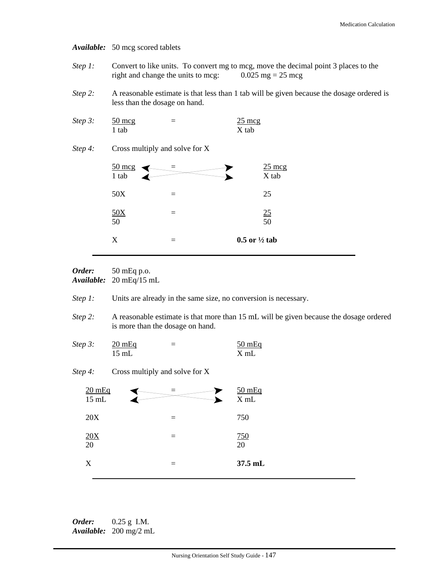#### *Available:* 50 mcg scored tablets

- *Step 1:* Convert to like units. To convert mg to mcg, move the decimal point 3 places to the right and change the units to mcg:  $0.025 \text{ mg} = 25 \text{ mg}$
- *Step 2:* A reasonable estimate is that less than 1 tab will be given because the dosage ordered is less than the dosage on hand.
- *Step 3:*  $\frac{50 \text{ mcg}}{25 \text{ mcg}}$  =  $\frac{25 \text{ mcg}}{25 \text{ mcg}}$ 1 tab X tab

| $50 \text{ mcg}$<br>1 tab |          | $25 \text{~mg}$<br>X tab   |
|---------------------------|----------|----------------------------|
| 50X                       | $\equiv$ | 25                         |
| 50X<br>50                 |          | $\frac{25}{50}$            |
| X                         |          | $0.5$ or $\frac{1}{2}$ tab |

*Step 4:* Cross multiply and solve for X

*Order:* 50 mEq p.o.

*Available:* 20 mEq/15 mL

- *Step 1:* Units are already in the same size, no conversion is necessary.
- *Step 2:* A reasonable estimate is that more than 15 mL will be given because the dosage ordered is more than the dosage on hand.
- *Step 3:* 20 mEq = 50 mEq<br>15 mL x mL X mL  $15$  mL
- *Step 4:* Cross multiply and solve for X

| $20$ mEq<br>$15$ mL |          | $50$ mEq<br>$X$ mL |
|---------------------|----------|--------------------|
| 20X                 | $\equiv$ | 750                |
| 20X<br>20           | $=$      | 750<br>20          |
| X                   | $=$      | 37.5 mL            |
|                     |          |                    |

*Order:* 0.25 g I.M. *Available:* 200 mg/2 mL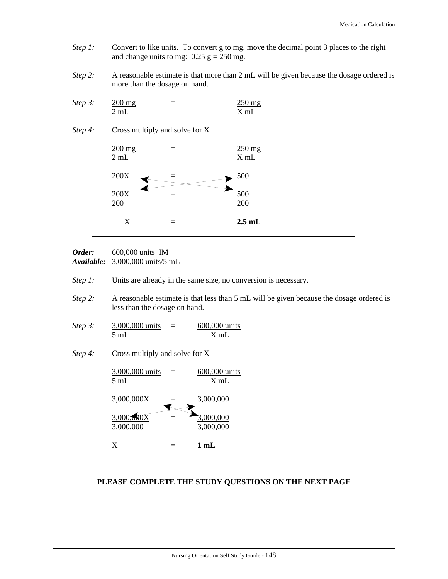- *Step 1:* Convert to like units. To convert g to mg, move the decimal point 3 places to the right and change units to mg:  $0.25$  g = 250 mg.
- *Step 2:* A reasonable estimate is that more than 2 mL will be given because the dosage ordered is more than the dosage on hand.
- *Step 3:* 200 mg = 250 mg 2 mL X mL
- *Step 4:* Cross multiply and solve for X  $\frac{200 \text{ mg}}{250 \text{ mg}}$  =  $\frac{250 \text{ mg}}{250 \text{ mg}}$ 2 mL X mL  $200X = 500$  $200X = 500$ 200 200  $X = 2.5$  mL

### *Order:* 600,000 units IM

*Available:* 3,000,000 units/5 mL

- *Step 1:* Units are already in the same size, no conversion is necessary.
- *Step 2:* A reasonable estimate is that less than 5 mL will be given because the dosage ordered is less than the dosage on hand.
- *Step 3:* 3,000,000 units = 600,000 units 5 mL X mL
- *Step 4:* Cross multiply and solve for X

 $3,000,000$  units  $= 600,000$  units 5 mL X mL



#### **PLEASE COMPLETE THE STUDY QUESTIONS ON THE NEXT PAGE**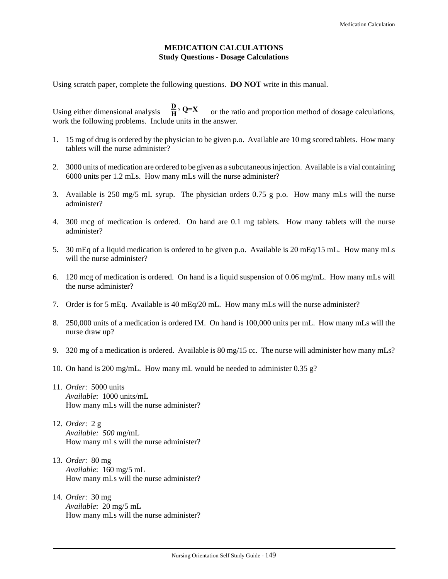#### **MEDICATION CALCULATIONS Study Questions - Dosage Calculations**

Using scratch paper, complete the following questions. **DO NOT** write in this manual.

Using either dimensional analysis  $\frac{D}{H} \times Q = X$  or the ratio and proportion method of dosage calculations, work the following problems. Include units in the answer.

- 1. 15 mg of drug is ordered by the physician to be given p.o. Available are 10 mg scored tablets. How many tablets will the nurse administer?
- 2. 3000 units of medication are ordered to be given as a subcutaneous injection. Available is a vial containing 6000 units per 1.2 mLs. How many mLs will the nurse administer?
- 3. Available is 250 mg/5 mL syrup. The physician orders 0.75 g p.o. How many mLs will the nurse administer?
- 4. 300 mcg of medication is ordered. On hand are 0.1 mg tablets. How many tablets will the nurse administer?
- 5. 30 mEq of a liquid medication is ordered to be given p.o. Available is 20 mEq/15 mL. How many mLs will the nurse administer?
- 6. 120 mcg of medication is ordered. On hand is a liquid suspension of 0.06 mg/mL. How many mLs will the nurse administer?
- 7. Order is for 5 mEq. Available is 40 mEq/20 mL. How many mLs will the nurse administer?
- 8. 250,000 units of a medication is ordered IM. On hand is 100,000 units per mL. How many mLs will the nurse draw up?
- 9. 320 mg of a medication is ordered. Available is 80 mg/15 cc. The nurse will administer how many mLs?
- 10. On hand is 200 mg/mL. How many mL would be needed to administer 0.35 g?
- 11. *Order*: 5000 units *Available*: 1000 units/mL How many mLs will the nurse administer?
- 12. *Order*: 2 g *Available: 500* mg/mL How many mLs will the nurse administer?
- 13. *Order*: 80 mg *Available*: 160 mg/5 mL How many mLs will the nurse administer?
- 14. *Order*: 30 mg *Available*: 20 mg/5 mL How many mLs will the nurse administer?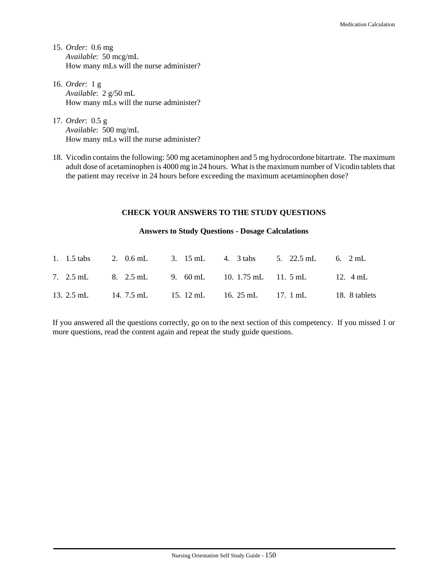- 15. *Order*: 0.6 mg *Available*: 50 mcg/mL How many mLs will the nurse administer?
- 16. *Order*: 1 g *Available*: 2 g/50 mL How many mLs will the nurse administer?
- 17. *Order*: 0.5 g *Available*: 500 mg/mL How many mLs will the nurse administer?
- 18. Vicodin contains the following: 500 mg acetaminophen and 5 mg hydrocordone bitartrate. The maximum adult dose of acetaminophen is 4000 mg in 24 hours. What is the maximum number of Vicodin tablets that the patient may receive in 24 hours before exceeding the maximum acetaminophen dose?

#### **CHECK YOUR ANSWERS TO THE STUDY QUESTIONS**

#### **Answers to Study Questions - Dosage Calculations**

|  | 1. 1.5 tabs 2. 0.6 mL 3. 15 mL 4. 3 tabs 5. 22.5 mL 6. 2 mL      |  |  |  |  |
|--|------------------------------------------------------------------|--|--|--|--|
|  | 7. 2.5 mL 8. 2.5 mL 9. 60 mL 10. 1.75 mL 11. 5 mL 12. 4 mL       |  |  |  |  |
|  | 13. 2.5 mL 14. 7.5 mL 15. 12 mL 16. 25 mL 17. 1 mL 18. 8 tablets |  |  |  |  |

If you answered all the questions correctly, go on to the next section of this competency. If you missed 1 or more questions, read the content again and repeat the study guide questions.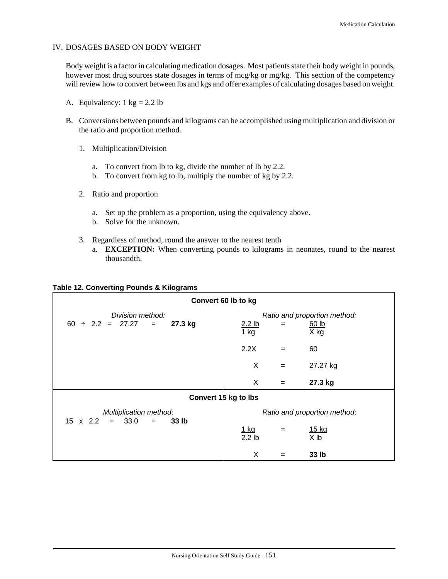#### IV. DOSAGES BASED ON BODY WEIGHT

Body weight is a factor in calculating medication dosages. Most patients state their body weight in pounds, however most drug sources state dosages in terms of mcg/kg or mg/kg. This section of the competency will review how to convert between lbs and kgs and offer examples of calculating dosages based on weight.

- A. Equivalency:  $1 \text{ kg} = 2.2 \text{ lb}$
- B. Conversions between pounds and kilograms can be accomplished using multiplication and division or the ratio and proportion method.
	- 1. Multiplication/Division
		- a. To convert from lb to kg, divide the number of lb by 2.2.
		- b. To convert from kg to lb, multiply the number of kg by 2.2.
	- 2. Ratio and proportion
		- a. Set up the problem as a proportion, using the equivalency above.
		- b. Solve for the unknown.
	- 3. Regardless of method, round the answer to the nearest tenth
		- a. **EXCEPTION:** When converting pounds to kilograms in neonates, round to the nearest thousandth.

#### **Table 12. Converting Pounds & Kilograms**

| Convert 60 lb to kg                                    |                              |     |                                               |  |  |
|--------------------------------------------------------|------------------------------|-----|-----------------------------------------------|--|--|
| Division method:<br>$60 \div 2.2 = 27.27 =$<br>27.3 kg | $2.2$ lb<br>$1$ kg           | $=$ | Ratio and proportion method:<br>60 lb<br>X kg |  |  |
|                                                        | 2.2X                         | $=$ | 60                                            |  |  |
|                                                        | X                            | $=$ | 27.27 kg                                      |  |  |
|                                                        | X                            | $=$ | 27.3 kg                                       |  |  |
| Convert 15 kg to lbs                                   |                              |     |                                               |  |  |
| Multiplication method:                                 | Ratio and proportion method: |     |                                               |  |  |
| $15 \times 2.2 = 33.0$<br>33 lb<br>$=$ $-$             | <u>1 kg</u><br>$2.2$ lb      | $=$ | 15 kg<br>X lb                                 |  |  |
|                                                        | X                            | $=$ | 33 <sub>lb</sub>                              |  |  |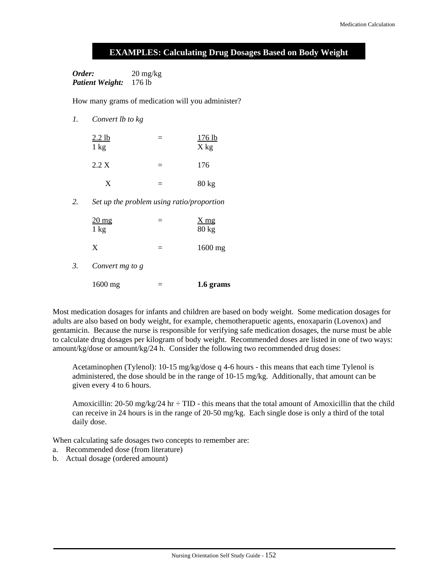# **EXAMPLES: Calculating Drug Dosages Based on Body Weight**

*Order:* 20 mg/kg *Patient Weight:* 176 lb

How many grams of medication will you administer?

*1. Convert lb to kg*

| $2.2$ lb<br>$1 \text{ kg}$ | ゠   | $176$ lb<br>X kg |  |  |
|----------------------------|-----|------------------|--|--|
| 2.2 X                      | $=$ | 176              |  |  |
| X                          |     | $80 \text{ kg}$  |  |  |

*2. Set up the problem using ratio/proportion*

| $20 \text{ mg}$<br>$1 \text{ kg}$ | $=$      | $X$ mg<br>$80 \text{ kg}$ |
|-----------------------------------|----------|---------------------------|
| X                                 | $\equiv$ | $1600$ mg                 |

*3. Convert mg to g*

| $1600$ mg |  | 1.6 grams |
|-----------|--|-----------|
|-----------|--|-----------|

Most medication dosages for infants and children are based on body weight. Some medication dosages for adults are also based on body weight, for example, chemotherapuetic agents, enoxaparin (Lovenox) and gentamicin. Because the nurse is responsible for verifying safe medication dosages, the nurse must be able to calculate drug dosages per kilogram of body weight. Recommended doses are listed in one of two ways: amount/kg/dose or amount/kg/24 h. Consider the following two recommended drug doses:

Acetaminophen (Tylenol): 10-15 mg/kg/dose q 4-6 hours - this means that each time Tylenol is administered, the dose should be in the range of 10-15 mg/kg. Additionally, that amount can be given every 4 to 6 hours.

Amoxicillin: 20-50 mg/kg/24 hr  $\div$  TID - this means that the total amount of Amoxicillin that the child can receive in 24 hours is in the range of 20-50 mg/kg. Each single dose is only a third of the total daily dose.

When calculating safe dosages two concepts to remember are:

- a. Recommended dose (from literature)
- b. Actual dosage (ordered amount)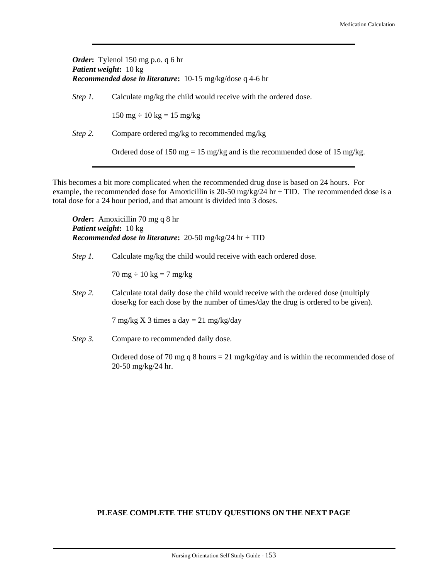# *Order***:** Tylenol 150 mg p.o. q 6 hr *Patient weight***:** 10 kg *Recommended dose in literature***:** 10-15 mg/kg/dose q 4-6 hr

*Step 1.* Calculate mg/kg the child would receive with the ordered dose.

 $150 \text{ mg} \div 10 \text{ kg} = 15 \text{ mg/kg}$ 

*Step 2.* Compare ordered mg/kg to recommended mg/kg

Ordered dose of 150 mg = 15 mg/kg and is the recommended dose of 15 mg/kg.

This becomes a bit more complicated when the recommended drug dose is based on 24 hours. For example, the recommended dose for Amoxicillin is 20-50 mg/kg/24 hr  $\div$  TID. The recommended dose is a total dose for a 24 hour period, and that amount is divided into 3 doses.

*Order***:** Amoxicillin 70 mg q 8 hr *Patient weight***:** 10 kg *Recommended dose in literature***:** 20-50 mg/kg/24 hr ÷ TID

#### *Step 1.* Calculate mg/kg the child would receive with each ordered dose.

 $70 \text{ mg} \div 10 \text{ kg} = 7 \text{ mg/kg}$ 

*Step 2.* Calculate total daily dose the child would receive with the ordered dose (multiply dose/kg for each dose by the number of times/day the drug is ordered to be given).

7 mg/kg X 3 times a day  $= 21$  mg/kg/day

*Step 3.* Compare to recommended daily dose.

Ordered dose of 70 mg q 8 hours = 21 mg/kg/day and is within the recommended dose of 20-50 mg/kg/24 hr.

#### **PLEASE COMPLETE THE STUDY QUESTIONS ON THE NEXT PAGE**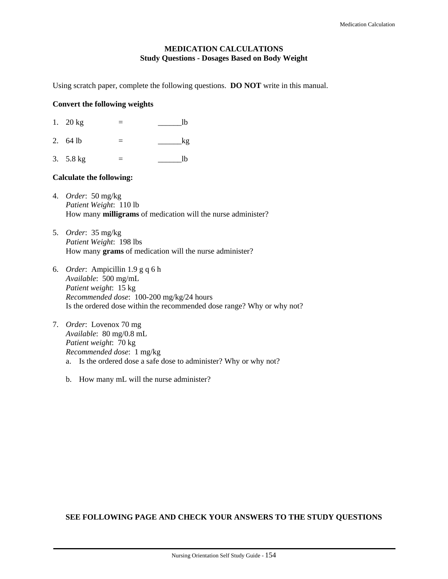#### **MEDICATION CALCULATIONS Study Questions - Dosages Based on Body Weight**

Using scratch paper, complete the following questions. **DO NOT** write in this manual.

#### **Convert the following weights**

- 1.  $20 \text{ kg}$  = 1b
- 2.  $64 \text{ lb} = \text{ kg}$
- 3. 5.8 kg = \_\_\_\_\_\_lb

#### **Calculate the following:**

- 4. *Order*: 50 mg/kg *Patient Weight*: 110 lb How many **milligrams** of medication will the nurse administer?
- 5. *Order*: 35 mg/kg *Patient Weight*: 198 lbs How many **grams** of medication will the nurse administer?
- 6. *Order*: Ampicillin 1.9 g q 6 h *Available*: 500 mg/mL *Patient weight*: 15 kg *Recommended dose*: 100-200 mg/kg/24 hours Is the ordered dose within the recommended dose range? Why or why not?
- 7. *Order*: Lovenox 70 mg *Available*: 80 mg/0.8 mL *Patient weight*: 70 kg *Recommended dose*: 1 mg/kg a. Is the ordered dose a safe dose to administer? Why or why not?
	- b. How many mL will the nurse administer?

#### **SEE FOLLOWING PAGE AND CHECK YOUR ANSWERS TO THE STUDY QUESTIONS**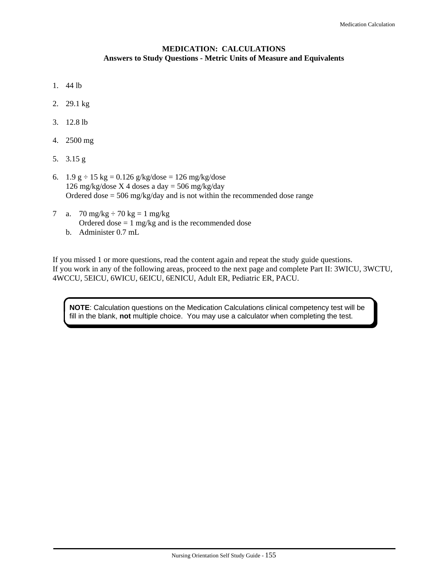## **MEDICATION: CALCULATIONS Answers to Study Questions - Metric Units of Measure and Equivalents**

- 1. 44 lb
- 2. 29.1 kg
- 3. 12.8 lb
- 4. 2500 mg
- 5. 3.15 g
- 6.  $1.9 \text{ g} \div 15 \text{ kg} = 0.126 \text{ g/kg/dose} = 126 \text{ mg/kg/dose}$ 126 mg/kg/dose X 4 doses a day =  $506$  mg/kg/day Ordered dose  $= 506$  mg/kg/day and is not within the recommended dose range
- 7 a.  $70 \text{ mg/kg} \div 70 \text{ kg} = 1 \text{ mg/kg}$ Ordered dose  $= 1$  mg/kg and is the recommended dose
	- b. Administer 0.7 mL

If you missed 1 or more questions, read the content again and repeat the study guide questions. If you work in any of the following areas, proceed to the next page and complete Part II: 3WICU, 3WCTU, 4WCCU, 5EICU, 6WICU, 6EICU, 6ENICU, Adult ER, Pediatric ER, PACU.

**NOTE**: Calculation questions on the Medication Calculations clinical competency test will be fill in the blank, **not** multiple choice. You may use a calculator when completing the test.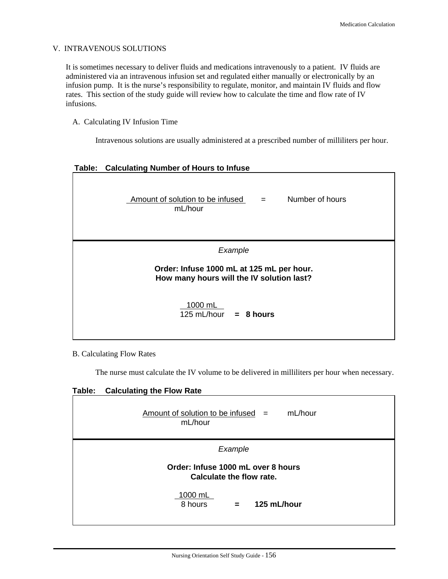٦

#### V. INTRAVENOUS SOLUTIONS

It is sometimes necessary to deliver fluids and medications intravenously to a patient. IV fluids are administered via an intravenous infusion set and regulated either manually or electronically by an infusion pump. It is the nurse's responsibility to regulate, monitor, and maintain IV fluids and flow rates. This section of the study guide will review how to calculate the time and flow rate of IV infusions.

#### A. Calculating IV Infusion Time

Intravenous solutions are usually administered at a prescribed number of milliliters per hour.

#### **Table: Calculating Number of Hours to Infuse**

| Amount of solution to be infused $=$<br>mL/hour                                                   | Number of hours |  |
|---------------------------------------------------------------------------------------------------|-----------------|--|
| Example<br>Order: Infuse 1000 mL at 125 mL per hour.<br>How many hours will the IV solution last? |                 |  |
| 1000 mL<br>125 mL/hour $= 8$ hours                                                                |                 |  |

B. Calculating Flow Rates

The nurse must calculate the IV volume to be delivered in milliliters per hour when necessary.

#### **Table: Calculating the Flow Rate**

| mL/hour<br>Amount of solution to be infused $=$<br>mL/hour     |  |  |
|----------------------------------------------------------------|--|--|
| Example                                                        |  |  |
| Order: Infuse 1000 mL over 8 hours<br>Calculate the flow rate. |  |  |
| 1000 mL<br>125 mL/hour<br>8 hours<br>$\equiv$ $\equiv$         |  |  |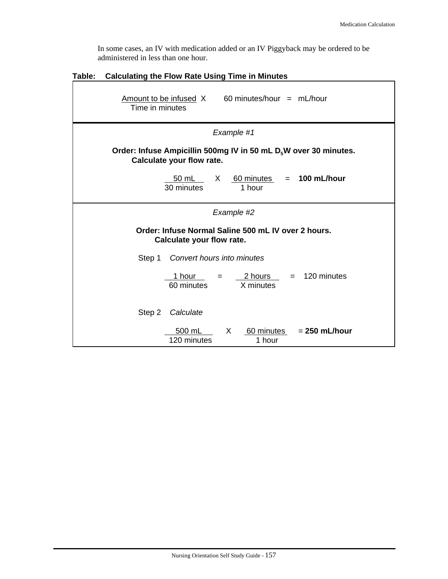In some cases, an IV with medication added or an IV Piggyback may be ordered to be administered in less than one hour.

| Table: Calculating the Flow Rate Using Time in Minutes |  |
|--------------------------------------------------------|--|
|--------------------------------------------------------|--|

| $Amount to be infused X 60 minutes/hour = mL/hour$<br>Time in minutes                                     |  |  |
|-----------------------------------------------------------------------------------------------------------|--|--|
| Example #1                                                                                                |  |  |
| Order: Infuse Ampicillin 500mg IV in 50 mL D <sub>5</sub> W over 30 minutes.<br>Calculate your flow rate. |  |  |
| $= 100$ mL/hour<br>X 60 minutes<br>50 mL<br>30 minutes<br>1 hour                                          |  |  |
| Example #2                                                                                                |  |  |
| Order: Infuse Normal Saline 500 mL IV over 2 hours.<br>Calculate your flow rate.                          |  |  |
| Step 1<br>Convert hours into minutes                                                                      |  |  |
| $= 120$ minutes<br>1 hour<br>$= 2 hours$<br>60 minutes<br>X minutes                                       |  |  |
| Step 2<br>Calculate                                                                                       |  |  |
| $60$ minutes = 250 mL/hour<br>500 mL<br>X<br>120 minutes<br>1 hour                                        |  |  |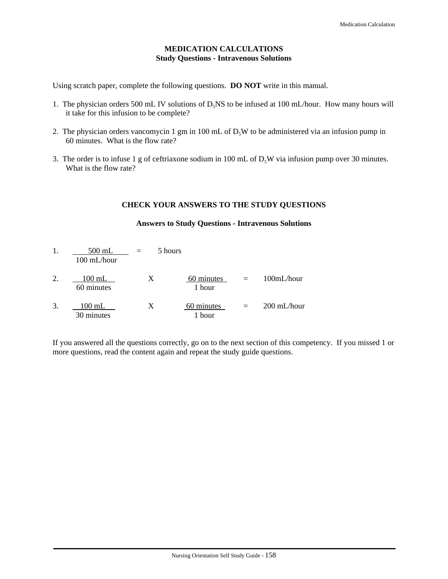#### **MEDICATION CALCULATIONS Study Questions - Intravenous Solutions**

Using scratch paper, complete the following questions. **DO NOT** write in this manual.

- 1. The physician orders 500 mL IV solutions of  $D<sub>s</sub>NS$  to be infused at 100 mL/hour. How many hours will it take for this infusion to be complete?
- 2. The physician orders vancomycin 1 gm in 100 mL of  $D_5W$  to be administered via an infusion pump in 60 minutes. What is the flow rate?
- 3. The order is to infuse 1 g of ceftriaxone sodium in 100 mL of  $D<sub>5</sub>W$  via infusion pump over 30 minutes. What is the flow rate?

#### **CHECK YOUR ANSWERS TO THE STUDY QUESTIONS**

#### **Answers to Study Questions - Intravenous Solutions**

| 1. | $500$ mL<br>100 mL/hour        | 5 hours |                      |     |             |
|----|--------------------------------|---------|----------------------|-----|-------------|
| 2. | $100$ mL<br>60 minutes         | X       | 60 minutes<br>1 hour | $=$ | 100mL/hour  |
| 3. | $100 \text{ mL}$<br>30 minutes | X       | 60 minutes<br>hour   | $=$ | 200 mL/hour |

If you answered all the questions correctly, go on to the next section of this competency. If you missed 1 or more questions, read the content again and repeat the study guide questions.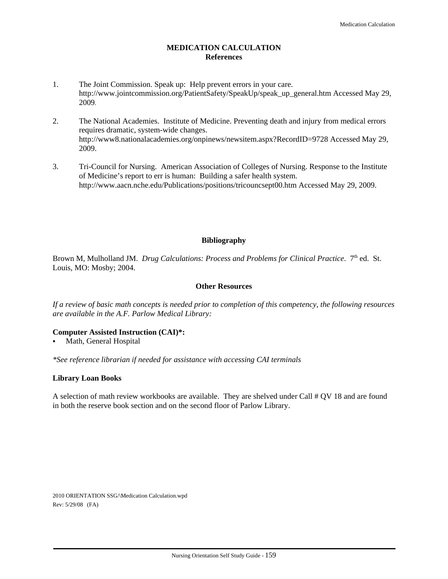#### **MEDICATION CALCULATION References**

- 1. The Joint Commission. Speak up: Help prevent errors in your care. http://www.jointcommission.org/PatientSafety/SpeakUp/speak\_up\_general.htm Accessed May 29, 2009.
- 2. The National Academies. Institute of Medicine. Preventing death and injury from medical errors requires dramatic, system-wide changes. http://www8.nationalacademies.org/onpinews/newsitem.aspx?RecordID=9728 Accessed May 29, 2009.
- 3. Tri-Council for Nursing. American Association of Colleges of Nursing. Response to the Institute of Medicine's report to err is human: Building a safer health system. http://www.aacn.nche.edu/Publications/positions/tricouncsept00.htm Accessed May 29, 2009.

#### **Bibliography**

Brown M, Mulholland JM. *Drug Calculations: Process and Problems for Clinical Practice.* 7<sup>th</sup> ed. St. Louis, MO: Mosby; 2004.

#### **Other Resources**

*If a review of basic math concepts is needed prior to completion of this competency, the following resources are available in the A.F. Parlow Medical Library:*

#### **Computer Assisted Instruction (CAI)\*:**

Math, General Hospital

*\*See reference librarian if needed for assistance with accessing CAI terminals*

#### **Library Loan Books**

A selection of math review workbooks are available. They are shelved under Call # QV 18 and are found in both the reserve book section and on the second floor of Parlow Library.

2010 ORIENTATION SSG/\Medication Calculation.wpd Rev: 5/29/08 (FA)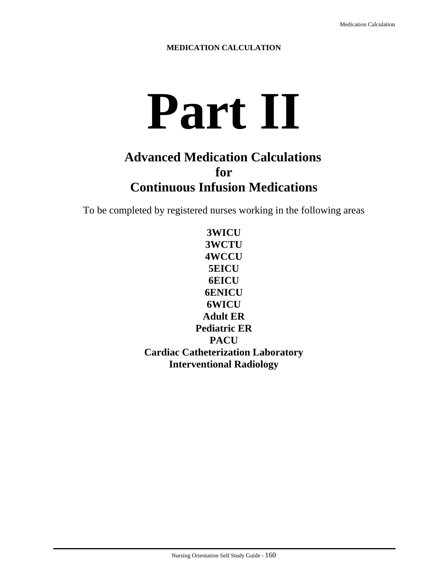# **Part II**

# **Advanced Medication Calculations for Continuous Infusion Medications**

To be completed by registered nurses working in the following areas

**3WICU 3WCTU 4WCCU 5EICU 6EICU 6ENICU 6WICU Adult ER Pediatric ER PACU Cardiac Catheterization Laboratory Interventional Radiology**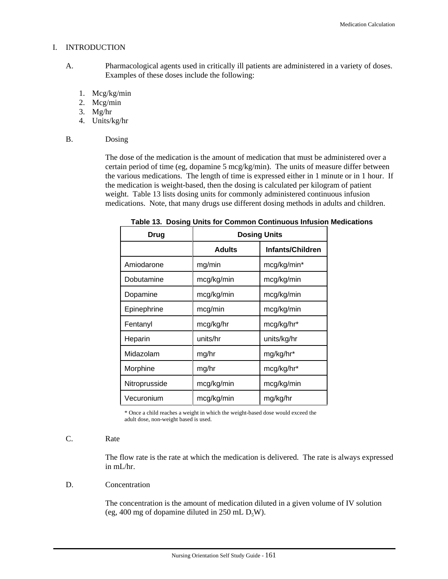#### I. INTRODUCTION

- A. Pharmacological agents used in critically ill patients are administered in a variety of doses. Examples of these doses include the following:
	- 1. Mcg/kg/min
	- 2. Mcg/min
	- 3. Mg/hr
	- 4. Units/kg/hr
- B. Dosing

The dose of the medication is the amount of medication that must be administered over a certain period of time (eg, dopamine 5 mcg/kg/min). The units of measure differ between the various medications. The length of time is expressed either in 1 minute or in 1 hour. If the medication is weight-based, then the dosing is calculated per kilogram of patient weight. Table 13 lists dosing units for commonly administered continuous infusion medications. Note, that many drugs use different dosing methods in adults and children.

| <b>Drug</b>   | <b>Dosing Units</b> |                         |  |
|---------------|---------------------|-------------------------|--|
|               | <b>Adults</b>       | <b>Infants/Children</b> |  |
| Amiodarone    | mg/min              | mcg/kg/min*             |  |
| Dobutamine    | mcg/kg/min          | mcg/kg/min              |  |
| Dopamine      | mcg/kg/min          | mcg/kg/min              |  |
| Epinephrine   | mcg/min             | mcg/kg/min              |  |
| Fentanyl      | mcg/kg/hr           | mcg/kg/hr*              |  |
| Heparin       | units/hr            | units/kg/hr             |  |
| Midazolam     | mg/hr               | mg/kg/hr*               |  |
| Morphine      | mg/hr               | mcg/kg/hr*              |  |
| Nitroprusside | mcg/kg/min          | mcg/kg/min              |  |
| Vecuronium    | mcg/kg/min          | mg/kg/hr                |  |

**Table 13. Dosing Units for Common Continuous Infusion Medications**

\* Once a child reaches a weight in which the weight-based dose would exceed the adult dose, non-weight based is used.

#### C. Rate

The flow rate is the rate at which the medication is delivered. The rate is always expressed in mL/hr.

#### D. Concentration

The concentration is the amount of medication diluted in a given volume of IV solution (eg, 400 mg of dopamine diluted in 250 mL  $D_5W$ ).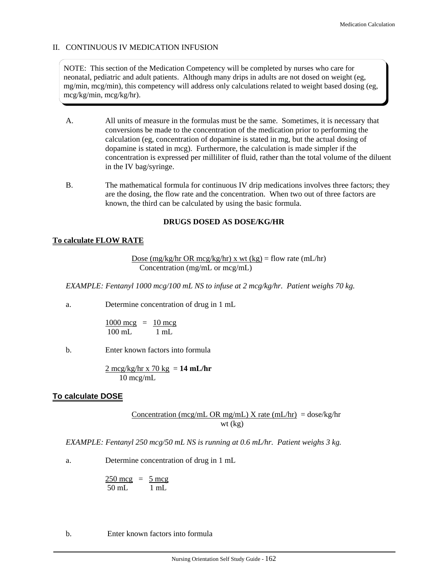#### II. CONTINUOUS IV MEDICATION INFUSION

NOTE: This section of the Medication Competency will be completed by nurses who care for neonatal, pediatric and adult patients. Although many drips in adults are not dosed on weight (eg, mg/min, mcg/min), this competency will address only calculations related to weight based dosing (eg, mcg/kg/min, mcg/kg/hr).

- A. All units of measure in the formulas must be the same. Sometimes, it is necessary that conversions be made to the concentration of the medication prior to performing the calculation (eg, concentration of dopamine is stated in mg, but the actual dosing of dopamine is stated in mcg). Furthermore, the calculation is made simpler if the concentration is expressed per milliliter of fluid, rather than the total volume of the diluent in the IV bag/syringe.
- B. The mathematical formula for continuous IV drip medications involves three factors; they are the dosing, the flow rate and the concentration. When two out of three factors are known, the third can be calculated by using the basic formula.

#### **DRUGS DOSED AS DOSE/KG/HR**

#### **To calculate FLOW RATE**

Dose (mg/kg/hr OR mcg/kg/hr) x wt (kg) = flow rate (mL/hr) Concentration (mg/mL or mcg/mL)

*EXAMPLE: Fentanyl 1000 mcg/100 mL NS to infuse at 2 mcg/kg/hr. Patient weighs 70 kg.*

a. Determine concentration of drug in 1 mL

 $1000 \text{ mcg} = 10 \text{ mcg}$  $100 \text{ mL}$  1 mL

b. Enter known factors into formula

 $2 \text{~mcg/kg/hr}$  x 70 kg = **14 mL/hr** 10 mcg/mL

#### **To calculate DOSE**

Concentration (mcg/mL OR mg/mL) X rate (mL/hr) = dose/kg/hr wt (kg)

*EXAMPLE: Fentanyl 250 mcg/50 mL NS is running at 0.6 mL/hr. Patient weighs 3 kg.*

a. Determine concentration of drug in 1 mL

 $250 \text{ mcg} = 5 \text{ mcg}$ 50 mL 1 mL

b. Enter known factors into formula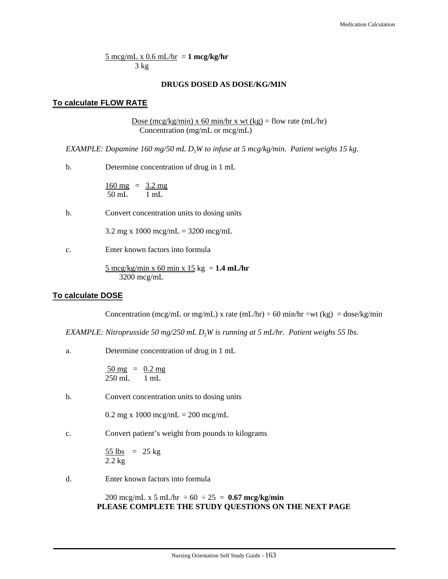#### $5 \text{ meg/mL} \times 0.6 \text{ mL/hr} = 1 \text{ meg/kg/hr}$  $3$  kg

#### **DRUGS DOSED AS DOSE/KG/MIN**

#### **To calculate FLOW RATE**

Dose (mcg/kg/min) x 60 min/hr x wt (kg) = flow rate (mL/hr) Concentration (mg/mL or mcg/mL)

*EXAMPLE: Dopamine 160 mg/50 mL D<sub>5</sub>W to infuse at 5 mcg/kg/min. Patient weighs 15 kg.* 

b. Determine concentration of drug in 1 mL

 $160 \text{ mg} = 3.2 \text{ mg}$ 50 mL 1 mL

b. Convert concentration units to dosing units

3.2 mg x 1000 mcg/mL = 3200 mcg/mL

c. Enter known factors into formula

 $\frac{5 \text{ mcg/kg/min}}{2 \text{ m}} \times 60 \text{ min} \times 15 \text{ kg} = 1.4 \text{ mL/hr}$ 3200 mcg/mL

#### **To calculate DOSE**

Concentration (mcg/mL or mg/mL) x rate (mL/hr)  $\div$  60 min/hr  $\div$ wt (kg) = dose/kg/min

*EXAMPLE: Nitroprusside 50 mg/250 mL D<sub>5</sub>W is running at 5 mL/hr. Patient weighs 55 lbs.* 

a. Determine concentration of drug in 1 mL

 $50 \text{ mg} = 0.2 \text{ mg}$ 250 mL 1 mL

b. Convert concentration units to dosing units

0.2 mg x 1000 mcg/mL = 200 mcg/mL

c. Convert patient's weight from pounds to kilograms

$$
\frac{55 \text{ lbs}}{2.2 \text{ kg}} = 25 \text{ kg}
$$

d. Enter known factors into formula

200 mcg/mL x 5 mL/hr  $\div 60 \div 25 = 0.67$  mcg/kg/min **PLEASE COMPLETE THE STUDY QUESTIONS ON THE NEXT PAGE**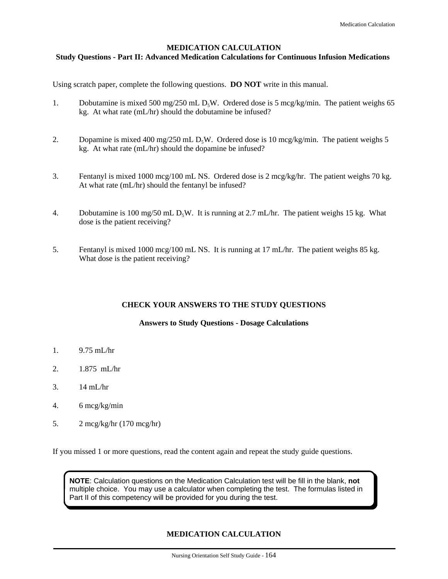#### **MEDICATION CALCULATION**

#### **Study Questions - Part II: Advanced Medication Calculations for Continuous Infusion Medications**

Using scratch paper, complete the following questions. **DO NOT** write in this manual.

- 1. Dobutamine is mixed 500 mg/250 mL D<sub>5</sub>W. Ordered dose is 5 mcg/kg/min. The patient weighs 65 kg. At what rate (mL/hr) should the dobutamine be infused?
- 2. Dopamine is mixed 400 mg/250 mL D<sub>s</sub>W. Ordered dose is 10 mcg/kg/min. The patient weighs 5 kg. At what rate (mL/hr) should the dopamine be infused?
- 3. Fentanyl is mixed 1000 mcg/100 mL NS. Ordered dose is 2 mcg/kg/hr. The patient weighs 70 kg. At what rate (mL/hr) should the fentanyl be infused?
- 4. Dobutamine is 100 mg/50 mL  $D_5W$ . It is running at 2.7 mL/hr. The patient weighs 15 kg. What dose is the patient receiving?
- 5. Fentanyl is mixed 1000 mcg/100 mL NS. It is running at 17 mL/hr. The patient weighs 85 kg. What dose is the patient receiving?

#### **CHECK YOUR ANSWERS TO THE STUDY QUESTIONS**

#### **Answers to Study Questions - Dosage Calculations**

- 1. 9.75 mL/hr
- 2. 1.875 mL/hr
- 3. 14 mL/hr
- 4. 6 mcg/kg/min
- 5. 2 mcg/kg/hr (170 mcg/hr)

If you missed 1 or more questions, read the content again and repeat the study guide questions.

**NOTE**: Calculation questions on the Medication Calculation test will be fill in the blank, **not** multiple choice. You may use a calculator when completing the test. The formulas listed in Part II of this competency will be provided for you during the test.

#### **MEDICATION CALCULATION**